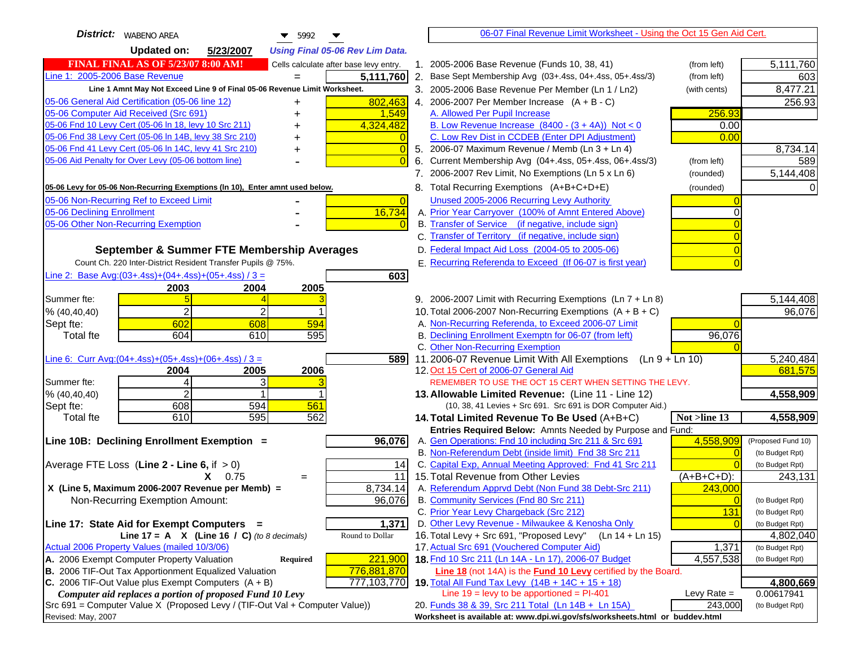| <b>District:</b>   WABENO AREA<br>$\blacktriangledown$ 5992                                        | 06-07 Final Revenue Limit Worksheet - Using the Oct 15 Gen Aid Cert.                                               |               |                              |
|----------------------------------------------------------------------------------------------------|--------------------------------------------------------------------------------------------------------------------|---------------|------------------------------|
| <b>Updated on:</b><br>5/23/2007<br><b>Using Final 05-06 Rev Lim Data.</b>                          |                                                                                                                    |               |                              |
| <b>FINAL FINAL AS OF 5/23/07 8:00 AM!</b><br>Cells calculate after base levy entry.                | 1. 2005-2006 Base Revenue (Funds 10, 38, 41)                                                                       | (from left)   | 5,111,760                    |
| Line 1: 2005-2006 Base Revenue<br>5,111,760                                                        | 2. Base Sept Membership Avg (03+.4ss, 04+.4ss, 05+.4ss/3)                                                          | (from left)   | 603                          |
| Line 1 Amnt May Not Exceed Line 9 of Final 05-06 Revenue Limit Worksheet.                          | 3. 2005-2006 Base Revenue Per Member (Ln 1 / Ln2)                                                                  | (with cents)  | 8,477.21                     |
| 802,463<br>05-06 General Aid Certification (05-06 line 12)<br>+                                    | 4. 2006-2007 Per Member Increase $(A + B - C)$                                                                     |               | 256.93                       |
| 05-06 Computer Aid Received (Src 691)<br>1,549                                                     | A. Allowed Per Pupil Increase                                                                                      | 256.93        |                              |
| 05-06 Fnd 10 Levy Cert (05-06 ln 18, levy 10 Src 211)<br>4,324,482                                 | B. Low Revenue Increase $(8400 - (3 + 4A))$ Not < 0                                                                | 0.00          |                              |
| 05-06 Fnd 38 Levy Cert (05-06 In 14B, levy 38 Src 210)<br>+                                        | C. Low Rev Dist in CCDEB (Enter DPI Adjustment)                                                                    | 0.00          |                              |
| 05-06 Fnd 41 Levy Cert (05-06 In 14C, levy 41 Src 210)<br>$\Omega$<br>+                            | 5. 2006-07 Maximum Revenue / Memb (Ln 3 + Ln 4)                                                                    |               | 8,734.14                     |
| 05-06 Aid Penalty for Over Levy (05-06 bottom line)                                                | 6. Current Membership Avg (04+.4ss, 05+.4ss, 06+.4ss/3)                                                            | (from left)   | 589                          |
|                                                                                                    | 7. 2006-2007 Rev Limit, No Exemptions (Ln 5 x Ln 6)                                                                | (rounded)     | 5,144,408                    |
| 05-06 Levy for 05-06 Non-Recurring Exemptions (In 10), Enter amnt used below.                      | 8. Total Recurring Exemptions (A+B+C+D+E)                                                                          | (rounded)     |                              |
| 05-06 Non-Recurring Ref to Exceed Limit<br>$\overline{0}$                                          | Unused 2005-2006 Recurring Levy Authority                                                                          |               |                              |
| 05-06 Declining Enrollment<br>16,734                                                               | A. Prior Year Carryover (100% of Amnt Entered Above)                                                               |               |                              |
| 05-06 Other Non-Recurring Exemption                                                                | B. Transfer of Service (if negative, include sign)                                                                 |               |                              |
|                                                                                                    | C. Transfer of Territory (if negative, include sign)                                                               |               |                              |
| September & Summer FTE Membership Averages                                                         | D. Federal Impact Aid Loss (2004-05 to 2005-06)                                                                    |               |                              |
| Count Ch. 220 Inter-District Resident Transfer Pupils @ 75%.                                       | E. Recurring Referenda to Exceed (If 06-07 is first year)                                                          |               |                              |
| Line 2: Base Avg: $(03+.4ss)+(04+.4ss)+(05+.4ss)/3 =$<br>603                                       |                                                                                                                    |               |                              |
| 2004<br>2005<br>2003                                                                               |                                                                                                                    |               |                              |
| Summer fte:                                                                                        | 9. 2006-2007 Limit with Recurring Exemptions (Ln 7 + Ln 8)                                                         |               | 5,144,408                    |
| $\overline{2}$<br>% (40, 40, 40)                                                                   | 10. Total 2006-2007 Non-Recurring Exemptions $(A + B + C)$                                                         |               | 96,076                       |
| 602<br>608<br>594<br>Sept fte:                                                                     | A. Non-Recurring Referenda, to Exceed 2006-07 Limit                                                                |               |                              |
| 595<br>604<br>610<br><b>Total fte</b>                                                              | B. Declining Enrollment Exemptn for 06-07 (from left)                                                              | 96,076        |                              |
|                                                                                                    | C. Other Non-Recurring Exemption                                                                                   |               |                              |
| Line 6: Curr Avg: $(04+.4ss)+(05+.4ss)+(06+.4ss)/3 =$<br>5891<br>2004<br>2005<br>2006              | 11.2006-07 Revenue Limit With All Exemptions (Ln 9 + Ln 10)<br>12. Oct 15 Cert of 2006-07 General Aid              |               | 5,240,484<br>681,575         |
| 3<br>Summer fte:<br>4                                                                              | REMEMBER TO USE THE OCT 15 CERT WHEN SETTING THE LEVY.                                                             |               |                              |
| $\overline{2}$<br>% (40, 40, 40)                                                                   | 13. Allowable Limited Revenue: (Line 11 - Line 12)                                                                 |               | 4,558,909                    |
| 608<br>561<br>594<br>Sept fte:                                                                     | (10, 38, 41 Levies + Src 691. Src 691 is DOR Computer Aid.)                                                        |               |                              |
| 610<br>595<br>562<br><b>Total fte</b>                                                              | 14. Total Limited Revenue To Be Used (A+B+C)                                                                       | Not >line 13  | 4,558,909                    |
|                                                                                                    | Entries Required Below: Amnts Needed by Purpose and Fund:                                                          |               |                              |
| 96,076<br>Line 10B: Declining Enrollment Exemption =                                               | A. Gen Operations: Fnd 10 including Src 211 & Src 691                                                              | 4,558,909     | (Proposed Fund 10)           |
|                                                                                                    | B. Non-Referendum Debt (inside limit) Fnd 38 Src 211                                                               | $\sqrt{ }$    | (to Budget Rpt)              |
| Average FTE Loss (Line $2 -$ Line 6, if $> 0$ )<br>14                                              | C. Capital Exp, Annual Meeting Approved: Fnd 41 Src 211                                                            |               | (to Budget Rpt)              |
| $X = 0.75$<br>11<br>$=$                                                                            | 15. Total Revenue from Other Levies                                                                                | (A+B+C+D):    | 243,131                      |
| X (Line 5, Maximum 2006-2007 Revenue per Memb) =<br>8,734.14                                       | A. Referendum Apprvd Debt (Non Fund 38 Debt-Src 211)                                                               | 243,000       |                              |
| 96,076<br>Non-Recurring Exemption Amount:                                                          | B. Community Services (Fnd 80 Src 211)                                                                             |               | (to Budget Rpt)              |
|                                                                                                    | C. Prior Year Levy Chargeback (Src 212)                                                                            | 131           | (to Budget Rpt)              |
| 1,371<br>Line 17: State Aid for Exempt Computers =<br>Round to Dollar                              | D. Other Levy Revenue - Milwaukee & Kenosha Only<br>16. Total Levy + Src 691, "Proposed Levy"<br>$(Ln 14 + Ln 15)$ |               | (to Budget Rpt)              |
| Line $17 = A \times (Line 16 / C)$ (to 8 decimals)<br>Actual 2006 Property Values (mailed 10/3/06) | 17. Actual Src 691 (Vouchered Computer Aid)                                                                        | 1,371         | 4,802,040<br>(to Budget Rpt) |
| A. 2006 Exempt Computer Property Valuation<br>Required<br>221,900                                  | 18. Fnd 10 Src 211 (Ln 14A - Ln 17), 2006-07 Budget                                                                | 4,557,538     | (to Budget Rpt)              |
| B. 2006 TIF-Out Tax Apportionment Equalized Valuation<br>776,881,870                               | <b>Line 18</b> (not 14A) is the <b>Fund 10 Levy</b> certified by the Board.                                        |               |                              |
| C. 2006 TIF-Out Value plus Exempt Computers $(A + B)$<br>777,103,770                               | 19. Total All Fund Tax Levy (14B + 14C + 15 + 18)                                                                  |               | 4,800,669                    |
| Computer aid replaces a portion of proposed Fund 10 Levy                                           | Line $19 = \text{levy}$ to be apportioned = PI-401                                                                 | Levy Rate $=$ | 0.00617941                   |
| Src 691 = Computer Value X (Proposed Levy / (TIF-Out Val + Computer Value))                        | 20. Funds 38 & 39, Src 211 Total (Ln 14B + Ln 15A)                                                                 | 243,000       | (to Budget Rpt)              |
| Revised: May, 2007                                                                                 | Worksheet is available at: www.dpi.wi.gov/sfs/worksheets.html or buddev.html                                       |               |                              |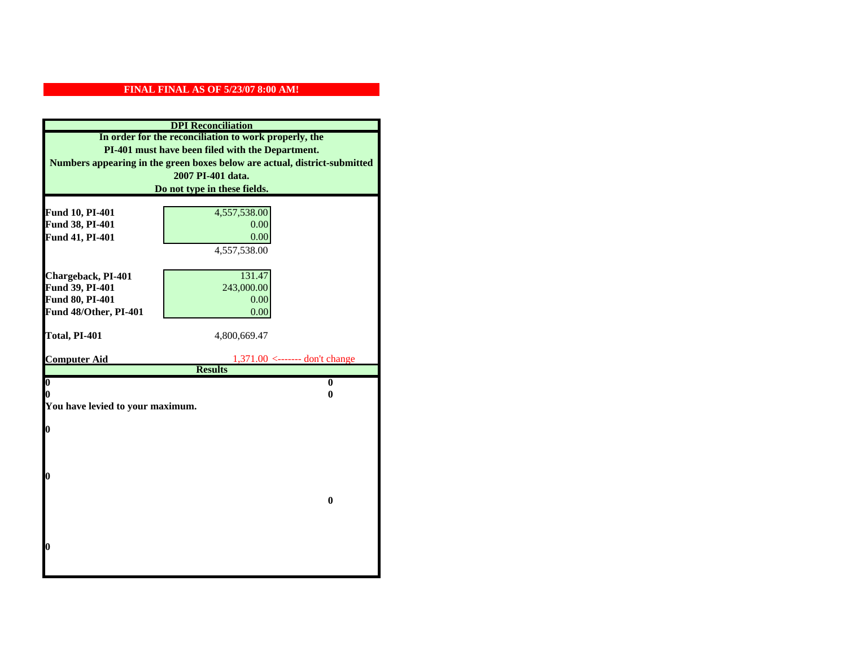| <b>DPI</b> Reconciliation                             |                                                                           |  |
|-------------------------------------------------------|---------------------------------------------------------------------------|--|
| In order for the reconciliation to work properly, the |                                                                           |  |
| PI-401 must have been filed with the Department.      |                                                                           |  |
|                                                       | Numbers appearing in the green boxes below are actual, district-submitted |  |
|                                                       | 2007 PI-401 data.                                                         |  |
|                                                       | Do not type in these fields.                                              |  |
|                                                       |                                                                           |  |
| Fund 10, PI-401                                       | 4,557,538.00                                                              |  |
| Fund 38, PI-401                                       | 0.00                                                                      |  |
| Fund 41, PI-401                                       | 0.00                                                                      |  |
|                                                       | 4,557,538.00                                                              |  |
|                                                       |                                                                           |  |
| Chargeback, PI-401                                    | 131.47                                                                    |  |
| Fund 39, PI-401                                       | 243,000.00                                                                |  |
| Fund 80, PI-401                                       | 0.00                                                                      |  |
| Fund 48/Other, PI-401                                 | 0.00                                                                      |  |
| Total, PI-401                                         | 4,800,669.47                                                              |  |
|                                                       |                                                                           |  |
| <b>Computer Aid</b>                                   | $1,371.00$ <------- don't change                                          |  |
|                                                       | <b>Results</b>                                                            |  |
| $\overline{\mathbf{0}}$                               | $\mathbf{0}$                                                              |  |
| 0                                                     | 0                                                                         |  |
| You have levied to your maximum.                      |                                                                           |  |
| $\bf{0}$                                              |                                                                           |  |
|                                                       |                                                                           |  |
|                                                       |                                                                           |  |
|                                                       |                                                                           |  |
| 0                                                     |                                                                           |  |
|                                                       |                                                                           |  |
|                                                       | $\bf{0}$                                                                  |  |
|                                                       |                                                                           |  |
|                                                       |                                                                           |  |
|                                                       |                                                                           |  |
| 0                                                     |                                                                           |  |
|                                                       |                                                                           |  |
|                                                       |                                                                           |  |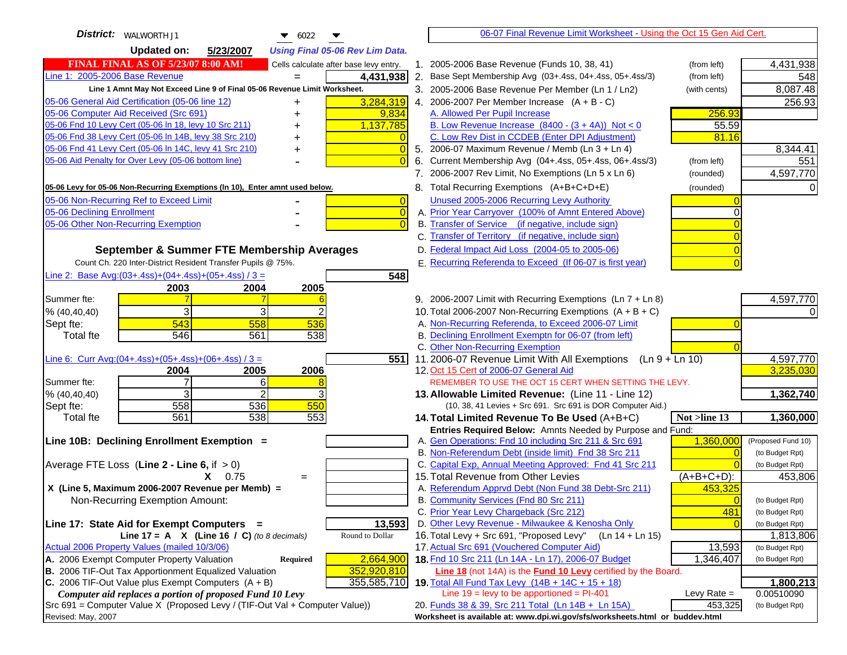| <b>District:</b>   WALWORTH J1<br>$\bullet$ 6022                                    | 06-07 Final Revenue Limit Worksheet - Using the Oct 15 Gen Aid Cert.                                         |                    |
|-------------------------------------------------------------------------------------|--------------------------------------------------------------------------------------------------------------|--------------------|
| <b>Updated on:</b><br>5/23/2007<br><b>Using Final 05-06 Rev Lim Data.</b>           |                                                                                                              |                    |
| <b>FINAL FINAL AS OF 5/23/07 8:00 AM!</b><br>Cells calculate after base levy entry. | 1. 2005-2006 Base Revenue (Funds 10, 38, 41)<br>(from left)                                                  | 4,431,938          |
| Line 1: 2005-2006 Base Revenue<br>4,431,938                                         | 2. Base Sept Membership Avg (03+.4ss, 04+.4ss, 05+.4ss/3)<br>(from left)                                     | 548                |
| Line 1 Amnt May Not Exceed Line 9 of Final 05-06 Revenue Limit Worksheet.           | 3. 2005-2006 Base Revenue Per Member (Ln 1 / Ln2)<br>(with cents)                                            | 8,087.48           |
| 3,284,319<br>05-06 General Aid Certification (05-06 line 12)<br>+                   | 4. 2006-2007 Per Member Increase $(A + B - C)$                                                               | 256.93             |
| 05-06 Computer Aid Received (Src 691)<br>9,834<br>+                                 | A. Allowed Per Pupil Increase<br>256.93                                                                      |                    |
| 05-06 Fnd 10 Levy Cert (05-06 In 18, levy 10 Src 211)<br>1,137,785                  | B. Low Revenue Increase $(8400 - (3 + 4A))$ Not < 0<br>55.59                                                 |                    |
| 05-06 Fnd 38 Levy Cert (05-06 In 14B, levy 38 Src 210)                              | C. Low Rev Dist in CCDEB (Enter DPI Adjustment)<br>81.16                                                     |                    |
| 05-06 Fnd 41 Levy Cert (05-06 In 14C, levy 41 Src 210)<br>+                         | 5. 2006-07 Maximum Revenue / Memb (Ln 3 + Ln 4)                                                              | 8,344.41           |
| 05-06 Aid Penalty for Over Levy (05-06 bottom line)                                 | 6. Current Membership Avg (04+.4ss, 05+.4ss, 06+.4ss/3)<br>(from left)                                       | 551                |
|                                                                                     | 7. 2006-2007 Rev Limit, No Exemptions (Ln 5 x Ln 6)<br>(rounded)                                             | 4,597,770          |
| 05-06 Levy for 05-06 Non-Recurring Exemptions (In 10), Enter amnt used below.       | 8. Total Recurring Exemptions (A+B+C+D+E)<br>(rounded)                                                       |                    |
| 05-06 Non-Recurring Ref to Exceed Limit<br>$\overline{0}$                           | Unused 2005-2006 Recurring Levy Authority                                                                    |                    |
| 05-06 Declining Enrollment<br>$\overline{0}$                                        | A. Prior Year Carryover (100% of Amnt Entered Above)                                                         |                    |
| 05-06 Other Non-Recurring Exemption                                                 | B. Transfer of Service (if negative, include sign)                                                           |                    |
|                                                                                     | C. Transfer of Territory (if negative, include sign)                                                         |                    |
| September & Summer FTE Membership Averages                                          | D. Federal Impact Aid Loss (2004-05 to 2005-06)                                                              |                    |
| Count Ch. 220 Inter-District Resident Transfer Pupils @ 75%.                        | E. Recurring Referenda to Exceed (If 06-07 is first year)                                                    |                    |
| Line 2: Base Avg: $(03+.4ss)+(04+.4ss)+(05+.4ss)/3 =$<br>548                        |                                                                                                              |                    |
| 2003<br>2004<br>2005                                                                |                                                                                                              |                    |
| Summer fte:                                                                         | 9. 2006-2007 Limit with Recurring Exemptions (Ln 7 + Ln 8)                                                   | 4,597,770          |
| 3<br>% (40, 40, 40)                                                                 | 10. Total 2006-2007 Non-Recurring Exemptions $(A + B + C)$                                                   |                    |
| 543<br>558<br>536<br>Sept fte:<br>546<br>561                                        | A. Non-Recurring Referenda, to Exceed 2006-07 Limit<br>B. Declining Enrollment Exemptn for 06-07 (from left) |                    |
| 538<br><b>Total fte</b>                                                             | C. Other Non-Recurring Exemption                                                                             |                    |
| Line 6: Curr Avg: $(04+.4ss)+(05+.4ss)+(06+.4ss)/3 =$<br>5511                       | 11.2006-07 Revenue Limit With All Exemptions (Ln $9 + \overline{\text{Ln }10}$ )                             | 4,597,770          |
| 2005<br>2006<br>2004                                                                | 12. Oct 15 Cert of 2006-07 General Aid                                                                       | 3,235,030          |
| Summer fte:<br>7<br>6                                                               | REMEMBER TO USE THE OCT 15 CERT WHEN SETTING THE LEVY.                                                       |                    |
| 3<br>$\mathfrak{p}$<br>% (40, 40, 40)                                               | 13. Allowable Limited Revenue: (Line 11 - Line 12)                                                           | 1,362,740          |
| 558<br>550<br>536<br>Sept fte:                                                      | (10, 38, 41 Levies + Src 691. Src 691 is DOR Computer Aid.)                                                  |                    |
| 561<br>538<br>553<br><b>Total fte</b>                                               | 14. Total Limited Revenue To Be Used (A+B+C)<br>Not >line 13                                                 | 1,360,000          |
|                                                                                     | Entries Required Below: Amnts Needed by Purpose and Fund:                                                    |                    |
| Line 10B: Declining Enrollment Exemption =                                          | A. Gen Operations: Fnd 10 including Src 211 & Src 691<br>1,360,000                                           | (Proposed Fund 10) |
|                                                                                     | B. Non-Referendum Debt (inside limit) Fnd 38 Src 211<br>$\sqrt{ }$                                           | (to Budget Rpt)    |
| Average FTE Loss (Line $2 -$ Line 6, if $> 0$ )                                     | C. Capital Exp, Annual Meeting Approved: Fnd 41 Src 211<br>15. Total Revenue from Other Levies               | (to Budget Rpt)    |
| $X = 0.75$<br>$=$<br>X (Line 5, Maximum 2006-2007 Revenue per Memb) =               | $(A+B+C+D)$ :<br>A. Referendum Apprvd Debt (Non Fund 38 Debt-Src 211)                                        | 453,806            |
| Non-Recurring Exemption Amount:                                                     | 453,325<br>B. Community Services (Fnd 80 Src 211)                                                            | (to Budget Rpt)    |
|                                                                                     | C. Prior Year Levy Chargeback (Src 212)<br>481                                                               | (to Budget Rpt)    |
| 13,593<br>Line 17: State Aid for Exempt Computers =                                 | D. Other Levy Revenue - Milwaukee & Kenosha Only                                                             | (to Budget Rpt)    |
| Line 17 = A $X$ (Line 16 / C) (to 8 decimals)<br>Round to Dollar                    | 16. Total Levy + Src 691, "Proposed Levy"<br>(Ln 14 + Ln 15)                                                 | 1,813,806          |
| Actual 2006 Property Values (mailed 10/3/06)                                        | 17. Actual Src 691 (Vouchered Computer Aid)<br>13,593                                                        | (to Budget Rpt)    |
| A. 2006 Exempt Computer Property Valuation<br>2,664,900<br>Required                 | 18. Fnd 10 Src 211 (Ln 14A - Ln 17), 2006-07 Budget<br>1,346,407                                             | (to Budget Rpt)    |
| B. 2006 TIF-Out Tax Apportionment Equalized Valuation<br>352,920,810                | <b>Line 18</b> (not 14A) is the <b>Fund 10 Levy</b> certified by the Board.                                  |                    |
| C. 2006 TIF-Out Value plus Exempt Computers $(A + B)$<br>355,585,710                | 19. Total All Fund Tax Levy (14B + 14C + 15 + 18)                                                            | 1,800,213          |
| Computer aid replaces a portion of proposed Fund 10 Levy                            | Line $19 = \text{levy}$ to be apportioned = PI-401<br>Levy Rate $=$                                          | 0.00510090         |
| Src 691 = Computer Value X (Proposed Levy / (TIF-Out Val + Computer Value))         | 453,325<br>20. Funds 38 & 39, Src 211 Total (Ln 14B + Ln 15A)                                                | (to Budget Rpt)    |
| Revised: May, 2007                                                                  | Worksheet is available at: www.dpi.wi.gov/sfs/worksheets.html or buddev.html                                 |                    |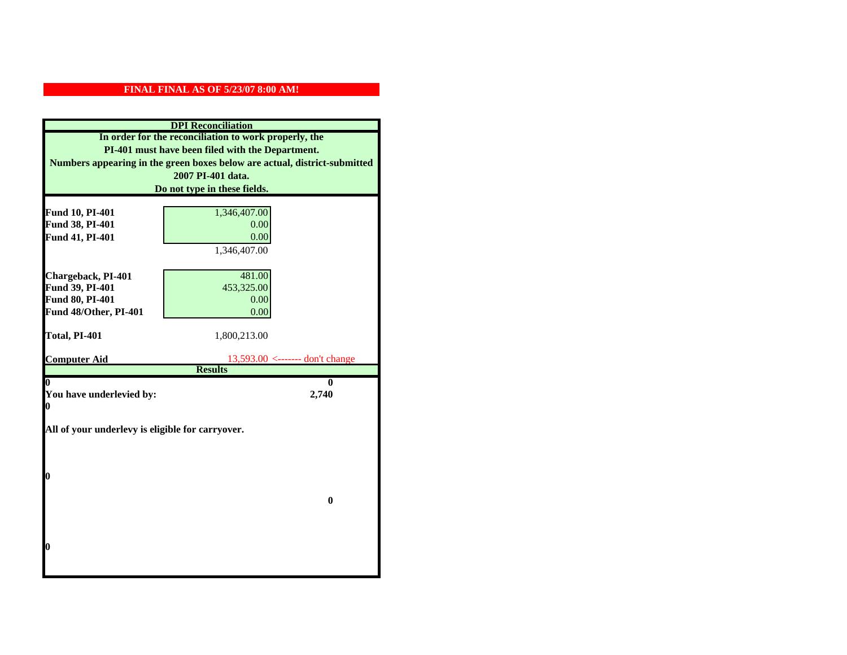| <b>DPI</b> Reconciliation                             |                                                                           |  |  |
|-------------------------------------------------------|---------------------------------------------------------------------------|--|--|
| In order for the reconciliation to work properly, the |                                                                           |  |  |
| PI-401 must have been filed with the Department.      |                                                                           |  |  |
|                                                       | Numbers appearing in the green boxes below are actual, district-submitted |  |  |
|                                                       | 2007 PI-401 data.                                                         |  |  |
|                                                       | Do not type in these fields.                                              |  |  |
|                                                       |                                                                           |  |  |
| Fund 10, PI-401                                       | 1,346,407.00                                                              |  |  |
| Fund 38, PI-401                                       | 0.00                                                                      |  |  |
| Fund 41, PI-401                                       | 0.00                                                                      |  |  |
|                                                       | 1,346,407.00                                                              |  |  |
|                                                       |                                                                           |  |  |
| Chargeback, PI-401                                    | 481.00                                                                    |  |  |
| Fund 39, PI-401                                       | 453,325.00                                                                |  |  |
| Fund 80, PI-401                                       | 0.00                                                                      |  |  |
| Fund 48/Other, PI-401                                 | 0.00                                                                      |  |  |
| Total, PI-401                                         | 1,800,213.00                                                              |  |  |
|                                                       |                                                                           |  |  |
| <b>Computer Aid</b>                                   | $13,593.00$ <------- don't change                                         |  |  |
|                                                       | <b>Results</b>                                                            |  |  |
| 0                                                     | 0                                                                         |  |  |
| You have underlevied by:                              | 2,740                                                                     |  |  |
|                                                       | 0                                                                         |  |  |
| All of your underlevy is eligible for carryover.      |                                                                           |  |  |
|                                                       |                                                                           |  |  |
|                                                       |                                                                           |  |  |
|                                                       |                                                                           |  |  |
| 0                                                     |                                                                           |  |  |
|                                                       |                                                                           |  |  |
|                                                       | $\bf{0}$                                                                  |  |  |
|                                                       |                                                                           |  |  |
|                                                       |                                                                           |  |  |
|                                                       |                                                                           |  |  |
| 0                                                     |                                                                           |  |  |
|                                                       |                                                                           |  |  |
|                                                       |                                                                           |  |  |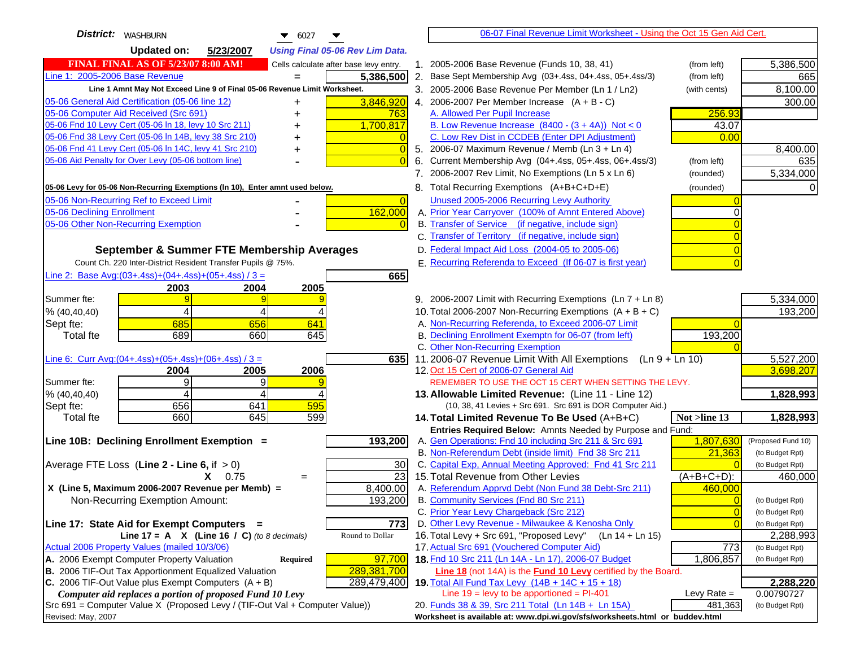| District:   WASHBURN<br>$\bullet$ 6027                                                        | 06-07 Final Revenue Limit Worksheet - Using the Oct 15 Gen Aid Cert.                                             |                |                                    |
|-----------------------------------------------------------------------------------------------|------------------------------------------------------------------------------------------------------------------|----------------|------------------------------------|
| <b>Updated on:</b><br>5/23/2007<br><b>Using Final 05-06 Rev Lim Data.</b>                     |                                                                                                                  |                |                                    |
| <b>FINAL FINAL AS OF 5/23/07 8:00 AM!</b><br>Cells calculate after base levy entry.           | 1. 2005-2006 Base Revenue (Funds 10, 38, 41)                                                                     | (from left)    | 5,386,500                          |
| Line 1: 2005-2006 Base Revenue<br>5,386,500<br>$=$                                            | 2. Base Sept Membership Avg (03+.4ss, 04+.4ss, 05+.4ss/3)                                                        | (from left)    | 665                                |
| Line 1 Amnt May Not Exceed Line 9 of Final 05-06 Revenue Limit Worksheet.                     | 3. 2005-2006 Base Revenue Per Member (Ln 1 / Ln2)                                                                | (with cents)   | 8,100.00                           |
| 3,846,920<br>05-06 General Aid Certification (05-06 line 12)<br>+                             | 4. 2006-2007 Per Member Increase $(A + B - C)$                                                                   |                | 300.00                             |
| 05-06 Computer Aid Received (Src 691)<br>763                                                  | A. Allowed Per Pupil Increase                                                                                    | 256.93         |                                    |
| 05-06 Fnd 10 Levy Cert (05-06 In 18, levy 10 Src 211)<br>1,700,817                            | B. Low Revenue Increase $(8400 - (3 + 4A))$ Not < 0                                                              | 43.07          |                                    |
| 05-06 Fnd 38 Levy Cert (05-06 In 14B, levy 38 Src 210)                                        | C. Low Rev Dist in CCDEB (Enter DPI Adjustment)                                                                  | 0.00           |                                    |
| 05-06 Fnd 41 Levy Cert (05-06 In 14C, levy 41 Src 210)<br>0<br>+                              | 5. 2006-07 Maximum Revenue / Memb (Ln 3 + Ln 4)                                                                  |                | 8,400.00                           |
| 05-06 Aid Penalty for Over Levy (05-06 bottom line)                                           | 6. Current Membership Avg (04+.4ss, 05+.4ss, 06+.4ss/3)                                                          | (from left)    | 635                                |
|                                                                                               | 7. 2006-2007 Rev Limit, No Exemptions (Ln 5 x Ln 6)                                                              | (rounded)      | 5,334,000                          |
| 05-06 Levy for 05-06 Non-Recurring Exemptions (In 10), Enter amnt used below.                 | 8. Total Recurring Exemptions (A+B+C+D+E)                                                                        | (rounded)      |                                    |
| 05-06 Non-Recurring Ref to Exceed Limit<br>$\overline{0}$                                     | Unused 2005-2006 Recurring Levy Authority                                                                        |                |                                    |
| 162,000<br>05-06 Declining Enrollment                                                         | A. Prior Year Carryover (100% of Amnt Entered Above)                                                             |                |                                    |
| 05-06 Other Non-Recurring Exemption                                                           | B. Transfer of Service (if negative, include sign)                                                               |                |                                    |
|                                                                                               | C. Transfer of Territory (if negative, include sign)                                                             |                |                                    |
| September & Summer FTE Membership Averages                                                    | D. Federal Impact Aid Loss (2004-05 to 2005-06)                                                                  |                |                                    |
| Count Ch. 220 Inter-District Resident Transfer Pupils @ 75%.                                  | E. Recurring Referenda to Exceed (If 06-07 is first year)                                                        |                |                                    |
| Line 2: Base Avg: $(03+.4ss)+(04+.4ss)+(05+.4ss)/3 =$<br>665                                  |                                                                                                                  |                |                                    |
| 2003<br>2004<br>2005                                                                          |                                                                                                                  |                |                                    |
| Summer fte:<br>9                                                                              | 9. 2006-2007 Limit with Recurring Exemptions (Ln 7 + Ln 8)                                                       |                | 5,334,000                          |
| 4<br>% (40, 40, 40)<br>Δ                                                                      | 10. Total 2006-2007 Non-Recurring Exemptions $(A + B + C)$                                                       |                | 193,200                            |
| 685<br>656<br>641<br>Sept fte:                                                                | A. Non-Recurring Referenda, to Exceed 2006-07 Limit                                                              |                |                                    |
| 689<br><b>Total fte</b><br>660<br>645                                                         | B. Declining Enrollment Exemptn for 06-07 (from left)                                                            | 193,200        |                                    |
|                                                                                               | C. Other Non-Recurring Exemption                                                                                 |                |                                    |
| Line 6: Curr Avg: $(04+.4ss)+(05+.4ss)+(06+.4ss)/3 =$<br>6351<br>2006                         | 11.2006-07 Revenue Limit With All Exemptions (Ln 9 + Ln 10)<br>12. Oct 15 Cert of 2006-07 General Aid            |                | 5,527,200<br>3,698,207             |
| 2004<br>2005<br>9<br>9<br>Summer fte:                                                         | REMEMBER TO USE THE OCT 15 CERT WHEN SETTING THE LEVY.                                                           |                |                                    |
| % (40, 40, 40)<br>4<br>4                                                                      | 13. Allowable Limited Revenue: (Line 11 - Line 12)                                                               |                | 1,828,993                          |
| 656<br>641<br>595<br>Sept fte:                                                                | (10, 38, 41 Levies + Src 691. Src 691 is DOR Computer Aid.)                                                      |                |                                    |
| 660<br>645<br>599<br><b>Total fte</b>                                                         | 14. Total Limited Revenue To Be Used (A+B+C)                                                                     | Not >line 13   | 1,828,993                          |
|                                                                                               | Entries Required Below: Amnts Needed by Purpose and Fund:                                                        |                |                                    |
| 193,200<br>Line 10B: Declining Enrollment Exemption =                                         | A. Gen Operations: Fnd 10 including Src 211 & Src 691                                                            | 1,807,630      | (Proposed Fund 10)                 |
|                                                                                               | B. Non-Referendum Debt (inside limit) Fnd 38 Src 211                                                             | 21,363         | (to Budget Rpt)                    |
| Average FTE Loss (Line $2 -$ Line 6, if $> 0$ )<br>30                                         | C. Capital Exp, Annual Meeting Approved: Fnd 41 Src 211                                                          |                | (to Budget Rpt)                    |
| $\overline{23}$<br>$X = 0.75$<br>$=$                                                          | 15. Total Revenue from Other Levies                                                                              | (A+B+C+D):     | 460,000                            |
| X (Line 5, Maximum 2006-2007 Revenue per Memb) =<br>8,400.00                                  | A. Referendum Apprvd Debt (Non Fund 38 Debt-Src 211)                                                             | 460,000        |                                    |
| 193,200<br>Non-Recurring Exemption Amount:                                                    | B. Community Services (Fnd 80 Src 211)                                                                           |                | (to Budget Rpt)                    |
|                                                                                               | C. Prior Year Levy Chargeback (Src 212)                                                                          | $\overline{0}$ | (to Budget Rpt)                    |
| Line 17: State Aid for Exempt Computers =<br>773<br>Round to Dollar                           | D. Other Levy Revenue - Milwaukee & Kenosha Only<br>16. Total Levy + Src 691, "Proposed Levy"<br>(Ln 14 + Ln 15) |                | (to Budget Rpt)                    |
| Line 17 = A $X$ (Line 16 / C) (to 8 decimals)<br>Actual 2006 Property Values (mailed 10/3/06) | 17. Actual Src 691 (Vouchered Computer Aid)                                                                      | 773            | 2,288,993                          |
| A. 2006 Exempt Computer Property Valuation<br>97,700<br>Required                              | 18. Fnd 10 Src 211 (Ln 14A - Ln 17), 2006-07 Budget                                                              | 1,806,857      | (to Budget Rpt)<br>(to Budget Rpt) |
| B. 2006 TIF-Out Tax Apportionment Equalized Valuation<br>289,381,700                          | <b>Line 18</b> (not 14A) is the <b>Fund 10 Levy</b> certified by the Board.                                      |                |                                    |
| C. 2006 TIF-Out Value plus Exempt Computers $(A + B)$<br>289,479,400                          | 19. Total All Fund Tax Levy $(14B + 14C + 15 + 18)$                                                              |                | 2,288,220                          |
| Computer aid replaces a portion of proposed Fund 10 Levy                                      | Line $19 = \text{levy}$ to be apportioned = PI-401                                                               | Levy Rate $=$  | 0.00790727                         |
| Src 691 = Computer Value X (Proposed Levy / (TIF-Out Val + Computer Value))                   | 20. Funds 38 & 39, Src 211 Total (Ln 14B + Ln 15A)                                                               | 481,363        | (to Budget Rpt)                    |
| Revised: May, 2007                                                                            | Worksheet is available at: www.dpi.wi.gov/sfs/worksheets.html or buddev.html                                     |                |                                    |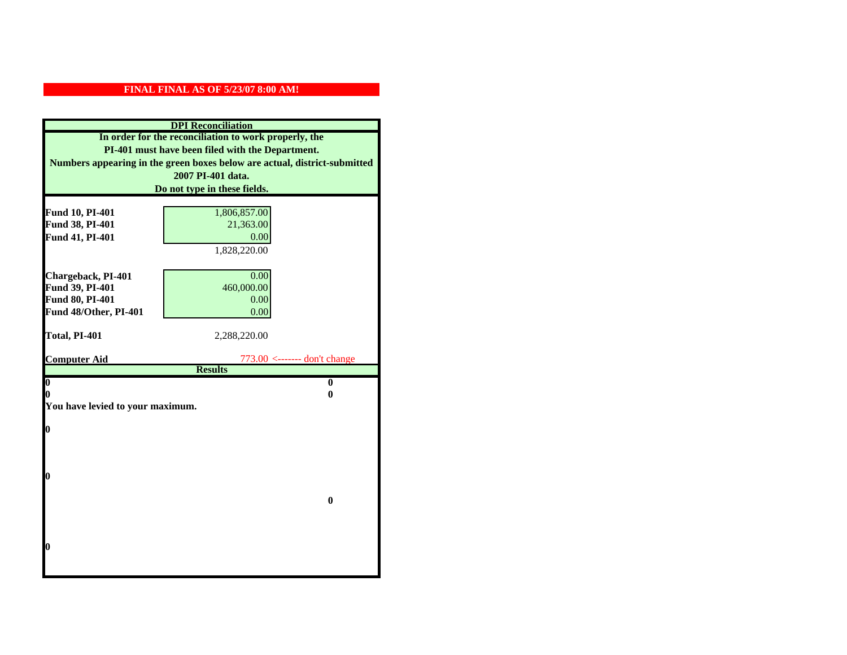| <b>DPI</b> Reconciliation                                                 |                                |  |
|---------------------------------------------------------------------------|--------------------------------|--|
| In order for the reconciliation to work properly, the                     |                                |  |
| PI-401 must have been filed with the Department.                          |                                |  |
| Numbers appearing in the green boxes below are actual, district-submitted |                                |  |
|                                                                           | 2007 PI-401 data.              |  |
|                                                                           | Do not type in these fields.   |  |
|                                                                           |                                |  |
| Fund 10, PI-401                                                           | 1,806,857.00                   |  |
| Fund 38, PI-401                                                           | 21,363.00                      |  |
| Fund 41, PI-401                                                           | 0.00                           |  |
|                                                                           | 1,828,220.00                   |  |
|                                                                           |                                |  |
| Chargeback, PI-401                                                        | 0.00                           |  |
| Fund 39, PI-401                                                           | 460,000.00                     |  |
| Fund 80, PI-401                                                           | 0.00                           |  |
| Fund 48/Other, PI-401                                                     | 0.00                           |  |
| Total, PI-401                                                             | 2,288,220.00                   |  |
|                                                                           |                                |  |
| <b>Computer Aid</b>                                                       | $773.00$ <------- don't change |  |
|                                                                           | <b>Results</b>                 |  |
| $\overline{\mathbf{0}}$                                                   | $\bf{0}$                       |  |
| 0                                                                         | 0                              |  |
| You have levied to your maximum.                                          |                                |  |
| $\bf{0}$                                                                  |                                |  |
|                                                                           |                                |  |
|                                                                           |                                |  |
|                                                                           |                                |  |
| 0                                                                         |                                |  |
|                                                                           |                                |  |
|                                                                           | $\bf{0}$                       |  |
|                                                                           |                                |  |
|                                                                           |                                |  |
|                                                                           |                                |  |
| 0                                                                         |                                |  |
|                                                                           |                                |  |
|                                                                           |                                |  |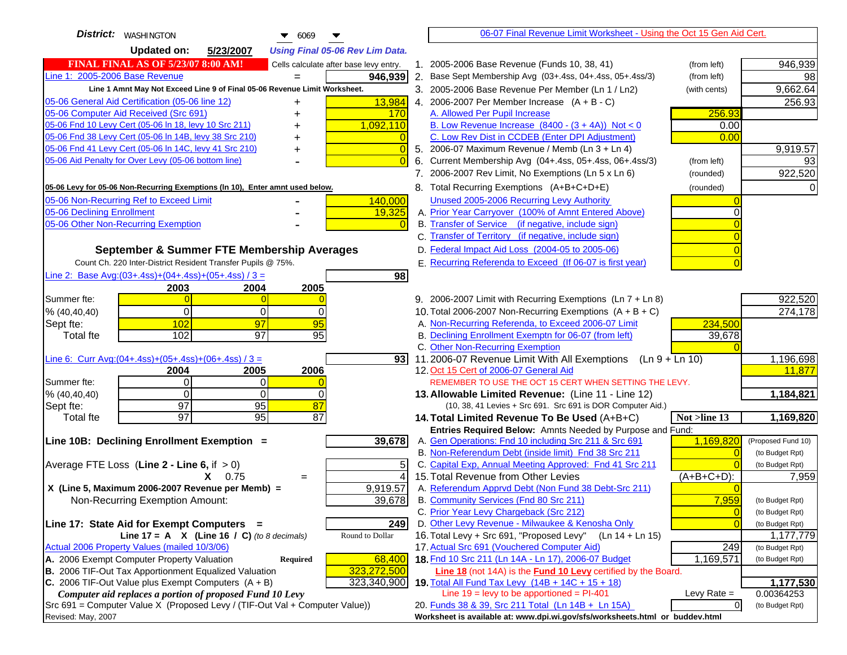| <b>District:</b> WASHINGTON<br>$\bullet$ 6069                                                                                            |                                                                                                    | 06-07 Final Revenue Limit Worksheet - Using the Oct 15 Gen Aid Cert.             |                                   |
|------------------------------------------------------------------------------------------------------------------------------------------|----------------------------------------------------------------------------------------------------|----------------------------------------------------------------------------------|-----------------------------------|
| <b>Updated on:</b><br>5/23/2007<br><b>Using Final 05-06 Rev Lim Data.</b>                                                                |                                                                                                    |                                                                                  |                                   |
| <b>FINAL FINAL AS OF 5/23/07 8:00 AM!</b><br>Cells calculate after base levy entry.                                                      | 1. 2005-2006 Base Revenue (Funds 10, 38, 41)                                                       |                                                                                  | 946,939<br>(from left)            |
| Line 1: 2005-2006 Base Revenue<br>946,939                                                                                                | 2. Base Sept Membership Avg (03+.4ss, 04+.4ss, 05+.4ss/3)                                          |                                                                                  | (from left)<br>98                 |
| Line 1 Amnt May Not Exceed Line 9 of Final 05-06 Revenue Limit Worksheet.                                                                | 3. 2005-2006 Base Revenue Per Member (Ln 1 / Ln2)                                                  |                                                                                  | 9,662.64<br>(with cents)          |
| 13,984<br>05-06 General Aid Certification (05-06 line 12)<br>+                                                                           | 4. 2006-2007 Per Member Increase $(A + B - C)$                                                     |                                                                                  | 256.93                            |
| 05-06 Computer Aid Received (Src 691)<br>170                                                                                             | A. Allowed Per Pupil Increase                                                                      |                                                                                  | 256.93                            |
| 05-06 Fnd 10 Levy Cert (05-06 In 18, levy 10 Src 211)<br>1,092,110                                                                       | B. Low Revenue Increase $(8400 - (3 + 4A))$ Not < 0                                                |                                                                                  | 0.00                              |
| 05-06 Fnd 38 Levy Cert (05-06 In 14B, levy 38 Src 210)                                                                                   | C. Low Rev Dist in CCDEB (Enter DPI Adjustment)                                                    |                                                                                  | 0.00                              |
| 05-06 Fnd 41 Levy Cert (05-06 In 14C, levy 41 Src 210)<br>+                                                                              | 5. 2006-07 Maximum Revenue / Memb (Ln 3 + Ln 4)                                                    |                                                                                  | 9,919.57                          |
| 05-06 Aid Penalty for Over Levy (05-06 bottom line)                                                                                      | Current Membership Avg (04+.4ss, 05+.4ss, 06+.4ss/3)<br>6.                                         |                                                                                  | 93<br>(from left)                 |
|                                                                                                                                          | 7. 2006-2007 Rev Limit, No Exemptions (Ln 5 x Ln 6)                                                |                                                                                  | 922,520<br>(rounded)              |
| 05-06 Levy for 05-06 Non-Recurring Exemptions (In 10), Enter amnt used below.                                                            | 8. Total Recurring Exemptions (A+B+C+D+E)                                                          |                                                                                  | (rounded)                         |
| 05-06 Non-Recurring Ref to Exceed Limit<br>140,000                                                                                       | Unused 2005-2006 Recurring Levy Authority                                                          |                                                                                  |                                   |
| 05-06 Declining Enrollment<br>19,325                                                                                                     | A. Prior Year Carryover (100% of Amnt Entered Above)                                               |                                                                                  |                                   |
| 05-06 Other Non-Recurring Exemption                                                                                                      | B. Transfer of Service (if negative, include sign)                                                 |                                                                                  |                                   |
|                                                                                                                                          | C. Transfer of Territory (if negative, include sign)                                               |                                                                                  |                                   |
| September & Summer FTE Membership Averages                                                                                               | D. Federal Impact Aid Loss (2004-05 to 2005-06)                                                    |                                                                                  |                                   |
| Count Ch. 220 Inter-District Resident Transfer Pupils @ 75%.                                                                             | E. Recurring Referenda to Exceed (If 06-07 is first year)                                          |                                                                                  |                                   |
| Line 2: Base Avg: $(03+.4ss)+(04+.4ss)+(05+.4ss)/3 =$<br>98                                                                              |                                                                                                    |                                                                                  |                                   |
| 2003<br>2004<br>2005                                                                                                                     |                                                                                                    |                                                                                  |                                   |
| Summer fte:<br>$\Omega$                                                                                                                  | 9. 2006-2007 Limit with Recurring Exemptions (Ln 7 + Ln 8)                                         |                                                                                  | 922,520                           |
| $\Omega$<br>0<br>0<br>% (40, 40, 40)                                                                                                     | 10. Total 2006-2007 Non-Recurring Exemptions $(A + B + C)$                                         |                                                                                  | 274,178                           |
| 102<br>97<br>95<br>Sept fte:                                                                                                             | A. Non-Recurring Referenda, to Exceed 2006-07 Limit                                                |                                                                                  | 234,500                           |
| 95<br>97<br>102<br><b>Total fte</b>                                                                                                      | B. Declining Enrollment Exemptn for 06-07 (from left)                                              |                                                                                  | 39,678                            |
|                                                                                                                                          | C. Other Non-Recurring Exemption                                                                   |                                                                                  |                                   |
| Line 6: Curr Avg: $(04+.4ss)+(05+.4ss)+(06+.4ss)/3 =$<br>93 I                                                                            |                                                                                                    | 11.2006-07 Revenue Limit With All Exemptions (Ln $9 + \overline{\text{Ln }10}$ ) | 1,196,698                         |
| 2005<br>2006<br>2004<br>Summer fte:<br>$\Omega$<br>0                                                                                     | 12. Oct 15 Cert of 2006-07 General Aid                                                             | REMEMBER TO USE THE OCT 15 CERT WHEN SETTING THE LEVY.                           | 11,877                            |
| $\Omega$<br>$\Omega$<br>% (40, 40, 40)<br>$\Omega$                                                                                       | 13. Allowable Limited Revenue: (Line 11 - Line 12)                                                 |                                                                                  | 1,184,821                         |
| 97<br>95<br>87<br>Sept fte:                                                                                                              |                                                                                                    | (10, 38, 41 Levies + Src 691. Src 691 is DOR Computer Aid.)                      |                                   |
| 97<br>$\overline{95}$<br>$\overline{87}$<br><b>Total</b> fte                                                                             | 14. Total Limited Revenue To Be Used (A+B+C)                                                       |                                                                                  | 1,169,820<br>Not >line 13         |
|                                                                                                                                          |                                                                                                    | Entries Required Below: Amnts Needed by Purpose and Fund:                        |                                   |
| 39,678<br>Line 10B: Declining Enrollment Exemption =                                                                                     | A. Gen Operations: Fnd 10 including Src 211 & Src 691                                              |                                                                                  | 1,169,820<br>(Proposed Fund 10)   |
|                                                                                                                                          | B. Non-Referendum Debt (inside limit) Fnd 38 Src 211                                               |                                                                                  | (to Budget Rpt)<br>$\sqrt{ }$     |
| Average FTE Loss (Line $2 -$ Line 6, if $> 0$ )                                                                                          | C. Capital Exp, Annual Meeting Approved: Fnd 41 Src 211                                            |                                                                                  | (to Budget Rpt)                   |
| $X = 0.75$<br>$=$                                                                                                                        | 15. Total Revenue from Other Levies                                                                |                                                                                  | (A+B+C+D):<br>7,959               |
| X (Line 5, Maximum 2006-2007 Revenue per Memb) =<br>9,919.57                                                                             | A. Referendum Apprvd Debt (Non Fund 38 Debt-Src 211)                                               |                                                                                  |                                   |
| Non-Recurring Exemption Amount:<br>39,678                                                                                                | B. Community Services (Fnd 80 Src 211)                                                             |                                                                                  | 7,959<br>(to Budget Rpt)          |
|                                                                                                                                          | C. Prior Year Levy Chargeback (Src 212)                                                            |                                                                                  | $\overline{0}$<br>(to Budget Rpt) |
| Line 17: State Aid for Exempt Computers =<br>249                                                                                         | D. Other Levy Revenue - Milwaukee & Kenosha Only                                                   |                                                                                  | (to Budget Rpt)                   |
| Line 17 = A $X$ (Line 16 / C) (to 8 decimals)<br>Round to Dollar                                                                         | 16. Total Levy + Src 691, "Proposed Levy"                                                          | (Ln 14 + Ln 15)                                                                  | 1,177,779                         |
| Actual 2006 Property Values (mailed 10/3/06)                                                                                             | 17. Actual Src 691 (Vouchered Computer Aid)<br>18. Fnd 10 Src 211 (Ln 14A - Ln 17), 2006-07 Budget |                                                                                  | 249<br>(to Budget Rpt)            |
| A. 2006 Exempt Computer Property Valuation<br>Required<br>68,400<br>B. 2006 TIF-Out Tax Apportionment Equalized Valuation<br>323,272,500 |                                                                                                    | <b>Line 18</b> (not 14A) is the <b>Fund 10 Levy</b> certified by the Board.      | 1,169,571<br>(to Budget Rpt)      |
| C. 2006 TIF-Out Value plus Exempt Computers $(A + B)$<br>323,340,900                                                                     | 19. Total All Fund Tax Levy (14B + 14C + 15 + 18)                                                  |                                                                                  | 1,177,530                         |
| Computer aid replaces a portion of proposed Fund 10 Levy                                                                                 | Line $19 = \text{levy}$ to be apportioned = PI-401                                                 |                                                                                  | Levy Rate $=$<br>0.00364253       |
| Src 691 = Computer Value X (Proposed Levy / (TIF-Out Val + Computer Value))                                                              | 20. Funds 38 & 39, Src 211 Total (Ln 14B + Ln 15A)                                                 |                                                                                  | $\overline{0}$<br>(to Budget Rpt) |
| Revised: May, 2007                                                                                                                       |                                                                                                    | Worksheet is available at: www.dpi.wi.gov/sfs/worksheets.html or buddev.html     |                                   |
|                                                                                                                                          |                                                                                                    |                                                                                  |                                   |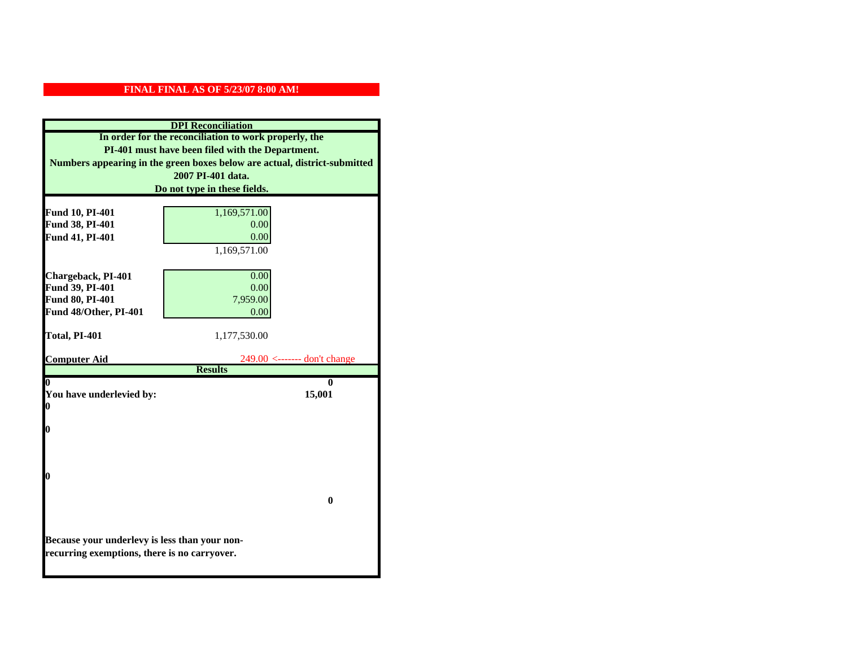| <b>DPI</b> Reconciliation                     |                                                                           |  |
|-----------------------------------------------|---------------------------------------------------------------------------|--|
|                                               | In order for the reconciliation to work properly, the                     |  |
|                                               | PI-401 must have been filed with the Department.                          |  |
|                                               | Numbers appearing in the green boxes below are actual, district-submitted |  |
|                                               | 2007 PI-401 data.                                                         |  |
|                                               | Do not type in these fields.                                              |  |
| Fund 10, PI-401                               | 1,169,571.00                                                              |  |
| Fund 38, PI-401                               | 0.00                                                                      |  |
| Fund 41, PI-401                               | 0.00                                                                      |  |
|                                               | 1,169,571.00                                                              |  |
|                                               |                                                                           |  |
| Chargeback, PI-401                            | 0.00                                                                      |  |
| Fund 39, PI-401                               | 0.00                                                                      |  |
| Fund 80, PI-401                               | 7,959.00                                                                  |  |
| Fund 48/Other, PI-401                         | 0.00                                                                      |  |
|                                               |                                                                           |  |
| Total, PI-401                                 | 1,177,530.00                                                              |  |
| <b>Computer Aid</b>                           | $249.00$ <------- don't change                                            |  |
|                                               | <b>Results</b>                                                            |  |
| $\boldsymbol{0}$                              | 0                                                                         |  |
| You have underlevied by:<br>0                 | 15,001                                                                    |  |
|                                               |                                                                           |  |
| 0                                             |                                                                           |  |
|                                               |                                                                           |  |
|                                               |                                                                           |  |
|                                               |                                                                           |  |
| 0                                             |                                                                           |  |
|                                               | $\bf{0}$                                                                  |  |
|                                               |                                                                           |  |
|                                               |                                                                           |  |
| Because your underlevy is less than your non- |                                                                           |  |
| recurring exemptions, there is no carryover.  |                                                                           |  |
|                                               |                                                                           |  |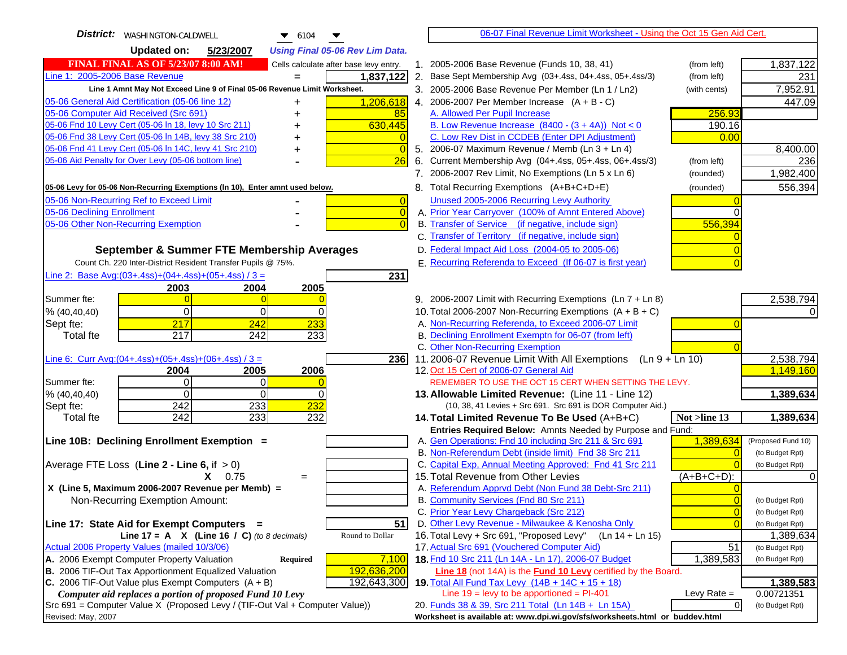| District:   WASHINGTON-CALDWELL<br>$\bullet$ 6104                                   | 06-07 Final Revenue Limit Worksheet - Using the Oct 15 Gen Aid Cert.                                                                                 |                                    |
|-------------------------------------------------------------------------------------|------------------------------------------------------------------------------------------------------------------------------------------------------|------------------------------------|
| <b>Updated on:</b><br>5/23/2007<br><b>Using Final 05-06 Rev Lim Data.</b>           |                                                                                                                                                      |                                    |
| <b>FINAL FINAL AS OF 5/23/07 8:00 AM!</b><br>Cells calculate after base levy entry. | 1. 2005-2006 Base Revenue (Funds 10, 38, 41)<br>(from left)                                                                                          | 1,837,122                          |
| Line 1: 2005-2006 Base Revenue<br>1,837,122                                         | 2. Base Sept Membership Avg (03+.4ss, 04+.4ss, 05+.4ss/3)<br>(from left)                                                                             | 231                                |
| Line 1 Amnt May Not Exceed Line 9 of Final 05-06 Revenue Limit Worksheet.           | 3. 2005-2006 Base Revenue Per Member (Ln 1 / Ln2)<br>(with cents)                                                                                    | 7,952.91                           |
| 05-06 General Aid Certification (05-06 line 12)<br>1,206,618<br>+                   | 4. 2006-2007 Per Member Increase $(A + B - C)$                                                                                                       | 447.09                             |
| 05-06 Computer Aid Received (Src 691)<br>85                                         | 256.93<br>A. Allowed Per Pupil Increase                                                                                                              |                                    |
| 05-06 Fnd 10 Levy Cert (05-06 In 18, levy 10 Src 211)<br>630,445                    | B. Low Revenue Increase $(8400 - (3 + 4A))$ Not < 0<br>190.16                                                                                        |                                    |
| 05-06 Fnd 38 Levy Cert (05-06 In 14B, levy 38 Src 210)                              | C. Low Rev Dist in CCDEB (Enter DPI Adjustment)<br>0.00                                                                                              |                                    |
| 05-06 Fnd 41 Levy Cert (05-06 In 14C, levy 41 Src 210)<br>+                         | 5. 2006-07 Maximum Revenue / Memb (Ln 3 + Ln 4)                                                                                                      | 8,400.00                           |
| 05-06 Aid Penalty for Over Levy (05-06 bottom line)<br>26                           | 6. Current Membership Avg (04+.4ss, 05+.4ss, 06+.4ss/3)<br>(from left)                                                                               | 236                                |
|                                                                                     | 7. 2006-2007 Rev Limit, No Exemptions (Ln 5 x Ln 6)<br>(rounded)                                                                                     | 1,982,400                          |
| 05-06 Levy for 05-06 Non-Recurring Exemptions (In 10), Enter amnt used below.       | 8. Total Recurring Exemptions (A+B+C+D+E)<br>(rounded)                                                                                               | 556,394                            |
| 05-06 Non-Recurring Ref to Exceed Limit<br>$\overline{0}$                           | Unused 2005-2006 Recurring Levy Authority                                                                                                            |                                    |
| 05-06 Declining Enrollment<br>$\overline{0}$                                        | A. Prior Year Carryover (100% of Amnt Entered Above)                                                                                                 |                                    |
| 05-06 Other Non-Recurring Exemption                                                 | B. Transfer of Service (if negative, include sign)<br>556,394                                                                                        |                                    |
|                                                                                     | C. Transfer of Territory (if negative, include sign)                                                                                                 |                                    |
| September & Summer FTE Membership Averages                                          | D. Federal Impact Aid Loss (2004-05 to 2005-06)                                                                                                      |                                    |
| Count Ch. 220 Inter-District Resident Transfer Pupils @ 75%.                        | E. Recurring Referenda to Exceed (If 06-07 is first year)                                                                                            |                                    |
| Line 2: Base Avg: $(03+.4ss)+(04+.4ss)+(05+.4ss)/3 =$<br>231                        |                                                                                                                                                      |                                    |
| 2004<br>2005<br>2003                                                                |                                                                                                                                                      |                                    |
| Summer fte:                                                                         | 9. 2006-2007 Limit with Recurring Exemptions (Ln 7 + Ln 8)                                                                                           | 2,538,794                          |
| $\Omega$<br>% (40, 40, 40)<br>0<br><sup>0</sup>                                     | 10. Total 2006-2007 Non-Recurring Exemptions $(A + B + C)$                                                                                           |                                    |
| 217<br>233<br>242<br>Sept fte:<br>217<br>242<br>233                                 | A. Non-Recurring Referenda, to Exceed 2006-07 Limit<br>B. Declining Enrollment Exemptn for 06-07 (from left)                                         |                                    |
| <b>Total fte</b>                                                                    | C. Other Non-Recurring Exemption                                                                                                                     |                                    |
| Line 6: Curr Avg: $(04+.4ss)+(05+.4ss)+(06+.4ss)/3 =$<br>236I                       | 11.2006-07 Revenue Limit With All Exemptions (Ln 9 + Ln 10)                                                                                          | 2,538,794                          |
| 2004<br>2005<br>2006                                                                | 12. Oct 15 Cert of 2006-07 General Aid                                                                                                               | 1,149,160                          |
| Summer fte:<br>$\Omega$<br>$\Omega$                                                 | REMEMBER TO USE THE OCT 15 CERT WHEN SETTING THE LEVY.                                                                                               |                                    |
| $\Omega$<br>$\Omega$<br>% (40, 40, 40)<br>0                                         | 13. Allowable Limited Revenue: (Line 11 - Line 12)                                                                                                   | 1,389,634                          |
| 242<br>233<br>232<br>Sept fte:                                                      | (10, 38, 41 Levies + Src 691. Src 691 is DOR Computer Aid.)                                                                                          |                                    |
| $\overline{242}$<br>233<br>232<br><b>Total fte</b>                                  | 14. Total Limited Revenue To Be Used (A+B+C)<br>Not >line 13                                                                                         | 1,389,634                          |
|                                                                                     | Entries Required Below: Amnts Needed by Purpose and Fund:                                                                                            |                                    |
| Line 10B: Declining Enrollment Exemption =                                          | A. Gen Operations: Fnd 10 including Src 211 & Src 691<br>1,389,634                                                                                   | (Proposed Fund 10)                 |
|                                                                                     | B. Non-Referendum Debt (inside limit) Fnd 38 Src 211<br>$\Omega$<br>C. Capital Exp, Annual Meeting Approved: Fnd 41 Src 211                          | (to Budget Rpt)<br>(to Budget Rpt) |
| Average FTE Loss (Line $2 -$ Line 6, if $> 0$ )<br>$X = 0.75$<br>$=$                | 15. Total Revenue from Other Levies<br>(A+B+C+D):                                                                                                    |                                    |
| X (Line 5, Maximum 2006-2007 Revenue per Memb) =                                    | A. Referendum Apprvd Debt (Non Fund 38 Debt-Src 211)                                                                                                 |                                    |
| Non-Recurring Exemption Amount:                                                     | B. Community Services (Fnd 80 Src 211)                                                                                                               | (to Budget Rpt)                    |
|                                                                                     | C. Prior Year Levy Chargeback (Src 212)<br>$\overline{0}$                                                                                            | (to Budget Rpt)                    |
| 51<br>Line 17: State Aid for Exempt Computers =                                     | D. Other Levy Revenue - Milwaukee & Kenosha Only<br>$\sqrt{ }$                                                                                       | (to Budget Rpt)                    |
| Line 17 = A $X$ (Line 16 / C) (to 8 decimals)<br>Round to Dollar                    | 16. Total Levy + Src 691, "Proposed Levy"<br>$(Ln 14 + Ln 15)$                                                                                       | 1,389,634                          |
| Actual 2006 Property Values (mailed 10/3/06)                                        | 17. Actual Src 691 (Vouchered Computer Aid)<br>51                                                                                                    | (to Budget Rpt)                    |
| A. 2006 Exempt Computer Property Valuation<br>Required<br>7,100                     | 18. Fnd 10 Src 211 (Ln 14A - Ln 17), 2006-07 Budget<br>1,389,583                                                                                     | (to Budget Rpt)                    |
| B. 2006 TIF-Out Tax Apportionment Equalized Valuation<br>192,636,200                | Line 18 (not 14A) is the <b>Fund 10 Levy</b> certified by the Board.                                                                                 |                                    |
| C. 2006 TIF-Out Value plus Exempt Computers $(A + B)$<br>192,643,300                | 19. Total All Fund Tax Levy (14B + 14C + 15 + 18)                                                                                                    | 1,389,583                          |
| Computer aid replaces a portion of proposed Fund 10 Levy                            | Line $19 = \text{levy}$ to be apportioned = PI-401<br>Levy Rate $=$                                                                                  | 0.00721351                         |
| Src 691 = Computer Value X (Proposed Levy / (TIF-Out Val + Computer Value))         | $\overline{0}$<br>20. Funds 38 & 39, Src 211 Total (Ln 14B + Ln 15A)<br>Worksheet is available at: www.dpi.wi.gov/sfs/worksheets.html or buddev.html | (to Budget Rpt)                    |
| Revised: May, 2007                                                                  |                                                                                                                                                      |                                    |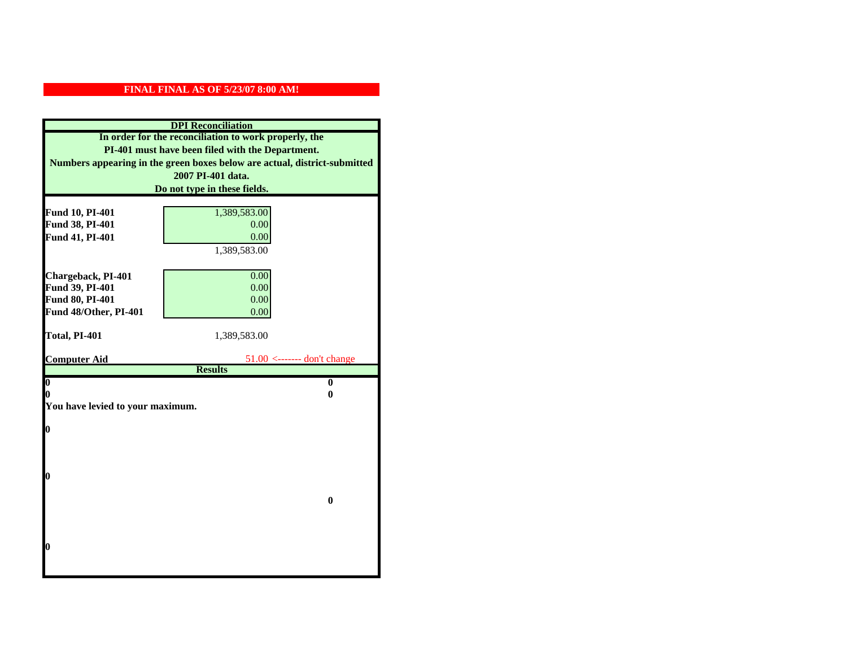| <b>DPI</b> Reconciliation                             |                                                                           |  |  |
|-------------------------------------------------------|---------------------------------------------------------------------------|--|--|
| In order for the reconciliation to work properly, the |                                                                           |  |  |
| PI-401 must have been filed with the Department.      |                                                                           |  |  |
|                                                       | Numbers appearing in the green boxes below are actual, district-submitted |  |  |
|                                                       | 2007 PI-401 data.                                                         |  |  |
|                                                       | Do not type in these fields.                                              |  |  |
|                                                       |                                                                           |  |  |
| Fund 10, PI-401                                       | 1,389,583.00                                                              |  |  |
| Fund 38, PI-401                                       | 0.00                                                                      |  |  |
| Fund 41, PI-401                                       | 0.00                                                                      |  |  |
|                                                       | 1,389,583.00                                                              |  |  |
|                                                       |                                                                           |  |  |
| Chargeback, PI-401                                    | 0.00                                                                      |  |  |
| Fund 39, PI-401                                       | 0.00                                                                      |  |  |
| Fund 80, PI-401<br>Fund 48/Other, PI-401              | 0.00<br>0.00                                                              |  |  |
|                                                       |                                                                           |  |  |
| Total, PI-401                                         | 1,389,583.00                                                              |  |  |
|                                                       |                                                                           |  |  |
| <b>Computer Aid</b>                                   | $51.00 \leftarrow$ ------- don't change                                   |  |  |
|                                                       | <b>Results</b>                                                            |  |  |
| $\boldsymbol{0}$                                      | $\bf{0}$                                                                  |  |  |
| 0<br>You have levied to your maximum.                 | 0                                                                         |  |  |
|                                                       |                                                                           |  |  |
| $\bf{0}$                                              |                                                                           |  |  |
|                                                       |                                                                           |  |  |
|                                                       |                                                                           |  |  |
|                                                       |                                                                           |  |  |
| 0                                                     |                                                                           |  |  |
|                                                       |                                                                           |  |  |
|                                                       | $\bf{0}$                                                                  |  |  |
|                                                       |                                                                           |  |  |
|                                                       |                                                                           |  |  |
| 0                                                     |                                                                           |  |  |
|                                                       |                                                                           |  |  |
|                                                       |                                                                           |  |  |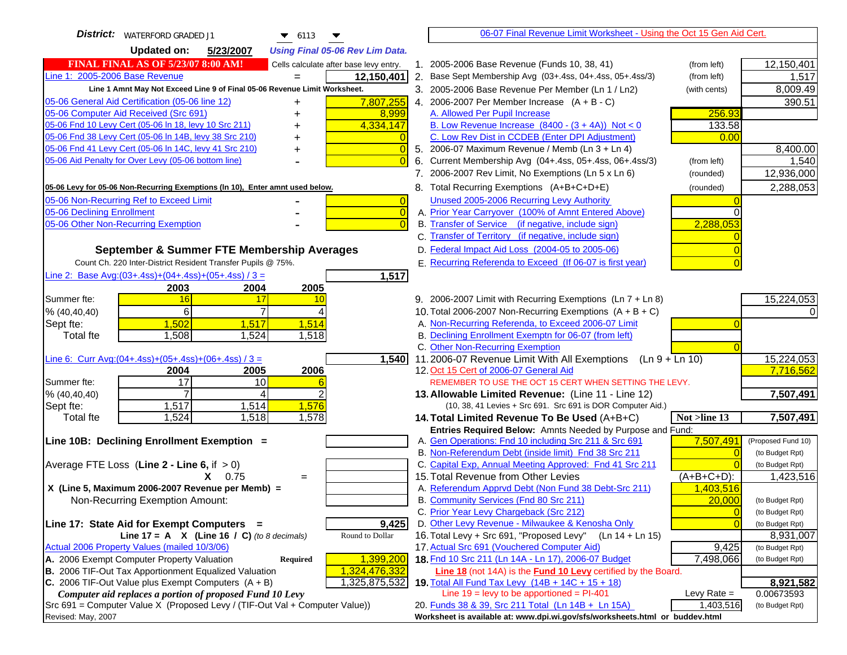| <b>District:</b>   WATERFORD GRADED J1<br>$\blacktriangledown$ 6113<br>▼            | 06-07 Final Revenue Limit Worksheet - Using the Oct 15 Gen Aid Cert.                                         |                    |
|-------------------------------------------------------------------------------------|--------------------------------------------------------------------------------------------------------------|--------------------|
| Updated on:<br>5/23/2007<br><b>Using Final 05-06 Rev Lim Data.</b>                  |                                                                                                              |                    |
| <b>FINAL FINAL AS OF 5/23/07 8:00 AM!</b><br>Cells calculate after base levy entry. | 1. 2005-2006 Base Revenue (Funds 10, 38, 41)<br>(from left)                                                  | 12,150,401         |
| Line 1: 2005-2006 Base Revenue<br>12,150,401                                        | 2. Base Sept Membership Avg (03+.4ss, 04+.4ss, 05+.4ss/3)<br>(from left)                                     | 1,517              |
| Line 1 Amnt May Not Exceed Line 9 of Final 05-06 Revenue Limit Worksheet.           | 3. 2005-2006 Base Revenue Per Member (Ln 1 / Ln2)<br>(with cents)                                            | 8,009.49           |
| 7,807,255<br>05-06 General Aid Certification (05-06 line 12)<br>+                   | 4. 2006-2007 Per Member Increase $(A + B - C)$                                                               | 390.51             |
| 05-06 Computer Aid Received (Src 691)<br>8,999                                      | 256.93<br>A. Allowed Per Pupil Increase                                                                      |                    |
| 05-06 Fnd 10 Levy Cert (05-06 In 18, levy 10 Src 211)<br>4,334,147                  | B. Low Revenue Increase $(8400 - (3 + 4A))$ Not < 0<br>133.58                                                |                    |
| 05-06 Fnd 38 Levy Cert (05-06 In 14B, levy 38 Src 210)<br>$\Omega$                  | C. Low Rev Dist in CCDEB (Enter DPI Adjustment)<br>0.00                                                      |                    |
| 05-06 Fnd 41 Levy Cert (05-06 In 14C, levy 41 Src 210)<br>$\overline{0}$<br>+       | 5. 2006-07 Maximum Revenue / Memb (Ln 3 + Ln 4)                                                              | 8,400.00           |
| 05-06 Aid Penalty for Over Levy (05-06 bottom line)<br>$\overline{0}$               | Current Membership Avg (04+.4ss, 05+.4ss, 06+.4ss/3)<br>6.<br>(from left)                                    | 1,540              |
|                                                                                     | 7. 2006-2007 Rev Limit, No Exemptions (Ln 5 x Ln 6)<br>(rounded)                                             | 12,936,000         |
| 05-06 Levy for 05-06 Non-Recurring Exemptions (In 10), Enter amnt used below.       | 8. Total Recurring Exemptions (A+B+C+D+E)<br>(rounded)                                                       | 2,288,053          |
| 05-06 Non-Recurring Ref to Exceed Limit<br>$\vert 0 \vert$                          | Unused 2005-2006 Recurring Levy Authority                                                                    |                    |
| 05-06 Declining Enrollment<br>$\overline{0}$                                        | A. Prior Year Carryover (100% of Amnt Entered Above)                                                         |                    |
| 05-06 Other Non-Recurring Exemption<br>$\overline{0}$                               | B. Transfer of Service (if negative, include sign)<br>2,288,053                                              |                    |
|                                                                                     | C. Transfer of Territory (if negative, include sign)                                                         |                    |
| September & Summer FTE Membership Averages                                          | D. Federal Impact Aid Loss (2004-05 to 2005-06)                                                              |                    |
| Count Ch. 220 Inter-District Resident Transfer Pupils @ 75%.                        | E. Recurring Referenda to Exceed (If 06-07 is first year)                                                    |                    |
| Line 2: Base Avg: (03+.4ss) + (04+.4ss) + (05+.4ss) / 3 =<br>1,517                  |                                                                                                              |                    |
| 2004<br>2003<br>2005                                                                |                                                                                                              |                    |
| 16<br>Summer fte:<br>17<br>10                                                       | 9. 2006-2007 Limit with Recurring Exemptions (Ln 7 + Ln 8)                                                   | 15,224,053         |
| 6<br>$\overline{7}$<br>% (40, 40, 40)<br>4                                          | 10. Total 2006-2007 Non-Recurring Exemptions $(A + B + C)$                                                   |                    |
| 1,502<br>1,514<br>Sept fte:<br>1,517                                                | A. Non-Recurring Referenda, to Exceed 2006-07 Limit                                                          |                    |
| 1,508<br>1,518<br>Total fte<br>1,524                                                | B. Declining Enrollment Exemptn for 06-07 (from left)                                                        |                    |
|                                                                                     | C. Other Non-Recurring Exemption                                                                             |                    |
| <u>Line 6: Curr Avg: (04+.4ss)+ (05+.4ss)+ (06+.4ss) / 3 =</u><br>1,540             | 11.2006-07 Revenue Limit With All Exemptions (Ln 9 + Ln 10)                                                  | 15,224,053         |
| 2005<br>2006<br>2004                                                                | 12. Oct 15 Cert of 2006-07 General Aid                                                                       | 7,716,562          |
| $\overline{17}$<br>10<br>Summer fte:                                                | REMEMBER TO USE THE OCT 15 CERT WHEN SETTING THE LEVY.                                                       |                    |
| 2<br>% (40, 40, 40)<br>4                                                            | 13. Allowable Limited Revenue: (Line 11 - Line 12)                                                           | 7,507,491          |
| 1,576<br>1,517<br>1,514<br>Sept fte:                                                | (10, 38, 41 Levies + Src 691. Src 691 is DOR Computer Aid.)                                                  |                    |
| 1,524<br>1,518<br>1,578<br>Total fte                                                | 14. Total Limited Revenue To Be Used (A+B+C)<br>Not >line 13                                                 | 7,507,491          |
|                                                                                     | Entries Required Below: Amnts Needed by Purpose and Fund:                                                    |                    |
| Line 10B: Declining Enrollment Exemption =                                          | 7,507,491<br>A. Gen Operations: Fnd 10 including Src 211 & Src 691                                           | (Proposed Fund 10) |
|                                                                                     | B. Non-Referendum Debt (inside limit) Fnd 38 Src 211<br>$\Omega$                                             | (to Budget Rpt)    |
| Average FTE Loss (Line $2 -$ Line 6, if $> 0$ )                                     | C. Capital Exp, Annual Meeting Approved: Fnd 41 Src 211                                                      | (to Budget Rpt)    |
| $X = 0.75$<br>$=$<br>X (Line 5, Maximum 2006-2007 Revenue per Memb) =               | 15. Total Revenue from Other Levies<br>$(A+B+C+D)$ :<br>A. Referendum Apprvd Debt (Non Fund 38 Debt-Src 211) | 1,423,516          |
| Non-Recurring Exemption Amount:                                                     | 1,403,516<br>B. Community Services (Fnd 80 Src 211)<br>20,000                                                | (to Budget Rpt)    |
|                                                                                     | C. Prior Year Levy Chargeback (Src 212)<br>$\overline{0}$                                                    | (to Budget Rpt)    |
| Line 17: State Aid for Exempt Computers =<br>9,425                                  | D. Other Levy Revenue - Milwaukee & Kenosha Only<br>$\sqrt{ }$                                               | (to Budget Rpt)    |
| Round to Dollar<br>Line 17 = A $X$ (Line 16 / C) (to 8 decimals)                    | 16. Total Levy + Src 691, "Proposed Levy"<br>$(Ln 14 + Ln 15)$                                               | 8,931,007          |
| Actual 2006 Property Values (mailed 10/3/06)                                        | 17. Actual Src 691 (Vouchered Computer Aid)<br>9,425                                                         | (to Budget Rpt)    |
| A. 2006 Exempt Computer Property Valuation<br>1,399,200<br><b>Required</b>          | 18. Fnd 10 Src 211 (Ln 14A - Ln 17), 2006-07 Budget<br>7,498,066                                             | (to Budget Rpt)    |
| B. 2006 TIF-Out Tax Apportionment Equalized Valuation<br>1,324,476,332              | Line 18 (not 14A) is the Fund 10 Levy certified by the Board.                                                |                    |
| 1,325,875,532<br>C. 2006 TIF-Out Value plus Exempt Computers $(A + B)$              | 19. Total All Fund Tax Levy (14B + 14C + 15 + 18)                                                            | 8,921,582          |
| Computer aid replaces a portion of proposed Fund 10 Levy                            | Line $19 = \text{levy}$ to be apportioned = PI-401<br>Levy Rate $=$                                          | 0.00673593         |
| Src 691 = Computer Value X (Proposed Levy / (TIF-Out Val + Computer Value))         | 20. Funds 38 & 39, Src 211 Total (Ln 14B + Ln 15A)<br>1,403,516                                              | (to Budget Rpt)    |
| Revised: May, 2007                                                                  | Worksheet is available at: www.dpi.wi.gov/sfs/worksheets.html or buddev.html                                 |                    |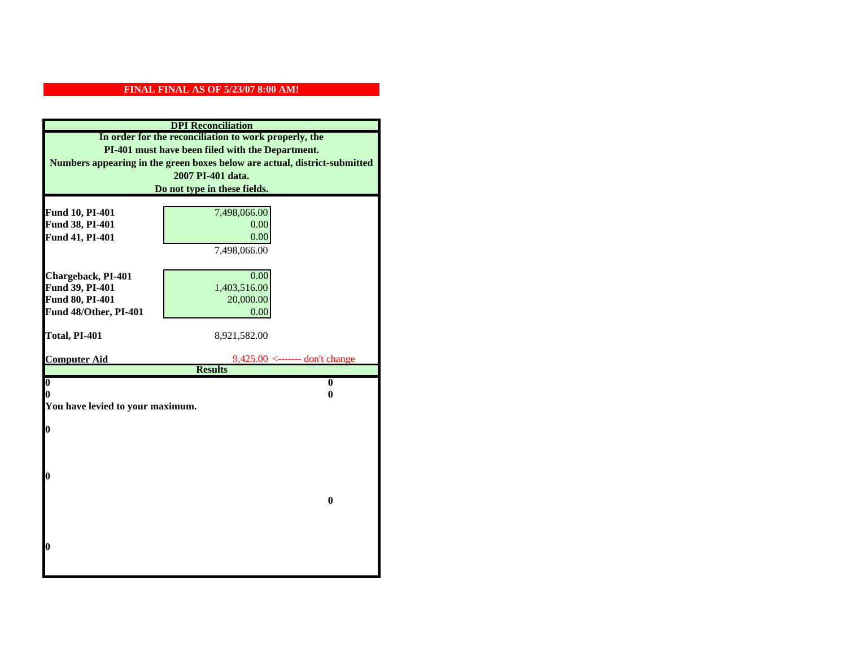| <b>DPI</b> Reconciliation                             |                                                                           |  |  |
|-------------------------------------------------------|---------------------------------------------------------------------------|--|--|
| In order for the reconciliation to work properly, the |                                                                           |  |  |
| PI-401 must have been filed with the Department.      |                                                                           |  |  |
|                                                       | Numbers appearing in the green boxes below are actual, district-submitted |  |  |
|                                                       | 2007 PI-401 data.                                                         |  |  |
|                                                       | Do not type in these fields.                                              |  |  |
|                                                       |                                                                           |  |  |
| Fund 10, PI-401                                       | 7,498,066.00                                                              |  |  |
| Fund 38, PI-401                                       | 0.00                                                                      |  |  |
| Fund 41, PI-401                                       | 0.00                                                                      |  |  |
|                                                       | 7,498,066.00                                                              |  |  |
| Chargeback, PI-401                                    | 0.00                                                                      |  |  |
| Fund 39, PI-401                                       | 1,403,516.00                                                              |  |  |
| Fund 80, PI-401                                       | 20,000.00                                                                 |  |  |
| Fund 48/Other, PI-401                                 | 0.00                                                                      |  |  |
|                                                       |                                                                           |  |  |
| Total, PI-401                                         | 8,921,582.00                                                              |  |  |
|                                                       |                                                                           |  |  |
| <b>Computer Aid</b>                                   | $9,425.00 \leftarrow$ ------- don't change                                |  |  |
| $\boldsymbol{0}$                                      | <b>Results</b><br>$\mathbf{0}$                                            |  |  |
| 0                                                     | 0                                                                         |  |  |
|                                                       | You have levied to your maximum.                                          |  |  |
|                                                       |                                                                           |  |  |
| 0                                                     |                                                                           |  |  |
|                                                       |                                                                           |  |  |
|                                                       |                                                                           |  |  |
|                                                       |                                                                           |  |  |
| 0                                                     |                                                                           |  |  |
|                                                       |                                                                           |  |  |
|                                                       | $\bf{0}$                                                                  |  |  |
|                                                       |                                                                           |  |  |
|                                                       |                                                                           |  |  |
| 0                                                     |                                                                           |  |  |
|                                                       |                                                                           |  |  |
|                                                       |                                                                           |  |  |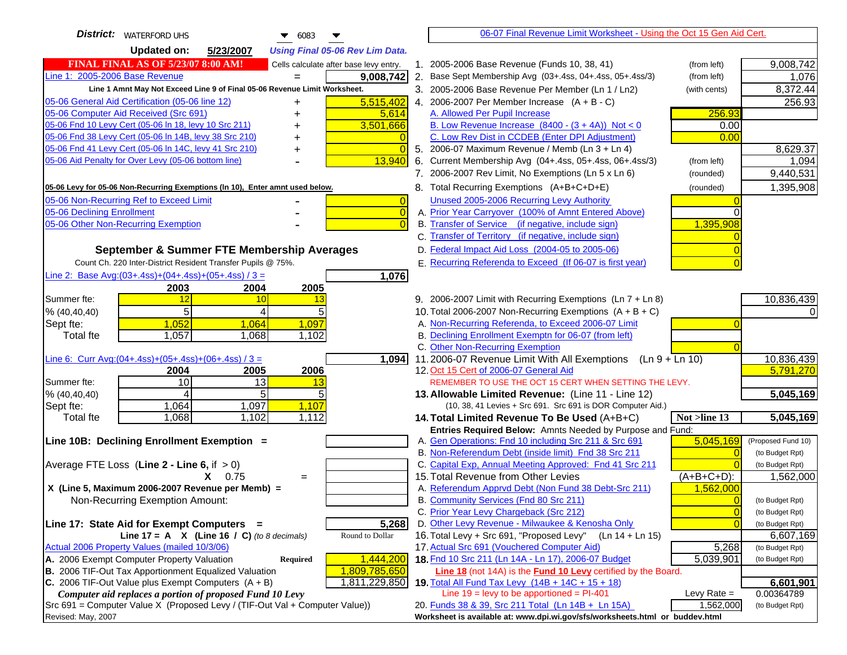| <b>District:</b>   WATERFORD UHS<br>$\bullet$ 6083                                  | 06-07 Final Revenue Limit Worksheet - Using the Oct 15 Gen Aid Cert.                                        |                                    |
|-------------------------------------------------------------------------------------|-------------------------------------------------------------------------------------------------------------|------------------------------------|
| <b>Updated on:</b><br>5/23/2007<br><b>Using Final 05-06 Rev Lim Data.</b>           |                                                                                                             |                                    |
| <b>FINAL FINAL AS OF 5/23/07 8:00 AM!</b><br>Cells calculate after base levy entry. | 1. 2005-2006 Base Revenue (Funds 10, 38, 41)<br>(from left)                                                 | 9,008,742                          |
| Line 1: 2005-2006 Base Revenue<br>9,008,742                                         | 2. Base Sept Membership Avg (03+.4ss, 04+.4ss, 05+.4ss/3)<br>(from left)                                    | 1,076                              |
| Line 1 Amnt May Not Exceed Line 9 of Final 05-06 Revenue Limit Worksheet.           | 3. 2005-2006 Base Revenue Per Member (Ln 1 / Ln2)<br>(with cents)                                           | 8,372.44                           |
| 05-06 General Aid Certification (05-06 line 12)<br>5,515,402<br>+                   | 4. 2006-2007 Per Member Increase $(A + B - C)$                                                              | 256.93                             |
| 05-06 Computer Aid Received (Src 691)<br>5,614                                      | 256.93<br>A. Allowed Per Pupil Increase                                                                     |                                    |
| 05-06 Fnd 10 Levy Cert (05-06 In 18, levy 10 Src 211)<br>3,501,666                  | B. Low Revenue Increase $(8400 - (3 + 4A))$ Not < 0<br>0.00                                                 |                                    |
| 05-06 Fnd 38 Levy Cert (05-06 In 14B, levy 38 Src 210)                              | C. Low Rev Dist in CCDEB (Enter DPI Adjustment)<br>0.00                                                     |                                    |
| 05-06 Fnd 41 Levy Cert (05-06 In 14C, levy 41 Src 210)<br>+                         | 5. 2006-07 Maximum Revenue / Memb (Ln 3 + Ln 4)                                                             | 8,629.37                           |
| 05-06 Aid Penalty for Over Levy (05-06 bottom line)<br>13,940                       | 6. Current Membership Avg (04+.4ss, 05+.4ss, 06+.4ss/3)<br>(from left)                                      | 1,094                              |
|                                                                                     | 7. 2006-2007 Rev Limit, No Exemptions (Ln 5 x Ln 6)<br>(rounded)                                            | 9,440,531                          |
| 05-06 Levy for 05-06 Non-Recurring Exemptions (In 10), Enter amnt used below.       | 8. Total Recurring Exemptions (A+B+C+D+E)<br>(rounded)                                                      | 1,395,908                          |
| 05-06 Non-Recurring Ref to Exceed Limit<br>$\overline{0}$                           | Unused 2005-2006 Recurring Levy Authority                                                                   |                                    |
| 05-06 Declining Enrollment<br>$\overline{0}$                                        | A. Prior Year Carryover (100% of Amnt Entered Above)                                                        |                                    |
| 05-06 Other Non-Recurring Exemption                                                 | B. Transfer of Service (if negative, include sign)<br>1,395,908                                             |                                    |
|                                                                                     | C. Transfer of Territory (if negative, include sign)                                                        |                                    |
| September & Summer FTE Membership Averages                                          | D. Federal Impact Aid Loss (2004-05 to 2005-06)                                                             |                                    |
| Count Ch. 220 Inter-District Resident Transfer Pupils @ 75%.                        | E. Recurring Referenda to Exceed (If 06-07 is first year)                                                   |                                    |
| Line 2: Base Avg: $(03+.4ss)+(04+.4ss)+(05+.4ss)/3 =$<br>1,076                      |                                                                                                             |                                    |
| 2004<br>2005<br>2003                                                                |                                                                                                             |                                    |
| Summer fte:<br>12<br>10<br>13                                                       | 9. 2006-2007 Limit with Recurring Exemptions (Ln 7 + Ln 8)                                                  | 10,836,439                         |
| 5<br>% (40, 40, 40)                                                                 | 10. Total 2006-2007 Non-Recurring Exemptions $(A + B + C)$                                                  |                                    |
| 1,097<br>1,052<br>Sept fte:<br>1,064                                                | A. Non-Recurring Referenda, to Exceed 2006-07 Limit                                                         |                                    |
| 1,068<br>1,102<br><b>Total fte</b><br>1,057                                         | B. Declining Enrollment Exemptn for 06-07 (from left)                                                       |                                    |
| Line 6: Curr Avg: $(04+.4ss)+(05+.4ss)+(06+.4ss)/3 =$                               | C. Other Non-Recurring Exemption                                                                            |                                    |
| 1,094<br>2004<br>2005<br>2006                                                       | 11.2006-07 Revenue Limit With All Exemptions (Ln 9 + Ln 10)<br>12. Oct 15 Cert of 2006-07 General Aid       | 10,836,439<br>5,791,270            |
| 10<br>13<br>Summer fte:<br>13                                                       | REMEMBER TO USE THE OCT 15 CERT WHEN SETTING THE LEVY.                                                      |                                    |
| 5<br>% (40, 40, 40)<br>4                                                            | 13. Allowable Limited Revenue: (Line 11 - Line 12)                                                          | 5,045,169                          |
| 1,097<br>1,064<br>1,107<br>Sept fte:                                                | (10, 38, 41 Levies + Src 691. Src 691 is DOR Computer Aid.)                                                 |                                    |
| <b>Total fte</b><br>1,068<br>1,102<br>1,112                                         | Not >line 13<br>14. Total Limited Revenue To Be Used (A+B+C)                                                | 5,045,169                          |
|                                                                                     | Entries Required Below: Amnts Needed by Purpose and Fund:                                                   |                                    |
| Line 10B: Declining Enrollment Exemption =                                          | A. Gen Operations: Fnd 10 including Src 211 & Src 691<br>5,045,169                                          | (Proposed Fund 10)                 |
|                                                                                     | B. Non-Referendum Debt (inside limit) Fnd 38 Src 211<br>$\sqrt{ }$                                          | (to Budget Rpt)                    |
| Average FTE Loss (Line $2 -$ Line 6, if $> 0$ )                                     | C. Capital Exp, Annual Meeting Approved: Fnd 41 Src 211                                                     | (to Budget Rpt)                    |
| $X = 0.75$<br>$=$                                                                   | 15. Total Revenue from Other Levies<br>(A+B+C+D):                                                           | 1,562,000                          |
| X (Line 5, Maximum 2006-2007 Revenue per Memb) =<br>Non-Recurring Exemption Amount: | A. Referendum Apprvd Debt (Non Fund 38 Debt-Src 211)<br>1,562,000<br>B. Community Services (Fnd 80 Src 211) |                                    |
|                                                                                     | C. Prior Year Levy Chargeback (Src 212)<br>$\overline{0}$                                                   | (to Budget Rpt)<br>(to Budget Rpt) |
| 5,268<br>Line 17: State Aid for Exempt Computers =                                  | D. Other Levy Revenue - Milwaukee & Kenosha Only<br>$\sqrt{ }$                                              | (to Budget Rpt)                    |
| Line $17 = A \times (Line 16 / C)$ (to 8 decimals)<br>Round to Dollar               | 16. Total Levy + Src 691, "Proposed Levy"<br>$(Ln 14 + Ln 15)$                                              | 6,607,169                          |
| Actual 2006 Property Values (mailed 10/3/06)                                        | 17. Actual Src 691 (Vouchered Computer Aid)<br>5,268                                                        | (to Budget Rpt)                    |
| 1,444,200<br>A. 2006 Exempt Computer Property Valuation<br>Required                 | 18. Fnd 10 Src 211 (Ln 14A - Ln 17), 2006-07 Budget<br>5,039,901                                            | (to Budget Rpt)                    |
| B. 2006 TIF-Out Tax Apportionment Equalized Valuation<br>1,809,785,650              | <b>Line 18</b> (not 14A) is the <b>Fund 10 Levy</b> certified by the Board.                                 |                                    |
| C. 2006 TIF-Out Value plus Exempt Computers $(A + B)$<br>1,811,229,850              | 19. Total All Fund Tax Levy (14B + 14C + 15 + 18)                                                           | 6,601,901                          |
| Computer aid replaces a portion of proposed Fund 10 Levy                            | Line $19 = \text{levy}$ to be apportioned = PI-401<br>Levy Rate $=$                                         | 0.00364789                         |
| Src 691 = Computer Value X (Proposed Levy / (TIF-Out Val + Computer Value))         | 20. Funds 38 & 39, Src 211 Total (Ln 14B + Ln 15A)<br>1,562,000                                             | (to Budget Rpt)                    |
| Revised: May, 2007                                                                  | Worksheet is available at: www.dpi.wi.gov/sfs/worksheets.html or buddev.html                                |                                    |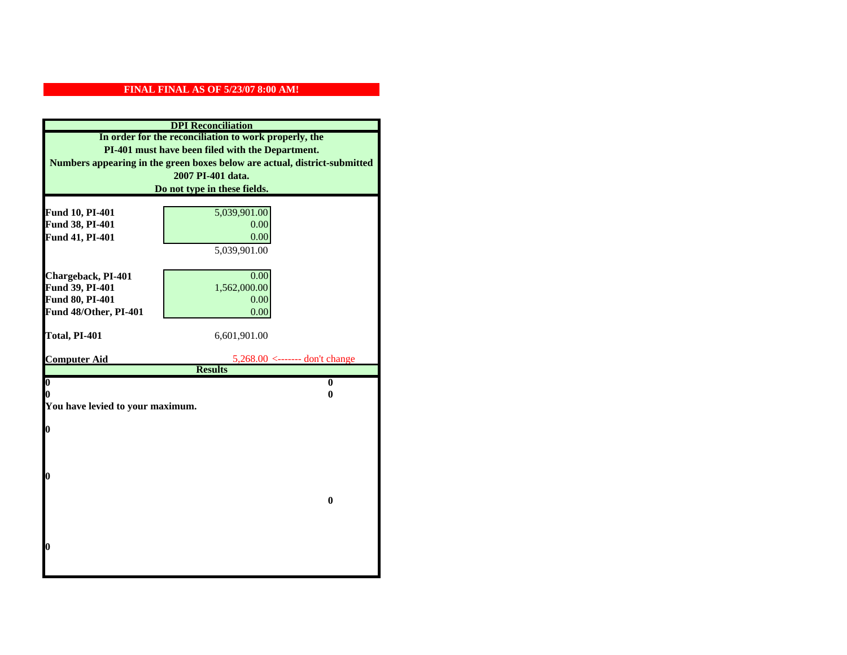| <b>DPI</b> Reconciliation                             |                                                                           |  |
|-------------------------------------------------------|---------------------------------------------------------------------------|--|
| In order for the reconciliation to work properly, the |                                                                           |  |
| PI-401 must have been filed with the Department.      |                                                                           |  |
|                                                       | Numbers appearing in the green boxes below are actual, district-submitted |  |
|                                                       | 2007 PI-401 data.                                                         |  |
|                                                       | Do not type in these fields.                                              |  |
|                                                       |                                                                           |  |
| Fund 10, PI-401                                       | 5,039,901.00                                                              |  |
| Fund 38, PI-401                                       | 0.00                                                                      |  |
| Fund 41, PI-401                                       | 0.00                                                                      |  |
|                                                       | 5,039,901.00                                                              |  |
|                                                       |                                                                           |  |
| Chargeback, PI-401                                    | 0.00                                                                      |  |
| Fund 39, PI-401                                       | 1,562,000.00                                                              |  |
| Fund 80, PI-401                                       | 0.00                                                                      |  |
| Fund 48/Other, PI-401                                 | 0.00                                                                      |  |
| Total, PI-401                                         | 6,601,901.00                                                              |  |
|                                                       |                                                                           |  |
| <b>Computer Aid</b>                                   | 5,268.00 <------- don't change                                            |  |
|                                                       | <b>Results</b>                                                            |  |
| $\boldsymbol{0}$                                      | $\bf{0}$                                                                  |  |
| 0                                                     | 0                                                                         |  |
| You have levied to your maximum.                      |                                                                           |  |
| $\bf{0}$                                              |                                                                           |  |
|                                                       |                                                                           |  |
|                                                       |                                                                           |  |
|                                                       |                                                                           |  |
| l0                                                    |                                                                           |  |
|                                                       |                                                                           |  |
|                                                       | $\bf{0}$                                                                  |  |
|                                                       |                                                                           |  |
|                                                       |                                                                           |  |
|                                                       |                                                                           |  |
|                                                       |                                                                           |  |
| 0                                                     |                                                                           |  |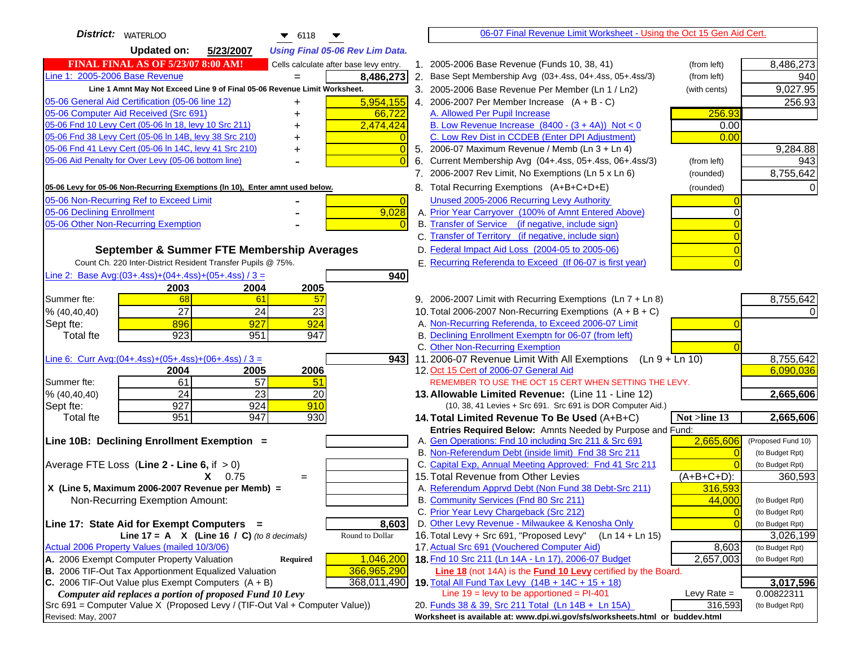| <b>District: WATERLOO</b><br>$\bullet$ 6118                                                                   | 06-07 Final Revenue Limit Worksheet - Using the Oct 15 Gen Aid Cert.                                                 |                              |
|---------------------------------------------------------------------------------------------------------------|----------------------------------------------------------------------------------------------------------------------|------------------------------|
| <b>Updated on:</b><br>5/23/2007<br><b>Using Final 05-06 Rev Lim Data.</b>                                     |                                                                                                                      |                              |
| <b>FINAL FINAL AS OF 5/23/07 8:00 AM!</b><br>Cells calculate after base levy entry.                           | 1. 2005-2006 Base Revenue (Funds 10, 38, 41)<br>(from left)                                                          | 8,486,273                    |
| Line 1: 2005-2006 Base Revenue<br>8,486,273                                                                   | 2. Base Sept Membership Avg (03+.4ss, 04+.4ss, 05+.4ss/3)<br>(from left)                                             | 940                          |
| Line 1 Amnt May Not Exceed Line 9 of Final 05-06 Revenue Limit Worksheet.                                     | 3. 2005-2006 Base Revenue Per Member (Ln 1 / Ln2)<br>(with cents)                                                    | 9,027.95                     |
| 5,954,155<br>05-06 General Aid Certification (05-06 line 12)<br>+                                             | 4. 2006-2007 Per Member Increase $(A + B - C)$                                                                       | 256.93                       |
| 05-06 Computer Aid Received (Src 691)<br>66,722                                                               | 256.93<br>A. Allowed Per Pupil Increase                                                                              |                              |
| 05-06 Fnd 10 Levy Cert (05-06 In 18, levy 10 Src 211)<br>2,474,424                                            | B. Low Revenue Increase $(8400 - (3 + 4A))$ Not < 0<br>0.00                                                          |                              |
| 05-06 Fnd 38 Levy Cert (05-06 In 14B, levy 38 Src 210)                                                        | C. Low Rev Dist in CCDEB (Enter DPI Adjustment)<br>0.00                                                              |                              |
| 05-06 Fnd 41 Levy Cert (05-06 In 14C, levy 41 Src 210)<br>$\bigcap$                                           | 5. 2006-07 Maximum Revenue / Memb (Ln 3 + Ln 4)                                                                      | 9,284.88                     |
| 05-06 Aid Penalty for Over Levy (05-06 bottom line)                                                           | Current Membership Avg (04+.4ss, 05+.4ss, 06+.4ss/3)<br>(from left)<br>6.                                            | 943                          |
|                                                                                                               | 7. 2006-2007 Rev Limit, No Exemptions (Ln 5 x Ln 6)<br>(rounded)                                                     | 8,755,642                    |
| 05-06 Levy for 05-06 Non-Recurring Exemptions (In 10), Enter amnt used below.                                 | 8. Total Recurring Exemptions (A+B+C+D+E)<br>(rounded)                                                               |                              |
| 05-06 Non-Recurring Ref to Exceed Limit<br>$\overline{0}$                                                     | Unused 2005-2006 Recurring Levy Authority                                                                            |                              |
| 9,028<br>05-06 Declining Enrollment                                                                           | A. Prior Year Carryover (100% of Amnt Entered Above)                                                                 |                              |
| 05-06 Other Non-Recurring Exemption                                                                           | B. Transfer of Service (if negative, include sign)                                                                   |                              |
|                                                                                                               | C. Transfer of Territory (if negative, include sign)                                                                 |                              |
| September & Summer FTE Membership Averages                                                                    | D. Federal Impact Aid Loss (2004-05 to 2005-06)                                                                      |                              |
| Count Ch. 220 Inter-District Resident Transfer Pupils @ 75%.                                                  | E. Recurring Referenda to Exceed (If 06-07 is first year)                                                            |                              |
| Line 2: Base Avg: $(03+.4ss)+(04+.4ss)+(05+.4ss)/3 =$<br>940                                                  |                                                                                                                      |                              |
| 2003<br>2004<br>2005                                                                                          |                                                                                                                      |                              |
| 61<br>Summer fte:<br>68<br>57                                                                                 | 9. 2006-2007 Limit with Recurring Exemptions (Ln 7 + Ln 8)                                                           | 8,755,642                    |
| $\overline{27}$<br>24<br>23<br>% (40, 40, 40)                                                                 | 10. Total 2006-2007 Non-Recurring Exemptions (A + B + C)                                                             |                              |
| 924<br>Sept fte:<br>896<br>927                                                                                | A. Non-Recurring Referenda, to Exceed 2006-07 Limit                                                                  |                              |
| 923<br>947<br><b>Total fte</b><br>951                                                                         | B. Declining Enrollment Exemptn for 06-07 (from left)                                                                |                              |
|                                                                                                               | C. Other Non-Recurring Exemption<br>11.2006-07 Revenue Limit With All Exemptions (Ln $9 + \overline{\text{Ln }10}$ ) | 8,755,642                    |
| Line 6: Curr Avg: $(04+.4ss)+(05+.4ss)+(06+.4ss)/3 =$<br>9431<br>2006<br>2005<br>2004                         | 12. Oct 15 Cert of 2006-07 General Aid                                                                               | 6,090,036                    |
| 61<br>57<br>Summer fte:<br>51                                                                                 | REMEMBER TO USE THE OCT 15 CERT WHEN SETTING THE LEVY.                                                               |                              |
| 24<br>23<br>20<br>% (40, 40, 40)                                                                              | 13. Allowable Limited Revenue: (Line 11 - Line 12)                                                                   | 2,665,606                    |
| 927<br>924<br>910<br>Sept fte:                                                                                | (10, 38, 41 Levies + Src 691. Src 691 is DOR Computer Aid.)                                                          |                              |
| 951<br>947<br>930<br><b>Total fte</b>                                                                         | 14. Total Limited Revenue To Be Used (A+B+C)<br>Not >line 13                                                         | 2,665,606                    |
|                                                                                                               | Entries Required Below: Amnts Needed by Purpose and Fund:                                                            |                              |
| Line 10B: Declining Enrollment Exemption =                                                                    | A. Gen Operations: Fnd 10 including Src 211 & Src 691<br>2,665,606                                                   | (Proposed Fund 10)           |
|                                                                                                               | B. Non-Referendum Debt (inside limit) Fnd 38 Src 211                                                                 | (to Budget Rpt)              |
| Average FTE Loss (Line $2 -$ Line 6, if $> 0$ )                                                               | C. Capital Exp, Annual Meeting Approved: Fnd 41 Src 211                                                              | (to Budget Rpt)              |
| $X = 0.75$<br>$=$                                                                                             | 15. Total Revenue from Other Levies<br>$(A+B+C+D)$ :                                                                 | 360,593                      |
| X (Line 5, Maximum 2006-2007 Revenue per Memb) =                                                              | A. Referendum Apprvd Debt (Non Fund 38 Debt-Src 211)<br>316,593                                                      |                              |
| Non-Recurring Exemption Amount:                                                                               | B. Community Services (Fnd 80 Src 211)<br>44,000                                                                     | (to Budget Rpt)              |
| 8,603                                                                                                         | C. Prior Year Levy Chargeback (Src 212)<br>$\overline{0}$<br>D. Other Levy Revenue - Milwaukee & Kenosha Only        | (to Budget Rpt)              |
| Line 17: State Aid for Exempt Computers =<br>Round to Dollar<br>Line 17 = A $X$ (Line 16 / C) (to 8 decimals) | 16. Total Levy + Src 691, "Proposed Levy"<br>(Ln 14 + Ln 15)                                                         | (to Budget Rpt)<br>3,026,199 |
| Actual 2006 Property Values (mailed 10/3/06)                                                                  | 17. Actual Src 691 (Vouchered Computer Aid)<br>8,603                                                                 | (to Budget Rpt)              |
| 1,046,200<br>A. 2006 Exempt Computer Property Valuation<br>Required                                           | 18. Fnd 10 Src 211 (Ln 14A - Ln 17), 2006-07 Budget<br>2,657,003                                                     | (to Budget Rpt)              |
| B. 2006 TIF-Out Tax Apportionment Equalized Valuation<br>366,965,290                                          | Line 18 (not 14A) is the <b>Fund 10 Levy</b> certified by the Board.                                                 |                              |
| C. 2006 TIF-Out Value plus Exempt Computers $(A + B)$<br>368,011,490                                          | 19. Total All Fund Tax Levy (14B + 14C + 15 + 18)                                                                    | 3,017,596                    |
| Computer aid replaces a portion of proposed Fund 10 Levy                                                      | Line $19 = \text{levy}$ to be apportioned = PI-401<br>Levy Rate $=$                                                  | 0.00822311                   |
| Src 691 = Computer Value X (Proposed Levy / (TIF-Out Val + Computer Value))                                   | 20. Funds 38 & 39, Src 211 Total (Ln 14B + Ln 15A)<br>316,593                                                        | (to Budget Rpt)              |
| Revised: May, 2007                                                                                            | Worksheet is available at: www.dpi.wi.gov/sfs/worksheets.html or buddev.html                                         |                              |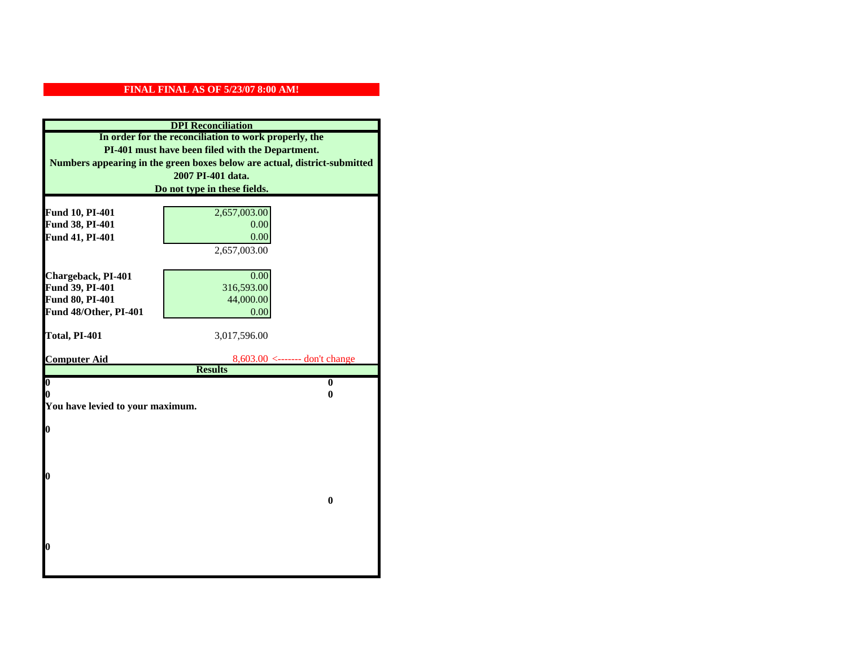| <b>DPI</b> Reconciliation                                                 |                                |  |
|---------------------------------------------------------------------------|--------------------------------|--|
| In order for the reconciliation to work properly, the                     |                                |  |
| PI-401 must have been filed with the Department.                          |                                |  |
| Numbers appearing in the green boxes below are actual, district-submitted |                                |  |
|                                                                           | 2007 PI-401 data.              |  |
|                                                                           | Do not type in these fields.   |  |
|                                                                           |                                |  |
| Fund 10, PI-401                                                           | 2,657,003.00                   |  |
| Fund 38, PI-401                                                           | 0.00                           |  |
| Fund 41, PI-401                                                           | 0.00                           |  |
|                                                                           | 2,657,003.00                   |  |
| Chargeback, PI-401                                                        | 0.00                           |  |
| Fund 39, PI-401                                                           | 316,593.00                     |  |
| Fund 80, PI-401                                                           | 44,000.00                      |  |
| Fund 48/Other, PI-401                                                     | 0.00                           |  |
|                                                                           |                                |  |
| Total, PI-401                                                             | 3,017,596.00                   |  |
|                                                                           |                                |  |
| <b>Computer Aid</b>                                                       | 8,603.00 <------- don't change |  |
| $\overline{\mathbf{0}}$                                                   | <b>Results</b><br>$\bf{0}$     |  |
| 0                                                                         | 0                              |  |
| You have levied to your maximum.                                          |                                |  |
|                                                                           |                                |  |
| $\bf{0}$                                                                  |                                |  |
|                                                                           |                                |  |
|                                                                           |                                |  |
|                                                                           |                                |  |
| l0                                                                        |                                |  |
|                                                                           | $\bf{0}$                       |  |
|                                                                           |                                |  |
|                                                                           |                                |  |
|                                                                           |                                |  |
| $\boldsymbol{0}$                                                          |                                |  |
|                                                                           |                                |  |
|                                                                           |                                |  |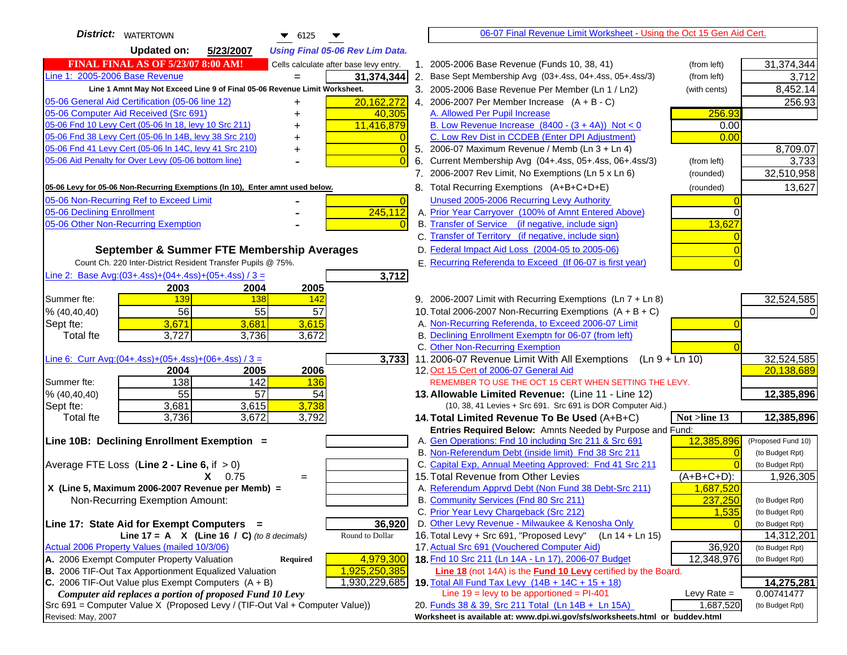| <b>District:</b>   WATERTOWN<br>$\bullet$ 6125<br>▼                                                              | 06-07 Final Revenue Limit Worksheet - Using the Oct 15 Gen Aid Cert.                                        |                                    |
|------------------------------------------------------------------------------------------------------------------|-------------------------------------------------------------------------------------------------------------|------------------------------------|
| <b>Updated on:</b><br>5/23/2007<br><b>Using Final 05-06 Rev Lim Data.</b>                                        |                                                                                                             |                                    |
| <b>FINAL FINAL AS OF 5/23/07 8:00 AM!</b><br>Cells calculate after base levy entry.                              | 1. 2005-2006 Base Revenue (Funds 10, 38, 41)<br>(from left)                                                 | 31,374,344                         |
| Line 1: 2005-2006 Base Revenue<br>31,374,344<br>$=$                                                              | 2. Base Sept Membership Avg (03+.4ss, 04+.4ss, 05+.4ss/3)<br>(from left)                                    | 3,712                              |
| Line 1 Amnt May Not Exceed Line 9 of Final 05-06 Revenue Limit Worksheet.                                        | 3. 2005-2006 Base Revenue Per Member (Ln 1 / Ln2)<br>(with cents)                                           | 8,452.14                           |
| 20,162,272<br>05-06 General Aid Certification (05-06 line 12)                                                    | 4. 2006-2007 Per Member Increase $(A + B - C)$                                                              | 256.93                             |
| 05-06 Computer Aid Received (Src 691)<br>40,305                                                                  | A. Allowed Per Pupil Increase<br>256.93                                                                     |                                    |
| 05-06 Fnd 10 Levy Cert (05-06 ln 18, levy 10 Src 211)<br>11,416,879                                              | B. Low Revenue Increase $(8400 - (3 + 4A))$ Not < 0<br>0.00                                                 |                                    |
| 05-06 Fnd 38 Levy Cert (05-06 In 14B, levy 38 Src 210)                                                           | C. Low Rev Dist in CCDEB (Enter DPI Adjustment)<br>0.00                                                     |                                    |
| 05-06 Fnd 41 Levy Cert (05-06 In 14C, levy 41 Src 210)<br>$\overline{0}$<br>+                                    | 5. 2006-07 Maximum Revenue / Memb (Ln 3 + Ln 4)                                                             | 8,709.07                           |
| 05-06 Aid Penalty for Over Levy (05-06 bottom line)<br>$\Omega$                                                  | Current Membership Avg (04+.4ss, 05+.4ss, 06+.4ss/3)<br>6.<br>(from left)                                   | 3,733                              |
|                                                                                                                  | 7. 2006-2007 Rev Limit, No Exemptions (Ln 5 x Ln 6)<br>(rounded)                                            | 32,510,958                         |
| 05-06 Levy for 05-06 Non-Recurring Exemptions (In 10), Enter amnt used below.                                    | 8. Total Recurring Exemptions (A+B+C+D+E)<br>(rounded)                                                      | 13,627                             |
| 05-06 Non-Recurring Ref to Exceed Limit<br>$\overline{0}$                                                        | Unused 2005-2006 Recurring Levy Authority                                                                   |                                    |
| 245,112<br>05-06 Declining Enrollment                                                                            | A. Prior Year Carryover (100% of Amnt Entered Above)                                                        |                                    |
| 05-06 Other Non-Recurring Exemption                                                                              | B. Transfer of Service (if negative, include sign)<br>13,627                                                |                                    |
|                                                                                                                  | C. Transfer of Territory (if negative, include sign)                                                        |                                    |
| September & Summer FTE Membership Averages                                                                       | D. Federal Impact Aid Loss (2004-05 to 2005-06)                                                             |                                    |
| Count Ch. 220 Inter-District Resident Transfer Pupils @ 75%.                                                     | E. Recurring Referenda to Exceed (If 06-07 is first year)                                                   |                                    |
| Line 2: Base Avg: $(03+.4ss)+(04+.4ss)+(05+.4ss)/3 =$<br>3,712                                                   |                                                                                                             |                                    |
| 2003<br>2004<br>2005                                                                                             |                                                                                                             |                                    |
| 139<br>138<br>Summer fte:<br>142                                                                                 | 9. 2006-2007 Limit with Recurring Exemptions (Ln 7 + Ln 8)                                                  | 32,524,585                         |
| 56<br>55<br>57<br>% (40, 40, 40)                                                                                 | 10. Total 2006-2007 Non-Recurring Exemptions (A + B + C)                                                    |                                    |
| 3,671<br>3,615<br>3,681<br>Sept fte:                                                                             | A. Non-Recurring Referenda, to Exceed 2006-07 Limit                                                         |                                    |
| <b>Total fte</b><br>3,727<br>3,736<br>3,672                                                                      | B. Declining Enrollment Exemptn for 06-07 (from left)                                                       |                                    |
|                                                                                                                  | C. Other Non-Recurring Exemption                                                                            |                                    |
| Line 6: Curr Avg: $(04+.4ss)+(05+.4ss)+(06+.4ss)/3 =$<br>3,733                                                   | 11.2006-07 Revenue Limit With All Exemptions<br>$(Ln 9 + Ln 10)$                                            | 32,524,585<br>20,138,689           |
| 2006<br>2004<br>2005<br>138<br>142<br>Summer fte:<br><b>136</b>                                                  | 12. Oct 15 Cert of 2006-07 General Aid<br>REMEMBER TO USE THE OCT 15 CERT WHEN SETTING THE LEVY.            |                                    |
| 55<br>57<br>54<br>% (40, 40, 40)                                                                                 | 13. Allowable Limited Revenue: (Line 11 - Line 12)                                                          | 12,385,896                         |
| 3,738<br>3,681<br>3,615<br>Sept fte:                                                                             | (10, 38, 41 Levies + Src 691. Src 691 is DOR Computer Aid.)                                                 |                                    |
| 3,736<br>3,672<br>3,792<br><b>Total fte</b>                                                                      | Not >line 13<br>14. Total Limited Revenue To Be Used (A+B+C)                                                | 12,385,896                         |
|                                                                                                                  | Entries Required Below: Amnts Needed by Purpose and Fund:                                                   |                                    |
| Line 10B: Declining Enrollment Exemption =                                                                       | 12,385,896<br>A. Gen Operations: Fnd 10 including Src 211 & Src 691                                         | (Proposed Fund 10)                 |
|                                                                                                                  | B. Non-Referendum Debt (inside limit) Fnd 38 Src 211<br>$\Omega$                                            | (to Budget Rpt)                    |
| Average FTE Loss (Line $2 -$ Line 6, if $> 0$ )                                                                  | C. Capital Exp, Annual Meeting Approved: Fnd 41 Src 211                                                     | (to Budget Rpt)                    |
| $X = 0.75$<br>$=$                                                                                                | 15. Total Revenue from Other Levies<br>$(A+B+C+D)$ :                                                        | 1,926,305                          |
| X (Line 5, Maximum 2006-2007 Revenue per Memb) =                                                                 | A. Referendum Apprvd Debt (Non Fund 38 Debt-Src 211)<br>1,687,520                                           |                                    |
| Non-Recurring Exemption Amount:                                                                                  | B. Community Services (Fnd 80 Src 211)<br>237,250                                                           | (to Budget Rpt)                    |
|                                                                                                                  | C. Prior Year Levy Chargeback (Src 212)<br>1,535                                                            | (to Budget Rpt)                    |
| 36,920<br>Line 17: State Aid for Exempt Computers =                                                              | D. Other Levy Revenue - Milwaukee & Kenosha Only                                                            | (to Budget Rpt)                    |
| Round to Dollar<br>Line 17 = A $X$ (Line 16 / C) (to 8 decimals)<br>Actual 2006 Property Values (mailed 10/3/06) | 16. Total Levy + Src 691, "Proposed Levy"<br>(Ln 14 + Ln 15)<br>17. Actual Src 691 (Vouchered Computer Aid) | 14,312,201                         |
| A. 2006 Exempt Computer Property Valuation<br>4,979,300<br>Required                                              | 36,920<br>18. Fnd 10 Src 211 (Ln 14A - Ln 17), 2006-07 Budget<br>12,348,976                                 | (to Budget Rpt)<br>(to Budget Rpt) |
| B. 2006 TIF-Out Tax Apportionment Equalized Valuation<br>1,925,250,385                                           | Line 18 (not 14A) is the Fund 10 Levy certified by the Board.                                               |                                    |
| C. 2006 TIF-Out Value plus Exempt Computers $(A + B)$<br>1,930,229,685                                           | 19. Total All Fund Tax Levy $(14B + 14C + 15 + 18)$                                                         | 14,275,281                         |
| Computer aid replaces a portion of proposed Fund 10 Levy                                                         | Line $19 = \text{levy}$ to be apportioned = PI-401<br>Levy Rate $=$                                         | 0.00741477                         |
| Src 691 = Computer Value X (Proposed Levy / (TIF-Out Val + Computer Value))                                      | 20. Funds 38 & 39, Src 211 Total (Ln 14B + Ln 15A)<br>1,687,520                                             | (to Budget Rpt)                    |
| Revised: May, 2007                                                                                               | Worksheet is available at: www.dpi.wi.gov/sfs/worksheets.html or buddev.html                                |                                    |
|                                                                                                                  |                                                                                                             |                                    |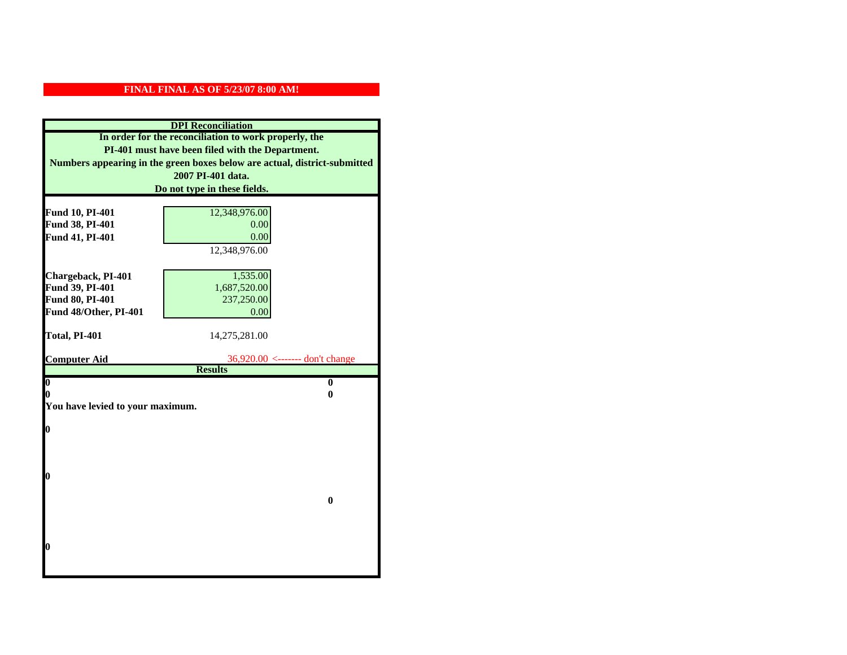| <b>DPI</b> Reconciliation                             |                                                                           |  |  |
|-------------------------------------------------------|---------------------------------------------------------------------------|--|--|
| In order for the reconciliation to work properly, the |                                                                           |  |  |
| PI-401 must have been filed with the Department.      |                                                                           |  |  |
|                                                       | Numbers appearing in the green boxes below are actual, district-submitted |  |  |
|                                                       | 2007 PI-401 data.                                                         |  |  |
|                                                       | Do not type in these fields.                                              |  |  |
|                                                       |                                                                           |  |  |
| Fund 10, PI-401<br>Fund 38, PI-401                    | 12,348,976.00                                                             |  |  |
| Fund 41, PI-401                                       | 0.00<br>0.00                                                              |  |  |
|                                                       | 12,348,976.00                                                             |  |  |
|                                                       |                                                                           |  |  |
| Chargeback, PI-401                                    | 1,535.00                                                                  |  |  |
| Fund 39, PI-401                                       | 1,687,520.00                                                              |  |  |
| <b>Fund 80, PI-401</b>                                | 237,250.00                                                                |  |  |
| Fund 48/Other, PI-401                                 | 0.00                                                                      |  |  |
|                                                       |                                                                           |  |  |
| Total, PI-401                                         | 14,275,281.00                                                             |  |  |
|                                                       |                                                                           |  |  |
| <b>Computer Aid</b>                                   | $36,920.00 \leftarrow \leftarrow \leftarrow \text{don't change}$          |  |  |
| $\boldsymbol{0}$                                      | <b>Results</b><br>$\bf{0}$                                                |  |  |
| 0                                                     | 0                                                                         |  |  |
| You have levied to your maximum.                      |                                                                           |  |  |
|                                                       |                                                                           |  |  |
| 0                                                     |                                                                           |  |  |
|                                                       |                                                                           |  |  |
|                                                       |                                                                           |  |  |
|                                                       |                                                                           |  |  |
| 0                                                     |                                                                           |  |  |
|                                                       | $\bf{0}$                                                                  |  |  |
|                                                       |                                                                           |  |  |
|                                                       |                                                                           |  |  |
|                                                       |                                                                           |  |  |
| 0                                                     |                                                                           |  |  |
|                                                       |                                                                           |  |  |
|                                                       |                                                                           |  |  |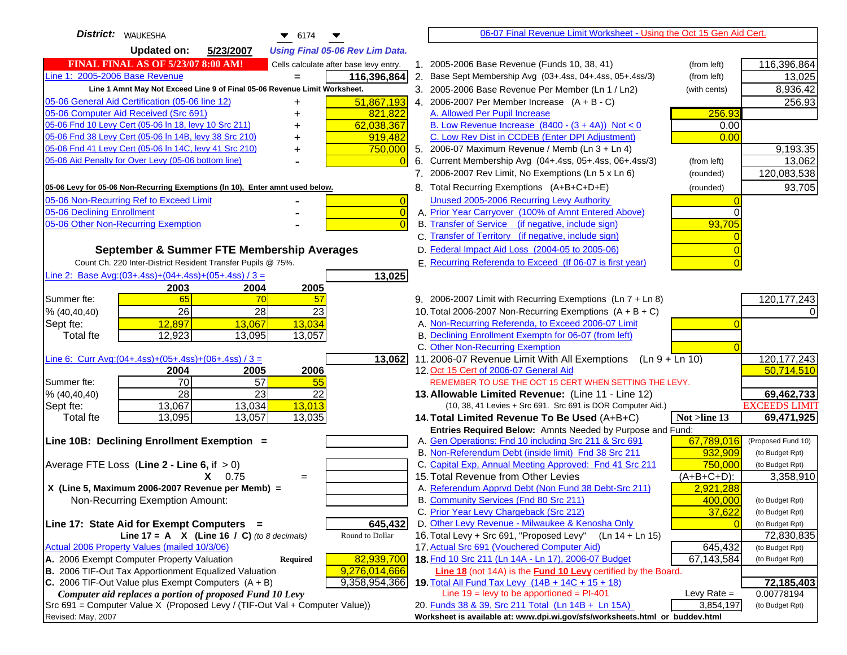| <b>District:</b> WAUKESHA<br>$\bullet$ 6174                                                                                                             | 06-07 Final Revenue Limit Worksheet - Using the Oct 15 Gen Aid Cert.                                                                      |
|---------------------------------------------------------------------------------------------------------------------------------------------------------|-------------------------------------------------------------------------------------------------------------------------------------------|
| <b>Updated on:</b><br>5/23/2007<br><b>Using Final 05-06 Rev Lim Data.</b>                                                                               |                                                                                                                                           |
| <b>FINAL FINAL AS OF 5/23/07 8:00 AM!</b><br>Cells calculate after base levy entry.                                                                     | 1. 2005-2006 Base Revenue (Funds 10, 38, 41)<br>116,396,864<br>(from left)                                                                |
| Line 1: 2005-2006 Base Revenue<br>116,396,864                                                                                                           | 2. Base Sept Membership Avg (03+.4ss, 04+.4ss, 05+.4ss/3)<br>(from left)<br>13,025                                                        |
| Line 1 Amnt May Not Exceed Line 9 of Final 05-06 Revenue Limit Worksheet.                                                                               | 8,936.42<br>3. 2005-2006 Base Revenue Per Member (Ln 1 / Ln2)<br>(with cents)                                                             |
| 05-06 General Aid Certification (05-06 line 12)<br>51,867,193<br>+                                                                                      | 4. 2006-2007 Per Member Increase $(A + B - C)$<br>256.93                                                                                  |
| 05-06 Computer Aid Received (Src 691)<br>821,822                                                                                                        | 256.93<br>A. Allowed Per Pupil Increase                                                                                                   |
| 05-06 Fnd 10 Levy Cert (05-06 In 18, levy 10 Src 211)<br>62,038,367                                                                                     | B. Low Revenue Increase $(8400 - (3 + 4A))$ Not < 0<br>0.00                                                                               |
| 05-06 Fnd 38 Levy Cert (05-06 In 14B, levy 38 Src 210)<br>919,482                                                                                       | C. Low Rev Dist in CCDEB (Enter DPI Adjustment)<br>0.00                                                                                   |
| 05-06 Fnd 41 Levy Cert (05-06 In 14C, levy 41 Src 210)<br>750,000                                                                                       | 5. 2006-07 Maximum Revenue / Memb (Ln 3 + Ln 4)<br>9,193.35                                                                               |
| 05-06 Aid Penalty for Over Levy (05-06 bottom line)<br>$\Omega$                                                                                         | Current Membership Avg (04+.4ss, 05+.4ss, 06+.4ss/3)<br>13,062<br>6.<br>(from left)                                                       |
|                                                                                                                                                         | 7. 2006-2007 Rev Limit, No Exemptions (Ln 5 x Ln 6)<br>120,083,538<br>(rounded)                                                           |
| 05-06 Levy for 05-06 Non-Recurring Exemptions (In 10), Enter amnt used below.                                                                           | 93,705<br>8. Total Recurring Exemptions (A+B+C+D+E)<br>(rounded)                                                                          |
| 05-06 Non-Recurring Ref to Exceed Limit<br>$\overline{0}$                                                                                               | Unused 2005-2006 Recurring Levy Authority                                                                                                 |
| 05-06 Declining Enrollment<br>$\overline{0}$                                                                                                            | A. Prior Year Carryover (100% of Amnt Entered Above)                                                                                      |
| 05-06 Other Non-Recurring Exemption<br>$\Omega$                                                                                                         | B. Transfer of Service (if negative, include sign)<br>93,705                                                                              |
|                                                                                                                                                         | C. Transfer of Territory (if negative, include sign)                                                                                      |
| September & Summer FTE Membership Averages                                                                                                              | D. Federal Impact Aid Loss (2004-05 to 2005-06)                                                                                           |
| Count Ch. 220 Inter-District Resident Transfer Pupils @ 75%.                                                                                            | E. Recurring Referenda to Exceed (If 06-07 is first year)                                                                                 |
| Line 2: Base Avg: $(03+.4ss)+(04+.4ss)+(05+.4ss)/3 =$<br>13,025                                                                                         |                                                                                                                                           |
| 2004<br>2003<br>2005                                                                                                                                    |                                                                                                                                           |
| 65<br>70<br>57<br>Summer fte:                                                                                                                           | 120, 177, 243<br>9. 2006-2007 Limit with Recurring Exemptions (Ln 7 + Ln 8)                                                               |
| 26<br>28<br>23<br>% (40, 40, 40)                                                                                                                        | 10. Total 2006-2007 Non-Recurring Exemptions $(A + B + C)$                                                                                |
| 13,067<br>13,034<br>Sept fte:<br>12,897                                                                                                                 | A. Non-Recurring Referenda, to Exceed 2006-07 Limit                                                                                       |
| 12,923<br>13,057<br><b>Total fte</b><br>13,095                                                                                                          | B. Declining Enrollment Exemptn for 06-07 (from left)                                                                                     |
|                                                                                                                                                         | C. Other Non-Recurring Exemption                                                                                                          |
| Line 6: Curr Avg: $(04+.4ss)+(05+.4ss)+(06+.4ss)/3=$<br>13,062                                                                                          | 11.2006-07 Revenue Limit With All Exemptions $(Ln 9 + Ln 10)$<br>120, 177, 243                                                            |
| 2005<br>2006<br>2004                                                                                                                                    | 50,714,510<br>12. Oct 15 Cert of 2006-07 General Aid                                                                                      |
| 70<br>$\overline{57}$<br>55<br>Summer fte:<br>$\overline{28}$<br>23<br>22<br>% (40, 40, 40)                                                             | REMEMBER TO USE THE OCT 15 CERT WHEN SETTING THE LEVY.<br>69,462,733                                                                      |
| 13,013<br>Sept fte:<br>13,034<br>13,067                                                                                                                 | 13. Allowable Limited Revenue: (Line 11 - Line 12)<br><b>EXCEEDS LIMIT</b><br>(10, 38, 41 Levies + Src 691. Src 691 is DOR Computer Aid.) |
| 13,057<br>13,095<br>13,035<br><b>Total fte</b>                                                                                                          | 69,471,925<br>14. Total Limited Revenue To Be Used (A+B+C)<br>Not >line 13                                                                |
|                                                                                                                                                         | Entries Required Below: Amnts Needed by Purpose and Fund:                                                                                 |
| Line 10B: Declining Enrollment Exemption =                                                                                                              | 67,789,016<br>A. Gen Operations: Fnd 10 including Src 211 & Src 691<br>(Proposed Fund 10)                                                 |
|                                                                                                                                                         | B. Non-Referendum Debt (inside limit) Fnd 38 Src 211<br>932,909<br>(to Budget Rpt)                                                        |
| Average FTE Loss (Line $2 -$ Line 6, if $> 0$ )                                                                                                         | C. Capital Exp, Annual Meeting Approved: Fnd 41 Src 211<br>750,000<br>(to Budget Rpt)                                                     |
| $X = 0.75$<br>$=$                                                                                                                                       | 15. Total Revenue from Other Levies<br>$(A+B+C+D)$ :<br>3,358,910                                                                         |
| X (Line 5, Maximum 2006-2007 Revenue per Memb) =                                                                                                        | A. Referendum Apprvd Debt (Non Fund 38 Debt-Src 211)<br>2,921,288                                                                         |
| Non-Recurring Exemption Amount:                                                                                                                         | B. Community Services (Fnd 80 Src 211)<br>400.000<br>(to Budget Rpt)                                                                      |
|                                                                                                                                                         | C. Prior Year Levy Chargeback (Src 212)<br>37,622<br>(to Budget Rpt)                                                                      |
| Line 17: State Aid for Exempt Computers =<br>645,432                                                                                                    | D. Other Levy Revenue - Milwaukee & Kenosha Only<br>(to Budget Rpt)                                                                       |
| Round to Dollar<br>Line 17 = A $X$ (Line 16 / C) (to 8 decimals)                                                                                        | 16. Total Levy + Src 691, "Proposed Levy"<br>(Ln 14 + Ln 15)<br>72,830,835                                                                |
| Actual 2006 Property Values (mailed 10/3/06)                                                                                                            | 17. Actual Src 691 (Vouchered Computer Aid)<br>645,432<br>(to Budget Rpt)                                                                 |
| A. 2006 Exempt Computer Property Valuation<br>82,939,700<br><b>Required</b>                                                                             | 18. Fnd 10 Src 211 (Ln 14A - Ln 17), 2006-07 Budget<br>67,143,584<br>(to Budget Rpt)                                                      |
| <b>B.</b> 2006 TIF-Out Tax Apportionment Equalized Valuation<br>9,276,014,666<br>C. 2006 TIF-Out Value plus Exempt Computers $(A + B)$<br>9,358,954,366 | Line 18 (not 14A) is the <b>Fund 10 Levy</b> certified by the Board.<br>19. Total All Fund Tax Levy (14B + 14C + 15 + 18)<br>72,185,403   |
| Computer aid replaces a portion of proposed Fund 10 Levy                                                                                                | Line $19 = \text{levy}$ to be apportioned = PI-401<br>Levy Rate $=$<br>0.00778194                                                         |
| Src 691 = Computer Value X (Proposed Levy / (TIF-Out Val + Computer Value))                                                                             | 20. Funds 38 & 39, Src 211 Total (Ln 14B + Ln 15A)<br>3,854,197<br>(to Budget Rpt)                                                        |
| Revised: May, 2007                                                                                                                                      | Worksheet is available at: www.dpi.wi.gov/sfs/worksheets.html or buddev.html                                                              |
|                                                                                                                                                         |                                                                                                                                           |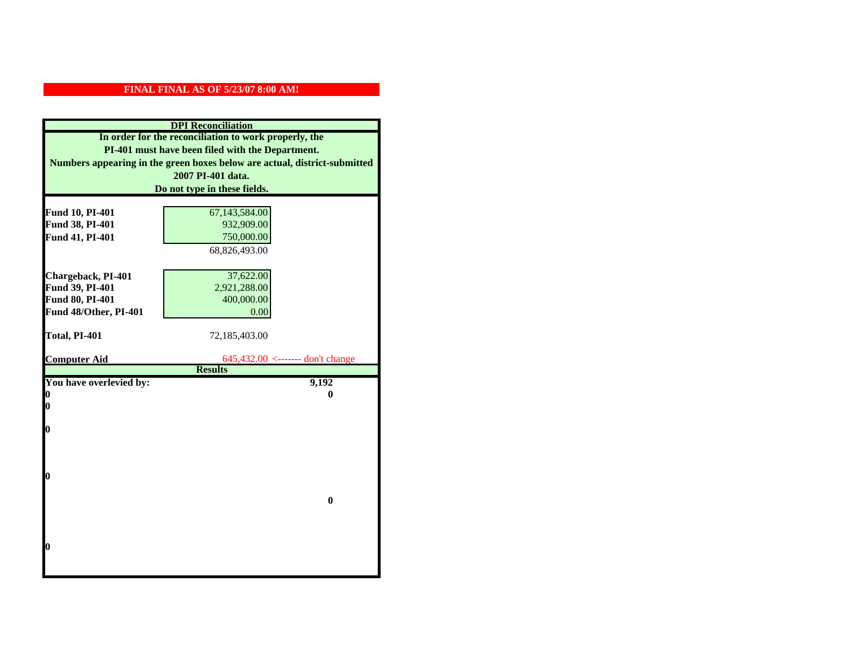| <b>DPI</b> Reconciliation                                                 |                                                    |  |
|---------------------------------------------------------------------------|----------------------------------------------------|--|
| In order for the reconciliation to work properly, the                     |                                                    |  |
| PI-401 must have been filed with the Department.                          |                                                    |  |
| Numbers appearing in the green boxes below are actual, district-submitted |                                                    |  |
|                                                                           | 2007 PI-401 data.                                  |  |
|                                                                           | Do not type in these fields.                       |  |
|                                                                           |                                                    |  |
| Fund 10, PI-401                                                           | 67,143,584.00                                      |  |
| Fund 38, PI-401                                                           | 932,909.00                                         |  |
| Fund 41, PI-401                                                           | 750,000.00                                         |  |
|                                                                           | 68,826,493.00                                      |  |
|                                                                           |                                                    |  |
| Chargeback, PI-401                                                        | 37,622.00                                          |  |
| Fund 39, PI-401                                                           | 2,921,288.00                                       |  |
| Fund 80, PI-401                                                           | 400,000.00                                         |  |
| Fund 48/Other, PI-401                                                     | 0.00                                               |  |
|                                                                           |                                                    |  |
| Total, PI-401                                                             | 72,185,403.00                                      |  |
|                                                                           |                                                    |  |
| <b>Computer Aid</b>                                                       | 645,432.00 <------- don't change<br><b>Results</b> |  |
| You have overlevied by:                                                   | 9,192                                              |  |
| 0                                                                         | 0                                                  |  |
| 0                                                                         |                                                    |  |
|                                                                           |                                                    |  |
| 0                                                                         |                                                    |  |
|                                                                           |                                                    |  |
|                                                                           |                                                    |  |
|                                                                           |                                                    |  |
|                                                                           |                                                    |  |
| 0                                                                         |                                                    |  |
|                                                                           |                                                    |  |
|                                                                           | $\bf{0}$                                           |  |
|                                                                           |                                                    |  |
|                                                                           |                                                    |  |
|                                                                           |                                                    |  |
| O                                                                         |                                                    |  |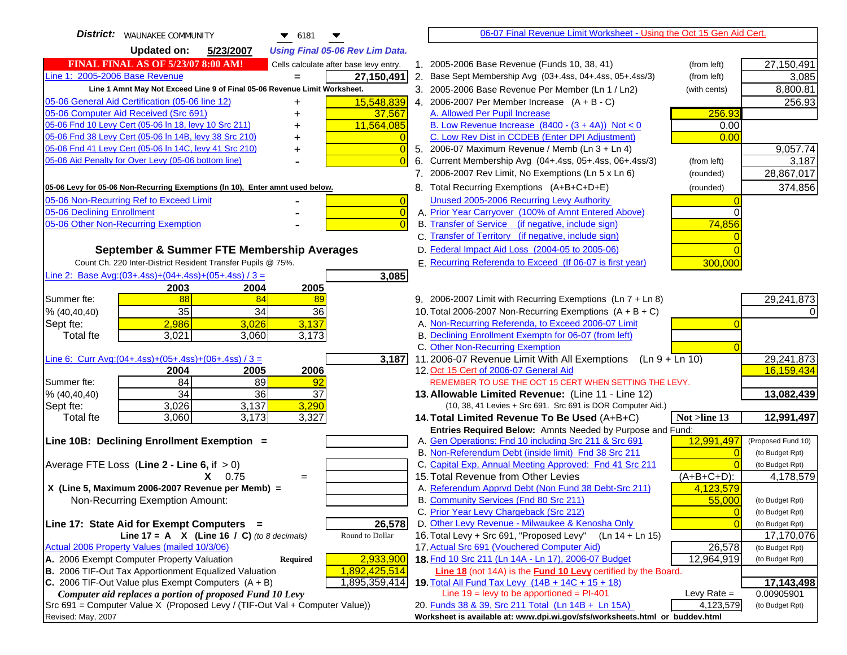| District:<br><b>WAUNAKEE COMMUNITY</b><br>$\blacktriangledown$ 6181<br>▼            |             | 06-07 Final Revenue Limit Worksheet - Using the Oct 15 Gen Aid Cert.                                               |                |                    |
|-------------------------------------------------------------------------------------|-------------|--------------------------------------------------------------------------------------------------------------------|----------------|--------------------|
| <b>Updated on:</b><br>5/23/2007<br><b>Using Final 05-06 Rev Lim Data.</b>           |             |                                                                                                                    |                |                    |
| <b>FINAL FINAL AS OF 5/23/07 8:00 AM!</b><br>Cells calculate after base levy entry. | $1_{\cdot}$ | 2005-2006 Base Revenue (Funds 10, 38, 41)                                                                          | (from left)    | 27,150,491         |
| Line 1: 2005-2006 Base Revenue<br>27,150,491                                        |             | 2. Base Sept Membership Avg (03+.4ss, 04+.4ss, 05+.4ss/3)                                                          | (from left)    | 3,085              |
| Line 1 Amnt May Not Exceed Line 9 of Final 05-06 Revenue Limit Worksheet.           |             | 3. 2005-2006 Base Revenue Per Member (Ln 1 / Ln2)                                                                  | (with cents)   | 8,800.81           |
| 15,548,839<br>05-06 General Aid Certification (05-06 line 12)<br>+                  |             | 4. 2006-2007 Per Member Increase $(A + B - C)$                                                                     |                | 256.93             |
| 05-06 Computer Aid Received (Src 691)<br>37,567<br>+                                |             | A. Allowed Per Pupil Increase                                                                                      | 256.93         |                    |
| 11,564,085<br>05-06 Fnd 10 Levy Cert (05-06 In 18, levy 10 Src 211)                 |             | B. Low Revenue Increase $(8400 - (3 + 4A))$ Not < 0                                                                | 0.00           |                    |
| 05-06 Fnd 38 Levy Cert (05-06 In 14B, levy 38 Src 210)                              |             | C. Low Rev Dist in CCDEB (Enter DPI Adjustment)                                                                    | 0.00           |                    |
| 05-06 Fnd 41 Levy Cert (05-06 In 14C, levy 41 Src 210)<br>$\overline{0}$<br>+       |             | 5. 2006-07 Maximum Revenue / Memb (Ln 3 + Ln 4)                                                                    |                | 9,057.74           |
| 05-06 Aid Penalty for Over Levy (05-06 bottom line)<br>$\Omega$                     | 6.          | Current Membership Avg (04+.4ss, 05+.4ss, 06+.4ss/3)                                                               | (from left)    | 3,187              |
|                                                                                     |             | 7. 2006-2007 Rev Limit, No Exemptions (Ln 5 x Ln 6)                                                                | (rounded)      | 28,867,017         |
| 05-06 Levy for 05-06 Non-Recurring Exemptions (In 10), Enter amnt used below.       |             | 8. Total Recurring Exemptions (A+B+C+D+E)                                                                          | (rounded)      | 374,856            |
| 05-06 Non-Recurring Ref to Exceed Limit<br>$\overline{0}$                           |             | Unused 2005-2006 Recurring Levy Authority                                                                          |                |                    |
| 05-06 Declining Enrollment<br>$\overline{0}$                                        |             | A. Prior Year Carryover (100% of Amnt Entered Above)                                                               |                |                    |
| 05-06 Other Non-Recurring Exemption<br>$\Omega$                                     |             | B. Transfer of Service (if negative, include sign)                                                                 | 74,856         |                    |
|                                                                                     |             | C. Transfer of Territory (if negative, include sign)                                                               |                |                    |
| September & Summer FTE Membership Averages                                          |             | D. Federal Impact Aid Loss (2004-05 to 2005-06)                                                                    |                |                    |
| Count Ch. 220 Inter-District Resident Transfer Pupils @ 75%.                        |             | E. Recurring Referenda to Exceed (If 06-07 is first year)                                                          | 300,000        |                    |
| Line 2: Base Avg: $(03+.4ss)+(04+.4ss)+(05+.4ss)/3 =$<br>3,085                      |             |                                                                                                                    |                |                    |
| 2003<br>2004<br>2005                                                                |             |                                                                                                                    |                |                    |
| 88<br>84<br>Summer fte:<br>89                                                       |             | 9. 2006-2007 Limit with Recurring Exemptions (Ln 7 + Ln 8)                                                         |                | 29,241,873         |
| 35<br>34<br>% (40, 40, 40)<br>36                                                    |             | 10. Total 2006-2007 Non-Recurring Exemptions $(A + B + C)$                                                         |                |                    |
| 2,986<br>3,137<br>3,026<br>Sept fte:                                                |             | A. Non-Recurring Referenda, to Exceed 2006-07 Limit                                                                |                |                    |
| 3,021<br>3,173<br><b>Total fte</b><br>3,060                                         |             | B. Declining Enrollment Exemptn for 06-07 (from left)                                                              |                |                    |
|                                                                                     |             | C. Other Non-Recurring Exemption                                                                                   |                |                    |
| Line 6: Curr Avg: $(04+.4ss)+(05+.4ss)+(06+.4ss)/3 =$<br>3,187                      |             | 11.2006-07 Revenue Limit With All Exemptions (Ln $9 + \overline{\text{Ln }10}$ )                                   |                | 29,241,873         |
| 2005<br>2006<br>2004                                                                |             | 12. Oct 15 Cert of 2006-07 General Aid                                                                             |                | 16,159,434         |
| 84<br>89<br>Summer fte:<br>92                                                       |             | REMEMBER TO USE THE OCT 15 CERT WHEN SETTING THE LEVY.                                                             |                |                    |
| 34<br>36<br>37<br>% (40, 40, 40)                                                    |             | 13. Allowable Limited Revenue: (Line 11 - Line 12)                                                                 |                | 13,082,439         |
| 3,290<br>3,026<br>3,137<br>Sept fte:                                                |             | (10, 38, 41 Levies + Src 691. Src 691 is DOR Computer Aid.)                                                        |                |                    |
| 3,173<br>3,327<br>3,060<br>Total fte                                                |             | 14. Total Limited Revenue To Be Used (A+B+C)                                                                       | Not >line 13   | 12,991,497         |
| Line 10B: Declining Enrollment Exemption =                                          |             | Entries Required Below: Amnts Needed by Purpose and Fund:<br>A. Gen Operations: Fnd 10 including Src 211 & Src 691 | 12,991,497     | (Proposed Fund 10) |
|                                                                                     |             | B. Non-Referendum Debt (inside limit) Fnd 38 Src 211                                                               |                | (to Budget Rpt)    |
| Average FTE Loss (Line $2 -$ Line 6, if $> 0$ )                                     |             | C. Capital Exp, Annual Meeting Approved: Fnd 41 Src 211                                                            |                | (to Budget Rpt)    |
| $X = 0.75$<br>$=$                                                                   |             | 15. Total Revenue from Other Levies                                                                                | $(A+B+C+D)$ :  | 4,178,579          |
| X (Line 5, Maximum 2006-2007 Revenue per Memb) =                                    |             | A. Referendum Apprvd Debt (Non Fund 38 Debt-Src 211)                                                               | 4,123,579      |                    |
| Non-Recurring Exemption Amount:                                                     |             | B. Community Services (Fnd 80 Src 211)                                                                             | 55,000         | (to Budget Rpt)    |
|                                                                                     |             | C. Prior Year Levy Chargeback (Src 212)                                                                            | $\overline{0}$ | (to Budget Rpt)    |
| 26,578<br>Line 17: State Aid for Exempt Computers =                                 |             | D. Other Levy Revenue - Milwaukee & Kenosha Only                                                                   |                | (to Budget Rpt)    |
| Round to Dollar<br>Line 17 = A $X$ (Line 16 / C) (to 8 decimals)                    |             | 16. Total Levy + Src 691, "Proposed Levy"<br>(Ln 14 + Ln 15)                                                       |                | 17,170,076         |
| Actual 2006 Property Values (mailed 10/3/06)                                        |             | 17. Actual Src 691 (Vouchered Computer Aid)                                                                        | 26,578         | (to Budget Rpt)    |
| A. 2006 Exempt Computer Property Valuation<br>2,933,900<br>Required                 |             | 18. Fnd 10 Src 211 (Ln 14A - Ln 17), 2006-07 Budget                                                                | 12,964,919     | (to Budget Rpt)    |
| B. 2006 TIF-Out Tax Apportionment Equalized Valuation<br>1,892,425,514              |             | Line 18 (not 14A) is the <b>Fund 10 Levy</b> certified by the Board.                                               |                |                    |
| C. 2006 TIF-Out Value plus Exempt Computers $(A + B)$<br>1,895,359,414              |             | 19. Total All Fund Tax Levy (14B + 14C + 15 + 18)                                                                  |                | 17,143,498         |
| Computer aid replaces a portion of proposed Fund 10 Levy                            |             | Line $19$ = levy to be apportioned = PI-401                                                                        | Levy Rate $=$  | 0.00905901         |
| $Src 691$ = Computer Value X (Proposed Levy / (TIF-Out Val + Computer Value))       |             | 20. Funds 38 & 39, Src 211 Total (Ln 14B + Ln 15A)                                                                 | 4,123,579      | (to Budget Rpt)    |
| Revised: May, 2007                                                                  |             | Worksheet is available at: www.dpi.wi.gov/sfs/worksheets.html or buddev.html                                       |                |                    |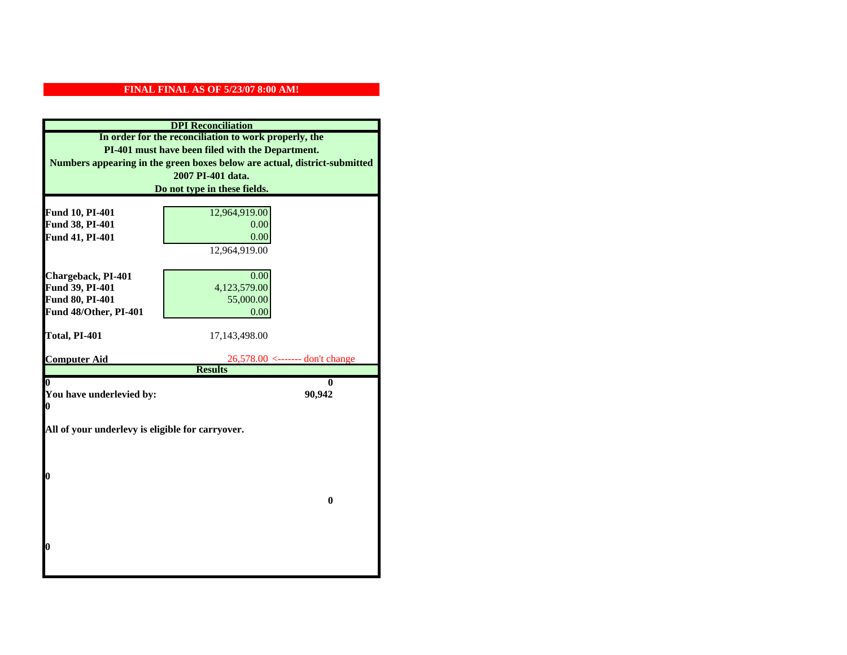| <b>DPI</b> Reconciliation                             |                                                                           |
|-------------------------------------------------------|---------------------------------------------------------------------------|
| In order for the reconciliation to work properly, the |                                                                           |
| PI-401 must have been filed with the Department.      |                                                                           |
|                                                       | Numbers appearing in the green boxes below are actual, district-submitted |
|                                                       | 2007 PI-401 data.                                                         |
|                                                       | Do not type in these fields.                                              |
|                                                       |                                                                           |
| Fund 10, PI-401                                       | 12,964,919.00                                                             |
| Fund 38, PI-401                                       | 0.00                                                                      |
| Fund 41, PI-401                                       | 0.00                                                                      |
|                                                       | 12,964,919.00                                                             |
|                                                       |                                                                           |
| Chargeback, PI-401                                    | 0.00                                                                      |
| Fund 39, PI-401                                       | 4,123,579.00                                                              |
| <b>Fund 80, PI-401</b>                                | 55,000.00                                                                 |
| Fund 48/Other, PI-401                                 | 0.00                                                                      |
|                                                       |                                                                           |
| Total, PI-401                                         | 17,143,498.00                                                             |
| <b>Computer Aid</b>                                   | $26,578.00 \le$ ------- don't change                                      |
|                                                       | <b>Results</b>                                                            |
| 0                                                     | 0                                                                         |
| You have underlevied by:                              | 90,942                                                                    |
| 0                                                     |                                                                           |
| All of your underlevy is eligible for carryover.      |                                                                           |
|                                                       |                                                                           |
|                                                       |                                                                           |
|                                                       |                                                                           |
| 0                                                     |                                                                           |
|                                                       |                                                                           |
|                                                       | $\bf{0}$                                                                  |
|                                                       |                                                                           |
|                                                       |                                                                           |
|                                                       |                                                                           |
| 0                                                     |                                                                           |
|                                                       |                                                                           |
|                                                       |                                                                           |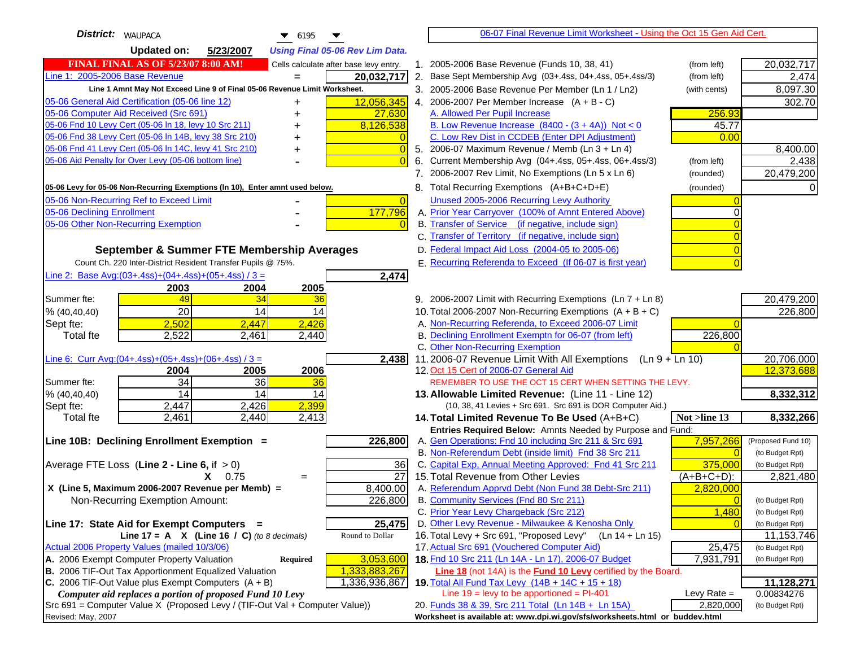| <b>District:</b> WAUPACA<br>$\bullet$ 6195                                                                                                       | 06-07 Final Revenue Limit Worksheet - Using the Oct 15 Gen Aid Cert.                                                       |                          |
|--------------------------------------------------------------------------------------------------------------------------------------------------|----------------------------------------------------------------------------------------------------------------------------|--------------------------|
| <b>Updated on:</b><br>5/23/2007<br><b>Using Final 05-06 Rev Lim Data.</b>                                                                        |                                                                                                                            |                          |
| <b>FINAL FINAL AS OF 5/23/07 8:00 AM!</b><br>Cells calculate after base levy entry.                                                              | 1. 2005-2006 Base Revenue (Funds 10, 38, 41)<br>(from left)                                                                | 20,032,717               |
| Line 1: 2005-2006 Base Revenue<br>20,032,717<br>$=$                                                                                              | 2. Base Sept Membership Avg (03+.4ss, 04+.4ss, 05+.4ss/3)<br>(from left)                                                   | 2,474                    |
| Line 1 Amnt May Not Exceed Line 9 of Final 05-06 Revenue Limit Worksheet.                                                                        | 3. 2005-2006 Base Revenue Per Member (Ln 1 / Ln2)<br>(with cents)                                                          | 8,097.30                 |
| 12,056,345<br>05-06 General Aid Certification (05-06 line 12)                                                                                    | 4. 2006-2007 Per Member Increase $(A + B - C)$                                                                             | 302.70                   |
| 05-06 Computer Aid Received (Src 691)<br>27,630                                                                                                  | A. Allowed Per Pupil Increase<br>256.93                                                                                    |                          |
| 05-06 Fnd 10 Levy Cert (05-06 ln 18, levy 10 Src 211)<br>8,126,538                                                                               | B. Low Revenue Increase $(8400 - (3 + 4A))$ Not < 0<br>45.77                                                               |                          |
| 05-06 Fnd 38 Levy Cert (05-06 In 14B, levy 38 Src 210)                                                                                           | C. Low Rev Dist in CCDEB (Enter DPI Adjustment)<br>0.00                                                                    |                          |
| 05-06 Fnd 41 Levy Cert (05-06 In 14C, levy 41 Src 210)<br>$\overline{0}$<br>+                                                                    | 5. 2006-07 Maximum Revenue / Memb (Ln 3 + Ln 4)                                                                            | 8,400.00                 |
| 05-06 Aid Penalty for Over Levy (05-06 bottom line)<br>$\Omega$                                                                                  | Current Membership Avg (04+.4ss, 05+.4ss, 06+.4ss/3)<br>6.<br>(from left)                                                  | 2,438                    |
|                                                                                                                                                  | 7. 2006-2007 Rev Limit, No Exemptions (Ln 5 x Ln 6)<br>(rounded)                                                           | 20,479,200               |
| 05-06 Levy for 05-06 Non-Recurring Exemptions (In 10), Enter amnt used below.                                                                    | 8. Total Recurring Exemptions (A+B+C+D+E)<br>(rounded)                                                                     |                          |
| 05-06 Non-Recurring Ref to Exceed Limit<br>$\overline{0}$                                                                                        | Unused 2005-2006 Recurring Levy Authority                                                                                  |                          |
| 177,796<br>05-06 Declining Enrollment                                                                                                            | A. Prior Year Carryover (100% of Amnt Entered Above)                                                                       |                          |
| 05-06 Other Non-Recurring Exemption                                                                                                              | B. Transfer of Service (if negative, include sign)                                                                         |                          |
|                                                                                                                                                  | C. Transfer of Territory (if negative, include sign)                                                                       |                          |
| September & Summer FTE Membership Averages                                                                                                       | D. Federal Impact Aid Loss (2004-05 to 2005-06)                                                                            |                          |
| Count Ch. 220 Inter-District Resident Transfer Pupils @ 75%.                                                                                     | E. Recurring Referenda to Exceed (If 06-07 is first year)                                                                  |                          |
| Line 2: Base Avg: $(03+.4ss)+(04+.4ss)+(05+.4ss)/3 =$<br>2,474                                                                                   |                                                                                                                            |                          |
| 2003<br>2004<br>2005                                                                                                                             |                                                                                                                            |                          |
| 49<br>34<br>Summer fte:<br>36                                                                                                                    | 9. 2006-2007 Limit with Recurring Exemptions (Ln 7 + Ln 8)                                                                 | 20,479,200               |
| 20<br>14<br>14<br>% (40, 40, 40)                                                                                                                 | 10. Total 2006-2007 Non-Recurring Exemptions $(A + B + C)$                                                                 | 226,800                  |
| 2,502<br>2,426<br>2,447<br>Sept fte:                                                                                                             | A. Non-Recurring Referenda, to Exceed 2006-07 Limit                                                                        |                          |
| 2,522<br><b>Total fte</b><br>2,461<br>2,440                                                                                                      | B. Declining Enrollment Exemptn for 06-07 (from left)<br>226,800                                                           |                          |
|                                                                                                                                                  | C. Other Non-Recurring Exemption                                                                                           |                          |
| Line 6: Curr Avg: $(04+.4ss)+(05+.4ss)+(06+.4ss)/3 =$<br>2,438                                                                                   | 11.2006-07 Revenue Limit With All Exemptions<br>$(Ln 9 + Ln 10)$                                                           | 20,706,000               |
| 2006<br>2004<br>2005                                                                                                                             | 12. Oct 15 Cert of 2006-07 General Aid                                                                                     | 12,373,688               |
| 34<br>36<br>Summer fte:<br>36<br>14<br>14                                                                                                        | REMEMBER TO USE THE OCT 15 CERT WHEN SETTING THE LEVY.                                                                     |                          |
| % (40, 40, 40)<br>14<br>2,399<br>2,447<br>2,426<br>Sept fte:                                                                                     | 13. Allowable Limited Revenue: (Line 11 - Line 12)<br>(10, 38, 41 Levies + Src 691. Src 691 is DOR Computer Aid.)          | 8,332,312                |
| 2,461<br>2,440<br>2,413<br><b>Total fte</b>                                                                                                      | Not >line 13<br>14. Total Limited Revenue To Be Used (A+B+C)                                                               | 8,332,266                |
|                                                                                                                                                  | Entries Required Below: Amnts Needed by Purpose and Fund:                                                                  |                          |
| Line 10B: Declining Enrollment Exemption =<br>226,800                                                                                            | A. Gen Operations: Fnd 10 including Src 211 & Src 691<br>7,957,266                                                         | (Proposed Fund 10)       |
|                                                                                                                                                  | B. Non-Referendum Debt (inside limit) Fnd 38 Src 211<br>$\Omega$                                                           | (to Budget Rpt)          |
| Average FTE Loss (Line $2 -$ Line 6, if $> 0$ )<br>36                                                                                            | C. Capital Exp, Annual Meeting Approved: Fnd 41 Src 211<br>375,000                                                         | (to Budget Rpt)          |
| $\overline{27}$<br>$X = 0.75$<br>$=$                                                                                                             | 15. Total Revenue from Other Levies<br>$(A+B+C+D)$ :                                                                       | 2,821,480                |
| X (Line 5, Maximum 2006-2007 Revenue per Memb) =<br>8,400.00                                                                                     | A. Referendum Apprvd Debt (Non Fund 38 Debt-Src 211)<br>2,820,000                                                          |                          |
| 226,800<br>Non-Recurring Exemption Amount:                                                                                                       | B. Community Services (Fnd 80 Src 211)<br>$\overline{0}$                                                                   | (to Budget Rpt)          |
|                                                                                                                                                  | 1,480<br>C. Prior Year Levy Chargeback (Src 212)                                                                           | (to Budget Rpt)          |
| 25,475<br>Line 17: State Aid for Exempt Computers =                                                                                              | D. Other Levy Revenue - Milwaukee & Kenosha Only                                                                           | (to Budget Rpt)          |
| Line 17 = A $X$ (Line 16 / C) (to 8 decimals)<br>Round to Dollar                                                                                 | 16. Total Levy + Src 691, "Proposed Levy"<br>(Ln 14 + Ln 15)                                                               | 11,153,746               |
| Actual 2006 Property Values (mailed 10/3/06)                                                                                                     | 17. Actual Src 691 (Vouchered Computer Aid)<br>25,475                                                                      | (to Budget Rpt)          |
| A. 2006 Exempt Computer Property Valuation<br>3,053,600<br>Required                                                                              | 18. Fnd 10 Src 211 (Ln 14A - Ln 17), 2006-07 Budget<br>7,931,791                                                           | (to Budget Rpt)          |
| B. 2006 TIF-Out Tax Apportionment Equalized Valuation<br>1,333,883,267<br>C. 2006 TIF-Out Value plus Exempt Computers $(A + B)$<br>1,336,936,867 | Line 18 (not 14A) is the Fund 10 Levy certified by the Board.                                                              |                          |
| Computer aid replaces a portion of proposed Fund 10 Levy                                                                                         | 19. Total All Fund Tax Levy $(14B + 14C + 15 + 18)$<br>Line $19 = \text{levy}$ to be apportioned = PI-401<br>Levy Rate $=$ | 11,128,271<br>0.00834276 |
| Src 691 = Computer Value X (Proposed Levy / (TIF-Out Val + Computer Value))                                                                      | 20. Funds 38 & 39, Src 211 Total (Ln 14B + Ln 15A)<br>2,820,000                                                            | (to Budget Rpt)          |
| Revised: May, 2007                                                                                                                               | Worksheet is available at: www.dpi.wi.gov/sfs/worksheets.html or buddev.html                                               |                          |
|                                                                                                                                                  |                                                                                                                            |                          |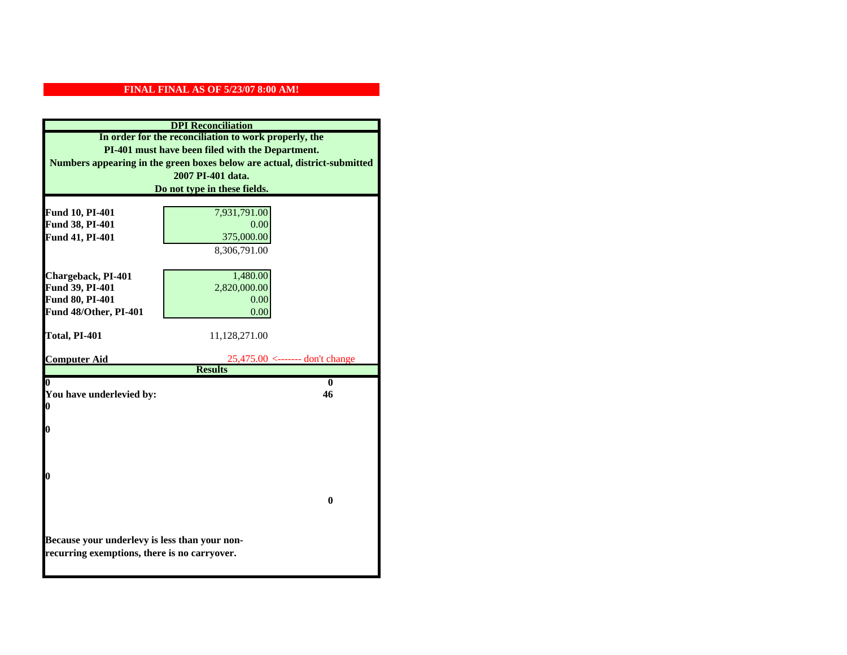| <b>DPI</b> Reconciliation                                                 |                                      |
|---------------------------------------------------------------------------|--------------------------------------|
| In order for the reconciliation to work properly, the                     |                                      |
| PI-401 must have been filed with the Department.                          |                                      |
| Numbers appearing in the green boxes below are actual, district-submitted |                                      |
|                                                                           | 2007 PI-401 data.                    |
|                                                                           | Do not type in these fields.         |
|                                                                           |                                      |
| Fund 10, PI-401                                                           | 7,931,791.00                         |
| Fund 38, PI-401                                                           | 0.00                                 |
| Fund 41, PI-401                                                           | 375,000.00                           |
|                                                                           | 8,306,791.00                         |
|                                                                           |                                      |
| Chargeback, PI-401                                                        | 1,480.00                             |
| Fund 39, PI-401                                                           | 2,820,000.00                         |
| Fund 80, PI-401                                                           | 0.00                                 |
| Fund 48/Other, PI-401                                                     | 0.00                                 |
| Total, PI-401                                                             | 11,128,271.00                        |
|                                                                           |                                      |
| <b>Computer Aid</b>                                                       | $25,475.00 \le$ ------- don't change |
|                                                                           | <b>Results</b>                       |
| $\boldsymbol{0}$                                                          | $\mathbf{0}$                         |
| You have underlevied by:                                                  | 46                                   |
| 0                                                                         |                                      |
| 0                                                                         |                                      |
|                                                                           |                                      |
|                                                                           |                                      |
|                                                                           |                                      |
| 0                                                                         |                                      |
|                                                                           |                                      |
|                                                                           | $\mathbf{0}$                         |
|                                                                           |                                      |
|                                                                           |                                      |
| Because your underlevy is less than your non-                             |                                      |
| recurring exemptions, there is no carryover.                              |                                      |
|                                                                           |                                      |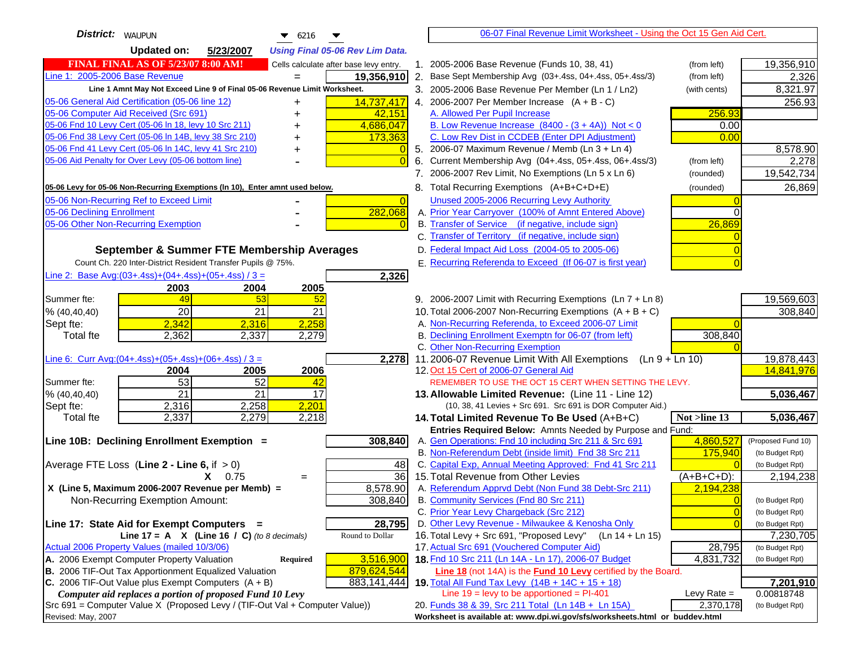| <b>District:</b>   WAUPUN<br>$\bullet$ 6216                                                                                                  | 06-07 Final Revenue Limit Worksheet - Using the Oct 15 Gen Aid Cert.                                               |                         |
|----------------------------------------------------------------------------------------------------------------------------------------------|--------------------------------------------------------------------------------------------------------------------|-------------------------|
| <b>Updated on:</b><br>5/23/2007<br><b>Using Final 05-06 Rev Lim Data.</b>                                                                    |                                                                                                                    |                         |
| <b>FINAL FINAL AS OF 5/23/07 8:00 AM!</b><br>Cells calculate after base levy entry.                                                          | 1. 2005-2006 Base Revenue (Funds 10, 38, 41)<br>(from left)                                                        | 19,356,910              |
| Line 1: 2005-2006 Base Revenue<br>19,356,910                                                                                                 | 2.<br>Base Sept Membership Avg (03+.4ss, 04+.4ss, 05+.4ss/3)<br>(from left)                                        | 2,326                   |
| Line 1 Amnt May Not Exceed Line 9 of Final 05-06 Revenue Limit Worksheet.                                                                    | 3. 2005-2006 Base Revenue Per Member (Ln 1 / Ln2)<br>(with cents)                                                  | 8,321.97                |
| 14,737,417<br>05-06 General Aid Certification (05-06 line 12)<br>+                                                                           | 4. 2006-2007 Per Member Increase $(A + B - C)$                                                                     | 256.93                  |
| 05-06 Computer Aid Received (Src 691)<br>42,151                                                                                              | A. Allowed Per Pupil Increase<br>256.93                                                                            |                         |
| 05-06 Fnd 10 Levy Cert (05-06 In 18, levy 10 Src 211)<br>4,686,047<br>+                                                                      | B. Low Revenue Increase $(8400 - (3 + 4A))$ Not < 0<br>0.00                                                        |                         |
| 05-06 Fnd 38 Levy Cert (05-06 In 14B, levy 38 Src 210)<br>173,363<br>+                                                                       | C. Low Rev Dist in CCDEB (Enter DPI Adjustment)<br>0.00                                                            |                         |
| 05-06 Fnd 41 Levy Cert (05-06 In 14C, levy 41 Src 210)                                                                                       | 5. 2006-07 Maximum Revenue / Memb (Ln 3 + Ln 4)                                                                    | 8,578.90                |
| 05-06 Aid Penalty for Over Levy (05-06 bottom line)<br>$\Omega$                                                                              | Current Membership Avg (04+.4ss, 05+.4ss, 06+.4ss/3)<br>6.<br>(from left)                                          | 2,278                   |
|                                                                                                                                              | 7. 2006-2007 Rev Limit, No Exemptions (Ln 5 x Ln 6)<br>(rounded)                                                   | 19,542,734              |
| 05-06 Levy for 05-06 Non-Recurring Exemptions (In 10), Enter amnt used below.                                                                | 8. Total Recurring Exemptions (A+B+C+D+E)<br>(rounded)                                                             | 26,869                  |
| 05-06 Non-Recurring Ref to Exceed Limit<br>$\Omega$                                                                                          | Unused 2005-2006 Recurring Levy Authority                                                                          |                         |
| 05-06 Declining Enrollment<br>282,068                                                                                                        | A. Prior Year Carryover (100% of Amnt Entered Above)                                                               |                         |
| 05-06 Other Non-Recurring Exemption<br>$\Omega$                                                                                              | B. Transfer of Service (if negative, include sign)<br>26,869                                                       |                         |
|                                                                                                                                              | C. Transfer of Territory (if negative, include sign)                                                               |                         |
| September & Summer FTE Membership Averages                                                                                                   | D. Federal Impact Aid Loss (2004-05 to 2005-06)                                                                    |                         |
| Count Ch. 220 Inter-District Resident Transfer Pupils @ 75%.                                                                                 | E. Recurring Referenda to Exceed (If 06-07 is first year)                                                          |                         |
| Line 2: Base Avg:(03+.4ss)+(04+.4ss)+(05+.4ss) / 3 =<br>2,326                                                                                |                                                                                                                    |                         |
| 2003<br>2004<br>2005                                                                                                                         |                                                                                                                    |                         |
| 49<br>52<br>Summer fte:<br>53                                                                                                                | 9. 2006-2007 Limit with Recurring Exemptions (Ln 7 + Ln 8)                                                         | 19,569,603              |
| $\overline{21}$<br>20<br>21<br>% (40, 40, 40)                                                                                                | 10. Total 2006-2007 Non-Recurring Exemptions $(A + B + C)$                                                         | 308,840                 |
| 2,258<br>2,342<br>2,316<br>Sept fte:                                                                                                         | A. Non-Recurring Referenda, to Exceed 2006-07 Limit                                                                |                         |
| 2,362<br>2,337<br>2,279<br>Total fte                                                                                                         | B. Declining Enrollment Exemptn for 06-07 (from left)<br>308,840                                                   |                         |
|                                                                                                                                              | C. Other Non-Recurring Exemption                                                                                   |                         |
| Line 6: Curr Avg: $(04+.4ss)+(05+.4ss)+(06+.4ss)/3 =$<br>2,278                                                                               | 11.2006-07 Revenue Limit With All Exemptions<br>$(Ln 9 + Ln 10)$                                                   | 19,878,443              |
| 2006<br>2004<br>2005<br>53<br>52                                                                                                             | 12. Oct 15 Cert of 2006-07 General Aid<br>REMEMBER TO USE THE OCT 15 CERT WHEN SETTING THE LEVY.                   | 14,841,976              |
| Summer fte:<br>42<br>$\overline{21}$<br>% (40, 40, 40)<br>21<br>17                                                                           | 13. Allowable Limited Revenue: (Line 11 - Line 12)                                                                 | 5,036,467               |
| 2,201<br>Sept fte:<br>2,316<br>2,258                                                                                                         | (10, 38, 41 Levies + Src 691. Src 691 is DOR Computer Aid.)                                                        |                         |
| 2,337<br>2,279<br>2,218<br>Total fte                                                                                                         | Not >line 13<br>14. Total Limited Revenue To Be Used $(A+B+C)$                                                     | 5,036,467               |
|                                                                                                                                              | Entries Required Below: Amnts Needed by Purpose and Fund:                                                          |                         |
| Line 10B: Declining Enrollment Exemption =<br>308,840                                                                                        | A. Gen Operations: Fnd 10 including Src 211 & Src 691<br>4,860,527                                                 | (Proposed Fund 10)      |
|                                                                                                                                              | B. Non-Referendum Debt (inside limit) Fnd 38 Src 211<br>175,940                                                    | (to Budget Rpt)         |
| 48<br>Average FTE Loss (Line $2 -$ Line 6, if $> 0$ )                                                                                        | C. Capital Exp, Annual Meeting Approved: Fnd 41 Src 211                                                            | (to Budget Rpt)         |
| 36<br>$X = 0.75$<br>$=$                                                                                                                      | 15. Total Revenue from Other Levies<br>$(A+B+C+D)$ :                                                               | 2,194,238               |
| X (Line 5, Maximum 2006-2007 Revenue per Memb) =<br>8,578.90                                                                                 | A. Referendum Apprvd Debt (Non Fund 38 Debt-Src 211)<br>2,194,238                                                  |                         |
| 308,840<br>Non-Recurring Exemption Amount:                                                                                                   | B. Community Services (Fnd 80 Src 211)                                                                             | (to Budget Rpt)         |
|                                                                                                                                              | C. Prior Year Levy Chargeback (Src 212)<br>$\Omega$                                                                | (to Budget Rpt)         |
| 28,795<br>Line 17: State Aid for Exempt Computers =                                                                                          | D. Other Levy Revenue - Milwaukee & Kenosha Only                                                                   | (to Budget Rpt)         |
| Round to Dollar<br>Line 17 = A $X$ (Line 16 / C) (to 8 decimals)                                                                             | 16. Total Levy + Src 691, "Proposed Levy" (Ln 14 + Ln 15)                                                          | 7,230,705               |
| Actual 2006 Property Values (mailed 10/3/06)                                                                                                 | 17. Actual Src 691 (Vouchered Computer Aid)<br>28,795                                                              | (to Budget Rpt)         |
| A. 2006 Exempt Computer Property Valuation<br>3,516,900<br>Required                                                                          | 18. Fnd 10 Src 211 (Ln 14A - Ln 17), 2006-07 Budget<br>4,831,732                                                   | (to Budget Rpt)         |
| B. 2006 TIF-Out Tax Apportionment Equalized Valuation<br>879,624,544<br>C. 2006 TIF-Out Value plus Exempt Computers $(A + B)$<br>883,141,444 | Line 18 (not 14A) is the Fund 10 Levy certified by the Board.<br>19. Total All Fund Tax Levy (14B + 14C + 15 + 18) |                         |
| Computer aid replaces a portion of proposed Fund 10 Levy                                                                                     | Line $19 = \text{levy}$ to be apportioned = PI-401<br>Levy Rate $=$                                                | 7,201,910<br>0.00818748 |
| Src 691 = Computer Value X (Proposed Levy / (TIF-Out Val + Computer Value))                                                                  | 2,370,178<br>20. Funds 38 & 39, Src 211 Total (Ln 14B + Ln 15A)                                                    | (to Budget Rpt)         |
| Revised: May, 2007                                                                                                                           | Worksheet is available at: www.dpi.wi.gov/sfs/worksheets.html or buddev.html                                       |                         |
|                                                                                                                                              |                                                                                                                    |                         |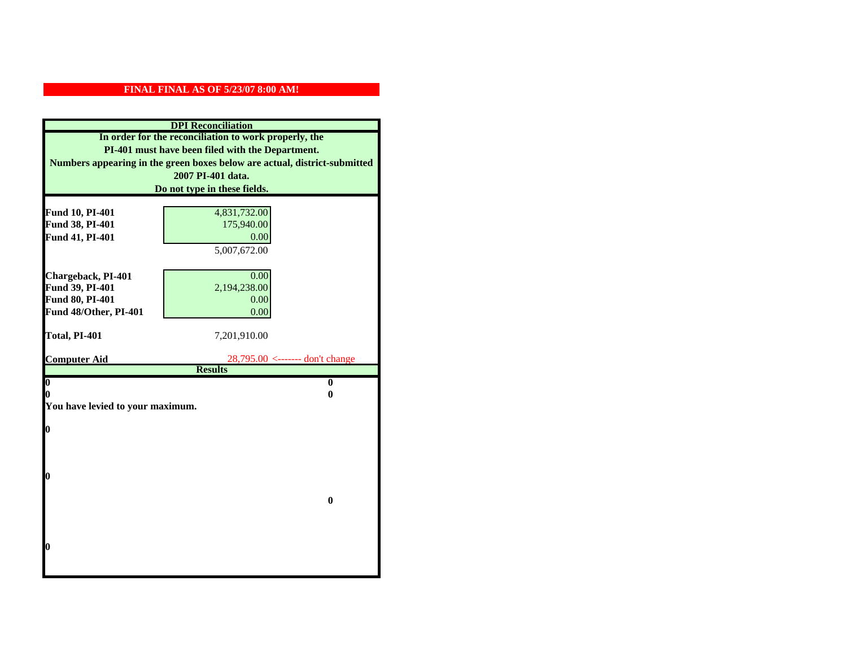|                                  | <b>DPI</b> Reconciliation                                                 |
|----------------------------------|---------------------------------------------------------------------------|
|                                  | In order for the reconciliation to work properly, the                     |
|                                  | PI-401 must have been filed with the Department.                          |
|                                  | Numbers appearing in the green boxes below are actual, district-submitted |
|                                  | 2007 PI-401 data.                                                         |
|                                  | Do not type in these fields.                                              |
|                                  |                                                                           |
| Fund 10, PI-401                  | 4,831,732.00                                                              |
| Fund 38, PI-401                  | 175,940.00                                                                |
| Fund 41, PI-401                  | 0.00                                                                      |
|                                  | 5,007,672.00                                                              |
|                                  |                                                                           |
| Chargeback, PI-401               | 0.00                                                                      |
| Fund 39, PI-401                  | 2,194,238.00                                                              |
| Fund 80, PI-401                  | 0.00                                                                      |
| Fund 48/Other, PI-401            | 0.00                                                                      |
| Total, PI-401                    | 7,201,910.00                                                              |
|                                  |                                                                           |
|                                  |                                                                           |
| <b>Computer Aid</b>              | 28,795.00 <------- don't change                                           |
|                                  | <b>Results</b>                                                            |
| $\overline{\mathbf{0}}$          | $\bf{0}$                                                                  |
| 0                                | 0                                                                         |
| You have levied to your maximum. |                                                                           |
|                                  |                                                                           |
| $\bf{0}$                         |                                                                           |
|                                  |                                                                           |
|                                  |                                                                           |
| l0                               |                                                                           |
|                                  |                                                                           |
|                                  | $\bf{0}$                                                                  |
|                                  |                                                                           |
|                                  |                                                                           |
|                                  |                                                                           |
| l0                               |                                                                           |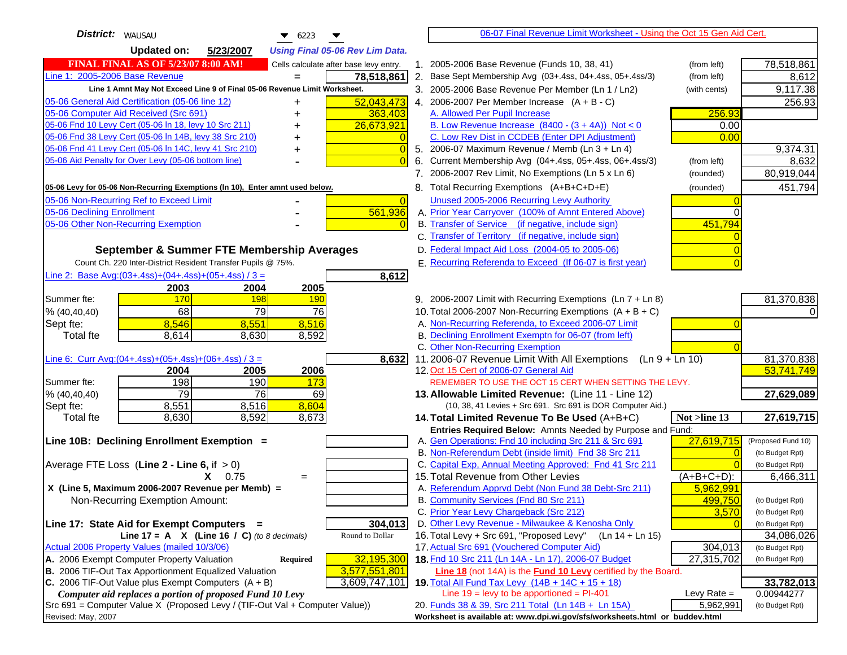| <b>District:</b>   WAUSAU<br>$\bullet$ 6223<br>▼                                                 | 06-07 Final Revenue Limit Worksheet - Using the Oct 15 Gen Aid Cert.                                          |                          |
|--------------------------------------------------------------------------------------------------|---------------------------------------------------------------------------------------------------------------|--------------------------|
| <b>Updated on:</b><br>5/23/2007<br><b>Using Final 05-06 Rev Lim Data.</b>                        |                                                                                                               |                          |
| <b>FINAL FINAL AS OF 5/23/07 8:00 AM!</b><br>Cells calculate after base levy entry.              | 1. 2005-2006 Base Revenue (Funds 10, 38, 41)<br>(from left)                                                   | 78,518,861               |
| Line 1: 2005-2006 Base Revenue<br>78,518,861<br>$=$                                              | 2. Base Sept Membership Avg (03+.4ss, 04+.4ss, 05+.4ss/3)<br>(from left)                                      | 8,612                    |
| Line 1 Amnt May Not Exceed Line 9 of Final 05-06 Revenue Limit Worksheet.                        | 3. 2005-2006 Base Revenue Per Member (Ln 1 / Ln2)<br>(with cents)                                             | 9,117.38                 |
| 52,043,473<br>05-06 General Aid Certification (05-06 line 12)                                    | 4. 2006-2007 Per Member Increase $(A + B - C)$                                                                | 256.93                   |
| 05-06 Computer Aid Received (Src 691)<br>363,403                                                 | A. Allowed Per Pupil Increase<br>256.93                                                                       |                          |
| 05-06 Fnd 10 Levy Cert (05-06 ln 18, levy 10 Src 211)<br>26,673,921                              | B. Low Revenue Increase $(8400 - (3 + 4A))$ Not < 0<br>0.00                                                   |                          |
| 05-06 Fnd 38 Levy Cert (05-06 In 14B, levy 38 Src 210)                                           | C. Low Rev Dist in CCDEB (Enter DPI Adjustment)<br>0.00                                                       |                          |
| 05-06 Fnd 41 Levy Cert (05-06 In 14C, levy 41 Src 210)<br>$\overline{0}$<br>+                    | 5. 2006-07 Maximum Revenue / Memb (Ln 3 + Ln 4)                                                               | 9,374.31                 |
| 05-06 Aid Penalty for Over Levy (05-06 bottom line)<br>$\Omega$                                  | Current Membership Avg (04+.4ss, 05+.4ss, 06+.4ss/3)<br>6.<br>(from left)                                     | 8,632                    |
|                                                                                                  | 7. 2006-2007 Rev Limit, No Exemptions (Ln 5 x Ln 6)<br>(rounded)                                              | 80,919,044               |
| 05-06 Levy for 05-06 Non-Recurring Exemptions (In 10), Enter amnt used below.                    | 8. Total Recurring Exemptions (A+B+C+D+E)<br>(rounded)                                                        | 451,794                  |
| 05-06 Non-Recurring Ref to Exceed Limit<br>$\overline{0}$                                        | Unused 2005-2006 Recurring Levy Authority                                                                     |                          |
| 561,936<br>05-06 Declining Enrollment                                                            | A. Prior Year Carryover (100% of Amnt Entered Above)                                                          |                          |
| 05-06 Other Non-Recurring Exemption                                                              | B. Transfer of Service (if negative, include sign)<br>451,794                                                 |                          |
|                                                                                                  | C. Transfer of Territory (if negative, include sign)                                                          |                          |
| September & Summer FTE Membership Averages                                                       | D. Federal Impact Aid Loss (2004-05 to 2005-06)                                                               |                          |
| Count Ch. 220 Inter-District Resident Transfer Pupils @ 75%.                                     | E. Recurring Referenda to Exceed (If 06-07 is first year)                                                     |                          |
| Line 2: Base Avg: $(03+.4ss)+(04+.4ss)+(05+.4ss)/3 =$<br>8,612                                   |                                                                                                               |                          |
| 2003<br>2004<br>2005                                                                             |                                                                                                               |                          |
| 170<br><b>198</b><br>Summer fte:<br><b>190</b>                                                   | 9. 2006-2007 Limit with Recurring Exemptions (Ln 7 + Ln 8)                                                    | 81,370,838               |
| 68<br>79<br>76<br>% (40, 40, 40)                                                                 | 10. Total 2006-2007 Non-Recurring Exemptions $(A + B + C)$                                                    |                          |
| 8,546<br>8,551<br>8,516<br>Sept fte:                                                             | A. Non-Recurring Referenda, to Exceed 2006-07 Limit                                                           |                          |
| <b>Total fte</b><br>8,614<br>8,630<br>8,592                                                      | B. Declining Enrollment Exemptn for 06-07 (from left)                                                         |                          |
|                                                                                                  | C. Other Non-Recurring Exemption                                                                              |                          |
| Line 6: Curr Avg: $(04+.4ss)+(05+.4ss)+(06+.4ss)/3 =$<br>8,632                                   | 11.2006-07 Revenue Limit With All Exemptions<br>$(Ln 9 + Ln 10)$                                              | 81,370,838<br>53,741,749 |
| 2006<br>2004<br>2005<br>198<br>190<br>Summer fte:<br>173                                         | 12. Oct 15 Cert of 2006-07 General Aid<br>REMEMBER TO USE THE OCT 15 CERT WHEN SETTING THE LEVY.              |                          |
| 79<br>% (40, 40, 40)<br>76<br>69                                                                 | 13. Allowable Limited Revenue: (Line 11 - Line 12)                                                            | 27,629,089               |
| 8,551<br>8,516<br>8,604<br>Sept fte:                                                             | (10, 38, 41 Levies + Src 691. Src 691 is DOR Computer Aid.)                                                   |                          |
| 8,630<br>8,592<br>8,673<br><b>Total fte</b>                                                      | Not >line 13<br>14. Total Limited Revenue To Be Used (A+B+C)                                                  | 27,619,715               |
|                                                                                                  | Entries Required Below: Amnts Needed by Purpose and Fund:                                                     |                          |
| Line 10B: Declining Enrollment Exemption =                                                       | 27,619,715<br>A. Gen Operations: Fnd 10 including Src 211 & Src 691                                           | (Proposed Fund 10)       |
|                                                                                                  | B. Non-Referendum Debt (inside limit) Fnd 38 Src 211<br>$\Omega$                                              | (to Budget Rpt)          |
| Average FTE Loss (Line $2 -$ Line 6, if $> 0$ )                                                  | C. Capital Exp, Annual Meeting Approved: Fnd 41 Src 211                                                       | (to Budget Rpt)          |
| $X = 0.75$<br>$=$                                                                                | 15. Total Revenue from Other Levies<br>$(A+B+C+D)$ :                                                          | 6,466,311                |
| X (Line 5, Maximum 2006-2007 Revenue per Memb) =                                                 | A. Referendum Apprvd Debt (Non Fund 38 Debt-Src 211)<br>5,962,991                                             |                          |
| Non-Recurring Exemption Amount:                                                                  | B. Community Services (Fnd 80 Src 211)<br>499,750                                                             | (to Budget Rpt)          |
|                                                                                                  | C. Prior Year Levy Chargeback (Src 212)<br>3,570                                                              | (to Budget Rpt)          |
| Line 17: State Aid for Exempt Computers =<br>304,013                                             | D. Other Levy Revenue - Milwaukee & Kenosha Only                                                              | (to Budget Rpt)          |
| Round to Dollar<br>Line 17 = A $X$ (Line 16 / C) (to 8 decimals)                                 | 16. Total Levy + Src 691, "Proposed Levy"<br>(Ln 14 + Ln 15)                                                  | 34,086,026               |
| Actual 2006 Property Values (mailed 10/3/06)<br>A. 2006 Exempt Computer Property Valuation       | 17. Actual Src 691 (Vouchered Computer Aid)<br>304,013<br>18. Fnd 10 Src 211 (Ln 14A - Ln 17), 2006-07 Budget | (to Budget Rpt)          |
| 32,195,300<br>Required<br>B. 2006 TIF-Out Tax Apportionment Equalized Valuation<br>3,577,551,801 | 27,315,702<br>Line 18 (not 14A) is the Fund 10 Levy certified by the Board.                                   | (to Budget Rpt)          |
| C. 2006 TIF-Out Value plus Exempt Computers $(A + B)$<br>3,609,747,101                           | 19. Total All Fund Tax Levy $(14B + 14C + 15 + 18)$                                                           | 33,782,013               |
| Computer aid replaces a portion of proposed Fund 10 Levy                                         | Line $19 = \text{levy}$ to be apportioned = PI-401<br>Levy Rate $=$                                           | 0.00944277               |
| Src 691 = Computer Value X (Proposed Levy / (TIF-Out Val + Computer Value))                      | 20. Funds 38 & 39, Src 211 Total (Ln 14B + Ln 15A)<br>5,962,991                                               | (to Budget Rpt)          |
| Revised: May, 2007                                                                               | Worksheet is available at: www.dpi.wi.gov/sfs/worksheets.html or buddev.html                                  |                          |
|                                                                                                  |                                                                                                               |                          |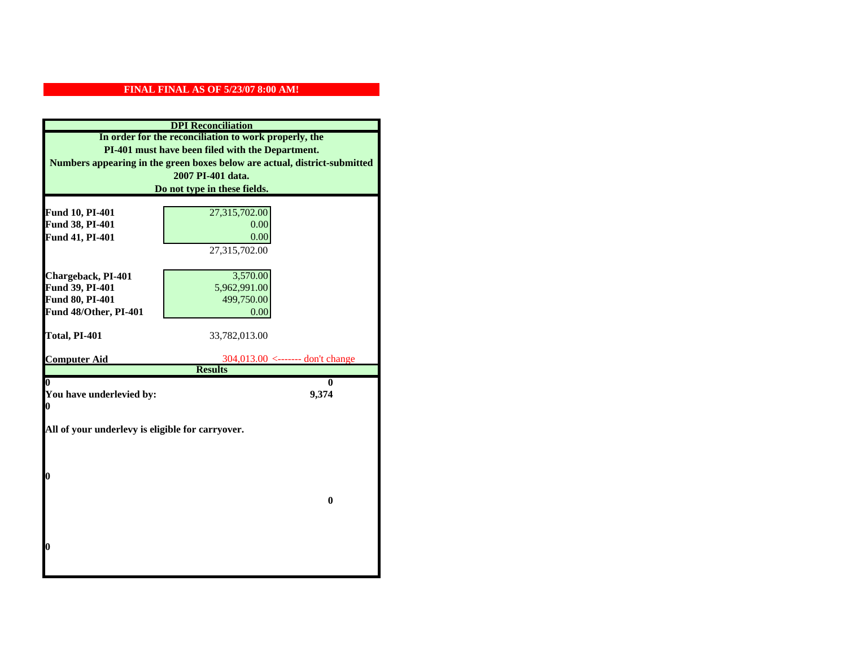|                          | <b>DPI</b> Reconciliation                                                 |
|--------------------------|---------------------------------------------------------------------------|
|                          | In order for the reconciliation to work properly, the                     |
|                          | PI-401 must have been filed with the Department.                          |
|                          | Numbers appearing in the green boxes below are actual, district-submitted |
|                          | 2007 PI-401 data.                                                         |
|                          | Do not type in these fields.                                              |
|                          |                                                                           |
| <b>Fund 10, PI-401</b>   | 27,315,702.00                                                             |
| Fund 38, PI-401          | 0.00                                                                      |
| Fund 41, PI-401          | 0.00                                                                      |
|                          | 27,315,702.00                                                             |
|                          |                                                                           |
| Chargeback, PI-401       | 3,570.00                                                                  |
| Fund 39, PI-401          | 5,962,991.00                                                              |
| Fund 80, PI-401          | 499,750.00                                                                |
| Fund 48/Other, PI-401    | 0.00                                                                      |
|                          |                                                                           |
| Total, PI-401            | 33,782,013.00                                                             |
|                          |                                                                           |
| <b>Computer Aid</b>      | $304,013.00$ <------- don't change<br><b>Results</b>                      |
| 0                        | 0                                                                         |
| You have underlevied by: | 9,374                                                                     |
| 0                        |                                                                           |
|                          |                                                                           |
|                          |                                                                           |
|                          | All of your underlevy is eligible for carryover.                          |
|                          |                                                                           |
|                          |                                                                           |
|                          |                                                                           |
| 0                        |                                                                           |
|                          |                                                                           |
|                          | $\bf{0}$                                                                  |
|                          |                                                                           |
|                          |                                                                           |
|                          |                                                                           |
| 0                        |                                                                           |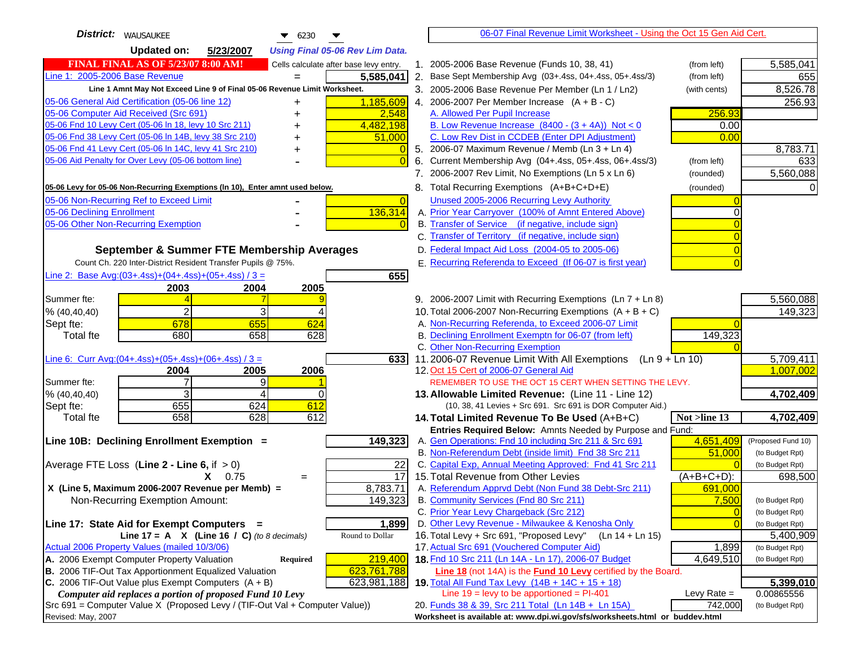| District:   WAUSAUKEE<br>$\blacktriangledown$ 6230                                                                                           | 06-07 Final Revenue Limit Worksheet - Using the Oct 15 Gen Aid Cert.                                                             |                         |
|----------------------------------------------------------------------------------------------------------------------------------------------|----------------------------------------------------------------------------------------------------------------------------------|-------------------------|
| <b>Updated on:</b><br>5/23/2007<br><b>Using Final 05-06 Rev Lim Data.</b>                                                                    |                                                                                                                                  |                         |
| <b>FINAL FINAL AS OF 5/23/07 8:00 AM!</b><br>Cells calculate after base levy entry.                                                          | 1. 2005-2006 Base Revenue (Funds 10, 38, 41)<br>(from left)                                                                      | 5,585,041               |
| Line 1: 2005-2006 Base Revenue<br>5,585,041                                                                                                  | 2. Base Sept Membership Avg (03+.4ss, 04+.4ss, 05+.4ss/3)<br>(from left)                                                         | 655                     |
| Line 1 Amnt May Not Exceed Line 9 of Final 05-06 Revenue Limit Worksheet.                                                                    | 3. 2005-2006 Base Revenue Per Member (Ln 1 / Ln2)<br>(with cents)                                                                | 8,526.78                |
| 1,185,609<br>05-06 General Aid Certification (05-06 line 12)<br>+                                                                            | 4. 2006-2007 Per Member Increase $(A + B - C)$                                                                                   | 256.93                  |
| 05-06 Computer Aid Received (Src 691)<br>2,548                                                                                               | A. Allowed Per Pupil Increase<br>256.93                                                                                          |                         |
| 05-06 Fnd 10 Levy Cert (05-06 ln 18, levy 10 Src 211)<br>4,482,198                                                                           | B. Low Revenue Increase $(8400 - (3 + 4A))$ Not < 0<br>0.00                                                                      |                         |
| 05-06 Fnd 38 Levy Cert (05-06 In 14B, levy 38 Src 210)<br>51,000                                                                             | C. Low Rev Dist in CCDEB (Enter DPI Adjustment)<br>0.00                                                                          |                         |
| 05-06 Fnd 41 Levy Cert (05-06 In 14C, levy 41 Src 210)<br>0<br>+                                                                             | 5. 2006-07 Maximum Revenue / Memb (Ln 3 + Ln 4)                                                                                  | 8,783.71                |
| 05-06 Aid Penalty for Over Levy (05-06 bottom line)                                                                                          | 6. Current Membership Avg (04+.4ss, 05+.4ss, 06+.4ss/3)<br>(from left)                                                           | 633                     |
|                                                                                                                                              | 7. 2006-2007 Rev Limit, No Exemptions (Ln 5 x Ln 6)<br>(rounded)                                                                 | 5,560,088               |
| 05-06 Levy for 05-06 Non-Recurring Exemptions (In 10), Enter amnt used below.                                                                | 8. Total Recurring Exemptions (A+B+C+D+E)<br>(rounded)                                                                           |                         |
| 05-06 Non-Recurring Ref to Exceed Limit<br>$\overline{0}$                                                                                    | Unused 2005-2006 Recurring Levy Authority                                                                                        |                         |
| 05-06 Declining Enrollment<br>136,314                                                                                                        | A. Prior Year Carryover (100% of Amnt Entered Above)<br>0                                                                        |                         |
| 05-06 Other Non-Recurring Exemption                                                                                                          | B. Transfer of Service (if negative, include sign)                                                                               |                         |
|                                                                                                                                              | C. Transfer of Territory (if negative, include sign)                                                                             |                         |
| September & Summer FTE Membership Averages                                                                                                   | D. Federal Impact Aid Loss (2004-05 to 2005-06)                                                                                  |                         |
| Count Ch. 220 Inter-District Resident Transfer Pupils @ 75%.                                                                                 | E. Recurring Referenda to Exceed (If 06-07 is first year)                                                                        |                         |
| Line 2: Base Avg: $(03+.4ss)+(04+.4ss)+(05+.4ss)/3 =$<br>655                                                                                 |                                                                                                                                  |                         |
| 2003<br>2004<br>2005                                                                                                                         |                                                                                                                                  |                         |
| Summer fte:                                                                                                                                  | 9. 2006-2007 Limit with Recurring Exemptions (Ln 7 + Ln 8)                                                                       | 5,560,088               |
| $\overline{2}$<br>3<br>% (40, 40, 40)                                                                                                        | 10. Total 2006-2007 Non-Recurring Exemptions $(A + B + C)$                                                                       | 149,323                 |
| 678<br>655<br>624<br>Sept fte:                                                                                                               | A. Non-Recurring Referenda, to Exceed 2006-07 Limit                                                                              |                         |
| 680<br>658<br>628<br><b>Total</b> fte                                                                                                        | B. Declining Enrollment Exemptn for 06-07 (from left)<br>149,323                                                                 |                         |
|                                                                                                                                              | C. Other Non-Recurring Exemption                                                                                                 |                         |
| Line 6: Curr Avg: $(04+.4ss)+(05+.4ss)+(06+.4ss)/3 =$<br>6331                                                                                | 11.2006-07 Revenue Limit With All Exemptions (Ln $9 + \overline{\text{Ln }10}$ )                                                 | 5,709,411               |
| 2005<br>2006<br>2004                                                                                                                         | 12. Oct 15 Cert of 2006-07 General Aid                                                                                           | 1,007,002               |
| Summer fte:<br>9<br>3<br>$\Omega$<br>⊿                                                                                                       | REMEMBER TO USE THE OCT 15 CERT WHEN SETTING THE LEVY.                                                                           | 4,702,409               |
| % (40, 40, 40)<br>655<br>624<br>612<br>Sept fte:                                                                                             | 13. Allowable Limited Revenue: (Line 11 - Line 12)<br>(10, 38, 41 Levies + Src 691. Src 691 is DOR Computer Aid.)                |                         |
| 658<br><b>Total</b> fte<br>628<br>612                                                                                                        | 14. Total Limited Revenue To Be Used (A+B+C)<br>Not >line 13                                                                     | 4,702,409               |
|                                                                                                                                              | Entries Required Below: Amnts Needed by Purpose and Fund:                                                                        |                         |
| 149,323<br>Line 10B: Declining Enrollment Exemption =                                                                                        | A. Gen Operations: Fnd 10 including Src 211 & Src 691<br>4,651,409                                                               | (Proposed Fund 10)      |
|                                                                                                                                              | B. Non-Referendum Debt (inside limit) Fnd 38 Src 211<br>51,000                                                                   | (to Budget Rpt)         |
| Average FTE Loss (Line $2 -$ Line 6, if $> 0$ )<br>22                                                                                        | C. Capital Exp, Annual Meeting Approved: Fnd 41 Src 211                                                                          | (to Budget Rpt)         |
| $\overline{17}$<br>$X = 0.75$<br>$=$                                                                                                         | 15. Total Revenue from Other Levies<br>$(A+B+C+D)$ :                                                                             | 698,500                 |
| X (Line 5, Maximum 2006-2007 Revenue per Memb) =<br>8,783.71                                                                                 | A. Referendum Apprvd Debt (Non Fund 38 Debt-Src 211)<br>691,000                                                                  |                         |
| Non-Recurring Exemption Amount:<br>149,323                                                                                                   | B. Community Services (Fnd 80 Src 211)<br>7,500                                                                                  | (to Budget Rpt)         |
|                                                                                                                                              | C. Prior Year Levy Chargeback (Src 212)<br>$\overline{0}$                                                                        | (to Budget Rpt)         |
| Line 17: State Aid for Exempt Computers =<br>1,899                                                                                           | D. Other Levy Revenue - Milwaukee & Kenosha Only                                                                                 | (to Budget Rpt)         |
| Line 17 = A $X$ (Line 16 / C) (to 8 decimals)<br>Round to Dollar                                                                             | 16. Total Levy + Src 691, "Proposed Levy"<br>$(Ln 14 + Ln 15)$                                                                   | 5,400,909               |
| Actual 2006 Property Values (mailed 10/3/06)                                                                                                 | 17. Actual Src 691 (Vouchered Computer Aid)<br>1,899                                                                             | (to Budget Rpt)         |
| A. 2006 Exempt Computer Property Valuation<br>219,400<br>Required                                                                            | 18. Fnd 10 Src 211 (Ln 14A - Ln 17), 2006-07 Budget<br>4,649,510                                                                 | (to Budget Rpt)         |
| B. 2006 TIF-Out Tax Apportionment Equalized Valuation<br>623,761,788<br>C. 2006 TIF-Out Value plus Exempt Computers $(A + B)$<br>623,981,188 | <b>Line 18</b> (not 14A) is the <b>Fund 10 Levy</b> certified by the Board.<br>19. Total All Fund Tax Levy (14B + 14C + 15 + 18) |                         |
| Computer aid replaces a portion of proposed Fund 10 Levy                                                                                     | Line $19 = \text{levy}$ to be apportioned = PI-401<br>Levy Rate $=$                                                              | 5,399,010<br>0.00865556 |
| Src 691 = Computer Value X (Proposed Levy / (TIF-Out Val + Computer Value))                                                                  | 742,000<br>20. Funds 38 & 39, Src 211 Total (Ln 14B + Ln 15A)                                                                    | (to Budget Rpt)         |
| Revised: May, 2007                                                                                                                           | Worksheet is available at: www.dpi.wi.gov/sfs/worksheets.html or buddev.html                                                     |                         |
|                                                                                                                                              |                                                                                                                                  |                         |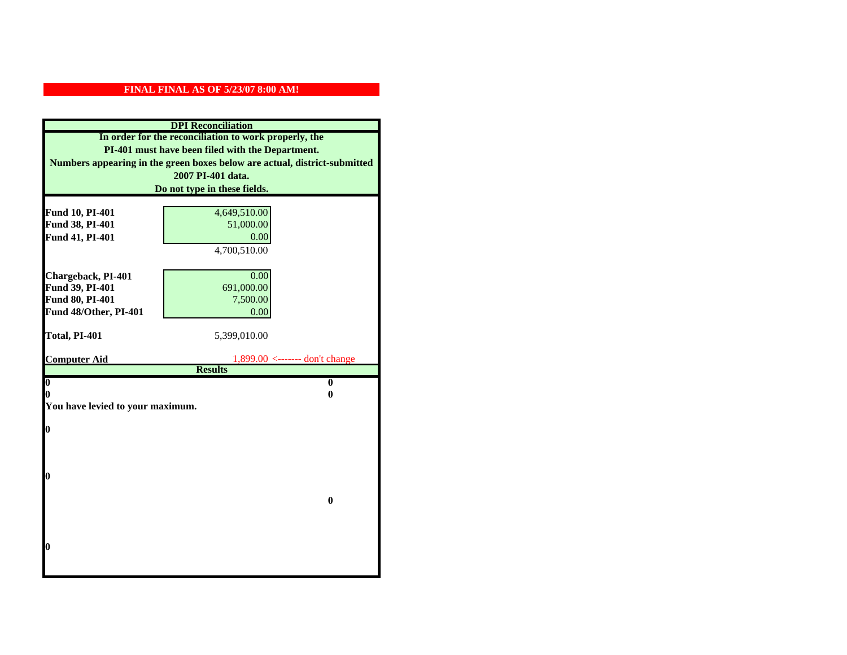|                                    | <b>DPI</b> Reconciliation                                                 |
|------------------------------------|---------------------------------------------------------------------------|
|                                    | In order for the reconciliation to work properly, the                     |
|                                    | PI-401 must have been filed with the Department.                          |
|                                    | Numbers appearing in the green boxes below are actual, district-submitted |
|                                    | 2007 PI-401 data.                                                         |
|                                    | Do not type in these fields.                                              |
|                                    |                                                                           |
| Fund 10, PI-401<br>Fund 38, PI-401 | 4,649,510.00<br>51,000.00                                                 |
| Fund 41, PI-401                    | 0.00                                                                      |
|                                    | 4,700,510.00                                                              |
|                                    |                                                                           |
| Chargeback, PI-401                 | 0.00                                                                      |
| Fund 39, PI-401                    | 691,000.00                                                                |
| Fund 80, PI-401                    | 7,500.00                                                                  |
| Fund 48/Other, PI-401              | 0.00                                                                      |
|                                    |                                                                           |
| Total, PI-401                      | 5,399,010.00                                                              |
|                                    |                                                                           |
| <b>Computer Aid</b>                | $1,899.00 \le$ ------- don't change<br><b>Results</b>                     |
| $\overline{\mathbf{0}}$            | $\bf{0}$                                                                  |
| 0                                  | 0                                                                         |
| You have levied to your maximum.   |                                                                           |
|                                    |                                                                           |
| $\bf{0}$                           |                                                                           |
|                                    |                                                                           |
|                                    |                                                                           |
|                                    |                                                                           |
| l0                                 |                                                                           |
|                                    | $\bf{0}$                                                                  |
|                                    |                                                                           |
|                                    |                                                                           |
|                                    |                                                                           |
| $\boldsymbol{0}$                   |                                                                           |
|                                    |                                                                           |
|                                    |                                                                           |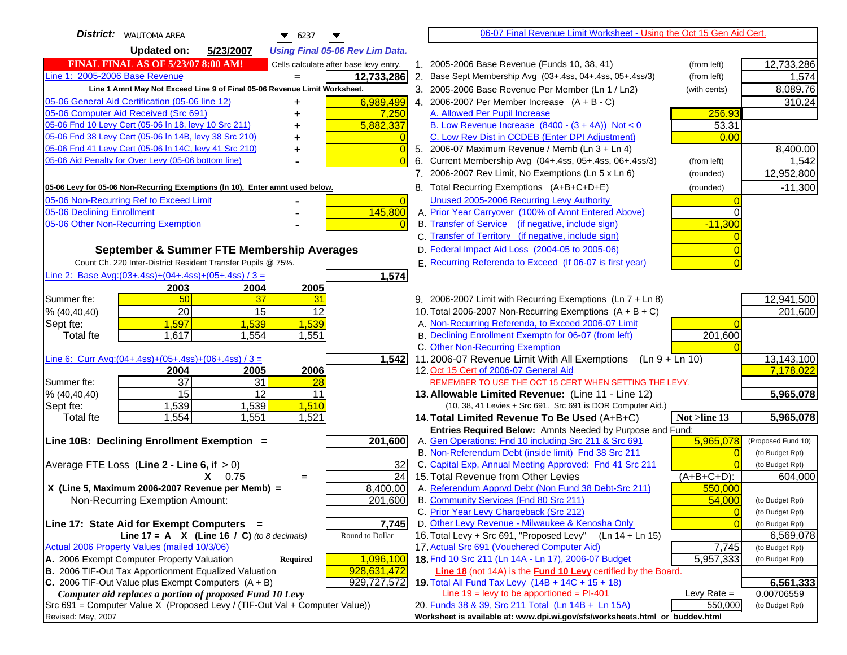| <b>District:</b>   WAUTOMA AREA<br>$\blacktriangledown$ 6237                                                           | 06-07 Final Revenue Limit Worksheet - Using the Oct 15 Gen Aid Cert.                                                      |                              |
|------------------------------------------------------------------------------------------------------------------------|---------------------------------------------------------------------------------------------------------------------------|------------------------------|
| <b>Updated on:</b><br>5/23/2007<br><b>Using Final 05-06 Rev Lim Data.</b>                                              |                                                                                                                           |                              |
| <b>FINAL FINAL AS OF 5/23/07 8:00 AM!</b><br>Cells calculate after base levy entry.                                    | 1. 2005-2006 Base Revenue (Funds 10, 38, 41)<br>(from left)                                                               | 12,733,286                   |
| Line 1: 2005-2006 Base Revenue<br>12,733,286<br>$=$                                                                    | 2. Base Sept Membership Avg (03+.4ss, 04+.4ss, 05+.4ss/3)<br>(from left)                                                  | 1,574                        |
| Line 1 Amnt May Not Exceed Line 9 of Final 05-06 Revenue Limit Worksheet.                                              | 3. 2005-2006 Base Revenue Per Member (Ln 1 / Ln2)<br>(with cents)                                                         | 8,089.76                     |
| 6,989,499<br>05-06 General Aid Certification (05-06 line 12)                                                           | 4. 2006-2007 Per Member Increase $(A + B - C)$                                                                            | 310.24                       |
| 05-06 Computer Aid Received (Src 691)<br>7,250                                                                         | A. Allowed Per Pupil Increase<br>256.93                                                                                   |                              |
| 05-06 Fnd 10 Levy Cert (05-06 ln 18, levy 10 Src 211)<br>5,882,337                                                     | B. Low Revenue Increase $(8400 - (3 + 4A))$ Not < 0<br>53.31                                                              |                              |
| 05-06 Fnd 38 Levy Cert (05-06 In 14B, levy 38 Src 210)                                                                 | C. Low Rev Dist in CCDEB (Enter DPI Adjustment)<br>0.00                                                                   |                              |
| 05-06 Fnd 41 Levy Cert (05-06 In 14C, levy 41 Src 210)<br>$\overline{0}$<br>+                                          | 5. 2006-07 Maximum Revenue / Memb (Ln 3 + Ln 4)                                                                           | 8,400.00                     |
| 05-06 Aid Penalty for Over Levy (05-06 bottom line)<br>$\Omega$                                                        | Current Membership Avg (04+.4ss, 05+.4ss, 06+.4ss/3)<br>6.<br>(from left)                                                 | 1,542                        |
|                                                                                                                        | 7. 2006-2007 Rev Limit, No Exemptions (Ln 5 x Ln 6)<br>(rounded)                                                          | 12,952,800                   |
| 05-06 Levy for 05-06 Non-Recurring Exemptions (In 10), Enter amnt used below.                                          | 8. Total Recurring Exemptions (A+B+C+D+E)<br>(rounded)                                                                    | $-11,300$                    |
| 05-06 Non-Recurring Ref to Exceed Limit<br>$\overline{0}$                                                              | Unused 2005-2006 Recurring Levy Authority                                                                                 |                              |
| 145,800<br>05-06 Declining Enrollment                                                                                  | A. Prior Year Carryover (100% of Amnt Entered Above)                                                                      |                              |
| 05-06 Other Non-Recurring Exemption                                                                                    | B. Transfer of Service (if negative, include sign)<br>$-11,300$                                                           |                              |
|                                                                                                                        | C. Transfer of Territory (if negative, include sign)                                                                      |                              |
| September & Summer FTE Membership Averages                                                                             | D. Federal Impact Aid Loss (2004-05 to 2005-06)                                                                           |                              |
| Count Ch. 220 Inter-District Resident Transfer Pupils @ 75%.                                                           | E. Recurring Referenda to Exceed (If 06-07 is first year)                                                                 |                              |
| Line 2: Base Avg: $(03+.4ss)+(04+.4ss)+(05+.4ss)/3 =$<br>1,574                                                         |                                                                                                                           |                              |
| 2003<br>2004<br>2005                                                                                                   |                                                                                                                           |                              |
| 50<br>37<br>Summer fte:<br>31                                                                                          | 9. 2006-2007 Limit with Recurring Exemptions (Ln 7 + Ln 8)                                                                | 12,941,500                   |
| 20<br>12<br>15<br>% (40, 40, 40)                                                                                       | 10. Total 2006-2007 Non-Recurring Exemptions $(A + B + C)$                                                                | 201,600                      |
| 1,597<br>1,539<br>1,539<br>Sept fte:                                                                                   | A. Non-Recurring Referenda, to Exceed 2006-07 Limit                                                                       |                              |
| <b>Total fte</b><br>1,617<br>1,554<br>1,551                                                                            | B. Declining Enrollment Exemptn for 06-07 (from left)<br>201,600                                                          |                              |
|                                                                                                                        | C. Other Non-Recurring Exemption                                                                                          |                              |
| Line 6: Curr Avg: $(04+.4ss)+(05+.4ss)+(06+.4ss)/3 =$<br>1,542<br>2006<br>2004<br>2005                                 | 11.2006-07 Revenue Limit With All Exemptions<br>$(Ln 9 + Ln 10)$<br>12. Oct 15 Cert of 2006-07 General Aid                | 13,143,100<br>7,178,022      |
| $\overline{37}$<br>31<br>Summer fte:<br>28                                                                             | REMEMBER TO USE THE OCT 15 CERT WHEN SETTING THE LEVY.                                                                    |                              |
| 15<br>12<br>% (40, 40, 40)<br>11                                                                                       | 13. Allowable Limited Revenue: (Line 11 - Line 12)                                                                        | 5,965,078                    |
| 1,539<br>1,539<br>1,510<br>Sept fte:                                                                                   | (10, 38, 41 Levies + Src 691. Src 691 is DOR Computer Aid.)                                                               |                              |
| 1,521<br>1,554<br>1,551<br><b>Total fte</b>                                                                            | Not >line 13<br>14. Total Limited Revenue To Be Used (A+B+C)                                                              | 5,965,078                    |
|                                                                                                                        | Entries Required Below: Amnts Needed by Purpose and Fund:                                                                 |                              |
| Line 10B: Declining Enrollment Exemption =<br>201,600                                                                  | 5,965,078<br>A. Gen Operations: Fnd 10 including Src 211 & Src 691                                                        | (Proposed Fund 10)           |
|                                                                                                                        | B. Non-Referendum Debt (inside limit) Fnd 38 Src 211<br>$\Omega$                                                          | (to Budget Rpt)              |
| Average FTE Loss (Line $2 -$ Line 6, if $> 0$ )<br>32                                                                  | C. Capital Exp, Annual Meeting Approved: Fnd 41 Src 211                                                                   | (to Budget Rpt)              |
| 24<br>$X = 0.75$<br>$=$                                                                                                | 15. Total Revenue from Other Levies<br>$(A+B+C+D)$ :                                                                      | 604,000                      |
| X (Line 5, Maximum 2006-2007 Revenue per Memb) =<br>8,400.00                                                           | A. Referendum Apprvd Debt (Non Fund 38 Debt-Src 211)<br>550,000                                                           |                              |
| 201,600<br>Non-Recurring Exemption Amount:                                                                             | B. Community Services (Fnd 80 Src 211)<br>54,000                                                                          | (to Budget Rpt)              |
|                                                                                                                        | C. Prior Year Levy Chargeback (Src 212)<br>$\overline{0}$<br>D. Other Levy Revenue - Milwaukee & Kenosha Only<br>$\Omega$ | (to Budget Rpt)              |
| 7,745<br>Line 17: State Aid for Exempt Computers =<br>Round to Dollar<br>Line 17 = A $X$ (Line 16 / C) (to 8 decimals) | 16. Total Levy + Src 691, "Proposed Levy"<br>(Ln 14 + Ln 15)                                                              | (to Budget Rpt)<br>6,569,078 |
| Actual 2006 Property Values (mailed 10/3/06)                                                                           | 17. Actual Src 691 (Vouchered Computer Aid)<br>7,745                                                                      | (to Budget Rpt)              |
| A. 2006 Exempt Computer Property Valuation<br>1,096,100<br>Required                                                    | 18. Fnd 10 Src 211 (Ln 14A - Ln 17), 2006-07 Budget<br>5,957,333                                                          | (to Budget Rpt)              |
| B. 2006 TIF-Out Tax Apportionment Equalized Valuation<br>928,631,472                                                   | Line 18 (not 14A) is the Fund 10 Levy certified by the Board.                                                             |                              |
| 929,727,572<br>C. 2006 TIF-Out Value plus Exempt Computers $(A + B)$                                                   | 19. Total All Fund Tax Levy (14B + 14C + 15 + 18)                                                                         | 6,561,333                    |
| Computer aid replaces a portion of proposed Fund 10 Levy                                                               | Line $19 = \text{levy}$ to be apportioned = PI-401<br>Levy Rate $=$                                                       | 0.00706559                   |
| Src 691 = Computer Value X (Proposed Levy / (TIF-Out Val + Computer Value))                                            | 20. Funds 38 & 39, Src 211 Total (Ln 14B + Ln 15A)<br>550,000                                                             | (to Budget Rpt)              |
| Revised: May, 2007                                                                                                     | Worksheet is available at: www.dpi.wi.gov/sfs/worksheets.html or buddev.html                                              |                              |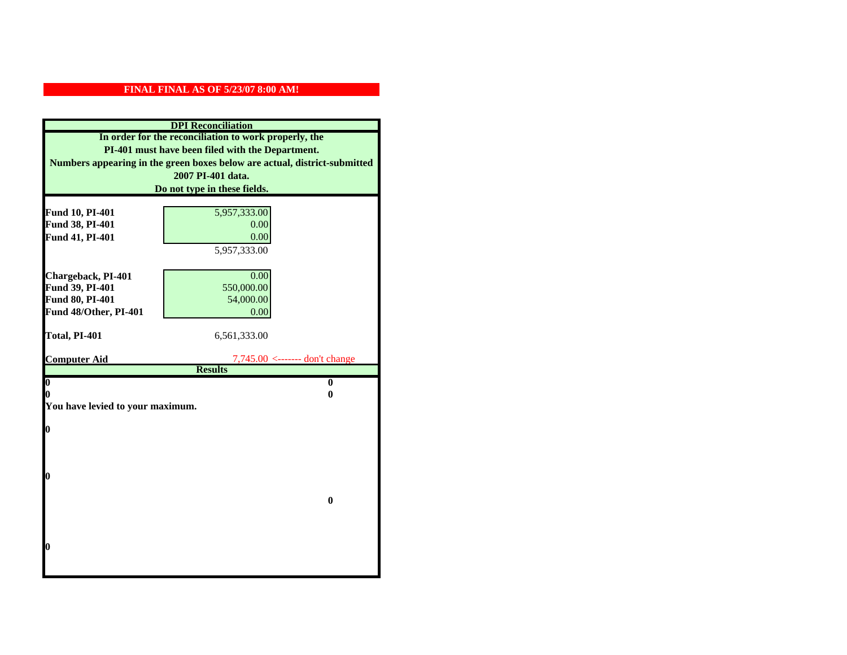|                                  | <b>DPI</b> Reconciliation                                                 |
|----------------------------------|---------------------------------------------------------------------------|
|                                  | In order for the reconciliation to work properly, the                     |
|                                  | PI-401 must have been filed with the Department.                          |
|                                  | Numbers appearing in the green boxes below are actual, district-submitted |
|                                  | 2007 PI-401 data.                                                         |
|                                  | Do not type in these fields.                                              |
|                                  |                                                                           |
| Fund 10, PI-401                  | 5,957,333.00                                                              |
| Fund 38, PI-401                  | 0.00<br>0.00                                                              |
| Fund 41, PI-401                  | 5,957,333.00                                                              |
|                                  |                                                                           |
| Chargeback, PI-401               | 0.00                                                                      |
| Fund 39, PI-401                  | 550,000.00                                                                |
| Fund 80, PI-401                  | 54,000.00                                                                 |
| Fund 48/Other, PI-401            | 0.00                                                                      |
|                                  |                                                                           |
| Total, PI-401                    | 6,561,333.00                                                              |
|                                  |                                                                           |
| <b>Computer Aid</b>              | $7,745.00 \leftarrow \text{---}$ don't change<br><b>Results</b>           |
| $\overline{\mathbf{0}}$          | $\bf{0}$                                                                  |
| 0                                | 0                                                                         |
| You have levied to your maximum. |                                                                           |
|                                  |                                                                           |
| 0                                |                                                                           |
|                                  |                                                                           |
|                                  |                                                                           |
|                                  |                                                                           |
| 0                                |                                                                           |
|                                  | $\bf{0}$                                                                  |
|                                  |                                                                           |
|                                  |                                                                           |
|                                  |                                                                           |
| 0                                |                                                                           |
|                                  |                                                                           |
|                                  |                                                                           |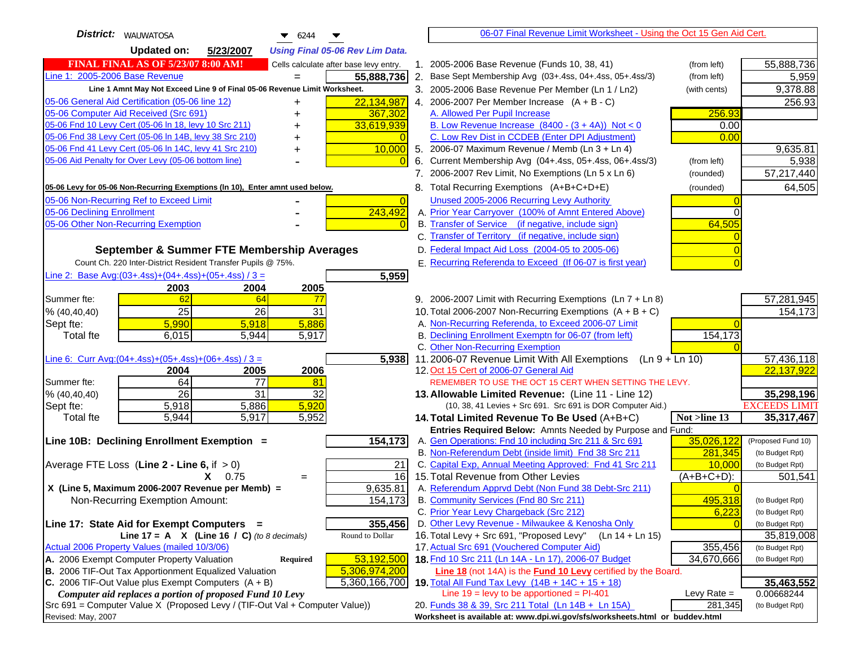| <b>District:</b>   WAUWATOSA<br>$\bullet$ 6244                                      |    | 06-07 Final Revenue Limit Worksheet - Using the Oct 15 Gen Aid Cert.                                          |               |                                       |
|-------------------------------------------------------------------------------------|----|---------------------------------------------------------------------------------------------------------------|---------------|---------------------------------------|
| <b>Updated on:</b><br>5/23/2007<br><b>Using Final 05-06 Rev Lim Data.</b>           |    |                                                                                                               |               |                                       |
| <b>FINAL FINAL AS OF 5/23/07 8:00 AM!</b><br>Cells calculate after base levy entry. |    | 1. 2005-2006 Base Revenue (Funds 10, 38, 41)                                                                  | (from left)   | 55,888,736                            |
| Line 1: 2005-2006 Base Revenue<br>55,888,736                                        | 2. | Base Sept Membership Avg (03+.4ss, 04+.4ss, 05+.4ss/3)                                                        | (from left)   | 5,959                                 |
| Line 1 Amnt May Not Exceed Line 9 of Final 05-06 Revenue Limit Worksheet.           |    | 3. 2005-2006 Base Revenue Per Member (Ln 1 / Ln2)                                                             | (with cents)  | 9,378.88                              |
| 22,134,987<br>05-06 General Aid Certification (05-06 line 12)<br>+                  |    | 4. 2006-2007 Per Member Increase $(A + B - C)$                                                                |               | 256.93                                |
| 05-06 Computer Aid Received (Src 691)<br>367,302                                    |    | A. Allowed Per Pupil Increase                                                                                 | 256.93        |                                       |
| 05-06 Fnd 10 Levy Cert (05-06 ln 18, levy 10 Src 211)<br>33,619,939                 |    | B. Low Revenue Increase $(8400 - (3 + 4A))$ Not < 0                                                           | 0.00          |                                       |
| 05-06 Fnd 38 Levy Cert (05-06 In 14B, levy 38 Src 210)                              |    | C. Low Rev Dist in CCDEB (Enter DPI Adjustment)                                                               | 0.00          |                                       |
| 05-06 Fnd 41 Levy Cert (05-06 In 14C, levy 41 Src 210)<br>10,000                    |    | 5. 2006-07 Maximum Revenue / Memb (Ln 3 + Ln 4)                                                               |               | 9,635.81                              |
| 05-06 Aid Penalty for Over Levy (05-06 bottom line)                                 | 6. | Current Membership Avg (04+.4ss, 05+.4ss, 06+.4ss/3)                                                          | (from left)   | 5,938                                 |
|                                                                                     |    | 7. 2006-2007 Rev Limit, No Exemptions (Ln 5 x Ln 6)                                                           | (rounded)     | 57,217,440                            |
| 05-06 Levy for 05-06 Non-Recurring Exemptions (In 10), Enter amnt used below.       |    | 8. Total Recurring Exemptions (A+B+C+D+E)                                                                     | (rounded)     | 64,505                                |
| 05-06 Non-Recurring Ref to Exceed Limit<br>$\overline{0}$                           |    | Unused 2005-2006 Recurring Levy Authority                                                                     |               |                                       |
| 243,492<br>05-06 Declining Enrollment                                               |    | A. Prior Year Carryover (100% of Amnt Entered Above)                                                          |               |                                       |
| 05-06 Other Non-Recurring Exemption                                                 |    | B. Transfer of Service (if negative, include sign)                                                            | 64,505        |                                       |
|                                                                                     |    | C. Transfer of Territory (if negative, include sign)                                                          |               |                                       |
| September & Summer FTE Membership Averages                                          |    | D. Federal Impact Aid Loss (2004-05 to 2005-06)                                                               |               |                                       |
| Count Ch. 220 Inter-District Resident Transfer Pupils @ 75%.                        |    | E. Recurring Referenda to Exceed (If 06-07 is first year)                                                     |               |                                       |
| Line 2: Base Avg:(03+.4ss)+(04+.4ss)+(05+.4ss) / 3 =<br>5,959                       |    |                                                                                                               |               |                                       |
| 2003<br>2004<br>2005                                                                |    |                                                                                                               |               |                                       |
| 62<br>64<br>Summer fte:<br>77                                                       |    | 9. 2006-2007 Limit with Recurring Exemptions (Ln 7 + Ln 8)                                                    |               | 57,281,945                            |
| 25<br>26<br>31<br>% (40, 40, 40)                                                    |    | 10. Total 2006-2007 Non-Recurring Exemptions $(A + B + C)$                                                    |               | 154,173                               |
| 5,990<br>5,886<br>5,918<br>Sept fte:                                                |    | A. Non-Recurring Referenda, to Exceed 2006-07 Limit                                                           |               |                                       |
| 6,015<br>5,917<br><b>Total fte</b><br>5,944                                         |    | B. Declining Enrollment Exemptn for 06-07 (from left)                                                         | 154,173       |                                       |
|                                                                                     |    | C. Other Non-Recurring Exemption                                                                              |               |                                       |
| Line 6: Curr Avg: $(04+.4ss)+(05+.4ss)+(06+.4ss)/3=$<br>5,938                       |    | 11.2006-07 Revenue Limit With All Exemptions (Ln $9 + \overline{\text{Ln }10}$ )                              |               | 57,436,118                            |
| 2005<br>2006<br>2004                                                                |    | 12. Oct 15 Cert of 2006-07 General Aid                                                                        |               | 22,137,922                            |
| 64<br>$\overline{77}$<br>81<br>Summer fte:                                          |    | REMEMBER TO USE THE OCT 15 CERT WHEN SETTING THE LEVY.                                                        |               |                                       |
| $\overline{26}$<br>31<br>32<br>% (40, 40, 40)                                       |    | 13. Allowable Limited Revenue: (Line 11 - Line 12)                                                            |               | 35,298,196                            |
| 5,920<br>5,918<br>5,886<br>Sept fte:                                                |    | (10, 38, 41 Levies + Src 691. Src 691 is DOR Computer Aid.)                                                   |               | <b>EXCEEDS LIMIT</b>                  |
| 5,917<br>5,952<br>5,944<br><b>Total fte</b>                                         |    | 14. Total Limited Revenue To Be Used (A+B+C)                                                                  | Not >line 13  | 35,317,467                            |
| 154,173<br>Line 10B: Declining Enrollment Exemption =                               |    | Entries Required Below: Amnts Needed by Purpose and Fund:                                                     | 35,026,122    |                                       |
|                                                                                     |    | A. Gen Operations: Fnd 10 including Src 211 & Src 691<br>B. Non-Referendum Debt (inside limit) Fnd 38 Src 211 | 281,345       | (Proposed Fund 10)<br>(to Budget Rpt) |
| Average FTE Loss (Line $2 -$ Line 6, if $> 0$ )<br>21                               |    | C. Capital Exp, Annual Meeting Approved: Fnd 41 Src 211                                                       | 10,000        | (to Budget Rpt)                       |
| 16<br>$X = 0.75$<br>$\qquad \qquad =$                                               |    | 15. Total Revenue from Other Levies                                                                           | $(A+B+C+D)$ : | 501,541                               |
| X (Line 5, Maximum 2006-2007 Revenue per Memb) =<br>9,635.81                        |    | A. Referendum Apprvd Debt (Non Fund 38 Debt-Src 211)                                                          |               |                                       |
| 154,173<br>Non-Recurring Exemption Amount:                                          |    | B. Community Services (Fnd 80 Src 211)                                                                        | 495,318       | (to Budget Rpt)                       |
|                                                                                     |    | C. Prior Year Levy Chargeback (Src 212)                                                                       | 6,223         | (to Budget Rpt)                       |
| 355,456<br>Line 17: State Aid for Exempt Computers =                                |    | D. Other Levy Revenue - Milwaukee & Kenosha Only                                                              |               | (to Budget Rpt)                       |
| Round to Dollar<br>Line 17 = A $X$ (Line 16 / C) (to 8 decimals)                    |    | 16. Total Levy + Src 691, "Proposed Levy"<br>(Ln 14 + Ln 15)                                                  |               | 35,819,008                            |
| Actual 2006 Property Values (mailed 10/3/06)                                        |    | 17. Actual Src 691 (Vouchered Computer Aid)                                                                   | 355,456       | (to Budget Rpt)                       |
| A. 2006 Exempt Computer Property Valuation<br>53,192,500<br><b>Required</b>         |    | 18. Fnd 10 Src 211 (Ln 14A - Ln 17), 2006-07 Budget                                                           | 34,670,666    | (to Budget Rpt)                       |
| B. 2006 TIF-Out Tax Apportionment Equalized Valuation<br>5,306,974,200              |    | Line 18 (not 14A) is the <b>Fund 10 Levy</b> certified by the Board.                                          |               |                                       |
| C. 2006 TIF-Out Value plus Exempt Computers $(A + B)$<br>5,360,166,700              |    | 19. Total All Fund Tax Levy (14B + 14C + 15 + 18)                                                             |               | 35,463,552                            |
| Computer aid replaces a portion of proposed Fund 10 Levy                            |    | Line $19 = \text{levy}$ to be apportioned = PI-401                                                            | Levy Rate $=$ | 0.00668244                            |
| Src 691 = Computer Value X (Proposed Levy / (TIF-Out Val + Computer Value))         |    | 20. Funds 38 & 39, Src 211 Total (Ln 14B + Ln 15A)                                                            | 281,345       | (to Budget Rpt)                       |
| Revised: May, 2007                                                                  |    | Worksheet is available at: www.dpi.wi.gov/sfs/worksheets.html or buddev.html                                  |               |                                       |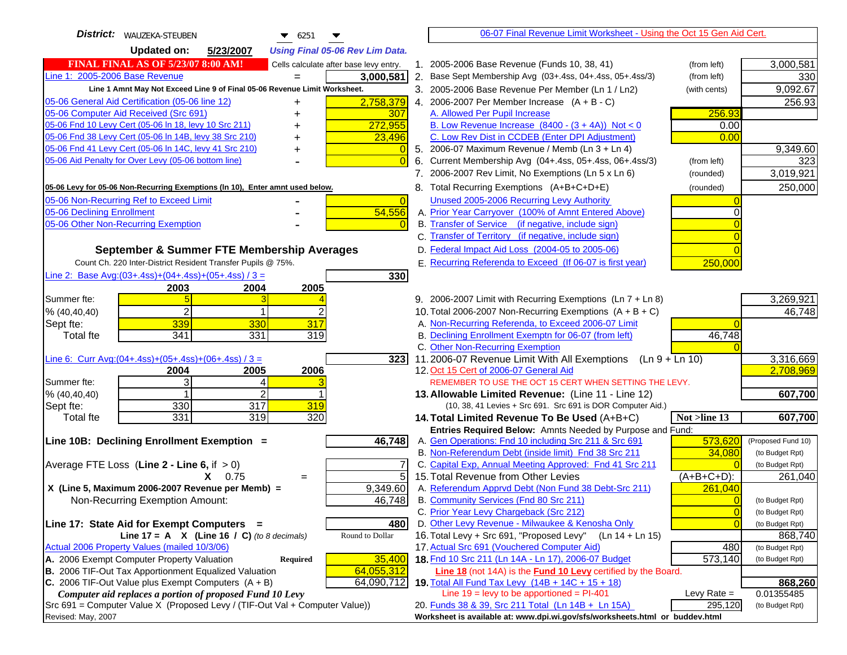| District:   WAUZEKA-STEUBEN<br><b>Updated on:</b><br>5/23/2007<br><b>Using Final 05-06 Rev Lim Data.</b><br><b>FINAL FINAL AS OF 5/23/07 8:00 AM!</b><br>1. 2005-2006 Base Revenue (Funds 10, 38, 41)<br>Cells calculate after base levy entry.<br>(from left)<br>Line 1: 2005-2006 Base Revenue<br>3,000,581<br>2. Base Sept Membership Avg (03+.4ss, 04+.4ss, 05+.4ss/3)<br>(from left)<br>$=$ | 3,000,581<br>330                   |
|--------------------------------------------------------------------------------------------------------------------------------------------------------------------------------------------------------------------------------------------------------------------------------------------------------------------------------------------------------------------------------------------------|------------------------------------|
|                                                                                                                                                                                                                                                                                                                                                                                                  |                                    |
|                                                                                                                                                                                                                                                                                                                                                                                                  |                                    |
|                                                                                                                                                                                                                                                                                                                                                                                                  |                                    |
| Line 1 Amnt May Not Exceed Line 9 of Final 05-06 Revenue Limit Worksheet.<br>3. 2005-2006 Base Revenue Per Member (Ln 1 / Ln2)<br>(with cents)                                                                                                                                                                                                                                                   | 9,092.67                           |
| 2,758,379<br>05-06 General Aid Certification (05-06 line 12)<br>4. 2006-2007 Per Member Increase $(A + B - C)$<br>+                                                                                                                                                                                                                                                                              | 256.93                             |
| 05-06 Computer Aid Received (Src 691)<br>307<br>A. Allowed Per Pupil Increase<br>256.93                                                                                                                                                                                                                                                                                                          |                                    |
| 05-06 Fnd 10 Levy Cert (05-06 ln 18, levy 10 Src 211)<br>272,955<br>B. Low Revenue Increase $(8400 - (3 + 4A))$ Not < 0<br>0.00                                                                                                                                                                                                                                                                  |                                    |
| 05-06 Fnd 38 Levy Cert (05-06 In 14B, levy 38 Src 210)<br>C. Low Rev Dist in CCDEB (Enter DPI Adjustment)<br>0.00<br>23,496                                                                                                                                                                                                                                                                      |                                    |
| 05-06 Fnd 41 Levy Cert (05-06 In 14C, levy 41 Src 210)<br>5. 2006-07 Maximum Revenue / Memb (Ln 3 + Ln 4)<br>$\overline{0}$<br>+                                                                                                                                                                                                                                                                 | 9,349.60                           |
| 05-06 Aid Penalty for Over Levy (05-06 bottom line)<br>6. Current Membership Avg (04+.4ss, 05+.4ss, 06+.4ss/3)<br>(from left)                                                                                                                                                                                                                                                                    | 323                                |
| 7. 2006-2007 Rev Limit, No Exemptions (Ln 5 x Ln 6)<br>(rounded)                                                                                                                                                                                                                                                                                                                                 | 3,019,921                          |
| 8. Total Recurring Exemptions (A+B+C+D+E)<br>05-06 Levy for 05-06 Non-Recurring Exemptions (In 10), Enter amnt used below.<br>(rounded)                                                                                                                                                                                                                                                          | 250,000                            |
| 05-06 Non-Recurring Ref to Exceed Limit<br>Unused 2005-2006 Recurring Levy Authority<br>$\overline{0}$                                                                                                                                                                                                                                                                                           |                                    |
| 54,556<br>05-06 Declining Enrollment<br>A. Prior Year Carryover (100% of Amnt Entered Above)<br>0                                                                                                                                                                                                                                                                                                |                                    |
| B. Transfer of Service (if negative, include sign)<br>05-06 Other Non-Recurring Exemption                                                                                                                                                                                                                                                                                                        |                                    |
| C. Transfer of Territory (if negative, include sign)                                                                                                                                                                                                                                                                                                                                             |                                    |
| D. Federal Impact Aid Loss (2004-05 to 2005-06)<br>September & Summer FTE Membership Averages                                                                                                                                                                                                                                                                                                    |                                    |
| E. Recurring Referenda to Exceed (If 06-07 is first year)<br>Count Ch. 220 Inter-District Resident Transfer Pupils @ 75%.<br>250,000                                                                                                                                                                                                                                                             |                                    |
| Line 2: Base Avg: (03+.4ss) + (04+.4ss) + (05+.4ss) / 3 =<br>330                                                                                                                                                                                                                                                                                                                                 |                                    |
| 2003<br>2004<br>2005                                                                                                                                                                                                                                                                                                                                                                             |                                    |
| 9. 2006-2007 Limit with Recurring Exemptions (Ln 7 + Ln 8)<br>Summer fte:<br>3 <sup>l</sup>                                                                                                                                                                                                                                                                                                      | 3,269,921                          |
| $\overline{c}$<br>10. Total 2006-2007 Non-Recurring Exemptions $(A + B + C)$<br>% (40,40,40)<br>1                                                                                                                                                                                                                                                                                                | 46,748                             |
| 339<br>317<br>A. Non-Recurring Referenda, to Exceed 2006-07 Limit<br>330<br>Sept fte:                                                                                                                                                                                                                                                                                                            |                                    |
| 341<br>331<br>B. Declining Enrollment Exemptn for 06-07 (from left)<br>319<br>46,748<br>Total fte                                                                                                                                                                                                                                                                                                |                                    |
| C. Other Non-Recurring Exemption                                                                                                                                                                                                                                                                                                                                                                 |                                    |
| Line 6: Curr Avg: $(04+.4ss)+(05+.4ss)+(06+.4ss)/3 =$<br>11.2006-07 Revenue Limit With All Exemptions (Ln $9 + \overline{\text{Ln }10}$ )<br>323<br>2006<br>12. Oct 15 Cert of 2006-07 General Aid                                                                                                                                                                                               | 3,316,669<br>2,708,969             |
| 2005<br>2004<br>3<br>Summer fte:<br>4<br>REMEMBER TO USE THE OCT 15 CERT WHEN SETTING THE LEVY.                                                                                                                                                                                                                                                                                                  |                                    |
| $\overline{2}$<br>% (40,40,40)<br>13. Allowable Limited Revenue: (Line 11 - Line 12)                                                                                                                                                                                                                                                                                                             | 607,700                            |
| 330<br>317<br>319<br>Sept fte:<br>(10, 38, 41 Levies + Src 691. Src 691 is DOR Computer Aid.)                                                                                                                                                                                                                                                                                                    |                                    |
| 331<br>319<br>320<br>Not >line 13<br>Total fte<br>14. Total Limited Revenue To Be Used (A+B+C)                                                                                                                                                                                                                                                                                                   | 607,700                            |
| Entries Required Below: Amnts Needed by Purpose and Fund:                                                                                                                                                                                                                                                                                                                                        |                                    |
| Line 10B: Declining Enrollment Exemption =<br>46,748<br>A. Gen Operations: Fnd 10 including Src 211 & Src 691<br>573,620                                                                                                                                                                                                                                                                         | (Proposed Fund 10)                 |
| B. Non-Referendum Debt (inside limit) Fnd 38 Src 211<br>34,080                                                                                                                                                                                                                                                                                                                                   | (to Budget Rpt)                    |
| C. Capital Exp, Annual Meeting Approved: Fnd 41 Src 211<br>Average FTE Loss (Line $2 -$ Line 6, if $> 0$ )                                                                                                                                                                                                                                                                                       | (to Budget Rpt)                    |
| 5<br>15. Total Revenue from Other Levies<br>$X = 0.75$<br>(A+B+C+D):<br>$=$                                                                                                                                                                                                                                                                                                                      | 261,040                            |
| A. Referendum Apprvd Debt (Non Fund 38 Debt-Src 211)<br>X (Line 5, Maximum 2006-2007 Revenue per Memb) =<br>9,349.60<br>261,040                                                                                                                                                                                                                                                                  |                                    |
| B. Community Services (Fnd 80 Src 211)<br>Non-Recurring Exemption Amount:<br>46,748<br>$\Omega$                                                                                                                                                                                                                                                                                                  | (to Budget Rpt)                    |
| C. Prior Year Levy Chargeback (Src 212)<br>$\overline{0}$                                                                                                                                                                                                                                                                                                                                        | (to Budget Rpt)                    |
| D. Other Levy Revenue - Milwaukee & Kenosha Only<br>$\Omega$<br>Line 17: State Aid for Exempt Computers =<br>480                                                                                                                                                                                                                                                                                 | (to Budget Rpt)                    |
| 16. Total Levy + Src 691, "Proposed Levy"<br>Round to Dollar<br>Line 17 = A $X$ (Line 16 / C) (to 8 decimals)<br>(Ln 14 + Ln 15)<br>17. Actual Src 691 (Vouchered Computer Aid)<br>Actual 2006 Property Values (mailed 10/3/06)<br>480                                                                                                                                                           | 868,740                            |
| A. 2006 Exempt Computer Property Valuation<br>35,400<br>18. Fnd 10 Src 211 (Ln 14A - Ln 17), 2006-07 Budget<br>573,140<br>Required                                                                                                                                                                                                                                                               | (to Budget Rpt)<br>(to Budget Rpt) |
| B. 2006 TIF-Out Tax Apportionment Equalized Valuation<br>64,055,312<br><b>Line 18</b> (not 14A) is the <b>Fund 10 Levy</b> certified by the Board.                                                                                                                                                                                                                                               |                                    |
| C. 2006 TIF-Out Value plus Exempt Computers $(A + B)$<br>64,090,712<br>19. Total All Fund Tax Levy $(14B + 14C + 15 + 18)$                                                                                                                                                                                                                                                                       | 868,260                            |
| Line $19$ = levy to be apportioned = PI-401<br>Computer aid replaces a portion of proposed Fund 10 Levy<br>Levy Rate $=$                                                                                                                                                                                                                                                                         | 0.01355485                         |
| Src 691 = Computer Value X (Proposed Levy / (TIF-Out Val + Computer Value))<br>20. Funds 38 & 39, Src 211 Total (Ln 14B + Ln 15A)<br>295,120                                                                                                                                                                                                                                                     | (to Budget Rpt)                    |
| Worksheet is available at: www.dpi.wi.gov/sfs/worksheets.html or buddev.html<br>Revised: May, 2007                                                                                                                                                                                                                                                                                               |                                    |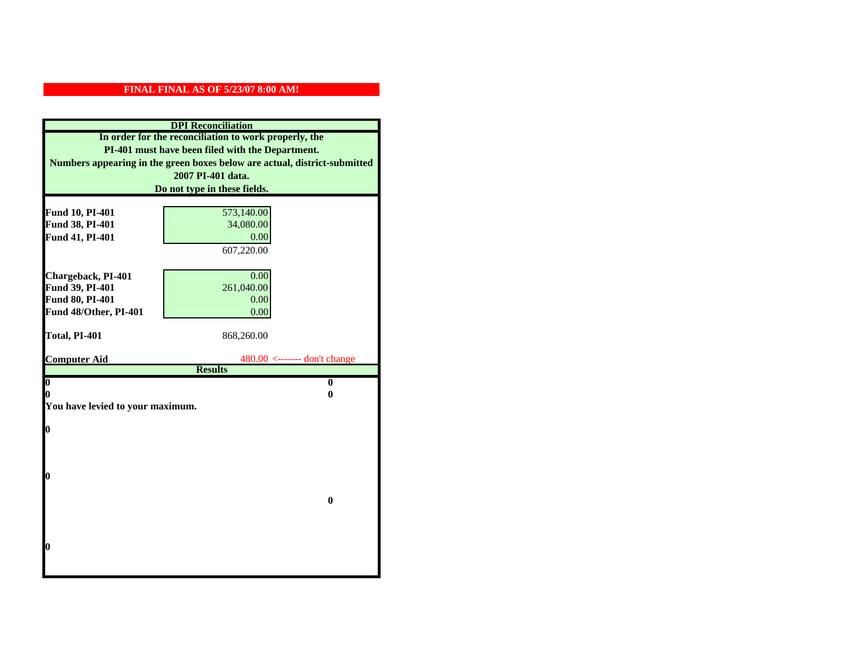| Numbers appearing in the green boxes below are actual, district-submitted |
|---------------------------------------------------------------------------|
|                                                                           |
|                                                                           |
|                                                                           |
|                                                                           |
|                                                                           |
|                                                                           |
|                                                                           |
|                                                                           |
|                                                                           |
|                                                                           |
|                                                                           |
|                                                                           |
|                                                                           |
|                                                                           |
|                                                                           |
|                                                                           |
|                                                                           |
|                                                                           |
|                                                                           |
|                                                                           |
|                                                                           |
|                                                                           |
|                                                                           |
|                                                                           |
|                                                                           |
|                                                                           |
|                                                                           |
|                                                                           |
|                                                                           |
|                                                                           |
|                                                                           |
|                                                                           |
|                                                                           |
|                                                                           |
|                                                                           |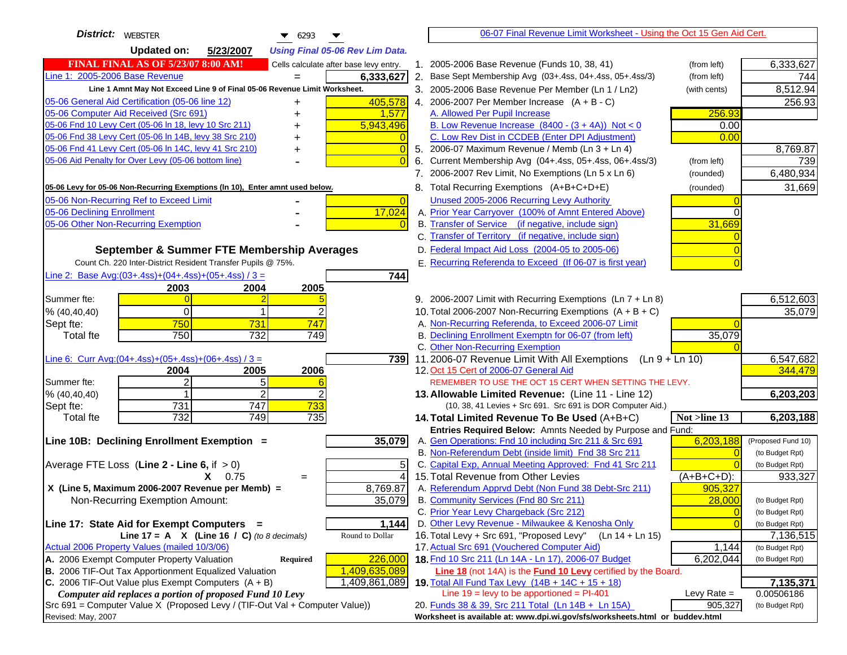| District: WEBSTER<br>▼<br>6293                                                      | 06-07 Final Revenue Limit Worksheet - Using the Oct 15 Gen Aid Cert.                                              |                |                                    |
|-------------------------------------------------------------------------------------|-------------------------------------------------------------------------------------------------------------------|----------------|------------------------------------|
| <b>Updated on:</b><br>5/23/2007<br><b>Using Final 05-06 Rev Lim Data.</b>           |                                                                                                                   |                |                                    |
| <b>FINAL FINAL AS OF 5/23/07 8:00 AM!</b><br>Cells calculate after base levy entry. | 1. 2005-2006 Base Revenue (Funds 10, 38, 41)                                                                      | (from left)    | 6,333,627                          |
| Line 1: 2005-2006 Base Revenue<br>6,333,627<br>$=$                                  | 2. Base Sept Membership Avg (03+.4ss, 04+.4ss, 05+.4ss/3)                                                         | (from left)    | 744                                |
| Line 1 Amnt May Not Exceed Line 9 of Final 05-06 Revenue Limit Worksheet.           | 3. 2005-2006 Base Revenue Per Member (Ln 1 / Ln2)                                                                 | (with cents)   | 8,512.94                           |
| 405,578<br>05-06 General Aid Certification (05-06 line 12)                          | 4. 2006-2007 Per Member Increase $(A + B - C)$                                                                    |                | 256.93                             |
| 05-06 Computer Aid Received (Src 691)<br>1,577                                      | A. Allowed Per Pupil Increase                                                                                     | 256.93         |                                    |
| 05-06 Fnd 10 Levy Cert (05-06 ln 18, levy 10 Src 211)<br>5,943,496                  | B. Low Revenue Increase $(8400 - (3 + 4A))$ Not < 0                                                               | 0.00           |                                    |
| 05-06 Fnd 38 Levy Cert (05-06 In 14B, levy 38 Src 210)                              | C. Low Rev Dist in CCDEB (Enter DPI Adjustment)                                                                   | 0.00           |                                    |
| 05-06 Fnd 41 Levy Cert (05-06 In 14C, levy 41 Src 210)<br>0<br>+                    | 5. 2006-07 Maximum Revenue / Memb (Ln 3 + Ln 4)                                                                   |                | 8,769.87                           |
| 05-06 Aid Penalty for Over Levy (05-06 bottom line)                                 | 6. Current Membership Avg (04+.4ss, 05+.4ss, 06+.4ss/3)                                                           | (from left)    | 739                                |
|                                                                                     | 7. 2006-2007 Rev Limit, No Exemptions (Ln 5 x Ln 6)                                                               | (rounded)      | 6,480,934                          |
| 05-06 Levy for 05-06 Non-Recurring Exemptions (In 10), Enter amnt used below.       | 8. Total Recurring Exemptions (A+B+C+D+E)                                                                         | (rounded)      | 31,669                             |
| 05-06 Non-Recurring Ref to Exceed Limit<br>$\overline{0}$                           | Unused 2005-2006 Recurring Levy Authority                                                                         |                |                                    |
| 17,024<br>05-06 Declining Enrollment                                                | A. Prior Year Carryover (100% of Amnt Entered Above)                                                              |                |                                    |
| 05-06 Other Non-Recurring Exemption                                                 | B. Transfer of Service (if negative, include sign)                                                                | 31,669         |                                    |
|                                                                                     | C. Transfer of Territory (if negative, include sign)                                                              |                |                                    |
| September & Summer FTE Membership Averages                                          | D. Federal Impact Aid Loss (2004-05 to 2005-06)                                                                   |                |                                    |
| Count Ch. 220 Inter-District Resident Transfer Pupils @ 75%.                        | E. Recurring Referenda to Exceed (If 06-07 is first year)                                                         |                |                                    |
| Line 2: Base Avg: $(03+.4ss)+(04+.4ss)+(05+.4ss)/3 =$<br>744                        |                                                                                                                   |                |                                    |
| 2003<br>2004<br>2005                                                                |                                                                                                                   |                |                                    |
| Summer fte:                                                                         | 9. 2006-2007 Limit with Recurring Exemptions (Ln 7 + Ln 8)                                                        |                | 6,512,603                          |
| $\Omega$<br>% (40, 40, 40)<br>750<br>747                                            | 10. Total 2006-2007 Non-Recurring Exemptions $(A + B + C)$<br>A. Non-Recurring Referenda, to Exceed 2006-07 Limit |                | 35,079                             |
| 731<br>Sept fte:<br>750<br><b>Total fte</b><br>732<br>749                           | B. Declining Enrollment Exemptn for 06-07 (from left)                                                             | 35,079         |                                    |
|                                                                                     | C. Other Non-Recurring Exemption                                                                                  |                |                                    |
| Line 6: Curr Avg: $(04+.4ss)+(05+.4ss)+(06+.4ss)/3 =$<br>739I                       | 11.2006-07 Revenue Limit With All Exemptions (Ln 9 + Ln 10)                                                       |                | 6,547,682                          |
| 2006<br>2004<br>2005                                                                | 12. Oct 15 Cert of 2006-07 General Aid                                                                            |                | 344,479                            |
| 2<br>5<br>Summer fte:                                                               | REMEMBER TO USE THE OCT 15 CERT WHEN SETTING THE LEVY.                                                            |                |                                    |
| 2<br>% (40, 40, 40)                                                                 | 13. Allowable Limited Revenue: (Line 11 - Line 12)                                                                |                | 6,203,203                          |
| 731<br>747<br>733<br>Sept fte:                                                      | (10, 38, 41 Levies + Src 691. Src 691 is DOR Computer Aid.)                                                       |                |                                    |
| 732<br>749<br>735<br><b>Total fte</b>                                               | 14. Total Limited Revenue To Be Used (A+B+C)                                                                      | Not >line 13   | 6,203,188                          |
|                                                                                     | Entries Required Below: Amnts Needed by Purpose and Fund:                                                         |                |                                    |
| 35,079<br>Line 10B: Declining Enrollment Exemption =                                | A. Gen Operations: Fnd 10 including Src 211 & Src 691<br>B. Non-Referendum Debt (inside limit) Fnd 38 Src 211     | 6,203,188      | (Proposed Fund 10)                 |
| Average FTE Loss (Line $2 -$ Line 6, if $> 0$ )<br>5                                | C. Capital Exp, Annual Meeting Approved: Fnd 41 Src 211                                                           |                | (to Budget Rpt)<br>(to Budget Rpt) |
| $\overline{4}$<br>$X = 0.75$<br>$=$                                                 | 15. Total Revenue from Other Levies                                                                               | (A+B+C+D):     | 933,327                            |
| X (Line 5, Maximum 2006-2007 Revenue per Memb) =<br>8,769.87                        | A. Referendum Apprvd Debt (Non Fund 38 Debt-Src 211)                                                              | 905,327        |                                    |
| 35,079<br>Non-Recurring Exemption Amount:                                           | B. Community Services (Fnd 80 Src 211)                                                                            | 28,000         | (to Budget Rpt)                    |
|                                                                                     | C. Prior Year Levy Chargeback (Src 212)                                                                           | $\overline{0}$ | (to Budget Rpt)                    |
| Line 17: State Aid for Exempt Computers =<br>1,144                                  | D. Other Levy Revenue - Milwaukee & Kenosha Only                                                                  |                | (to Budget Rpt)                    |
| Round to Dollar<br>Line 17 = A $X$ (Line 16 / C) (to 8 decimals)                    | 16. Total Levy + Src 691, "Proposed Levy"<br>(Ln 14 + Ln 15)                                                      |                | 7,136,515                          |
| Actual 2006 Property Values (mailed 10/3/06)                                        | 17. Actual Src 691 (Vouchered Computer Aid)                                                                       | 1,144          | (to Budget Rpt)                    |
| A. 2006 Exempt Computer Property Valuation<br>226,000<br>Required                   | 18. Fnd 10 Src 211 (Ln 14A - Ln 17), 2006-07 Budget                                                               | 6,202,044      | (to Budget Rpt)                    |
| B. 2006 TIF-Out Tax Apportionment Equalized Valuation<br>1,409,635,089              | <b>Line 18</b> (not 14A) is the <b>Fund 10 Levy</b> certified by the Board.                                       |                |                                    |
| C. 2006 TIF-Out Value plus Exempt Computers $(A + B)$<br>1,409,861,089              | 19. Total All Fund Tax Levy $(14B + 14C + 15 + 18)$                                                               |                | 7,135,371                          |
| Computer aid replaces a portion of proposed Fund 10 Levy                            | Line $19 = \text{levy}$ to be apportioned = PI-401                                                                | Levy Rate $=$  | 0.00506186                         |
| Src 691 = Computer Value X (Proposed Levy / (TIF-Out Val + Computer Value))         | 20. Funds 38 & 39, Src 211 Total (Ln 14B + Ln 15A)                                                                | 905,327        | (to Budget Rpt)                    |
| Revised: May, 2007                                                                  | Worksheet is available at: www.dpi.wi.gov/sfs/worksheets.html or buddev.html                                      |                |                                    |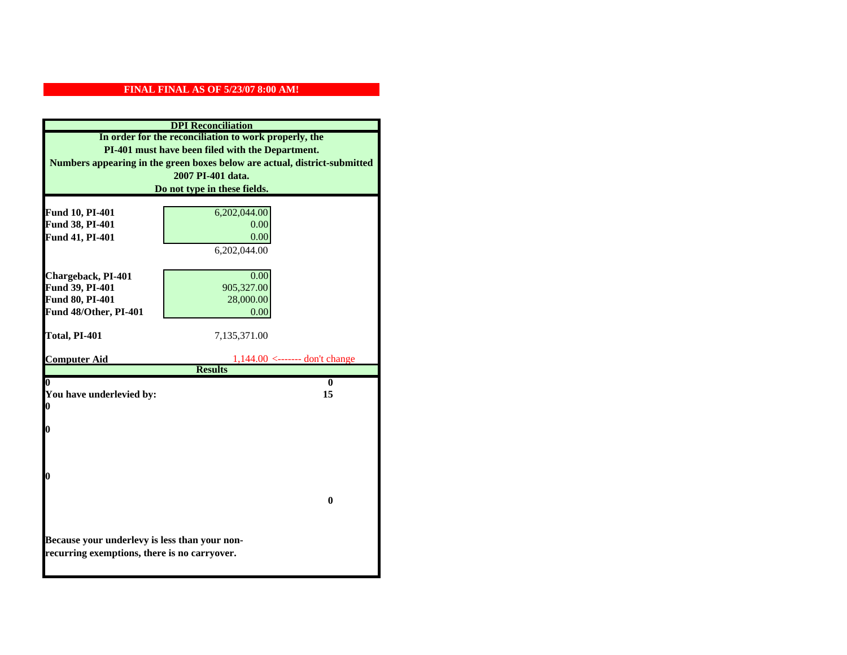|                                                                                               | <b>DPI</b> Reconciliation                                                 |
|-----------------------------------------------------------------------------------------------|---------------------------------------------------------------------------|
|                                                                                               | In order for the reconciliation to work properly, the                     |
|                                                                                               | PI-401 must have been filed with the Department.                          |
|                                                                                               | Numbers appearing in the green boxes below are actual, district-submitted |
|                                                                                               | 2007 PI-401 data.                                                         |
|                                                                                               | Do not type in these fields.                                              |
|                                                                                               |                                                                           |
| Fund 10, PI-401                                                                               | 6,202,044.00                                                              |
| Fund 38, PI-401                                                                               | 0.00                                                                      |
| Fund 41, PI-401                                                                               | 0.00                                                                      |
|                                                                                               | 6,202,044.00                                                              |
|                                                                                               |                                                                           |
| Chargeback, PI-401                                                                            | 0.00                                                                      |
| Fund 39, PI-401                                                                               | 905,327.00                                                                |
| Fund 80, PI-401                                                                               | 28,000.00                                                                 |
| Fund 48/Other, PI-401                                                                         | 0.00                                                                      |
|                                                                                               |                                                                           |
| Total, PI-401                                                                                 | 7,135,371.00                                                              |
| <b>Computer Aid</b>                                                                           | $1,144.00$ <------- don't change                                          |
|                                                                                               | <b>Results</b>                                                            |
| 0                                                                                             | $\mathbf{0}$                                                              |
| You have underlevied by:                                                                      | 15                                                                        |
| 0                                                                                             |                                                                           |
|                                                                                               |                                                                           |
| 0                                                                                             |                                                                           |
|                                                                                               |                                                                           |
|                                                                                               |                                                                           |
| 0                                                                                             |                                                                           |
|                                                                                               |                                                                           |
|                                                                                               | $\mathbf{0}$                                                              |
|                                                                                               |                                                                           |
|                                                                                               |                                                                           |
|                                                                                               |                                                                           |
|                                                                                               |                                                                           |
| Because your underlevy is less than your non-<br>recurring exemptions, there is no carryover. |                                                                           |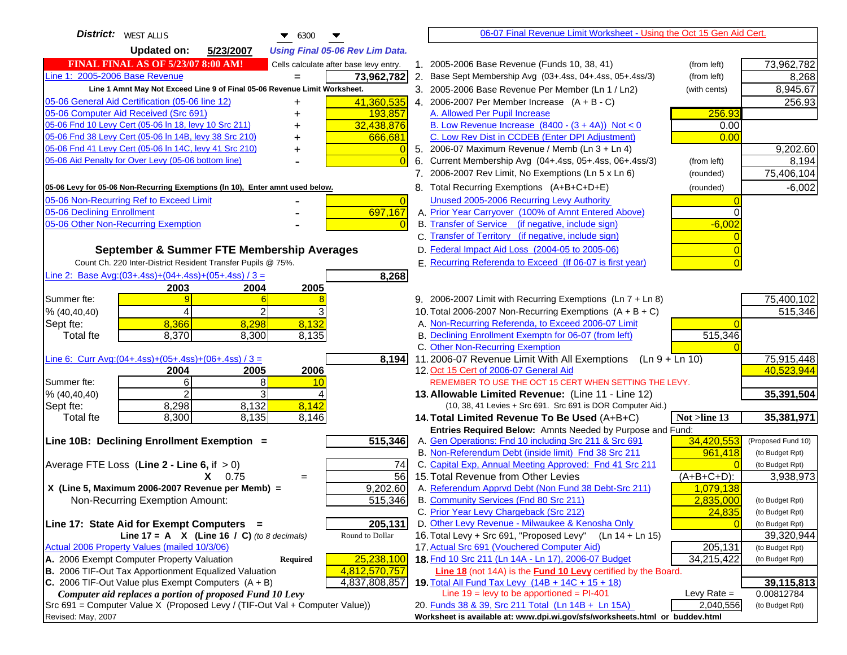| <b>District:</b>   WEST ALLIS<br>6300<br>▼<br>▼                                                                                                  |                | 06-07 Final Revenue Limit Worksheet - Using the Oct 15 Gen Aid Cert.                                                      |               |                    |
|--------------------------------------------------------------------------------------------------------------------------------------------------|----------------|---------------------------------------------------------------------------------------------------------------------------|---------------|--------------------|
| <b>Updated on:</b><br>5/23/2007<br><b>Using Final 05-06 Rev Lim Data.</b>                                                                        |                |                                                                                                                           |               |                    |
| <b>FINAL FINAL AS OF 5/23/07 8:00 AM!</b><br>Cells calculate after base levy entry.                                                              |                | 1. 2005-2006 Base Revenue (Funds 10, 38, 41)                                                                              | (from left)   | 73,962,782         |
| Line 1: 2005-2006 Base Revenue<br>73,962,782                                                                                                     |                | 2. Base Sept Membership Avg (03+.4ss, 04+.4ss, 05+.4ss/3)                                                                 | (from left)   | 8,268              |
| Line 1 Amnt May Not Exceed Line 9 of Final 05-06 Revenue Limit Worksheet.                                                                        |                | 3. 2005-2006 Base Revenue Per Member (Ln 1 / Ln2)                                                                         | (with cents)  | 8,945.67           |
| 05-06 General Aid Certification (05-06 line 12)<br>41,360,535<br>+                                                                               |                | 4. 2006-2007 Per Member Increase $(A + B - C)$                                                                            |               | 256.93             |
| 05-06 Computer Aid Received (Src 691)<br>193,857                                                                                                 |                | A. Allowed Per Pupil Increase                                                                                             | 256.93        |                    |
| 05-06 Fnd 10 Levy Cert (05-06 In 18, levy 10 Src 211)<br>32,438,876                                                                              |                | B. Low Revenue Increase $(8400 - (3 + 4A))$ Not < 0                                                                       | 0.00          |                    |
| 05-06 Fnd 38 Levy Cert (05-06 In 14B, levy 38 Src 210)<br>666,681                                                                                |                | C. Low Rev Dist in CCDEB (Enter DPI Adjustment)                                                                           | 0.00          |                    |
| 05-06 Fnd 41 Levy Cert (05-06 In 14C, levy 41 Src 210)                                                                                           |                | 5. 2006-07 Maximum Revenue / Memb (Ln $3 + \text{Ln } 4$ )                                                                |               | 9,202.60           |
| 05-06 Aid Penalty for Over Levy (05-06 bottom line)                                                                                              |                | 6. Current Membership Avg (04+.4ss, 05+.4ss, 06+.4ss/3)                                                                   | (from left)   | 8,194              |
|                                                                                                                                                  |                | 7. 2006-2007 Rev Limit, No Exemptions (Ln 5 x Ln 6)                                                                       | (rounded)     | 75,406,104         |
| 05-06 Levy for 05-06 Non-Recurring Exemptions (In 10), Enter amnt used below.                                                                    |                | 8. Total Recurring Exemptions (A+B+C+D+E)                                                                                 | (rounded)     | $-6,002$           |
| 05-06 Non-Recurring Ref to Exceed Limit                                                                                                          | $\overline{0}$ | Unused 2005-2006 Recurring Levy Authority                                                                                 |               |                    |
| 697,167<br>05-06 Declining Enrollment                                                                                                            |                | A. Prior Year Carryover (100% of Amnt Entered Above)                                                                      | $\Omega$      |                    |
| 05-06 Other Non-Recurring Exemption                                                                                                              |                | B. Transfer of Service (if negative, include sign)                                                                        | $-6,002$      |                    |
|                                                                                                                                                  |                | C. Transfer of Territory (if negative, include sign)                                                                      |               |                    |
| September & Summer FTE Membership Averages                                                                                                       |                | D. Federal Impact Aid Loss (2004-05 to 2005-06)                                                                           |               |                    |
| Count Ch. 220 Inter-District Resident Transfer Pupils @ 75%.                                                                                     |                | E. Recurring Referenda to Exceed (If 06-07 is first year)                                                                 |               |                    |
| Line 2: Base Avg: $(03+.4ss)+(04+.4ss)+(05+.4ss)/3 =$<br>8,268                                                                                   |                |                                                                                                                           |               |                    |
| 2003<br>2004<br>2005                                                                                                                             |                |                                                                                                                           |               |                    |
| Summer fte:                                                                                                                                      |                | 9. 2006-2007 Limit with Recurring Exemptions (Ln 7 + Ln 8)                                                                |               | 75,400,102         |
| 2<br>% (40, 40, 40)<br>4                                                                                                                         |                | 10. Total 2006-2007 Non-Recurring Exemptions $(A + B + C)$                                                                |               | 515,346            |
| 8,132<br>8,366<br>8,298<br>Sept fte:                                                                                                             |                | A. Non-Recurring Referenda, to Exceed 2006-07 Limit                                                                       |               |                    |
| 8,370<br>8,300<br>8,135<br><b>Total fte</b>                                                                                                      |                | B. Declining Enrollment Exemptn for 06-07 (from left)                                                                     | 515,346       |                    |
|                                                                                                                                                  |                | C. Other Non-Recurring Exemption                                                                                          |               |                    |
| Line 6: Curr Avg: $(04+.4ss)+(05+.4ss)+(06+.4ss)/3 =$<br>8,194                                                                                   |                | 11.2006-07 Revenue Limit With All Exemptions<br>(Ln 9 + Ln 10)                                                            |               | 75,915,448         |
| 2005<br>2006<br>2004<br>$6 \mid$<br>8<br>Summer fte:<br>10                                                                                       |                | 12. Oct 15 Cert of 2006-07 General Aid<br>REMEMBER TO USE THE OCT 15 CERT WHEN SETTING THE LEVY.                          |               | 40,523,944         |
| 2<br>3<br>% (40, 40, 40)                                                                                                                         |                | 13. Allowable Limited Revenue: (Line 11 - Line 12)                                                                        |               | 35,391,504         |
| 8,142<br>8,298<br>8,132<br>Sept fte:                                                                                                             |                | (10, 38, 41 Levies + Src 691. Src 691 is DOR Computer Aid.)                                                               |               |                    |
| 8,135<br>8,146<br>8,300<br><b>Total fte</b>                                                                                                      |                | 14. Total Limited Revenue To Be Used (A+B+C)                                                                              | Not >line 13  | 35,381,971         |
|                                                                                                                                                  |                | Entries Required Below: Amnts Needed by Purpose and Fund:                                                                 |               |                    |
| 515,346<br>Line 10B: Declining Enrollment Exemption =                                                                                            |                | A. Gen Operations: Fnd 10 including Src 211 & Src 691                                                                     | 34,420,553    | (Proposed Fund 10) |
|                                                                                                                                                  |                | B. Non-Referendum Debt (inside limit) Fnd 38 Src 211                                                                      | 961,418       | (to Budget Rpt)    |
| Average FTE Loss (Line $2 -$ Line 6, if $> 0$ )                                                                                                  | 74             | C. Capital Exp, Annual Meeting Approved: Fnd 41 Src 211                                                                   |               | (to Budget Rpt)    |
| $X = 0.75$<br>$=$                                                                                                                                | 56             | 15. Total Revenue from Other Levies                                                                                       | $(A+B+C+D)$ : | 3,938,973          |
| X (Line 5, Maximum 2006-2007 Revenue per Memb) =<br>9,202.60                                                                                     |                | A. Referendum Apprvd Debt (Non Fund 38 Debt-Src 211)                                                                      | 1,079,138     |                    |
| 515,346<br>Non-Recurring Exemption Amount:                                                                                                       |                | B. Community Services (Fnd 80 Src 211)                                                                                    | 2,835,000     | (to Budget Rpt)    |
|                                                                                                                                                  |                | C. Prior Year Levy Chargeback (Src 212)                                                                                   | 24,835        | (to Budget Rpt)    |
| 205,131<br>Line 17: State Aid for Exempt Computers =                                                                                             |                | D. Other Levy Revenue - Milwaukee & Kenosha Only                                                                          |               | (to Budget Rpt)    |
| Line 17 = A $X$ (Line 16 / C) (to 8 decimals)<br>Round to Dollar                                                                                 |                | 16. Total Levy + Src 691, "Proposed Levy"<br>$(Ln 14 + Ln 15)$                                                            |               | 39,320,944         |
| Actual 2006 Property Values (mailed 10/3/06)                                                                                                     |                | 17. Actual Src 691 (Vouchered Computer Aid)                                                                               | 205,131       | (to Budget Rpt)    |
| A. 2006 Exempt Computer Property Valuation<br>25,238,100<br><b>Required</b>                                                                      |                | 18. Fnd 10 Src 211 (Ln 14A - Ln 17), 2006-07 Budget                                                                       | 34,215,422    | (to Budget Rpt)    |
| B. 2006 TIF-Out Tax Apportionment Equalized Valuation<br>4,812,570,757<br>C. 2006 TIF-Out Value plus Exempt Computers $(A + B)$<br>4,837,808,857 |                | Line 18 (not 14A) is the <b>Fund 10 Levy</b> certified by the Board.<br>19. Total All Fund Tax Levy (14B + 14C + 15 + 18) |               | 39,115,813         |
| Computer aid replaces a portion of proposed Fund 10 Levy                                                                                         |                | Line $19 = \text{levy}$ to be apportioned = PI-401                                                                        | Levy Rate $=$ | 0.00812784         |
| Src 691 = Computer Value X (Proposed Levy / (TIF-Out Val + Computer Value))                                                                      |                | 20. Funds 38 & 39, Src 211 Total (Ln 14B + Ln 15A)                                                                        | 2,040,556     | (to Budget Rpt)    |
| Revised: May, 2007                                                                                                                               |                | Worksheet is available at: www.dpi.wi.gov/sfs/worksheets.html or buddev.html                                              |               |                    |
|                                                                                                                                                  |                |                                                                                                                           |               |                    |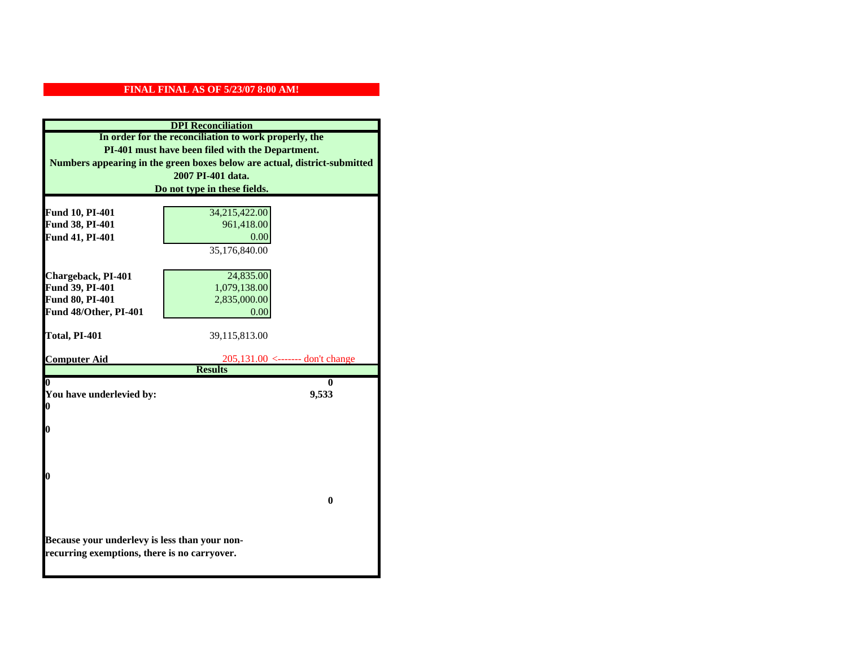|                                               | <b>DPI</b> Reconciliation                                                 |
|-----------------------------------------------|---------------------------------------------------------------------------|
|                                               | In order for the reconciliation to work properly, the                     |
|                                               | PI-401 must have been filed with the Department.                          |
|                                               | Numbers appearing in the green boxes below are actual, district-submitted |
|                                               | 2007 PI-401 data.                                                         |
|                                               | Do not type in these fields.                                              |
|                                               |                                                                           |
| Fund 10, PI-401                               | 34,215,422.00                                                             |
| Fund 38, PI-401                               | 961,418.00                                                                |
| Fund 41, PI-401                               | 0.00                                                                      |
|                                               | 35,176,840.00                                                             |
|                                               |                                                                           |
| Chargeback, PI-401                            | 24,835.00                                                                 |
| Fund 39, PI-401                               | 1,079,138.00                                                              |
| Fund 80, PI-401                               | 2,835,000.00                                                              |
| Fund 48/Other, PI-401                         | 0.00                                                                      |
| Total, PI-401                                 | 39,115,813.00                                                             |
|                                               |                                                                           |
| <b>Computer Aid</b>                           | $205,131.00 \leftarrow \leftarrow \text{don't change}$                    |
|                                               | <b>Results</b>                                                            |
| 0                                             | 0                                                                         |
| You have underlevied by:                      | 9,533                                                                     |
| 0                                             |                                                                           |
| 0                                             |                                                                           |
|                                               |                                                                           |
|                                               |                                                                           |
|                                               |                                                                           |
| 0                                             |                                                                           |
|                                               |                                                                           |
|                                               | $\mathbf{0}$                                                              |
|                                               |                                                                           |
|                                               |                                                                           |
| Because your underlevy is less than your non- |                                                                           |
| recurring exemptions, there is no carryover.  |                                                                           |
|                                               |                                                                           |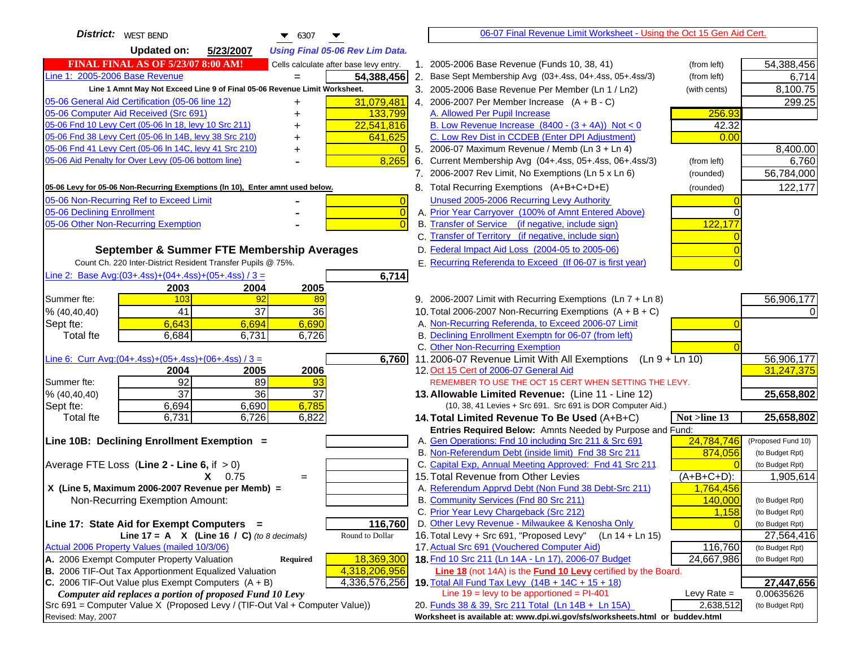| District:   WEST BEND<br>$\bullet$ 6307<br>▼                                        | 06-07 Final Revenue Limit Worksheet - Using the Oct 15 Gen Aid Cert.                                                               |                                  |
|-------------------------------------------------------------------------------------|------------------------------------------------------------------------------------------------------------------------------------|----------------------------------|
| <b>Updated on:</b><br>5/23/2007<br><b>Using Final 05-06 Rev Lim Data.</b>           |                                                                                                                                    |                                  |
| <b>FINAL FINAL AS OF 5/23/07 8:00 AM!</b><br>Cells calculate after base levy entry. | 1. 2005-2006 Base Revenue (Funds 10, 38, 41)<br>(from left)                                                                        | 54,388,456                       |
| Line 1: 2005-2006 Base Revenue<br>54,388,456                                        | 2. Base Sept Membership Avg (03+.4ss, 04+.4ss, 05+.4ss/3)<br>(from left)                                                           | 6,714                            |
| Line 1 Amnt May Not Exceed Line 9 of Final 05-06 Revenue Limit Worksheet.           | 3. 2005-2006 Base Revenue Per Member (Ln 1 / Ln2)<br>(with cents)                                                                  | 8,100.75                         |
| 05-06 General Aid Certification (05-06 line 12)<br>31,079,481<br>+                  | 4. 2006-2007 Per Member Increase $(A + B - C)$                                                                                     | 299.25                           |
| 05-06 Computer Aid Received (Src 691)<br>133,799                                    | A. Allowed Per Pupil Increase                                                                                                      | 256.93                           |
| 05-06 Fnd 10 Levy Cert (05-06 ln 18, levy 10 Src 211)<br>22,541,816                 | B. Low Revenue Increase $(8400 - (3 + 4A))$ Not < 0                                                                                | 42.32                            |
| 05-06 Fnd 38 Levy Cert (05-06 In 14B, levy 38 Src 210)<br>641,625                   | C. Low Rev Dist in CCDEB (Enter DPI Adjustment)                                                                                    | 0.00                             |
| 05-06 Fnd 41 Levy Cert (05-06 In 14C, levy 41 Src 210)                              | 5. 2006-07 Maximum Revenue / Memb (Ln 3 + Ln 4)                                                                                    | 8,400.00                         |
| 05-06 Aid Penalty for Over Levy (05-06 bottom line)<br>8,265                        | 6. Current Membership Avg (04+.4ss, 05+.4ss, 06+.4ss/3)<br>(from left)                                                             | 6,760                            |
|                                                                                     | 7. 2006-2007 Rev Limit, No Exemptions (Ln 5 x Ln 6)<br>(rounded)                                                                   | 56,784,000                       |
| 05-06 Levy for 05-06 Non-Recurring Exemptions (In 10), Enter amnt used below.       | 8. Total Recurring Exemptions (A+B+C+D+E)<br>(rounded)                                                                             | 122,177                          |
| 05-06 Non-Recurring Ref to Exceed Limit<br>$\overline{0}$                           | Unused 2005-2006 Recurring Levy Authority                                                                                          |                                  |
| 05-06 Declining Enrollment<br>$\overline{0}$                                        | A. Prior Year Carryover (100% of Amnt Entered Above)                                                                               |                                  |
| 05-06 Other Non-Recurring Exemption<br>$\Omega$                                     | B. Transfer of Service (if negative, include sign)                                                                                 | 122,177                          |
|                                                                                     | C. Transfer of Territory (if negative, include sign)                                                                               |                                  |
| September & Summer FTE Membership Averages                                          | D. Federal Impact Aid Loss (2004-05 to 2005-06)                                                                                    |                                  |
| Count Ch. 220 Inter-District Resident Transfer Pupils @ 75%.                        | E. Recurring Referenda to Exceed (If 06-07 is first year)                                                                          |                                  |
| Line 2: Base Avg:(03+.4ss)+(04+.4ss)+(05+.4ss) / 3 =<br>6,714                       |                                                                                                                                    |                                  |
| 2003<br>2004<br>2005                                                                |                                                                                                                                    |                                  |
| 103<br>92<br>Summer fte:<br>89                                                      | 9. 2006-2007 Limit with Recurring Exemptions (Ln 7 + Ln 8)                                                                         | 56,906,177                       |
| $\overline{37}$<br>41<br>36<br>% (40, 40, 40)                                       | 10. Total 2006-2007 Non-Recurring Exemptions $(A + B + C)$                                                                         |                                  |
| 6,643<br>6,690<br>6,694<br>Sept fte:                                                | A. Non-Recurring Referenda, to Exceed 2006-07 Limit                                                                                |                                  |
| 6,684<br>6,726<br><b>Total fte</b><br>6,731                                         | B. Declining Enrollment Exemptn for 06-07 (from left)                                                                              |                                  |
|                                                                                     | C. Other Non-Recurring Exemption                                                                                                   |                                  |
| Line 6: Curr Avg: $(04+.4ss)+(05+.4ss)+(06+.4ss)/3=$<br>6,760                       | 11.2006-07 Revenue Limit With All Exemptions<br>$(Ln 9 + Ln 10)$                                                                   | 56,906,177                       |
| 2005<br>2006<br>2004                                                                | 12. Oct 15 Cert of 2006-07 General Aid                                                                                             | 31,247,375                       |
| 92<br>89<br>93<br>Summer fte:                                                       | REMEMBER TO USE THE OCT 15 CERT WHEN SETTING THE LEVY.                                                                             |                                  |
| $\overline{37}$<br>36<br>37<br>% (40, 40, 40)                                       | 13. Allowable Limited Revenue: (Line 11 - Line 12)                                                                                 | 25,658,802                       |
| 6,785<br>6,694<br>6,690<br>Sept fte:<br>6,731<br>6,726<br>6,822                     | (10, 38, 41 Levies + Src 691. Src 691 is DOR Computer Aid.)                                                                        | 25,658,802                       |
| <b>Total fte</b>                                                                    | 14. Total Limited Revenue To Be Used (A+B+C)<br>Not >line 13<br>Entries Required Below: Amnts Needed by Purpose and Fund:          |                                  |
| Line 10B: Declining Enrollment Exemption =                                          | A. Gen Operations: Fnd 10 including Src 211 & Src 691                                                                              | 24,784,746<br>(Proposed Fund 10) |
|                                                                                     | B. Non-Referendum Debt (inside limit) Fnd 38 Src 211                                                                               | 874,056<br>(to Budget Rpt)       |
| Average FTE Loss (Line $2 -$ Line 6, if $> 0$ )                                     | C. Capital Exp, Annual Meeting Approved: Fnd 41 Src 211                                                                            | (to Budget Rpt)                  |
| $X = 0.75$<br>$=$                                                                   | 15. Total Revenue from Other Levies<br>$(A+B+C+D)$ :                                                                               | 1,905,614                        |
| X (Line 5, Maximum 2006-2007 Revenue per Memb) =                                    | A. Referendum Apprvd Debt (Non Fund 38 Debt-Src 211)                                                                               | 1,764,456                        |
| Non-Recurring Exemption Amount:                                                     | B. Community Services (Fnd 80 Src 211)                                                                                             | 140,000<br>(to Budget Rpt)       |
|                                                                                     | C. Prior Year Levy Chargeback (Src 212)                                                                                            | 1,158<br>(to Budget Rpt)         |
| 116,760<br>Line 17: State Aid for Exempt Computers =                                | D. Other Levy Revenue - Milwaukee & Kenosha Only                                                                                   | (to Budget Rpt)                  |
| Line 17 = A $X$ (Line 16 / C) (to 8 decimals)<br>Round to Dollar                    | 16. Total Levy + Src 691, "Proposed Levy"<br>$(Ln 14 + Ln 15)$                                                                     | 27,564,416                       |
| Actual 2006 Property Values (mailed 10/3/06)                                        | 17. Actual Src 691 (Vouchered Computer Aid)                                                                                        | 116,760<br>(to Budget Rpt)       |
| A. 2006 Exempt Computer Property Valuation<br>18,369,300<br><b>Required</b>         | 18. Fnd 10 Src 211 (Ln 14A - Ln 17), 2006-07 Budget                                                                                | 24,667,986<br>(to Budget Rpt)    |
| B. 2006 TIF-Out Tax Apportionment Equalized Valuation<br>4,318,206,956              | Line 18 (not 14A) is the <b>Fund 10 Levy</b> certified by the Board.                                                               |                                  |
| C. 2006 TIF-Out Value plus Exempt Computers $(A + B)$<br>4,336,576,256              | 19. Total All Fund Tax Levy (14B + 14C + 15 + 18)                                                                                  | 27,447,656                       |
| Computer aid replaces a portion of proposed Fund 10 Levy                            | Line $19 = \text{levy}$ to be apportioned = PI-401                                                                                 | Levy Rate $=$<br>0.00635626      |
| Src 691 = Computer Value X (Proposed Levy / (TIF-Out Val + Computer Value))         | 20. Funds 38 & 39, Src 211 Total (Ln 14B + Ln 15A)<br>Worksheet is available at: www.dpi.wi.gov/sfs/worksheets.html or buddev.html | 2,638,512<br>(to Budget Rpt)     |
| Revised: May, 2007                                                                  |                                                                                                                                    |                                  |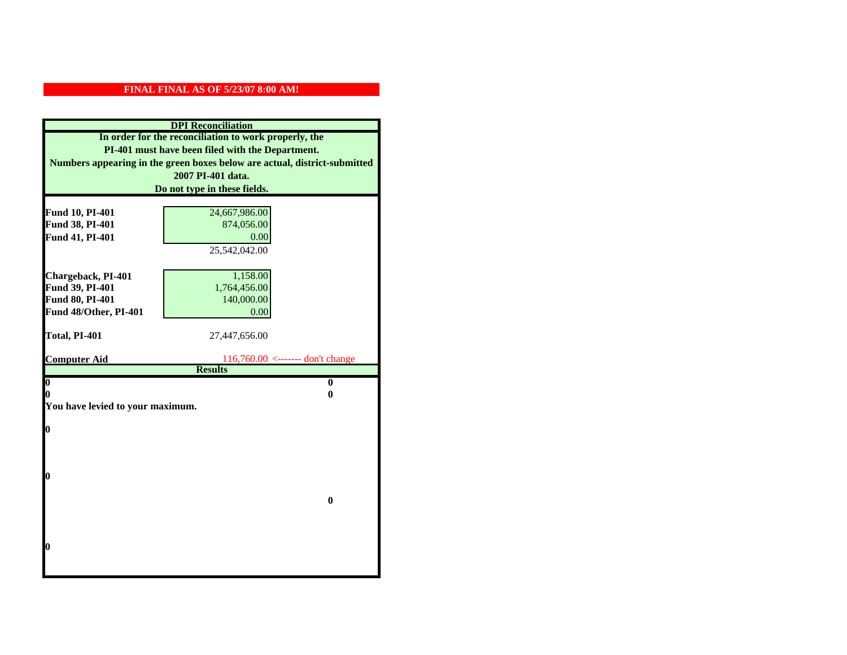|                                  | <b>DPI</b> Reconciliation                                                 |
|----------------------------------|---------------------------------------------------------------------------|
|                                  | In order for the reconciliation to work properly, the                     |
|                                  | PI-401 must have been filed with the Department.                          |
|                                  | Numbers appearing in the green boxes below are actual, district-submitted |
|                                  | 2007 PI-401 data.                                                         |
|                                  | Do not type in these fields.                                              |
|                                  |                                                                           |
| Fund 10, PI-401                  | 24,667,986.00                                                             |
| Fund 38, PI-401                  | 874,056.00                                                                |
| Fund 41, PI-401                  | 0.00                                                                      |
|                                  | 25,542,042.00                                                             |
|                                  |                                                                           |
| Chargeback, PI-401               | 1,158.00                                                                  |
| Fund 39, PI-401                  | 1,764,456.00                                                              |
| Fund 80, PI-401                  | 140,000.00                                                                |
| Fund 48/Other, PI-401            | 0.00                                                                      |
| Total, PI-401                    |                                                                           |
|                                  | 27,447,656.00                                                             |
| <b>Computer Aid</b>              | $116,760.00 \le$ ------- don't change                                     |
|                                  | <b>Results</b>                                                            |
| $\overline{\mathbf{0}}$          | $\bf{0}$                                                                  |
| 0                                | 0                                                                         |
| You have levied to your maximum. |                                                                           |
|                                  |                                                                           |
| $\bf{0}$                         |                                                                           |
|                                  |                                                                           |
|                                  |                                                                           |
| l0                               |                                                                           |
|                                  |                                                                           |
|                                  | $\bf{0}$                                                                  |
|                                  |                                                                           |
|                                  |                                                                           |
|                                  |                                                                           |
| l0                               |                                                                           |
|                                  |                                                                           |
|                                  |                                                                           |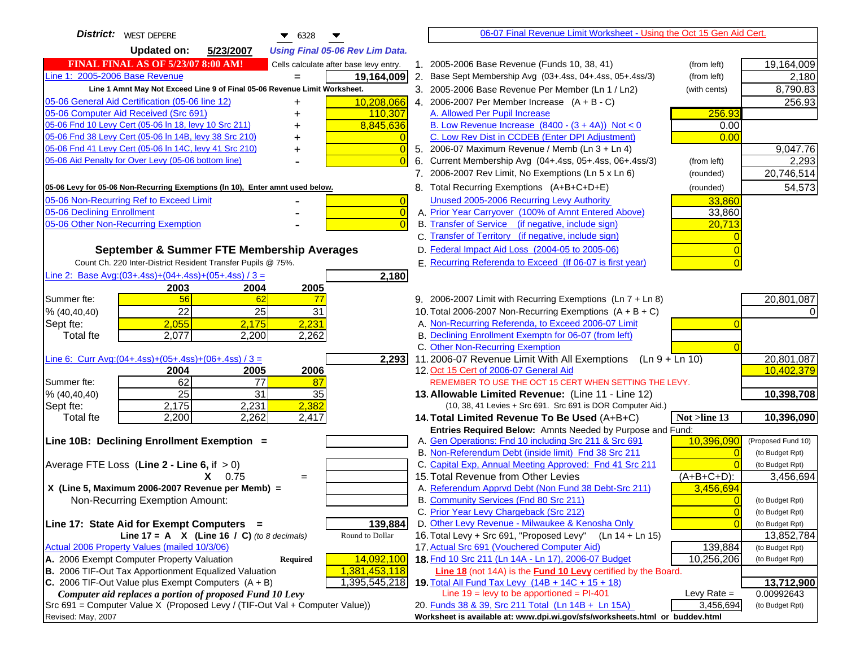| <b>District:</b> WEST DEPERE<br>$\bullet$ 6328                                                | 06-07 Final Revenue Limit Worksheet - Using the Oct 15 Gen Aid Cert.                                       |                               |
|-----------------------------------------------------------------------------------------------|------------------------------------------------------------------------------------------------------------|-------------------------------|
| <b>Updated on:</b><br>5/23/2007<br><b>Using Final 05-06 Rev Lim Data.</b>                     |                                                                                                            |                               |
| <b>FINAL FINAL AS OF 5/23/07 8:00 AM!</b><br>Cells calculate after base levy entry.           | 1. 2005-2006 Base Revenue (Funds 10, 38, 41)<br>(from left)                                                | 19,164,009                    |
| Line 1: 2005-2006 Base Revenue<br>19,164,009                                                  | 2. Base Sept Membership Avg (03+.4ss, 04+.4ss, 05+.4ss/3)<br>(from left)                                   | 2,180                         |
| Line 1 Amnt May Not Exceed Line 9 of Final 05-06 Revenue Limit Worksheet.                     | 3. 2005-2006 Base Revenue Per Member (Ln 1 / Ln2)<br>(with cents)                                          | 8,790.83                      |
| 10,208,066<br>05-06 General Aid Certification (05-06 line 12)                                 | 4. 2006-2007 Per Member Increase $(A + B - C)$                                                             | 256.93                        |
| 05-06 Computer Aid Received (Src 691)<br>110,307                                              | A. Allowed Per Pupil Increase<br>256.93                                                                    |                               |
| 05-06 Fnd 10 Levy Cert (05-06 ln 18, levy 10 Src 211)<br>8,845,636                            | B. Low Revenue Increase $(8400 - (3 + 4A))$ Not < 0<br>0.00                                                |                               |
| 05-06 Fnd 38 Levy Cert (05-06 In 14B, levy 38 Src 210)                                        | C. Low Rev Dist in CCDEB (Enter DPI Adjustment)<br>0.00                                                    |                               |
| 05-06 Fnd 41 Levy Cert (05-06 In 14C, levy 41 Src 210)<br>$\overline{0}$<br>+                 | 5. 2006-07 Maximum Revenue / Memb (Ln 3 + Ln 4)                                                            | 9,047.76                      |
| 05-06 Aid Penalty for Over Levy (05-06 bottom line)<br>$\Omega$                               | Current Membership Avg (04+.4ss, 05+.4ss, 06+.4ss/3)<br>6.<br>(from left)                                  | 2,293                         |
|                                                                                               | 7. 2006-2007 Rev Limit, No Exemptions (Ln 5 x Ln 6)<br>(rounded)                                           | 20,746,514                    |
| 05-06 Levy for 05-06 Non-Recurring Exemptions (In 10), Enter amnt used below.                 | 8. Total Recurring Exemptions (A+B+C+D+E)<br>(rounded)                                                     | 54,573                        |
| 05-06 Non-Recurring Ref to Exceed Limit<br>$\overline{0}$                                     | Unused 2005-2006 Recurring Levy Authority<br>33,860                                                        |                               |
| 05-06 Declining Enrollment<br>$\overline{0}$                                                  | A. Prior Year Carryover (100% of Amnt Entered Above)<br>33,860                                             |                               |
| 05-06 Other Non-Recurring Exemption<br>$\Omega$                                               | B. Transfer of Service (if negative, include sign)<br>20,713                                               |                               |
|                                                                                               | C. Transfer of Territory (if negative, include sign)                                                       |                               |
| September & Summer FTE Membership Averages                                                    | D. Federal Impact Aid Loss (2004-05 to 2005-06)                                                            |                               |
| Count Ch. 220 Inter-District Resident Transfer Pupils @ 75%.                                  | E. Recurring Referenda to Exceed (If 06-07 is first year)                                                  |                               |
| Line 2: Base Avg: $(03+.4ss)+(04+.4ss)+(05+.4ss)/3 =$<br>2,180                                |                                                                                                            |                               |
| 2003<br>2004<br>2005                                                                          |                                                                                                            |                               |
| 56<br>Summer fte:<br>62<br>77                                                                 | 9. 2006-2007 Limit with Recurring Exemptions (Ln 7 + Ln 8)                                                 | 20,801,087                    |
| 22<br>25<br>31<br>% (40, 40, 40)                                                              | 10. Total 2006-2007 Non-Recurring Exemptions $(A + B + C)$                                                 |                               |
| 2,055<br>2,231<br>2,175<br>Sept fte:                                                          | A. Non-Recurring Referenda, to Exceed 2006-07 Limit                                                        |                               |
| <b>Total fte</b><br>2,077<br>2,200<br>2,262                                                   | B. Declining Enrollment Exemptn for 06-07 (from left)                                                      |                               |
|                                                                                               | C. Other Non-Recurring Exemption                                                                           |                               |
| Line 6: Curr Avg: $(04+.4ss)+(05+.4ss)+(06+.4ss)/3 =$<br>2,293<br>2006<br>2004<br>2005        | 11.2006-07 Revenue Limit With All Exemptions<br>$(Ln 9 + Ln 10)$<br>12. Oct 15 Cert of 2006-07 General Aid | 20,801,087<br>10,402,379      |
| 62<br>$\overline{77}$<br>Summer fte:<br>87                                                    | REMEMBER TO USE THE OCT 15 CERT WHEN SETTING THE LEVY.                                                     |                               |
| $\overline{25}$<br>31<br>35<br>% (40, 40, 40)                                                 | 13. Allowable Limited Revenue: (Line 11 - Line 12)                                                         | 10,398,708                    |
| 2,382<br>2,175<br>2,231<br>Sept fte:                                                          | (10, 38, 41 Levies + Src 691. Src 691 is DOR Computer Aid.)                                                |                               |
| 2,200<br>2,262<br>2,417<br><b>Total fte</b>                                                   | Not >line 13<br>14. Total Limited Revenue To Be Used (A+B+C)                                               | 10,396,090                    |
|                                                                                               | Entries Required Below: Amnts Needed by Purpose and Fund:                                                  |                               |
| Line 10B: Declining Enrollment Exemption =                                                    | A. Gen Operations: Fnd 10 including Src 211 & Src 691<br>10,396,090                                        | (Proposed Fund 10)            |
|                                                                                               | B. Non-Referendum Debt (inside limit) Fnd 38 Src 211<br>$\Omega$                                           | (to Budget Rpt)               |
| Average FTE Loss (Line $2 -$ Line 6, if $> 0$ )                                               | C. Capital Exp, Annual Meeting Approved: Fnd 41 Src 211                                                    | (to Budget Rpt)               |
| $X = 0.75$<br>$=$                                                                             | 15. Total Revenue from Other Levies<br>$(A+B+C+D)$ :                                                       | 3,456,694                     |
| X (Line 5, Maximum 2006-2007 Revenue per Memb) =                                              | A. Referendum Apprvd Debt (Non Fund 38 Debt-Src 211)<br>3,456,694                                          |                               |
| Non-Recurring Exemption Amount:                                                               | B. Community Services (Fnd 80 Src 211)<br>$\overline{0}$                                                   | (to Budget Rpt)               |
|                                                                                               | C. Prior Year Levy Chargeback (Src 212)<br>$\overline{0}$<br>$\Omega$                                      | (to Budget Rpt)               |
| 139,884<br>Line 17: State Aid for Exempt Computers =<br>Round to Dollar                       | D. Other Levy Revenue - Milwaukee & Kenosha Only<br>16. Total Levy + Src 691, "Proposed Levy"              | (to Budget Rpt)               |
| Line 17 = A $X$ (Line 16 / C) (to 8 decimals)<br>Actual 2006 Property Values (mailed 10/3/06) | (Ln 14 + Ln 15)<br>17. Actual Src 691 (Vouchered Computer Aid)<br>139,884                                  | 13,852,784<br>(to Budget Rpt) |
| A. 2006 Exempt Computer Property Valuation<br>14,092,100<br>Required                          | 18. Fnd 10 Src 211 (Ln 14A - Ln 17), 2006-07 Budget<br>10,256,206                                          | (to Budget Rpt)               |
| B. 2006 TIF-Out Tax Apportionment Equalized Valuation<br>1,381,453,118                        | Line 18 (not 14A) is the Fund 10 Levy certified by the Board.                                              |                               |
| C. 2006 TIF-Out Value plus Exempt Computers $(A + B)$<br>1,395,545,218                        | <b>19.</b> Total All Fund Tax Levy $(14B + 14C + 15 + 18)$                                                 | 13,712,900                    |
| Computer aid replaces a portion of proposed Fund 10 Levy                                      | Line $19 = \text{levy}$ to be apportioned = PI-401<br>Levy Rate $=$                                        | 0.00992643                    |
| Src 691 = Computer Value X (Proposed Levy / (TIF-Out Val + Computer Value))                   | 3,456,694<br>20. Funds 38 & 39, Src 211 Total (Ln 14B + Ln 15A)                                            | (to Budget Rpt)               |
| Revised: May, 2007                                                                            | Worksheet is available at: www.dpi.wi.gov/sfs/worksheets.html or buddev.html                               |                               |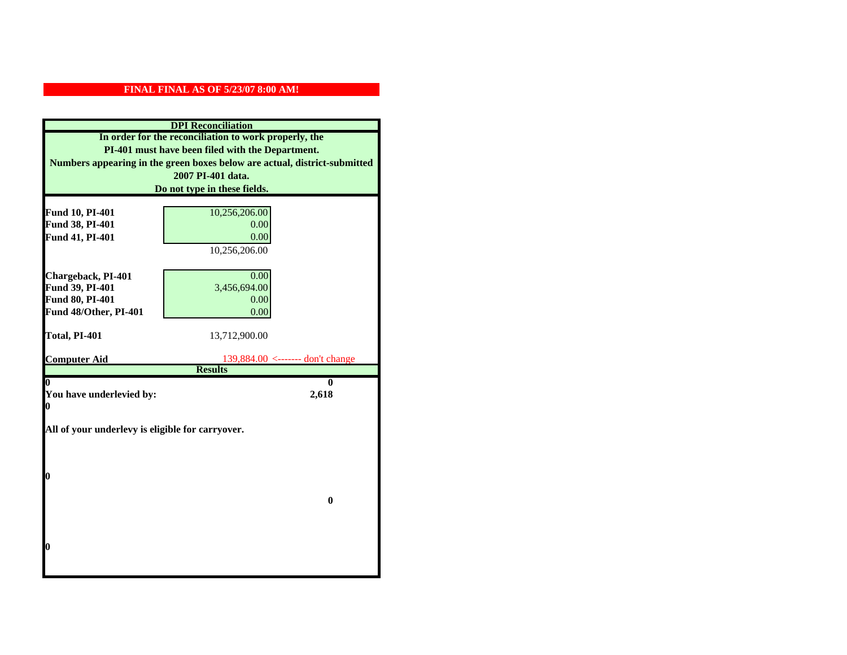|                                                  | <b>DPI</b> Reconciliation                                                 |
|--------------------------------------------------|---------------------------------------------------------------------------|
|                                                  | In order for the reconciliation to work properly, the                     |
|                                                  | PI-401 must have been filed with the Department.                          |
|                                                  | Numbers appearing in the green boxes below are actual, district-submitted |
|                                                  | 2007 PI-401 data.                                                         |
|                                                  | Do not type in these fields.                                              |
|                                                  |                                                                           |
| Fund 10, PI-401                                  | 10,256,206.00                                                             |
| Fund 38, PI-401                                  | 0.00                                                                      |
| Fund 41, PI-401                                  | 0.00                                                                      |
|                                                  | 10,256,206.00                                                             |
|                                                  |                                                                           |
| Chargeback, PI-401                               | 0.00                                                                      |
| Fund 39, PI-401                                  | 3,456,694.00                                                              |
| <b>Fund 80, PI-401</b>                           | 0.00                                                                      |
| Fund 48/Other, PI-401                            | 0.00                                                                      |
| Total, PI-401                                    | 13,712,900.00                                                             |
|                                                  |                                                                           |
| <b>Computer Aid</b>                              | 139,884.00 <------- don't change                                          |
|                                                  | <b>Results</b>                                                            |
| 0                                                | 0                                                                         |
| You have underlevied by:                         |                                                                           |
|                                                  | 2,618                                                                     |
| 0                                                |                                                                           |
|                                                  |                                                                           |
| All of your underlevy is eligible for carryover. |                                                                           |
|                                                  |                                                                           |
|                                                  |                                                                           |
| 0                                                |                                                                           |
|                                                  |                                                                           |
|                                                  | $\bf{0}$                                                                  |
|                                                  |                                                                           |
|                                                  |                                                                           |
|                                                  |                                                                           |
| 0                                                |                                                                           |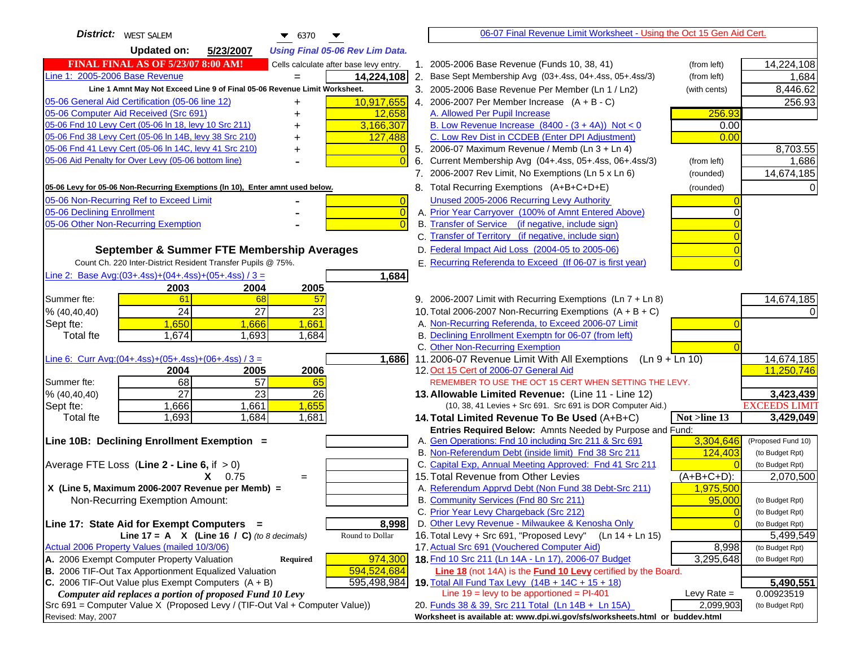| District:   WEST SALEM<br>$\bullet$ 6370<br>▼                                                                                                       | 06-07 Final Revenue Limit Worksheet - Using the Oct 15 Gen Aid Cert.                                                       |                         |
|-----------------------------------------------------------------------------------------------------------------------------------------------------|----------------------------------------------------------------------------------------------------------------------------|-------------------------|
| <b>Updated on:</b><br>5/23/2007<br><b>Using Final 05-06 Rev Lim Data.</b>                                                                           |                                                                                                                            |                         |
| <b>FINAL FINAL AS OF 5/23/07 8:00 AM!</b><br>Cells calculate after base levy entry.                                                                 | 1. 2005-2006 Base Revenue (Funds 10, 38, 41)<br>(from left)                                                                | 14,224,108              |
| Line 1: 2005-2006 Base Revenue<br>14,224,108<br>$=$                                                                                                 | 2. Base Sept Membership Avg (03+.4ss, 04+.4ss, 05+.4ss/3)<br>(from left)                                                   | 1,684                   |
| Line 1 Amnt May Not Exceed Line 9 of Final 05-06 Revenue Limit Worksheet.                                                                           | 3. 2005-2006 Base Revenue Per Member (Ln 1 / Ln2)<br>(with cents)                                                          | 8,446.62                |
| 10,917,655<br>05-06 General Aid Certification (05-06 line 12)                                                                                       | 4. 2006-2007 Per Member Increase $(A + B - C)$                                                                             | 256.93                  |
| 05-06 Computer Aid Received (Src 691)<br>12,658                                                                                                     | A. Allowed Per Pupil Increase<br>256.93                                                                                    |                         |
| 05-06 Fnd 10 Levy Cert (05-06 In 18, levy 10 Src 211)<br>3,166,307                                                                                  | B. Low Revenue Increase $(8400 - (3 + 4A))$ Not < 0<br>0.00                                                                |                         |
| 05-06 Fnd 38 Levy Cert (05-06 In 14B, levy 38 Src 210)<br>127,488                                                                                   | C. Low Rev Dist in CCDEB (Enter DPI Adjustment)<br>0.00                                                                    |                         |
| 05-06 Fnd 41 Levy Cert (05-06 In 14C, levy 41 Src 210)<br>$\overline{0}$<br>+                                                                       | 5. 2006-07 Maximum Revenue / Memb (Ln 3 + Ln 4)                                                                            | 8,703.55                |
| 05-06 Aid Penalty for Over Levy (05-06 bottom line)<br>$\Omega$                                                                                     | 6. Current Membership Avg (04+.4ss, 05+.4ss, 06+.4ss/3)<br>(from left)                                                     | 1,686                   |
|                                                                                                                                                     | 7. 2006-2007 Rev Limit, No Exemptions (Ln 5 x Ln 6)<br>(rounded)                                                           | 14,674,185              |
| 05-06 Levy for 05-06 Non-Recurring Exemptions (In 10), Enter amnt used below.                                                                       | 8. Total Recurring Exemptions (A+B+C+D+E)<br>(rounded)                                                                     |                         |
| 05-06 Non-Recurring Ref to Exceed Limit<br>$\overline{0}$                                                                                           | Unused 2005-2006 Recurring Levy Authority                                                                                  |                         |
| 05-06 Declining Enrollment<br>$\overline{0}$                                                                                                        | A. Prior Year Carryover (100% of Amnt Entered Above)<br>∩                                                                  |                         |
| 05-06 Other Non-Recurring Exemption<br>$\Omega$                                                                                                     | B. Transfer of Service (if negative, include sign)                                                                         |                         |
|                                                                                                                                                     | C. Transfer of Territory (if negative, include sign)                                                                       |                         |
| September & Summer FTE Membership Averages                                                                                                          | D. Federal Impact Aid Loss (2004-05 to 2005-06)                                                                            |                         |
| Count Ch. 220 Inter-District Resident Transfer Pupils @ 75%.                                                                                        | E. Recurring Referenda to Exceed (If 06-07 is first year)                                                                  |                         |
| Line 2: Base Avg: (03+.4ss) + (04+.4ss) + (05+.4ss) / 3 =<br>1,684                                                                                  |                                                                                                                            |                         |
| 2003<br>2004<br>2005                                                                                                                                |                                                                                                                            |                         |
| 61<br>Summer fte:<br>68<br>57                                                                                                                       | 9. 2006-2007 Limit with Recurring Exemptions (Ln 7 + Ln 8)                                                                 | 14,674,185              |
| 24<br>27<br>23<br>% (40, 40, 40)                                                                                                                    | 10. Total 2006-2007 Non-Recurring Exemptions $(A + B + C)$                                                                 |                         |
| 1,650<br>1,661<br>1,666<br>Sept fte:                                                                                                                | A. Non-Recurring Referenda, to Exceed 2006-07 Limit                                                                        |                         |
| 1,674<br>1,693<br>1,684<br>Total fte                                                                                                                | B. Declining Enrollment Exemptn for 06-07 (from left)                                                                      |                         |
|                                                                                                                                                     | C. Other Non-Recurring Exemption                                                                                           |                         |
| Line 6: Curr Avg: $(04+.4ss)+(05+.4ss)+(06+.4ss)$ / 3 =<br>1,686                                                                                    | 11.2006-07 Revenue Limit With All Exemptions $(Ln 9 + Ln 10)$                                                              | 14,674,185              |
| 2006<br>2004<br>2005<br>68<br>57<br>Summer fte:<br>65                                                                                               | 12. Oct 15 Cert of 2006-07 General Aid<br>REMEMBER TO USE THE OCT 15 CERT WHEN SETTING THE LEVY.                           | 11,250,746              |
| $\overline{27}$<br>23<br>% (40, 40, 40)<br>26                                                                                                       | 13. Allowable Limited Revenue: (Line 11 - Line 12)                                                                         | 3,423,439               |
| 1,661<br>1,666<br>1,655<br>Sept fte:                                                                                                                | (10, 38, 41 Levies + Src 691. Src 691 is DOR Computer Aid.)                                                                | <b>EXCEEDS LIMIT</b>    |
| 1,693<br>1,684<br>1,681<br><b>Total fte</b>                                                                                                         | Not >line 13<br>14. Total Limited Revenue To Be Used (A+B+C)                                                               | 3,429,049               |
|                                                                                                                                                     | Entries Required Below: Amnts Needed by Purpose and Fund:                                                                  |                         |
| Line 10B: Declining Enrollment Exemption =                                                                                                          | A. Gen Operations: Fnd 10 including Src 211 & Src 691<br>3,304,646                                                         | (Proposed Fund 10)      |
|                                                                                                                                                     | B. Non-Referendum Debt (inside limit) Fnd 38 Src 211<br>124,403                                                            | (to Budget Rpt)         |
| Average FTE Loss (Line $2 -$ Line 6, if $> 0$ )                                                                                                     | C. Capital Exp, Annual Meeting Approved: Fnd 41 Src 211                                                                    | (to Budget Rpt)         |
| $X = 0.75$<br>$=$                                                                                                                                   | 15. Total Revenue from Other Levies<br>$(A+B+C+D)$ :                                                                       | 2,070,500               |
| X (Line 5, Maximum 2006-2007 Revenue per Memb) =                                                                                                    | A. Referendum Apprvd Debt (Non Fund 38 Debt-Src 211)<br>1,975,500                                                          |                         |
| Non-Recurring Exemption Amount:                                                                                                                     | B. Community Services (Fnd 80 Src 211)<br>95,000                                                                           | (to Budget Rpt)         |
|                                                                                                                                                     | C. Prior Year Levy Chargeback (Src 212)<br>$\overline{0}$                                                                  | (to Budget Rpt)         |
| Line 17: State Aid for Exempt Computers =<br>8,998                                                                                                  | D. Other Levy Revenue - Milwaukee & Kenosha Only<br>$\Omega$                                                               | (to Budget Rpt)         |
| Round to Dollar<br>Line 17 = A $X$ (Line 16 / C) (to 8 decimals)                                                                                    | 16. Total Levy + Src 691, "Proposed Levy"<br>(Ln 14 + Ln 15)                                                               | 5,499,549               |
| Actual 2006 Property Values (mailed 10/3/06)                                                                                                        | 17. Actual Src 691 (Vouchered Computer Aid)<br>8,998                                                                       | (to Budget Rpt)         |
| A. 2006 Exempt Computer Property Valuation<br>974,300<br>Required                                                                                   | 18. Fnd 10 Src 211 (Ln 14A - Ln 17), 2006-07 Budget<br>3,295,648                                                           | (to Budget Rpt)         |
| <b>B.</b> 2006 TIF-Out Tax Apportionment Equalized Valuation<br>594,524,684<br>C. 2006 TIF-Out Value plus Exempt Computers $(A + B)$<br>595,498,984 | Line 18 (not 14A) is the Fund 10 Levy certified by the Board.                                                              |                         |
| Computer aid replaces a portion of proposed Fund 10 Levy                                                                                            | 19. Total All Fund Tax Levy $(14B + 14C + 15 + 18)$<br>Line $19 = \text{levy}$ to be apportioned = PI-401<br>Levy Rate $=$ | 5,490,551<br>0.00923519 |
| Src 691 = Computer Value X (Proposed Levy / (TIF-Out Val + Computer Value))                                                                         | 20. Funds 38 & 39, Src 211 Total (Ln 14B + Ln 15A)<br>2,099,903                                                            | (to Budget Rpt)         |
| Revised: May, 2007                                                                                                                                  | Worksheet is available at: www.dpi.wi.gov/sfs/worksheets.html or buddev.html                                               |                         |
|                                                                                                                                                     |                                                                                                                            |                         |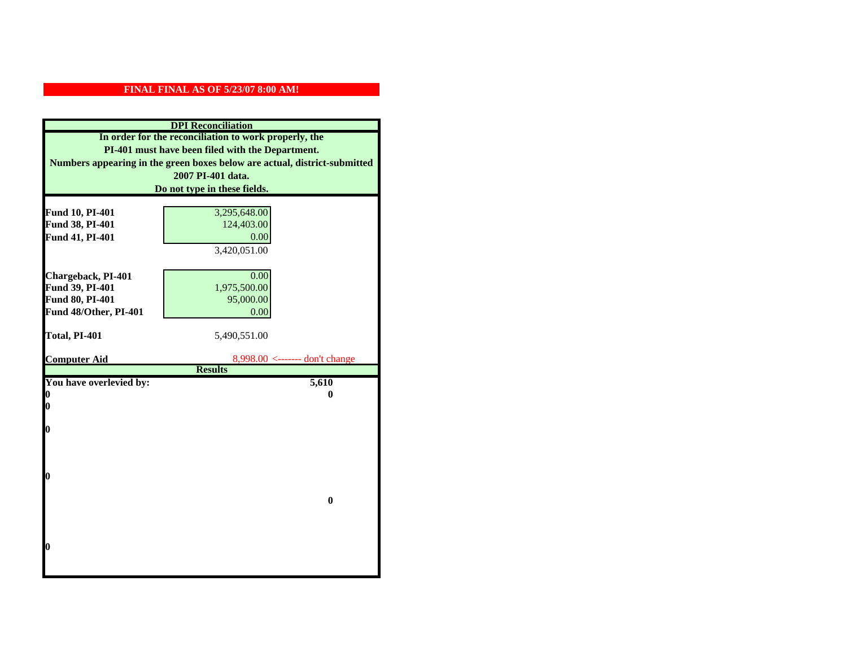|                         | <b>DPI</b> Reconciliation                                                 |
|-------------------------|---------------------------------------------------------------------------|
|                         | In order for the reconciliation to work properly, the                     |
|                         | PI-401 must have been filed with the Department.                          |
|                         | Numbers appearing in the green boxes below are actual, district-submitted |
|                         | 2007 PI-401 data.                                                         |
|                         | Do not type in these fields.                                              |
|                         |                                                                           |
| Fund 10, PI-401         | 3,295,648.00                                                              |
| Fund 38, PI-401         | 124,403.00                                                                |
| Fund 41, PI-401         | 0.00                                                                      |
|                         | 3,420,051.00                                                              |
|                         |                                                                           |
| Chargeback, PI-401      | 0.00                                                                      |
| Fund 39, PI-401         | 1,975,500.00                                                              |
| Fund 80, PI-401         | 95,000.00                                                                 |
| Fund 48/Other, PI-401   | 0.00                                                                      |
|                         |                                                                           |
| Total, PI-401           | 5,490,551.00                                                              |
| <b>Computer Aid</b>     | $8,998.00 \leftarrow \text{---}$ don't change                             |
|                         | <b>Results</b>                                                            |
| You have overlevied by: | 5,610                                                                     |
| N                       | 0                                                                         |
| 0                       |                                                                           |
|                         |                                                                           |
| 0                       |                                                                           |
|                         |                                                                           |
|                         |                                                                           |
| O                       |                                                                           |
|                         |                                                                           |
|                         | $\bf{0}$                                                                  |
|                         |                                                                           |
|                         |                                                                           |
|                         |                                                                           |
| 0                       |                                                                           |
|                         |                                                                           |
|                         |                                                                           |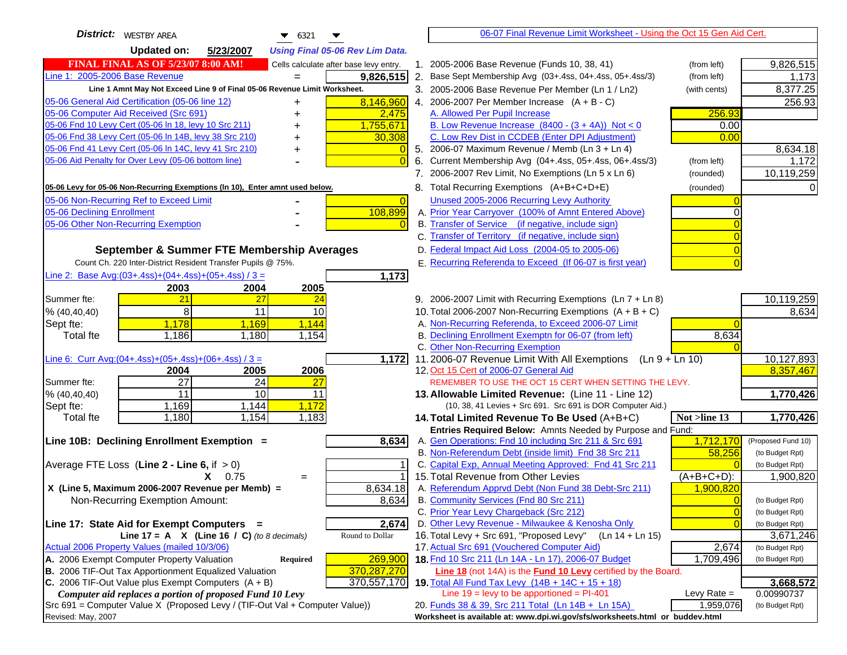| <b>District:</b> WESTBY AREA<br>$\bullet$ 6321                                                                                   | 06-07 Final Revenue Limit Worksheet - Using the Oct 15 Gen Aid Cert.                                              |                         |
|----------------------------------------------------------------------------------------------------------------------------------|-------------------------------------------------------------------------------------------------------------------|-------------------------|
| <b>Updated on:</b><br>5/23/2007<br><b>Using Final 05-06 Rev Lim Data.</b>                                                        |                                                                                                                   |                         |
| <b>FINAL FINAL AS OF 5/23/07 8:00 AM!</b><br>Cells calculate after base levy entry.                                              | 1. 2005-2006 Base Revenue (Funds 10, 38, 41)<br>(from left)                                                       | 9,826,515               |
| Line 1: 2005-2006 Base Revenue<br>9,826,515                                                                                      | 2. Base Sept Membership Avg (03+.4ss, 04+.4ss, 05+.4ss/3)<br>(from left)                                          | 1,173                   |
| Line 1 Amnt May Not Exceed Line 9 of Final 05-06 Revenue Limit Worksheet.                                                        | 3. 2005-2006 Base Revenue Per Member (Ln 1 / Ln2)<br>(with cents)                                                 | 8,377.25                |
| 8,146,960<br>05-06 General Aid Certification (05-06 line 12)                                                                     | 4. 2006-2007 Per Member Increase $(A + B - C)$                                                                    | 256.93                  |
| 05-06 Computer Aid Received (Src 691)<br>2,475                                                                                   | 256.93<br>A. Allowed Per Pupil Increase                                                                           |                         |
| 05-06 Fnd 10 Levy Cert (05-06 In 18, levy 10 Src 211)<br>1,755,671                                                               | B. Low Revenue Increase $(8400 - (3 + 4A))$ Not < 0<br>0.00                                                       |                         |
| 05-06 Fnd 38 Levy Cert (05-06 In 14B, levy 38 Src 210)<br>30,308                                                                 | C. Low Rev Dist in CCDEB (Enter DPI Adjustment)<br>0.00                                                           |                         |
| 05-06 Fnd 41 Levy Cert (05-06 In 14C, levy 41 Src 210)<br>+                                                                      | 5. 2006-07 Maximum Revenue / Memb (Ln $3 + \text{Ln } 4$ )                                                        | 8,634.18                |
| 05-06 Aid Penalty for Over Levy (05-06 bottom line)                                                                              | Current Membership Avg (04+.4ss, 05+.4ss, 06+.4ss/3)<br>6.<br>(from left)                                         | 1,172                   |
|                                                                                                                                  | 7. 2006-2007 Rev Limit, No Exemptions (Ln 5 x Ln 6)<br>(rounded)                                                  | 10,119,259              |
| 05-06 Levy for 05-06 Non-Recurring Exemptions (In 10), Enter amnt used below.                                                    | 8. Total Recurring Exemptions (A+B+C+D+E)<br>(rounded)                                                            | 0                       |
| 05-06 Non-Recurring Ref to Exceed Limit<br>$\overline{0}$                                                                        | Unused 2005-2006 Recurring Levy Authority                                                                         |                         |
| 108,899<br>05-06 Declining Enrollment                                                                                            | A. Prior Year Carryover (100% of Amnt Entered Above)<br>$\Omega$                                                  |                         |
| 05-06 Other Non-Recurring Exemption                                                                                              | B. Transfer of Service (if negative, include sign)                                                                |                         |
|                                                                                                                                  | C. Transfer of Territory (if negative, include sign)                                                              |                         |
| September & Summer FTE Membership Averages                                                                                       | D. Federal Impact Aid Loss (2004-05 to 2005-06)                                                                   |                         |
| Count Ch. 220 Inter-District Resident Transfer Pupils @ 75%.                                                                     | E. Recurring Referenda to Exceed (If 06-07 is first year)                                                         |                         |
| Line 2: Base Avg: (03+.4ss) + (04+.4ss) + (05+.4ss) / 3 =<br>1,173                                                               |                                                                                                                   |                         |
| 2003<br>2004<br>2005                                                                                                             |                                                                                                                   |                         |
| 21<br>27<br>Summer fte:<br>24                                                                                                    | 9. 2006-2007 Limit with Recurring Exemptions (Ln 7 + Ln 8)                                                        | 10,119,259              |
| 8<br>11<br>10<br>% (40, 40, 40)                                                                                                  | 10. Total 2006-2007 Non-Recurring Exemptions $(A + B + C)$                                                        | 8,634                   |
| 1,178<br>1,169<br>1,144<br>Sept fte:                                                                                             | A. Non-Recurring Referenda, to Exceed 2006-07 Limit                                                               |                         |
| Total fte<br>1,186<br>1,180<br>1,154                                                                                             | B. Declining Enrollment Exemptn for 06-07 (from left)<br>8,634                                                    |                         |
|                                                                                                                                  | C. Other Non-Recurring Exemption                                                                                  |                         |
| Line 6: Curr Avg: $(04+.4ss)+(05+.4ss)+(06+.4ss)/3 =$<br>$\overline{1,172}$                                                      | 11.2006-07 Revenue Limit With All Exemptions<br>(Ln 9 + Ln 10)                                                    | 10,127,893              |
| 2006<br>2005<br>2004                                                                                                             | 12. Oct 15 Cert of 2006-07 General Aid                                                                            | 8,357,467               |
| 27<br>Summer fte:<br>24<br>27<br>11<br>10<br>11                                                                                  | REMEMBER TO USE THE OCT 15 CERT WHEN SETTING THE LEVY.                                                            |                         |
| % (40, 40, 40)<br>1,169<br>1,144<br>1,172<br>Sept fte:                                                                           | 13. Allowable Limited Revenue: (Line 11 - Line 12)<br>(10, 38, 41 Levies + Src 691. Src 691 is DOR Computer Aid.) | 1,770,426               |
| 1,154<br>Total fte<br>1,180<br>1,183                                                                                             | 14. Total Limited Revenue To Be Used (A+B+C)<br>Not >line 13                                                      | 1,770,426               |
|                                                                                                                                  | Entries Required Below: Amnts Needed by Purpose and Fund:                                                         |                         |
| 8,634<br>Line 10B: Declining Enrollment Exemption =                                                                              | A. Gen Operations: Fnd 10 including Src 211 & Src 691<br>1,712,170                                                | (Proposed Fund 10)      |
|                                                                                                                                  | B. Non-Referendum Debt (inside limit) Fnd 38 Src 211<br>58,256                                                    | (to Budget Rpt)         |
| Average FTE Loss (Line $2 -$ Line 6, if $> 0$ )                                                                                  | C. Capital Exp, Annual Meeting Approved: Fnd 41 Src 211                                                           | (to Budget Rpt)         |
| $X = 0.75$<br>$=$                                                                                                                | 15. Total Revenue from Other Levies<br>$(A+B+C+D)$ :                                                              | 1,900,820               |
| X (Line 5, Maximum 2006-2007 Revenue per Memb) =<br>8,634.18                                                                     | A. Referendum Apprvd Debt (Non Fund 38 Debt-Src 211)<br>1,900,820                                                 |                         |
| 8,634<br>Non-Recurring Exemption Amount:                                                                                         | B. Community Services (Fnd 80 Src 211)<br>$\overline{0}$                                                          | (to Budget Rpt)         |
|                                                                                                                                  | C. Prior Year Levy Chargeback (Src 212)<br>$\overline{0}$                                                         | (to Budget Rpt)         |
| 2,674<br>Line 17: State Aid for Exempt Computers =                                                                               | D. Other Levy Revenue - Milwaukee & Kenosha Only<br>$\Omega$                                                      | (to Budget Rpt)         |
| Line 17 = A $X$ (Line 16 / C) (to 8 decimals)<br>Round to Dollar                                                                 | 16. Total Levy + Src 691, "Proposed Levy"<br>$(Ln 14 + Ln 15)$                                                    | 3,671,246               |
| Actual 2006 Property Values (mailed 10/3/06)                                                                                     | 17. Actual Src 691 (Vouchered Computer Aid)<br>2,674                                                              | (to Budget Rpt)         |
| A. 2006 Exempt Computer Property Valuation<br>269,900<br><b>Required</b>                                                         | 18. Fnd 10 Src 211 (Ln 14A - Ln 17), 2006-07 Budget<br>1,709,496                                                  | (to Budget Rpt)         |
| B. 2006 TIF-Out Tax Apportionment Equalized Valuation<br>370,287,270                                                             | Line 18 (not 14A) is the Fund 10 Levy certified by the Board.                                                     |                         |
| C. 2006 TIF-Out Value plus Exempt Computers $(A + B)$<br>370,557,170<br>Computer aid replaces a portion of proposed Fund 10 Levy | 19. Total All Fund Tax Levy (14B + 14C + 15 + 18)<br>Line $19$ = levy to be apportioned = PI-401<br>Levy Rate $=$ | 3,668,572<br>0.00990737 |
| Src 691 = Computer Value X (Proposed Levy / (TIF-Out Val + Computer Value))                                                      | 20. Funds 38 & 39, Src 211 Total (Ln 14B + Ln 15A)<br>1,959,076                                                   | (to Budget Rpt)         |
| Revised: May, 2007                                                                                                               | Worksheet is available at: www.dpi.wi.gov/sfs/worksheets.html or buddev.html                                      |                         |
|                                                                                                                                  |                                                                                                                   |                         |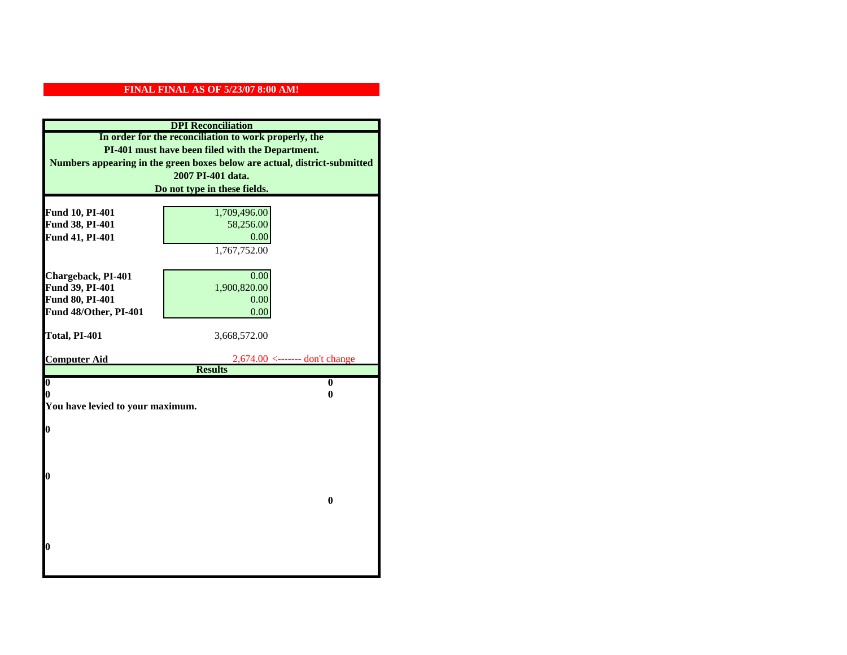|                                  | <b>DPI</b> Reconciliation                                                 |
|----------------------------------|---------------------------------------------------------------------------|
|                                  | In order for the reconciliation to work properly, the                     |
|                                  | PI-401 must have been filed with the Department.                          |
|                                  | Numbers appearing in the green boxes below are actual, district-submitted |
|                                  | 2007 PI-401 data.                                                         |
|                                  | Do not type in these fields.                                              |
|                                  |                                                                           |
| Fund 10, PI-401                  | 1,709,496.00                                                              |
| Fund 38, PI-401                  | 58,256.00                                                                 |
| Fund 41, PI-401                  | 0.00                                                                      |
|                                  | 1,767,752.00                                                              |
|                                  |                                                                           |
| Chargeback, PI-401               | 0.00                                                                      |
| Fund 39, PI-401                  | 1,900,820.00                                                              |
| Fund 80, PI-401                  | 0.00                                                                      |
| Fund 48/Other, PI-401            | 0.00                                                                      |
| Total, PI-401                    | 3,668,572.00                                                              |
|                                  |                                                                           |
|                                  |                                                                           |
| <b>Computer Aid</b>              | $2,674.00 \le$ ------- don't change                                       |
|                                  | <b>Results</b>                                                            |
| $\overline{\mathbf{0}}$          | $\bf{0}$                                                                  |
| 0                                | 0                                                                         |
| You have levied to your maximum. |                                                                           |
|                                  |                                                                           |
| $\bf{0}$                         |                                                                           |
|                                  |                                                                           |
|                                  |                                                                           |
| 0                                |                                                                           |
|                                  |                                                                           |
|                                  | $\bf{0}$                                                                  |
|                                  |                                                                           |
|                                  |                                                                           |
|                                  |                                                                           |
| 0                                |                                                                           |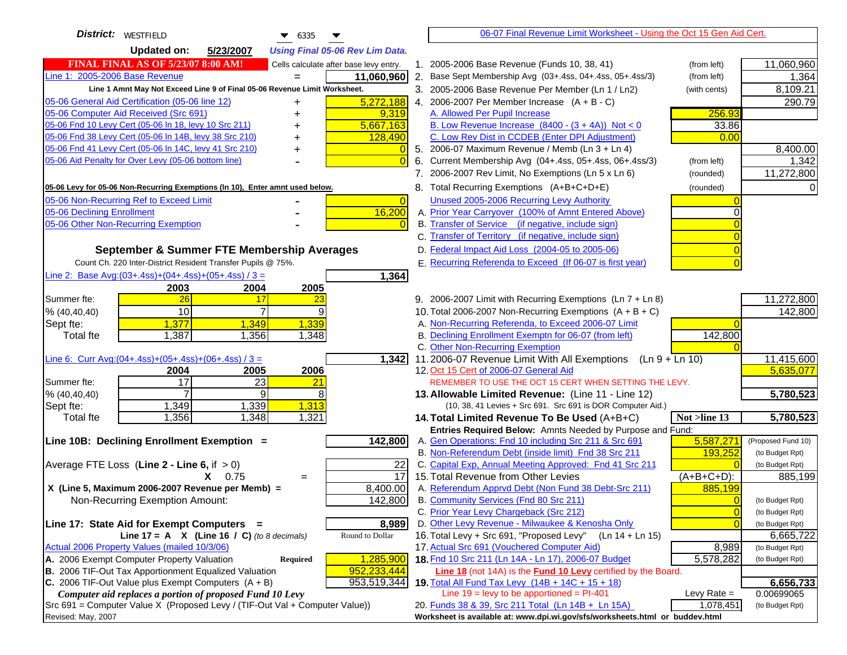| District:   WESTFIELD<br>$\bullet$ 6335                                                                                                      |                      | 06-07 Final Revenue Limit Worksheet - Using the Oct 15 Gen Aid Cert.                                              |                |                         |
|----------------------------------------------------------------------------------------------------------------------------------------------|----------------------|-------------------------------------------------------------------------------------------------------------------|----------------|-------------------------|
| <b>Updated on:</b><br>5/23/2007<br><b>Using Final 05-06 Rev Lim Data.</b>                                                                    |                      |                                                                                                                   |                |                         |
| FINAL FINAL AS OF 5/23/07 8:00 AM!<br>Cells calculate after base levy entry.                                                                 |                      | 1. 2005-2006 Base Revenue (Funds 10, 38, 41)                                                                      | (from left)    | 11,060,960              |
| Line 1: 2005-2006 Base Revenue<br>11,060,960                                                                                                 |                      | 2. Base Sept Membership Avg (03+.4ss, 04+.4ss, 05+.4ss/3)                                                         | (from left)    | 1,364                   |
| Line 1 Amnt May Not Exceed Line 9 of Final 05-06 Revenue Limit Worksheet.                                                                    |                      | 3. 2005-2006 Base Revenue Per Member (Ln 1 / Ln2)                                                                 | (with cents)   | 8,109.21                |
| 5,272,188<br>05-06 General Aid Certification (05-06 line 12)                                                                                 |                      | 4. 2006-2007 Per Member Increase $(A + B - C)$                                                                    |                | 290.79                  |
| 05-06 Computer Aid Received (Src 691)<br>9,319                                                                                               |                      | A. Allowed Per Pupil Increase                                                                                     | 256.93         |                         |
| 05-06 Fnd 10 Levy Cert (05-06 ln 18, levy 10 Src 211)<br>5,667,163                                                                           |                      | B. Low Revenue Increase $(8400 - (3 + 4A))$ Not < 0                                                               | 33.86          |                         |
| 05-06 Fnd 38 Levy Cert (05-06 In 14B, levy 38 Src 210)<br>128,490                                                                            |                      | C. Low Rev Dist in CCDEB (Enter DPI Adjustment)                                                                   | 0.00           |                         |
| 05-06 Fnd 41 Levy Cert (05-06 In 14C, levy 41 Src 210)                                                                                       |                      | 5. 2006-07 Maximum Revenue / Memb (Ln $3 + \text{Ln } 4$ )                                                        |                | 8,400.00                |
| 05-06 Aid Penalty for Over Levy (05-06 bottom line)                                                                                          | $\overline{0}$<br>6. | Current Membership Avg (04+.4ss, 05+.4ss, 06+.4ss/3)                                                              | (from left)    | 1,342                   |
|                                                                                                                                              |                      | 7. 2006-2007 Rev Limit, No Exemptions (Ln 5 x Ln 6)                                                               | (rounded)      | 11,272,800              |
| 05-06 Levy for 05-06 Non-Recurring Exemptions (In 10), Enter amnt used below.                                                                |                      | 8. Total Recurring Exemptions (A+B+C+D+E)                                                                         | (rounded)      |                         |
| 05-06 Non-Recurring Ref to Exceed Limit                                                                                                      | $\overline{0}$       | Unused 2005-2006 Recurring Levy Authority                                                                         |                |                         |
| 16,200<br>05-06 Declining Enrollment                                                                                                         |                      | A. Prior Year Carryover (100% of Amnt Entered Above)                                                              |                |                         |
| 05-06 Other Non-Recurring Exemption                                                                                                          |                      | B. Transfer of Service (if negative, include sign)                                                                |                |                         |
|                                                                                                                                              |                      | C. Transfer of Territory (if negative, include sign)                                                              |                |                         |
| September & Summer FTE Membership Averages                                                                                                   |                      | D. Federal Impact Aid Loss (2004-05 to 2005-06)                                                                   |                |                         |
| Count Ch. 220 Inter-District Resident Transfer Pupils @ 75%.                                                                                 |                      | E. Recurring Referenda to Exceed (If 06-07 is first year)                                                         |                |                         |
| Line 2: Base Avg:(03+.4ss)+(04+.4ss)+(05+.4ss) / 3 =<br>1,364                                                                                |                      |                                                                                                                   |                |                         |
| 2003<br>2004<br>2005                                                                                                                         |                      |                                                                                                                   |                |                         |
| 26<br>Summer fte:<br>17<br>23                                                                                                                |                      | 9. 2006-2007 Limit with Recurring Exemptions (Ln 7 + Ln 8)                                                        |                | 11,272,800              |
| 10<br>$\overline{7}$<br>9<br>% (40, 40, 40)                                                                                                  |                      | 10. Total 2006-2007 Non-Recurring Exemptions $(A + B + C)$                                                        |                | 142,800                 |
| 1,377<br>1,349<br>1,339<br>Sept fte:                                                                                                         |                      | A. Non-Recurring Referenda, to Exceed 2006-07 Limit                                                               |                |                         |
| 1,387<br><b>Total fte</b><br>1,356<br>1,348                                                                                                  |                      | B. Declining Enrollment Exemptn for 06-07 (from left)                                                             | 142,800        |                         |
|                                                                                                                                              |                      | C. Other Non-Recurring Exemption                                                                                  |                |                         |
| Line 6: Curr Avg: $(04+.4ss)+(05+.4ss)+(06+.4ss)/3 =$<br>1,342                                                                               |                      | 11.2006-07 Revenue Limit With All Exemptions<br>$(Ln 9 + Ln 10)$                                                  |                | 11,415,600              |
| 2006<br>2005<br>2004                                                                                                                         |                      | 12. Oct 15 Cert of 2006-07 General Aid                                                                            |                | 5,635,077               |
| 17<br>23<br>Summer fte:<br>21<br>9<br>8<br>% (40, 40, 40)                                                                                    |                      | REMEMBER TO USE THE OCT 15 CERT WHEN SETTING THE LEVY.                                                            |                | 5,780,523               |
| 1,339<br>1,313<br>1,349<br>Sept fte:                                                                                                         |                      | 13. Allowable Limited Revenue: (Line 11 - Line 12)<br>(10, 38, 41 Levies + Src 691. Src 691 is DOR Computer Aid.) |                |                         |
| 1,348<br>1,321<br><b>Total fte</b><br>1,356                                                                                                  |                      | 14. Total Limited Revenue To Be Used (A+B+C)                                                                      | Not >line 13   | 5,780,523               |
|                                                                                                                                              |                      | Entries Required Below: Amnts Needed by Purpose and Fund:                                                         |                |                         |
| 142,800<br>Line 10B: Declining Enrollment Exemption =                                                                                        |                      | A. Gen Operations: Fnd 10 including Src 211 & Src 691                                                             | 5,587,271      | (Proposed Fund 10)      |
|                                                                                                                                              |                      | B. Non-Referendum Debt (inside limit) Fnd 38 Src 211                                                              | 193,252        | (to Budget Rpt)         |
| Average FTE Loss (Line $2 -$ Line 6, if $> 0$ )                                                                                              | 22                   | C. Capital Exp, Annual Meeting Approved: Fnd 41 Src 211                                                           |                | (to Budget Rpt)         |
| $X = 0.75$<br>$=$                                                                                                                            | 17                   | 15. Total Revenue from Other Levies                                                                               | $(A+B+C+D)$ :  | 885,199                 |
| X (Line 5, Maximum 2006-2007 Revenue per Memb) =<br>8,400.00                                                                                 |                      | A. Referendum Apprvd Debt (Non Fund 38 Debt-Src 211)                                                              | 885,199        |                         |
| 142,800<br>Non-Recurring Exemption Amount:                                                                                                   |                      | B. Community Services (Fnd 80 Src 211)                                                                            | $\overline{0}$ | (to Budget Rpt)         |
|                                                                                                                                              |                      | C. Prior Year Levy Chargeback (Src 212)                                                                           | $\overline{0}$ | (to Budget Rpt)         |
| Line 17: State Aid for Exempt Computers =<br>8,989                                                                                           |                      | D. Other Levy Revenue - Milwaukee & Kenosha Only                                                                  | $\Omega$       | (to Budget Rpt)         |
| Line 17 = A $X$ (Line 16 / C) (to 8 decimals)<br>Round to Dollar                                                                             |                      | 16. Total Levy + Src 691, "Proposed Levy"<br>(Ln 14 + Ln 15)                                                      |                | 6,665,722               |
| Actual 2006 Property Values (mailed 10/3/06)                                                                                                 |                      | 17. Actual Src 691 (Vouchered Computer Aid)                                                                       | 8,989          | (to Budget Rpt)         |
| 1,285,900<br>A. 2006 Exempt Computer Property Valuation<br>Required                                                                          |                      | 18. Fnd 10 Src 211 (Ln 14A - Ln 17), 2006-07 Budget                                                               | 5,578,282      | (to Budget Rpt)         |
| B. 2006 TIF-Out Tax Apportionment Equalized Valuation<br>952,233,444<br>C. 2006 TIF-Out Value plus Exempt Computers $(A + B)$<br>953,519,344 |                      | Line 18 (not 14A) is the Fund 10 Levy certified by the Board.                                                     |                |                         |
| Computer aid replaces a portion of proposed Fund 10 Levy                                                                                     |                      | 19. Total All Fund Tax Levy (14B + 14C + 15 + 18)<br>Line $19$ = levy to be apportioned = PI-401                  | Levy Rate $=$  | 6,656,733<br>0.00699065 |
| Src 691 = Computer Value X (Proposed Levy / (TIF-Out Val + Computer Value))                                                                  |                      | 20. Funds 38 & 39, Src 211 Total (Ln 14B + Ln 15A)                                                                | 1,078,451      | (to Budget Rpt)         |
| Revised: May, 2007                                                                                                                           |                      | Worksheet is available at: www.dpi.wi.gov/sfs/worksheets.html or buddev.html                                      |                |                         |
|                                                                                                                                              |                      |                                                                                                                   |                |                         |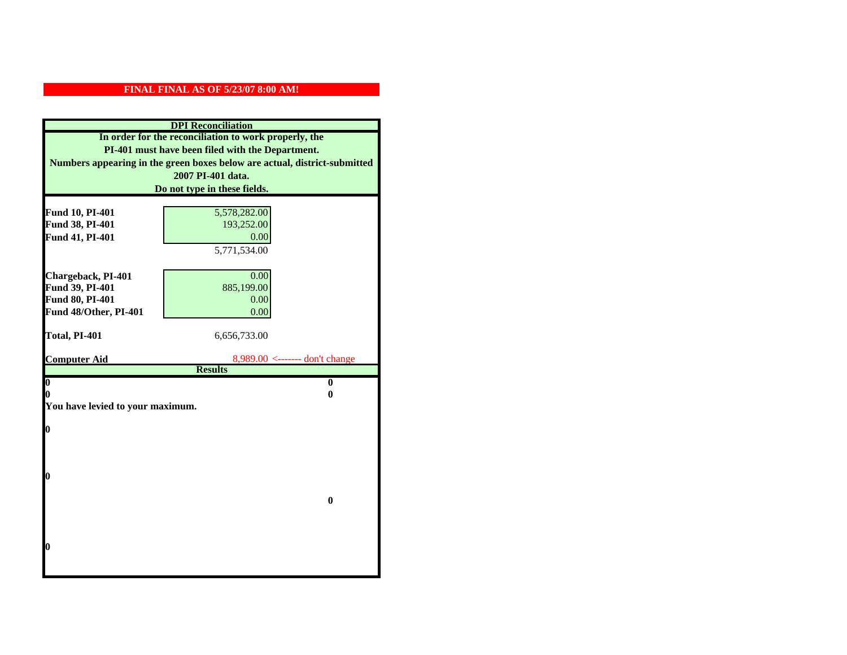| <b>DPI</b> Reconciliation                             |                                                                           |  |
|-------------------------------------------------------|---------------------------------------------------------------------------|--|
| In order for the reconciliation to work properly, the |                                                                           |  |
| PI-401 must have been filed with the Department.      |                                                                           |  |
|                                                       | Numbers appearing in the green boxes below are actual, district-submitted |  |
|                                                       | 2007 PI-401 data.                                                         |  |
|                                                       | Do not type in these fields.                                              |  |
|                                                       |                                                                           |  |
| Fund 10, PI-401                                       | 5,578,282.00                                                              |  |
| Fund 38, PI-401                                       | 193,252.00                                                                |  |
| Fund 41, PI-401                                       | 0.00                                                                      |  |
|                                                       | 5,771,534.00                                                              |  |
|                                                       |                                                                           |  |
| Chargeback, PI-401                                    | 0.00                                                                      |  |
| Fund 39, PI-401                                       | 885,199.00                                                                |  |
| Fund 80, PI-401                                       | 0.00                                                                      |  |
| Fund 48/Other, PI-401                                 | 0.00                                                                      |  |
|                                                       |                                                                           |  |
|                                                       |                                                                           |  |
| Total, PI-401                                         | 6,656,733.00                                                              |  |
| <b>Computer Aid</b>                                   | 8,989.00 <------- don't change                                            |  |
|                                                       | <b>Results</b>                                                            |  |
| $\overline{\mathbf{0}}$                               | $\bf{0}$                                                                  |  |
| 0                                                     | 0                                                                         |  |
| You have levied to your maximum.                      |                                                                           |  |
|                                                       |                                                                           |  |
| $\bf{0}$                                              |                                                                           |  |
|                                                       |                                                                           |  |
|                                                       |                                                                           |  |
| 0                                                     |                                                                           |  |
|                                                       |                                                                           |  |
|                                                       | $\bf{0}$                                                                  |  |
|                                                       |                                                                           |  |
|                                                       |                                                                           |  |
|                                                       |                                                                           |  |
| 0                                                     |                                                                           |  |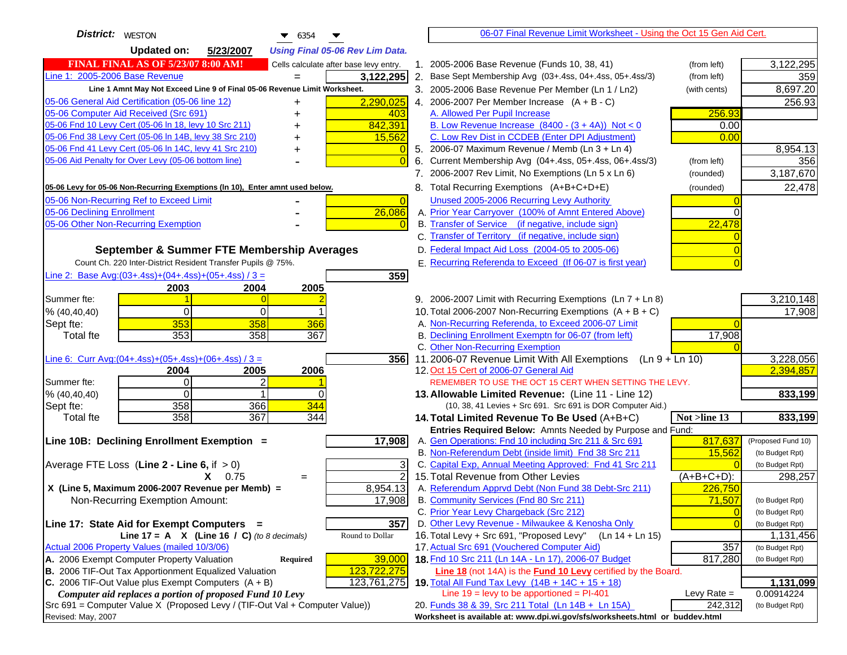| <b>District:</b> WESTON<br>$\bullet$ 6354                                                                                     |                | 06-07 Final Revenue Limit Worksheet - Using the Oct 15 Gen Aid Cert.                                              |                |                         |
|-------------------------------------------------------------------------------------------------------------------------------|----------------|-------------------------------------------------------------------------------------------------------------------|----------------|-------------------------|
| <b>Updated on:</b><br>5/23/2007<br><b>Using Final 05-06 Rev Lim Data.</b>                                                     |                |                                                                                                                   |                |                         |
| <b>FINAL FINAL AS OF 5/23/07 8:00 AM!</b><br>Cells calculate after base levy entry.                                           |                | 1. 2005-2006 Base Revenue (Funds 10, 38, 41)                                                                      | (from left)    | 3,122,295               |
| Line 1: 2005-2006 Base Revenue<br>3,122,295<br>$=$                                                                            |                | 2. Base Sept Membership Avg (03+.4ss, 04+.4ss, 05+.4ss/3)                                                         | (from left)    | 359                     |
| Line 1 Amnt May Not Exceed Line 9 of Final 05-06 Revenue Limit Worksheet.                                                     |                | 3. 2005-2006 Base Revenue Per Member (Ln 1 / Ln2)                                                                 | (with cents)   | 8,697.20                |
| 2,290,025<br>05-06 General Aid Certification (05-06 line 12)                                                                  |                | 4. 2006-2007 Per Member Increase $(A + B - C)$                                                                    |                | 256.93                  |
| 05-06 Computer Aid Received (Src 691)<br>403                                                                                  |                | A. Allowed Per Pupil Increase                                                                                     | 256.93         |                         |
| 05-06 Fnd 10 Levy Cert (05-06 In 18, levy 10 Src 211)<br>842,391                                                              |                | B. Low Revenue Increase $(8400 - (3 + 4A))$ Not < 0                                                               | 0.00           |                         |
| 05-06 Fnd 38 Levy Cert (05-06 In 14B, levy 38 Src 210)<br>15,562                                                              |                | C. Low Rev Dist in CCDEB (Enter DPI Adjustment)                                                                   | 0.00           |                         |
| 05-06 Fnd 41 Levy Cert (05-06 In 14C, levy 41 Src 210)<br>+                                                                   | $\overline{0}$ | 5. 2006-07 Maximum Revenue / Memb (Ln 3 + Ln 4)                                                                   |                | 8,954.13                |
| 05-06 Aid Penalty for Over Levy (05-06 bottom line)                                                                           |                | 6. Current Membership Avg (04+.4ss, 05+.4ss, 06+.4ss/3)                                                           | (from left)    | 356                     |
|                                                                                                                               |                | 7. 2006-2007 Rev Limit, No Exemptions (Ln 5 x Ln 6)                                                               | (rounded)      | 3,187,670               |
| 05-06 Levy for 05-06 Non-Recurring Exemptions (In 10), Enter amnt used below.                                                 |                | 8. Total Recurring Exemptions (A+B+C+D+E)                                                                         | (rounded)      | 22,478                  |
| 05-06 Non-Recurring Ref to Exceed Limit                                                                                       | $\overline{0}$ | Unused 2005-2006 Recurring Levy Authority                                                                         |                |                         |
| 26,086<br>05-06 Declining Enrollment                                                                                          |                | A. Prior Year Carryover (100% of Amnt Entered Above)                                                              | 0              |                         |
| 05-06 Other Non-Recurring Exemption                                                                                           |                | B. Transfer of Service (if negative, include sign)                                                                | 22,478         |                         |
|                                                                                                                               |                | C. Transfer of Territory (if negative, include sign)                                                              |                |                         |
| September & Summer FTE Membership Averages                                                                                    |                | D. Federal Impact Aid Loss (2004-05 to 2005-06)                                                                   |                |                         |
| Count Ch. 220 Inter-District Resident Transfer Pupils @ 75%.                                                                  |                | E. Recurring Referenda to Exceed (If 06-07 is first year)                                                         |                |                         |
| Line 2: Base Avg: (03+.4ss) + (04+.4ss) + (05+.4ss) / 3 =<br>359                                                              |                |                                                                                                                   |                |                         |
| 2003<br>2004<br>2005                                                                                                          |                |                                                                                                                   |                |                         |
| Summer fte:<br>$\overline{0}$                                                                                                 |                | 9. 2006-2007 Limit with Recurring Exemptions (Ln 7 + Ln 8)                                                        |                | 3,210,148               |
| $\overline{0}$<br>0<br>% (40, 40, 40)                                                                                         |                | 10. Total 2006-2007 Non-Recurring Exemptions $(A + B + C)$                                                        |                | 17,908                  |
| 353<br>358<br>366<br>Sept fte:                                                                                                |                | A. Non-Recurring Referenda, to Exceed 2006-07 Limit                                                               |                |                         |
| 353<br>358<br>367<br>Total fte                                                                                                |                | B. Declining Enrollment Exemptn for 06-07 (from left)                                                             | 17,908         |                         |
|                                                                                                                               |                | C. Other Non-Recurring Exemption                                                                                  |                |                         |
| Line 6: Curr Avg: $(04+.4ss)+(05+.4ss)+(06+.4ss)$ / 3 =                                                                       | 356I           | 11.2006-07 Revenue Limit With All Exemptions (Ln $9 + \overline{\text{Ln }10}$ )                                  |                | 3,228,056               |
| 2005<br>2006<br>2004                                                                                                          |                | 12. Oct 15 Cert of 2006-07 General Aid                                                                            |                | 2,394,857               |
| $\overline{0}$<br>2<br>Summer fte:<br>$\Omega$<br>$\Omega$                                                                    |                | REMEMBER TO USE THE OCT 15 CERT WHEN SETTING THE LEVY.                                                            |                |                         |
| % (40, 40, 40)<br>358<br>366<br>344<br>Sept fte:                                                                              |                | 13. Allowable Limited Revenue: (Line 11 - Line 12)<br>(10, 38, 41 Levies + Src 691. Src 691 is DOR Computer Aid.) |                | 833,199                 |
| 358<br>367<br>344<br><b>Total fte</b>                                                                                         |                | 14. Total Limited Revenue To Be Used (A+B+C)                                                                      | Not >line 13   | 833,199                 |
|                                                                                                                               |                | Entries Required Below: Amnts Needed by Purpose and Fund:                                                         |                |                         |
| Line 10B: Declining Enrollment Exemption =<br>17,908                                                                          |                | A. Gen Operations: Fnd 10 including Src 211 & Src 691                                                             | 817,637        | (Proposed Fund 10)      |
|                                                                                                                               |                | B. Non-Referendum Debt (inside limit) Fnd 38 Src 211                                                              | 15,562         | (to Budget Rpt)         |
| Average FTE Loss (Line $2 -$ Line 6, if $> 0$ )                                                                               | 3              | C. Capital Exp, Annual Meeting Approved: Fnd 41 Src 211                                                           | $\Omega$       | (to Budget Rpt)         |
| $X = 0.75$<br>$=$                                                                                                             | $\overline{2}$ | 15. Total Revenue from Other Levies                                                                               | $(A+B+C+D)$ :  | 298,257                 |
| X (Line 5, Maximum 2006-2007 Revenue per Memb) =<br>8,954.13                                                                  |                | A. Referendum Apprvd Debt (Non Fund 38 Debt-Src 211)                                                              | 226,750        |                         |
| 17,908<br>Non-Recurring Exemption Amount:                                                                                     |                | B. Community Services (Fnd 80 Src 211)                                                                            | 71,507         | (to Budget Rpt)         |
|                                                                                                                               |                | C. Prior Year Levy Chargeback (Src 212)                                                                           | $\overline{0}$ | (to Budget Rpt)         |
| 357<br>Line 17: State Aid for Exempt Computers =                                                                              |                | D. Other Levy Revenue - Milwaukee & Kenosha Only                                                                  | $\Omega$       | (to Budget Rpt)         |
| Round to Dollar<br>Line 17 = A $X$ (Line 16 / C) (to 8 decimals)                                                              |                | 16. Total Levy + Src 691, "Proposed Levy"<br>(Ln 14 + Ln 15)                                                      |                | 1,131,456               |
| Actual 2006 Property Values (mailed 10/3/06)                                                                                  |                | 17. Actual Src 691 (Vouchered Computer Aid)                                                                       | 357            | (to Budget Rpt)         |
| A. 2006 Exempt Computer Property Valuation<br>39,000<br>Required                                                              |                | 18. Fnd 10 Src 211 (Ln 14A - Ln 17), 2006-07 Budget                                                               | 817,280        | (to Budget Rpt)         |
| B. 2006 TIF-Out Tax Apportionment Equalized Valuation<br>123,722,275<br>C. 2006 TIF-Out Value plus Exempt Computers $(A + B)$ |                | Line 18 (not 14A) is the Fund 10 Levy certified by the Board.                                                     |                |                         |
| 123,761,275<br>Computer aid replaces a portion of proposed Fund 10 Levy                                                       |                | 19. Total All Fund Tax Levy (14B + 14C + 15 + 18)<br>Line $19 = \text{levy}$ to be apportioned = PI-401           | Levy Rate $=$  | 1,131,099<br>0.00914224 |
| Src 691 = Computer Value X (Proposed Levy / (TIF-Out Val + Computer Value))                                                   |                | 20. Funds 38 & 39, Src 211 Total (Ln 14B + Ln 15A)                                                                | 242,312        | (to Budget Rpt)         |
| Revised: May, 2007                                                                                                            |                | Worksheet is available at: www.dpi.wi.gov/sfs/worksheets.html or buddev.html                                      |                |                         |
|                                                                                                                               |                |                                                                                                                   |                |                         |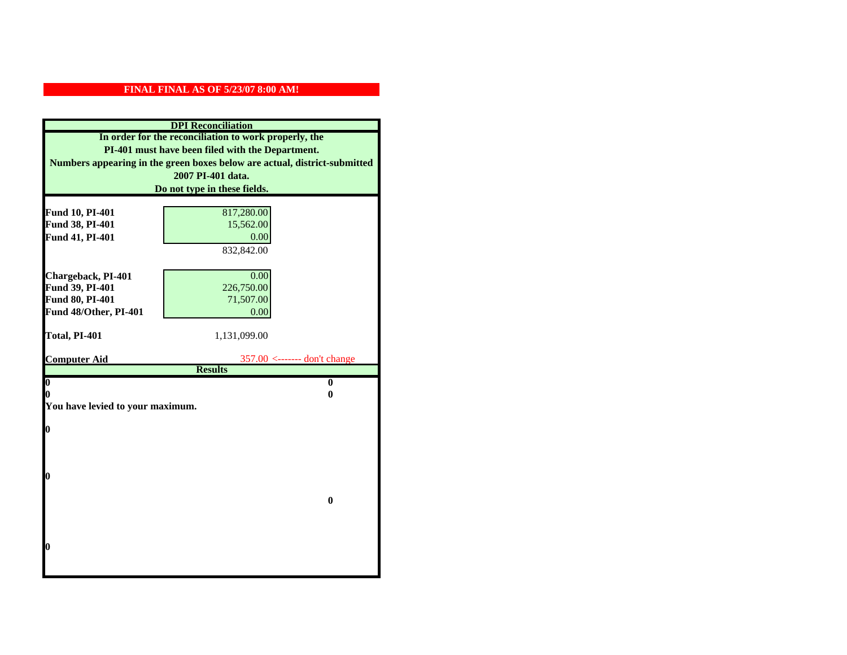| <b>DPI</b> Reconciliation                                                                                                                                                              |                                |  |  |                              |
|----------------------------------------------------------------------------------------------------------------------------------------------------------------------------------------|--------------------------------|--|--|------------------------------|
| In order for the reconciliation to work properly, the<br>PI-401 must have been filed with the Department.<br>Numbers appearing in the green boxes below are actual, district-submitted |                                |  |  |                              |
|                                                                                                                                                                                        |                                |  |  | 2007 PI-401 data.            |
|                                                                                                                                                                                        |                                |  |  | Do not type in these fields. |
|                                                                                                                                                                                        |                                |  |  |                              |
| Fund 10, PI-401                                                                                                                                                                        | 817,280.00                     |  |  |                              |
| Fund 38, PI-401                                                                                                                                                                        | 15,562.00                      |  |  |                              |
| Fund 41, PI-401                                                                                                                                                                        | 0.00                           |  |  |                              |
|                                                                                                                                                                                        | 832,842.00                     |  |  |                              |
|                                                                                                                                                                                        |                                |  |  |                              |
| Chargeback, PI-401                                                                                                                                                                     | 0.00                           |  |  |                              |
| Fund 39, PI-401                                                                                                                                                                        | 226,750.00                     |  |  |                              |
| Fund 80, PI-401                                                                                                                                                                        | 71,507.00                      |  |  |                              |
| Fund 48/Other, PI-401                                                                                                                                                                  | 0.00                           |  |  |                              |
| Total, PI-401                                                                                                                                                                          | 1,131,099.00                   |  |  |                              |
|                                                                                                                                                                                        |                                |  |  |                              |
| <b>Computer Aid</b>                                                                                                                                                                    | $357.00$ <------- don't change |  |  |                              |
|                                                                                                                                                                                        | <b>Results</b>                 |  |  |                              |
| $\overline{\mathbf{0}}$                                                                                                                                                                | $\mathbf{0}$                   |  |  |                              |
| You have levied to your maximum.                                                                                                                                                       | 0<br>0                         |  |  |                              |
|                                                                                                                                                                                        |                                |  |  |                              |
| $\bf{0}$                                                                                                                                                                               |                                |  |  |                              |
|                                                                                                                                                                                        |                                |  |  |                              |
|                                                                                                                                                                                        |                                |  |  |                              |
|                                                                                                                                                                                        |                                |  |  |                              |
| 0                                                                                                                                                                                      |                                |  |  |                              |
|                                                                                                                                                                                        |                                |  |  |                              |
|                                                                                                                                                                                        |                                |  |  |                              |
|                                                                                                                                                                                        | $\bf{0}$                       |  |  |                              |
|                                                                                                                                                                                        |                                |  |  |                              |
|                                                                                                                                                                                        |                                |  |  |                              |
|                                                                                                                                                                                        |                                |  |  |                              |
| 0                                                                                                                                                                                      |                                |  |  |                              |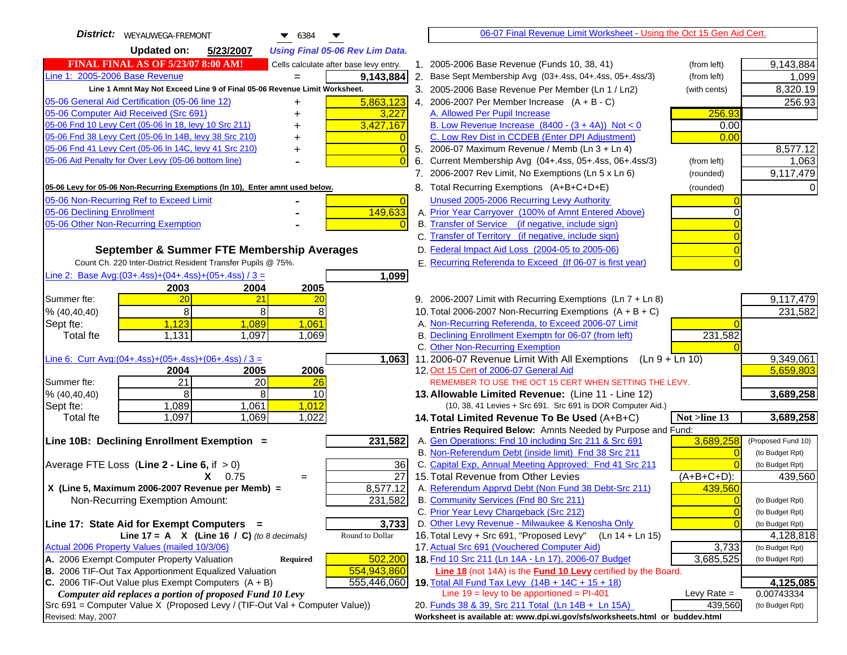| District:   WEYAUWEGA-FREMONT<br>$\bullet$ 6384                                                                                         |    | 06-07 Final Revenue Limit Worksheet - Using the Oct 15 Gen Aid Cert.                                              |                          |                               |
|-----------------------------------------------------------------------------------------------------------------------------------------|----|-------------------------------------------------------------------------------------------------------------------|--------------------------|-------------------------------|
| <b>Updated on:</b><br>5/23/2007<br><b>Using Final 05-06 Rev Lim Data.</b>                                                               |    |                                                                                                                   |                          |                               |
| <b>FINAL FINAL AS OF 5/23/07 8:00 AM!</b><br>Cells calculate after base levy entry.                                                     |    | 1. 2005-2006 Base Revenue (Funds 10, 38, 41)                                                                      | (from left)              | 9,143,884                     |
| Line 1: 2005-2006 Base Revenue<br>9,143,884<br>$=$                                                                                      |    | 2. Base Sept Membership Avg (03+.4ss, 04+.4ss, 05+.4ss/3)                                                         | (from left)              | 1,099                         |
| Line 1 Amnt May Not Exceed Line 9 of Final 05-06 Revenue Limit Worksheet.                                                               |    | 3. 2005-2006 Base Revenue Per Member (Ln 1 / Ln2)                                                                 | (with cents)             | 8,320.19                      |
| 5,863,123<br>05-06 General Aid Certification (05-06 line 12)                                                                            |    | 4. 2006-2007 Per Member Increase $(A + B - C)$                                                                    |                          | 256.93                        |
| 05-06 Computer Aid Received (Src 691)<br>3,227                                                                                          |    | A. Allowed Per Pupil Increase                                                                                     | 256.93                   |                               |
| 05-06 Fnd 10 Levy Cert (05-06 In 18, levy 10 Src 211)<br>3,427,167                                                                      |    | B. Low Revenue Increase $(8400 - (3 + 4A))$ Not < 0                                                               | 0.00                     |                               |
| 05-06 Fnd 38 Levy Cert (05-06 In 14B, levy 38 Src 210)                                                                                  |    | C. Low Rev Dist in CCDEB (Enter DPI Adjustment)                                                                   | 0.00                     |                               |
| 05-06 Fnd 41 Levy Cert (05-06 In 14C, levy 41 Src 210)<br>$\overline{0}$<br>+                                                           |    | 5. 2006-07 Maximum Revenue / Memb (Ln 3 + Ln 4)                                                                   |                          | 8,577.12                      |
| 05-06 Aid Penalty for Over Levy (05-06 bottom line)<br>$\Omega$                                                                         | 6. | Current Membership Avg (04+.4ss, 05+.4ss, 06+.4ss/3)                                                              | (from left)              | 1,063                         |
|                                                                                                                                         |    | 7. 2006-2007 Rev Limit, No Exemptions (Ln 5 x Ln 6)                                                               | (rounded)                | 9,117,479                     |
| 05-06 Levy for 05-06 Non-Recurring Exemptions (In 10), Enter amnt used below.                                                           |    | 8. Total Recurring Exemptions (A+B+C+D+E)                                                                         | (rounded)                |                               |
| 05-06 Non-Recurring Ref to Exceed Limit<br>$\vert 0 \vert$                                                                              |    | Unused 2005-2006 Recurring Levy Authority                                                                         |                          |                               |
| 149,633<br>05-06 Declining Enrollment                                                                                                   |    | A. Prior Year Carryover (100% of Amnt Entered Above)                                                              | 0                        |                               |
| 05-06 Other Non-Recurring Exemption                                                                                                     |    | B. Transfer of Service (if negative, include sign)                                                                |                          |                               |
|                                                                                                                                         |    | C. Transfer of Territory (if negative, include sign)                                                              |                          |                               |
| September & Summer FTE Membership Averages                                                                                              |    | D. Federal Impact Aid Loss (2004-05 to 2005-06)                                                                   |                          |                               |
| Count Ch. 220 Inter-District Resident Transfer Pupils @ 75%.                                                                            |    | E. Recurring Referenda to Exceed (If 06-07 is first year)                                                         |                          |                               |
| Line 2: Base Avg: (03+.4ss) + (04+.4ss) + (05+.4ss) / 3 =<br>1,099                                                                      |    |                                                                                                                   |                          |                               |
| 2003<br>2004<br>2005                                                                                                                    |    |                                                                                                                   |                          |                               |
| 20<br>21<br>Summer fte:<br>20                                                                                                           |    | 9. 2006-2007 Limit with Recurring Exemptions (Ln 7 + Ln 8)                                                        |                          | 9,117,479                     |
| 8 <sup>1</sup><br>8<br>8<br>% (40, 40, 40)                                                                                              |    | 10. Total 2006-2007 Non-Recurring Exemptions $(A + B + C)$                                                        |                          | 231,582                       |
| 1,123<br>1,089<br>1,061<br>Sept fte:                                                                                                    |    | A. Non-Recurring Referenda, to Exceed 2006-07 Limit                                                               |                          |                               |
| Total fte<br>1,131<br>1,097<br>1,069                                                                                                    |    | B. Declining Enrollment Exemptn for 06-07 (from left)                                                             | 231,582                  |                               |
|                                                                                                                                         |    | C. Other Non-Recurring Exemption                                                                                  |                          |                               |
| Line 6: Curr Avg: $(04+.4ss)+(05+.4ss)+(06+.4ss)$ / 3 =<br>1,063                                                                        |    | 11.2006-07 Revenue Limit With All Exemptions $(Ln 9 + Ln 10)$                                                     |                          | 9,349,061                     |
| 2006<br>2004<br>2005                                                                                                                    |    | 12. Oct 15 Cert of 2006-07 General Aid                                                                            |                          | 5,659,803                     |
| 21<br>20<br>Summer fte:<br>26<br>8<br>8                                                                                                 |    | REMEMBER TO USE THE OCT 15 CERT WHEN SETTING THE LEVY.                                                            |                          |                               |
| % (40, 40, 40)<br>10<br>1,089<br>1,061<br>1,012<br>Sept fte:                                                                            |    | 13. Allowable Limited Revenue: (Line 11 - Line 12)<br>(10, 38, 41 Levies + Src 691. Src 691 is DOR Computer Aid.) |                          | 3,689,258                     |
| 1,097<br>1,069<br>1,022<br><b>Total fte</b>                                                                                             |    | 14. Total Limited Revenue To Be Used (A+B+C)                                                                      | Not >line 13             | 3,689,258                     |
|                                                                                                                                         |    | Entries Required Below: Amnts Needed by Purpose and Fund:                                                         |                          |                               |
| Line 10B: Declining Enrollment Exemption =<br>231,582                                                                                   |    | A. Gen Operations: Fnd 10 including Src 211 & Src 691                                                             | 3,689,258                | (Proposed Fund 10)            |
|                                                                                                                                         |    | B. Non-Referendum Debt (inside limit) Fnd 38 Src 211                                                              | $\Omega$                 | (to Budget Rpt)               |
| Average FTE Loss (Line $2 -$ Line 6, if $> 0$ )<br>36                                                                                   |    | C. Capital Exp, Annual Meeting Approved: Fnd 41 Src 211                                                           |                          | (to Budget Rpt)               |
| $\overline{27}$<br>$X = 0.75$<br>$=$                                                                                                    |    | 15. Total Revenue from Other Levies                                                                               | $(A+B+C+D)$ :            | 439,560                       |
| X (Line 5, Maximum 2006-2007 Revenue per Memb) =<br>8,577.12                                                                            |    | A. Referendum Apprvd Debt (Non Fund 38 Debt-Src 211)                                                              | 439,560                  |                               |
| 231,582<br>Non-Recurring Exemption Amount:                                                                                              |    | B. Community Services (Fnd 80 Src 211)                                                                            | $\Omega$                 | (to Budget Rpt)               |
|                                                                                                                                         |    | C. Prior Year Levy Chargeback (Src 212)                                                                           | $\overline{0}$           | (to Budget Rpt)               |
| 3,733<br>Line 17: State Aid for Exempt Computers =                                                                                      |    | D. Other Levy Revenue - Milwaukee & Kenosha Only                                                                  | $\Omega$                 | (to Budget Rpt)               |
| Round to Dollar<br>Line 17 = A $X$ (Line 16 / C) (to 8 decimals)                                                                        |    | 16. Total Levy + Src 691, "Proposed Levy"<br>(Ln 14 + Ln 15)                                                      |                          | 4,128,818                     |
| Actual 2006 Property Values (mailed 10/3/06)                                                                                            |    | 17. Actual Src 691 (Vouchered Computer Aid)                                                                       | 3,733                    | (to Budget Rpt)               |
| A. 2006 Exempt Computer Property Valuation<br>502,200<br>Required                                                                       |    | 18. Fnd 10 Src 211 (Ln 14A - Ln 17), 2006-07 Budget                                                               | 3,685,525                | (to Budget Rpt)               |
| B. 2006 TIF-Out Tax Apportionment Equalized Valuation<br>554,943,860                                                                    |    | Line 18 (not 14A) is the Fund 10 Levy certified by the Board.                                                     |                          |                               |
| C. 2006 TIF-Out Value plus Exempt Computers $(A + B)$<br>555,446,060                                                                    |    | 19. Total All Fund Tax Levy $(14B + 14C + 15 + 18)$                                                               |                          | 4,125,085                     |
| Computer aid replaces a portion of proposed Fund 10 Levy<br>Src 691 = Computer Value X (Proposed Levy / (TIF-Out Val + Computer Value)) |    | Line $19 = \text{levy}$ to be apportioned = PI-401<br>20. Funds 38 & 39, Src 211 Total (Ln 14B + Ln 15A)          | Levy Rate $=$<br>439,560 | 0.00743334<br>(to Budget Rpt) |
| Revised: May, 2007                                                                                                                      |    | Worksheet is available at: www.dpi.wi.gov/sfs/worksheets.html or buddev.html                                      |                          |                               |
|                                                                                                                                         |    |                                                                                                                   |                          |                               |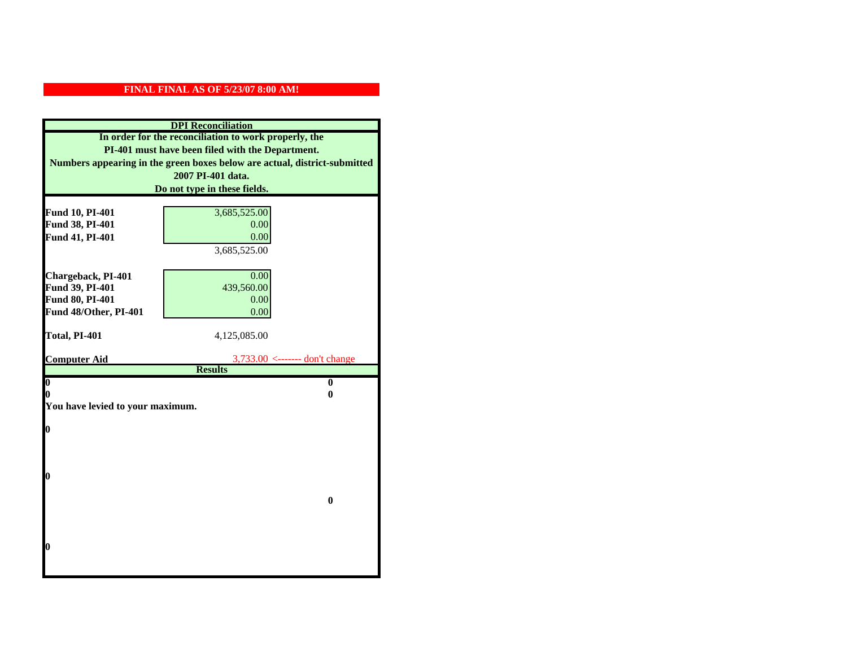| <b>DPI</b> Reconciliation                                                                                 |                                                                 |  |  |
|-----------------------------------------------------------------------------------------------------------|-----------------------------------------------------------------|--|--|
| In order for the reconciliation to work properly, the<br>PI-401 must have been filed with the Department. |                                                                 |  |  |
|                                                                                                           |                                                                 |  |  |
|                                                                                                           | 2007 PI-401 data.                                               |  |  |
|                                                                                                           | Do not type in these fields.                                    |  |  |
| Fund 10, PI-401                                                                                           | 3,685,525.00                                                    |  |  |
| Fund 38, PI-401                                                                                           | 0.00                                                            |  |  |
| Fund 41, PI-401                                                                                           | 0.00                                                            |  |  |
|                                                                                                           | 3,685,525.00                                                    |  |  |
|                                                                                                           |                                                                 |  |  |
| Chargeback, PI-401                                                                                        | 0.00                                                            |  |  |
| Fund 39, PI-401                                                                                           | 439,560.00                                                      |  |  |
| Fund 80, PI-401                                                                                           | 0.00                                                            |  |  |
| Fund 48/Other, PI-401                                                                                     | 0.00                                                            |  |  |
|                                                                                                           |                                                                 |  |  |
| Total, PI-401                                                                                             | 4,125,085.00                                                    |  |  |
|                                                                                                           |                                                                 |  |  |
| <b>Computer Aid</b>                                                                                       | $3,733.00 \leftarrow \text{---}$ don't change<br><b>Results</b> |  |  |
| $\boldsymbol{0}$                                                                                          | $\bf{0}$                                                        |  |  |
| 0                                                                                                         | 0                                                               |  |  |
| You have levied to your maximum.                                                                          |                                                                 |  |  |
|                                                                                                           |                                                                 |  |  |
| 0                                                                                                         |                                                                 |  |  |
|                                                                                                           |                                                                 |  |  |
|                                                                                                           |                                                                 |  |  |
| 0                                                                                                         |                                                                 |  |  |
|                                                                                                           |                                                                 |  |  |
|                                                                                                           | $\bf{0}$                                                        |  |  |
|                                                                                                           |                                                                 |  |  |
|                                                                                                           |                                                                 |  |  |
|                                                                                                           |                                                                 |  |  |
| 0                                                                                                         |                                                                 |  |  |
|                                                                                                           |                                                                 |  |  |
|                                                                                                           |                                                                 |  |  |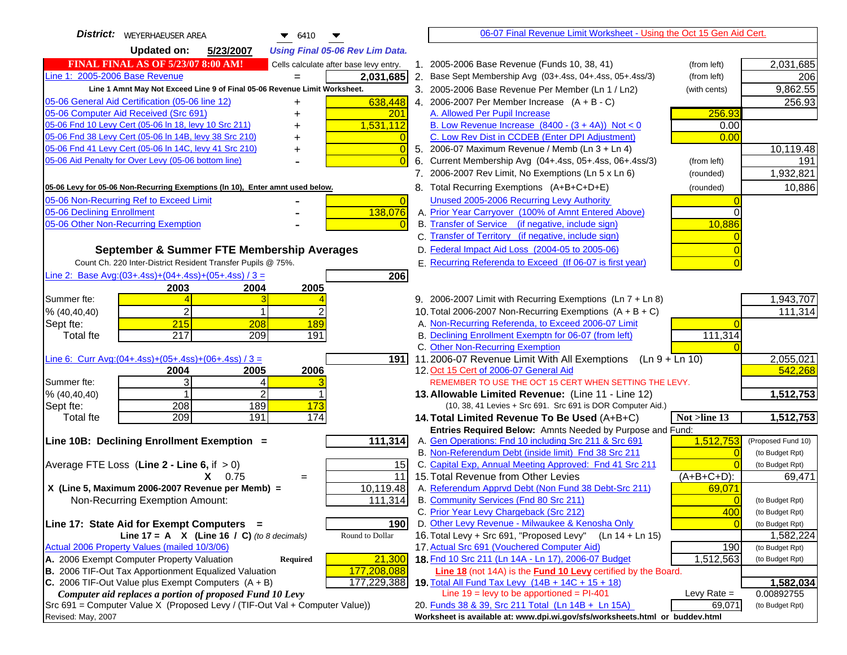| District:   WEYERHAEUSER AREA<br>$\bullet$ 6410<br>▼                                                                 | 06-07 Final Revenue Limit Worksheet - Using the Oct 15 Gen Aid Cert.                                                       |                              |
|----------------------------------------------------------------------------------------------------------------------|----------------------------------------------------------------------------------------------------------------------------|------------------------------|
| <b>Updated on:</b><br>5/23/2007<br><b>Using Final 05-06 Rev Lim Data.</b>                                            |                                                                                                                            |                              |
| <b>FINAL FINAL AS OF 5/23/07 8:00 AM!</b><br>Cells calculate after base levy entry.                                  | 1. 2005-2006 Base Revenue (Funds 10, 38, 41)<br>(from left)                                                                | 2,031,685                    |
| Line 1: 2005-2006 Base Revenue<br>2,031,685                                                                          | 2. Base Sept Membership Avg (03+.4ss, 04+.4ss, 05+.4ss/3)<br>(from left)                                                   | 206                          |
| Line 1 Amnt May Not Exceed Line 9 of Final 05-06 Revenue Limit Worksheet.                                            | 3. 2005-2006 Base Revenue Per Member (Ln 1 / Ln2)<br>(with cents)                                                          | 9,862.55                     |
| 05-06 General Aid Certification (05-06 line 12)<br>638,448<br>+                                                      | 4. 2006-2007 Per Member Increase $(A + B - C)$                                                                             | 256.93                       |
| 05-06 Computer Aid Received (Src 691)<br>201                                                                         | 256.93<br>A. Allowed Per Pupil Increase                                                                                    |                              |
| 05-06 Fnd 10 Levy Cert (05-06 In 18, levy 10 Src 211)<br>1,531,112                                                   | B. Low Revenue Increase $(8400 - (3 + 4A))$ Not < 0<br>0.00                                                                |                              |
| 05-06 Fnd 38 Levy Cert (05-06 In 14B, levy 38 Src 210)<br>$\overline{0}$                                             | C. Low Rev Dist in CCDEB (Enter DPI Adjustment)<br>0.00                                                                    |                              |
| 05-06 Fnd 41 Levy Cert (05-06 In 14C, levy 41 Src 210)<br>$\overline{0}$<br>+                                        | 5. 2006-07 Maximum Revenue / Memb (Ln 3 + Ln 4)                                                                            | 10,119.48                    |
| 05-06 Aid Penalty for Over Levy (05-06 bottom line)<br>$\overline{0}$                                                | Current Membership Avg (04+.4ss, 05+.4ss, 06+.4ss/3)<br>6.<br>(from left)                                                  | 191                          |
|                                                                                                                      | 7. 2006-2007 Rev Limit, No Exemptions (Ln 5 x Ln 6)<br>(rounded)                                                           | 1,932,821                    |
| 05-06 Levy for 05-06 Non-Recurring Exemptions (In 10), Enter amnt used below.                                        | 8. Total Recurring Exemptions (A+B+C+D+E)<br>(rounded)                                                                     | 10,886                       |
| 05-06 Non-Recurring Ref to Exceed Limit<br>$\overline{0}$                                                            | Unused 2005-2006 Recurring Levy Authority                                                                                  |                              |
| 138,076<br>05-06 Declining Enrollment                                                                                | A. Prior Year Carryover (100% of Amnt Entered Above)                                                                       |                              |
| 05-06 Other Non-Recurring Exemption                                                                                  | B. Transfer of Service (if negative, include sign)<br>10,886                                                               |                              |
|                                                                                                                      | C. Transfer of Territory (if negative, include sign)                                                                       |                              |
| September & Summer FTE Membership Averages                                                                           | D. Federal Impact Aid Loss (2004-05 to 2005-06)                                                                            |                              |
| Count Ch. 220 Inter-District Resident Transfer Pupils @ 75%.                                                         | E. Recurring Referenda to Exceed (If 06-07 is first year)<br>$\overline{0}$                                                |                              |
| Line 2: Base Avg:(03+.4ss)+(04+.4ss)+(05+.4ss) / 3 =<br>206                                                          |                                                                                                                            |                              |
| 2003<br>2004<br>2005                                                                                                 |                                                                                                                            |                              |
| Summer fte:                                                                                                          | 9. 2006-2007 Limit with Recurring Exemptions (Ln 7 + Ln 8)                                                                 | 1,943,707                    |
| $\overline{2}$<br>$\mathbf 1$<br>2<br>% (40, 40, 40)                                                                 | 10. Total 2006-2007 Non-Recurring Exemptions $(A + B + C)$                                                                 | 111,314                      |
| 215<br>189<br>Sept fte:<br>208                                                                                       | A. Non-Recurring Referenda, to Exceed 2006-07 Limit                                                                        |                              |
| 217<br>209<br>191<br><b>Total fte</b>                                                                                | B. Declining Enrollment Exemptn for 06-07 (from left)<br>111,314                                                           |                              |
|                                                                                                                      | C. Other Non-Recurring Exemption                                                                                           |                              |
| Line 6: Curr Avg: $(04+.4ss)+(05+.4ss)+(06+.4ss)/3 =$<br>1911<br>2006<br>2004<br>2005                                | 11.2006-07 Revenue Limit With All Exemptions (Ln $9 + \overline{\text{Ln }10}$ )<br>12. Oct 15 Cert of 2006-07 General Aid | 2,055,021<br>542,268         |
| 3<br>Summer fte:<br>4                                                                                                | REMEMBER TO USE THE OCT 15 CERT WHEN SETTING THE LEVY.                                                                     |                              |
| $\overline{2}$<br>% (40, 40, 40)                                                                                     | 13. Allowable Limited Revenue: (Line 11 - Line 12)                                                                         | 1,512,753                    |
| 189<br>208<br>173<br>Sept fte:                                                                                       | (10, 38, 41 Levies + Src 691. Src 691 is DOR Computer Aid.)                                                                |                              |
| 209<br>191<br>174<br><b>Total fte</b>                                                                                | 14. Total Limited Revenue To Be Used (A+B+C)<br>Not >line 13                                                               | 1,512,753                    |
|                                                                                                                      | Entries Required Below: Amnts Needed by Purpose and Fund:                                                                  |                              |
| 111,314<br>Line 10B: Declining Enrollment Exemption =                                                                | 1,512,753<br>A. Gen Operations: Fnd 10 including Src 211 & Src 691                                                         | (Proposed Fund 10)           |
|                                                                                                                      | B. Non-Referendum Debt (inside limit) Fnd 38 Src 211<br>$\Omega$                                                           | (to Budget Rpt)              |
| Average FTE Loss (Line $2 -$ Line 6, if $> 0$ )<br>15                                                                | C. Capital Exp, Annual Meeting Approved: Fnd 41 Src 211                                                                    | (to Budget Rpt)              |
| 11<br>$X = 0.75$<br>$=$                                                                                              | 15. Total Revenue from Other Levies<br>$(A+B+C+D)$ :                                                                       | 69,471                       |
| X (Line 5, Maximum 2006-2007 Revenue per Memb) =<br>10,119.48                                                        | A. Referendum Apprvd Debt (Non Fund 38 Debt-Src 211)<br>69,071                                                             |                              |
| 111,314<br>Non-Recurring Exemption Amount:                                                                           | B. Community Services (Fnd 80 Src 211)<br>$\Omega$                                                                         | (to Budget Rpt)              |
|                                                                                                                      | C. Prior Year Levy Chargeback (Src 212)<br>400<br>D. Other Levy Revenue - Milwaukee & Kenosha Only                         | (to Budget Rpt)              |
| Line 17: State Aid for Exempt Computers =<br>190<br>Round to Dollar<br>Line 17 = A $X$ (Line 16 / C) (to 8 decimals) | 16. Total Levy + Src 691, "Proposed Levy" (Ln 14 + Ln 15)                                                                  | (to Budget Rpt)<br>1,582,224 |
| Actual 2006 Property Values (mailed 10/3/06)                                                                         | 17. Actual Src 691 (Vouchered Computer Aid)<br>190                                                                         | (to Budget Rpt)              |
| A. 2006 Exempt Computer Property Valuation<br>21,300<br>Required                                                     | 18. Fnd 10 Src 211 (Ln 14A - Ln 17), 2006-07 Budget<br>1,512,563                                                           | (to Budget Rpt)              |
| B. 2006 TIF-Out Tax Apportionment Equalized Valuation<br>177,208,088                                                 | Line 18 (not 14A) is the Fund 10 Levy certified by the Board.                                                              |                              |
| 177,229,388<br>C. 2006 TIF-Out Value plus Exempt Computers $(A + B)$                                                 | 19. Total All Fund Tax Levy $(14B + 14C + 15 + 18)$                                                                        | 1,582,034                    |
| Computer aid replaces a portion of proposed Fund 10 Levy                                                             | Line $19 = \text{levy}$ to be apportioned = PI-401<br>Levy Rate $=$                                                        | 0.00892755                   |
| Src 691 = Computer Value X (Proposed Levy / (TIF-Out Val + Computer Value))                                          | 20. Funds 38 & 39, Src 211 Total (Ln 14B + Ln 15A)<br>69,071                                                               | (to Budget Rpt)              |
| Revised: May, 2007                                                                                                   | Worksheet is available at: www.dpi.wi.gov/sfs/worksheets.html or buddev.html                                               |                              |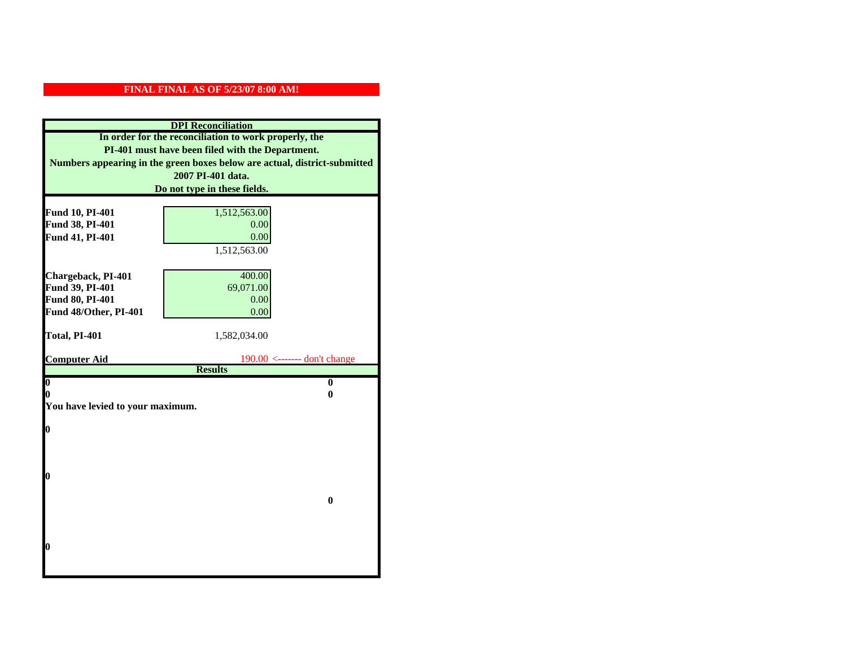| <b>DPI</b> Reconciliation                             |                                                                           |  |
|-------------------------------------------------------|---------------------------------------------------------------------------|--|
| In order for the reconciliation to work properly, the |                                                                           |  |
| PI-401 must have been filed with the Department.      |                                                                           |  |
|                                                       | Numbers appearing in the green boxes below are actual, district-submitted |  |
|                                                       | 2007 PI-401 data.                                                         |  |
|                                                       | Do not type in these fields.                                              |  |
|                                                       |                                                                           |  |
| Fund 10, PI-401                                       | 1,512,563.00                                                              |  |
| Fund 38, PI-401                                       | 0.00                                                                      |  |
| Fund 41, PI-401                                       | 0.00                                                                      |  |
|                                                       | 1,512,563.00                                                              |  |
|                                                       |                                                                           |  |
| Chargeback, PI-401                                    | 400.00                                                                    |  |
| Fund 39, PI-401                                       | 69,071.00                                                                 |  |
| Fund 80, PI-401                                       | 0.00                                                                      |  |
| Fund 48/Other, PI-401                                 | 0.00                                                                      |  |
|                                                       |                                                                           |  |
|                                                       |                                                                           |  |
| Total, PI-401                                         | 1,582,034.00                                                              |  |
| <b>Computer Aid</b>                                   | $190.00$ <------- don't change                                            |  |
|                                                       | <b>Results</b>                                                            |  |
| $\boldsymbol{0}$                                      | $\mathbf{0}$                                                              |  |
| 0                                                     | 0                                                                         |  |
| You have levied to your maximum.                      |                                                                           |  |
|                                                       |                                                                           |  |
| $\bf{0}$                                              |                                                                           |  |
|                                                       |                                                                           |  |
|                                                       |                                                                           |  |
| 0                                                     |                                                                           |  |
|                                                       |                                                                           |  |
|                                                       | $\bf{0}$                                                                  |  |
|                                                       |                                                                           |  |
|                                                       |                                                                           |  |
|                                                       |                                                                           |  |
| 0                                                     |                                                                           |  |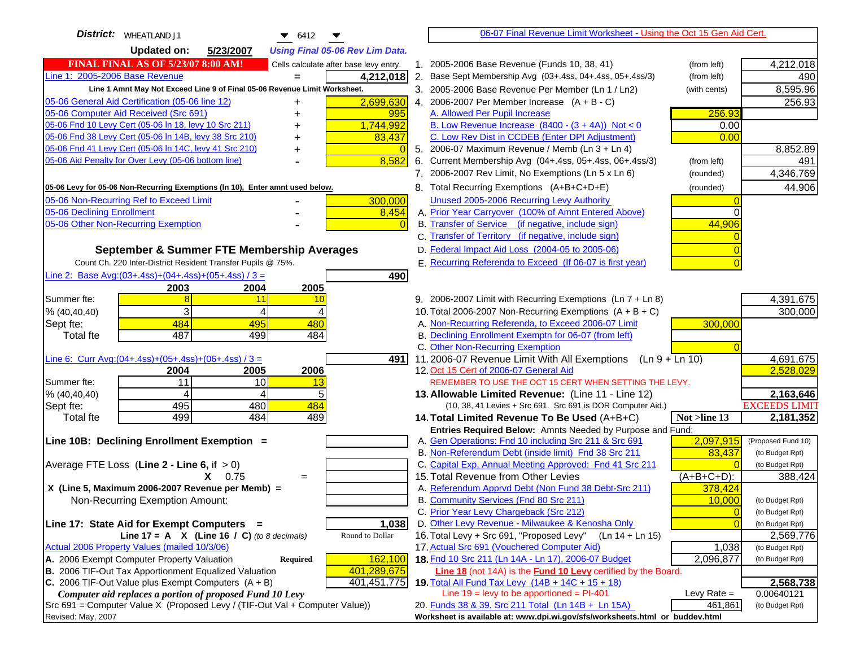| <b>District:</b> WHEATLAND J1<br>▼<br>$\bullet$ 6412                                                              | 06-07 Final Revenue Limit Worksheet - Using the Oct 15 Gen Aid Cert.                                                                                   |
|-------------------------------------------------------------------------------------------------------------------|--------------------------------------------------------------------------------------------------------------------------------------------------------|
| <b>Updated on:</b><br>5/23/2007<br><b>Using Final 05-06 Rev Lim Data.</b>                                         |                                                                                                                                                        |
| <b>FINAL FINAL AS OF 5/23/07 8:00 AM!</b><br>Cells calculate after base levy entry.                               | 1. 2005-2006 Base Revenue (Funds 10, 38, 41)<br>4,212,018<br>(from left)                                                                               |
| Line 1: 2005-2006 Base Revenue<br>4,212,018<br>$=$                                                                | 2. Base Sept Membership Avg (03+.4ss, 04+.4ss, 05+.4ss/3)<br>(from left)<br>490                                                                        |
| Line 1 Amnt May Not Exceed Line 9 of Final 05-06 Revenue Limit Worksheet.                                         | 8,595.96<br>3. 2005-2006 Base Revenue Per Member (Ln 1 / Ln2)<br>(with cents)                                                                          |
| 05-06 General Aid Certification (05-06 line 12)<br>2,699,630<br>+                                                 | 4. 2006-2007 Per Member Increase $(A + B - C)$<br>256.93                                                                                               |
| 05-06 Computer Aid Received (Src 691)<br>995                                                                      | 256.93<br>A. Allowed Per Pupil Increase                                                                                                                |
| 05-06 Fnd 10 Levy Cert (05-06 In 18, levy 10 Src 211)<br>1,744,992                                                | B. Low Revenue Increase $(8400 - (3 + 4A))$ Not < 0<br>0.00                                                                                            |
| 05-06 Fnd 38 Levy Cert (05-06 In 14B, levy 38 Src 210)<br>83,437                                                  | C. Low Rev Dist in CCDEB (Enter DPI Adjustment)<br>0.00                                                                                                |
| 05-06 Fnd 41 Levy Cert (05-06 In 14C, levy 41 Src 210)<br>+                                                       | 8,852.89<br>5. 2006-07 Maximum Revenue / Memb (Ln $3 + \text{Ln } 4$ )                                                                                 |
| 05-06 Aid Penalty for Over Levy (05-06 bottom line)<br>8,582                                                      | 6. Current Membership Avg (04+.4ss, 05+.4ss, 06+.4ss/3)<br>(from left)<br>491                                                                          |
|                                                                                                                   | 7. 2006-2007 Rev Limit, No Exemptions (Ln 5 x Ln 6)<br>4,346,769<br>(rounded)                                                                          |
| 05-06 Levy for 05-06 Non-Recurring Exemptions (In 10), Enter amnt used below.                                     | 8. Total Recurring Exemptions (A+B+C+D+E)<br>44,906<br>(rounded)                                                                                       |
| 05-06 Non-Recurring Ref to Exceed Limit<br>300,000                                                                | Unused 2005-2006 Recurring Levy Authority                                                                                                              |
| 05-06 Declining Enrollment<br>8,454                                                                               | A. Prior Year Carryover (100% of Amnt Entered Above)                                                                                                   |
| 05-06 Other Non-Recurring Exemption                                                                               | B. Transfer of Service (if negative, include sign)<br>44,906                                                                                           |
|                                                                                                                   | C. Transfer of Territory (if negative, include sign)                                                                                                   |
| September & Summer FTE Membership Averages                                                                        | D. Federal Impact Aid Loss (2004-05 to 2005-06)                                                                                                        |
| Count Ch. 220 Inter-District Resident Transfer Pupils @ 75%.                                                      | E. Recurring Referenda to Exceed (If 06-07 is first year)                                                                                              |
| Line 2: Base Avg:(03+.4ss)+(04+.4ss)+(05+.4ss) / 3 =<br>490                                                       |                                                                                                                                                        |
| 2003<br>2004<br>2005                                                                                              |                                                                                                                                                        |
| Summer fte:<br>11<br>8<br>10                                                                                      | 4,391,675<br>9. 2006-2007 Limit with Recurring Exemptions (Ln 7 + Ln 8)                                                                                |
| 3<br>% (40, 40, 40)<br>4<br>4                                                                                     | 10. Total 2006-2007 Non-Recurring Exemptions $(A + B + C)$<br>300,000                                                                                  |
| 484<br>Sept fte:<br>495<br>480                                                                                    | A. Non-Recurring Referenda, to Exceed 2006-07 Limit<br>300,000                                                                                         |
| 487<br>499<br>484<br><b>Total fte</b>                                                                             | B. Declining Enrollment Exemptn for 06-07 (from left)                                                                                                  |
|                                                                                                                   | C. Other Non-Recurring Exemption                                                                                                                       |
| Line 6: Curr Avg: $(04+.4ss)+(05+.4ss)+(06+.4ss)/3 =$<br>4911                                                     | 11.2006-07 Revenue Limit With All Exemptions (Ln 9 + Ln 10)<br>4,691,675                                                                               |
| 2005<br>2006<br>2004                                                                                              | 2,528,029<br>12. Oct 15 Cert of 2006-07 General Aid                                                                                                    |
| 11<br>10<br>Summer fte:<br>13<br>4<br>5<br>4                                                                      | REMEMBER TO USE THE OCT 15 CERT WHEN SETTING THE LEVY.                                                                                                 |
| % (40, 40, 40)<br>484<br>495<br>480<br>Sept fte:                                                                  | 13. Allowable Limited Revenue: (Line 11 - Line 12)<br>2,163,646<br><b>EXCEEDS LIMIT</b><br>(10, 38, 41 Levies + Src 691. Src 691 is DOR Computer Aid.) |
| 499<br>484<br>489<br><b>Total fte</b>                                                                             | 2,181,352<br>14. Total Limited Revenue To Be Used (A+B+C)<br>Not >line 13                                                                              |
|                                                                                                                   | Entries Required Below: Amnts Needed by Purpose and Fund:                                                                                              |
| Line 10B: Declining Enrollment Exemption =                                                                        | 2,097,915<br>A. Gen Operations: Fnd 10 including Src 211 & Src 691<br>(Proposed Fund 10)                                                               |
|                                                                                                                   | B. Non-Referendum Debt (inside limit) Fnd 38 Src 211<br>83,437<br>(to Budget Rpt)                                                                      |
| Average FTE Loss (Line $2 -$ Line 6, if $> 0$ )                                                                   | C. Capital Exp, Annual Meeting Approved: Fnd 41 Src 211<br>(to Budget Rpt)                                                                             |
| $X = 0.75$<br>$=$                                                                                                 | 15. Total Revenue from Other Levies<br>(A+B+C+D):<br>388,424                                                                                           |
| X (Line 5, Maximum 2006-2007 Revenue per Memb) =                                                                  | A. Referendum Apprvd Debt (Non Fund 38 Debt-Src 211)<br>378,424                                                                                        |
| Non-Recurring Exemption Amount:                                                                                   | B. Community Services (Fnd 80 Src 211)<br>10,000<br>(to Budget Rpt)                                                                                    |
|                                                                                                                   | C. Prior Year Levy Chargeback (Src 212)<br>$\overline{0}$<br>(to Budget Rpt)                                                                           |
| Line 17: State Aid for Exempt Computers =<br>1,038                                                                | D. Other Levy Revenue - Milwaukee & Kenosha Only<br>(to Budget Rpt)                                                                                    |
| Round to Dollar<br>Line 17 = A $X$ (Line 16 / C) (to 8 decimals)                                                  | 16. Total Levy + Src 691, "Proposed Levy"<br>(Ln 14 + Ln 15)<br>2,569,776                                                                              |
| Actual 2006 Property Values (mailed 10/3/06)                                                                      | 17. Actual Src 691 (Vouchered Computer Aid)<br>1,038<br>(to Budget Rpt)                                                                                |
| A. 2006 Exempt Computer Property Valuation<br>162,100<br>Required                                                 | 18. Fnd 10 Src 211 (Ln 14A - Ln 17), 2006-07 Budget<br>2,096,877<br>(to Budget Rpt)                                                                    |
| B. 2006 TIF-Out Tax Apportionment Equalized Valuation<br>401,289,675<br>401,451,775                               | Line 18 (not 14A) is the <b>Fund 10 Levy</b> certified by the Board.<br>19. Total All Fund Tax Levy (14B + 14C + 15 + 18)                              |
| C. 2006 TIF-Out Value plus Exempt Computers $(A + B)$<br>Computer aid replaces a portion of proposed Fund 10 Levy | 2,568,738<br>Line $19 = \text{levy}$ to be apportioned = PI-401<br>Levy Rate $=$<br>0.00640121                                                         |
| Src 691 = Computer Value X (Proposed Levy / (TIF-Out Val + Computer Value))                                       | 20. Funds 38 & 39, Src 211 Total (Ln 14B + Ln 15A)<br>461,861<br>(to Budget Rpt)                                                                       |
| Revised: May, 2007                                                                                                | Worksheet is available at: www.dpi.wi.gov/sfs/worksheets.html or buddev.html                                                                           |
|                                                                                                                   |                                                                                                                                                        |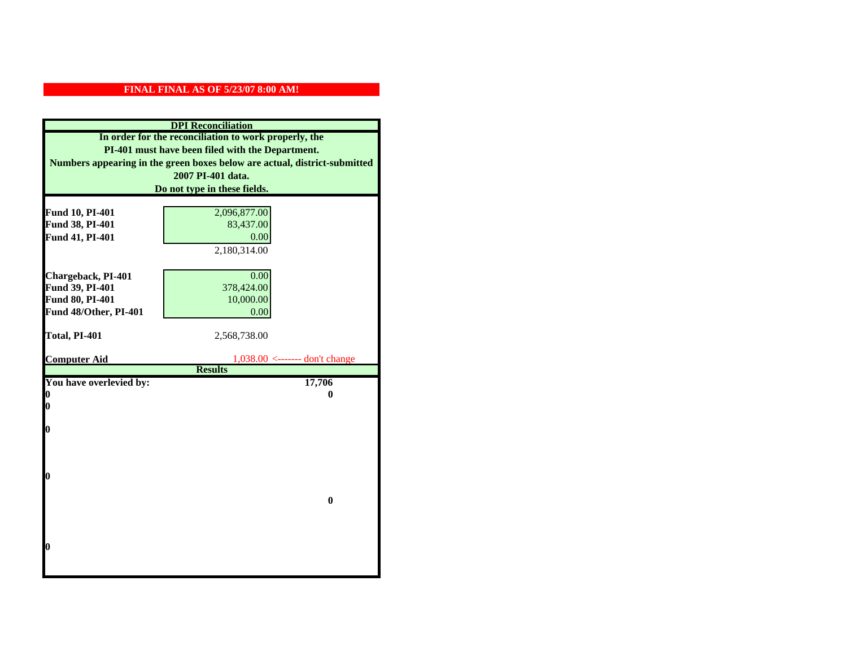| Fund 10, PI-401<br>Fund 38, PI-401<br>Fund 41, PI-401<br>Chargeback, PI-401<br>Fund 39, PI-401<br>Fund 80, PI-401<br>Fund 48/Other, PI-401<br>Total, PI-401<br><b>Computer Aid</b><br>You have overlevied by:<br>N<br>0<br>0 | In order for the reconciliation to work properly, the<br>PI-401 must have been filed with the Department.<br>Numbers appearing in the green boxes below are actual, district-submitted<br>2007 PI-401 data.<br>Do not type in these fields.<br>2,096,877.00<br>83,437.00<br>0.00<br>2,180,314.00<br>0.00<br>378,424.00<br>10,000.00<br>0.00<br>2,568,738.00 |
|------------------------------------------------------------------------------------------------------------------------------------------------------------------------------------------------------------------------------|-------------------------------------------------------------------------------------------------------------------------------------------------------------------------------------------------------------------------------------------------------------------------------------------------------------------------------------------------------------|
|                                                                                                                                                                                                                              |                                                                                                                                                                                                                                                                                                                                                             |
|                                                                                                                                                                                                                              |                                                                                                                                                                                                                                                                                                                                                             |
|                                                                                                                                                                                                                              |                                                                                                                                                                                                                                                                                                                                                             |
|                                                                                                                                                                                                                              |                                                                                                                                                                                                                                                                                                                                                             |
|                                                                                                                                                                                                                              |                                                                                                                                                                                                                                                                                                                                                             |
|                                                                                                                                                                                                                              |                                                                                                                                                                                                                                                                                                                                                             |
|                                                                                                                                                                                                                              |                                                                                                                                                                                                                                                                                                                                                             |
|                                                                                                                                                                                                                              |                                                                                                                                                                                                                                                                                                                                                             |
|                                                                                                                                                                                                                              |                                                                                                                                                                                                                                                                                                                                                             |
|                                                                                                                                                                                                                              |                                                                                                                                                                                                                                                                                                                                                             |
|                                                                                                                                                                                                                              |                                                                                                                                                                                                                                                                                                                                                             |
|                                                                                                                                                                                                                              |                                                                                                                                                                                                                                                                                                                                                             |
|                                                                                                                                                                                                                              |                                                                                                                                                                                                                                                                                                                                                             |
|                                                                                                                                                                                                                              |                                                                                                                                                                                                                                                                                                                                                             |
|                                                                                                                                                                                                                              |                                                                                                                                                                                                                                                                                                                                                             |
|                                                                                                                                                                                                                              |                                                                                                                                                                                                                                                                                                                                                             |
|                                                                                                                                                                                                                              |                                                                                                                                                                                                                                                                                                                                                             |
|                                                                                                                                                                                                                              | $1,038.00$ <------- don't change                                                                                                                                                                                                                                                                                                                            |
|                                                                                                                                                                                                                              | <b>Results</b>                                                                                                                                                                                                                                                                                                                                              |
|                                                                                                                                                                                                                              | 17,706                                                                                                                                                                                                                                                                                                                                                      |
|                                                                                                                                                                                                                              | 0                                                                                                                                                                                                                                                                                                                                                           |
|                                                                                                                                                                                                                              |                                                                                                                                                                                                                                                                                                                                                             |
|                                                                                                                                                                                                                              |                                                                                                                                                                                                                                                                                                                                                             |
|                                                                                                                                                                                                                              |                                                                                                                                                                                                                                                                                                                                                             |
|                                                                                                                                                                                                                              |                                                                                                                                                                                                                                                                                                                                                             |
|                                                                                                                                                                                                                              |                                                                                                                                                                                                                                                                                                                                                             |
| 0                                                                                                                                                                                                                            |                                                                                                                                                                                                                                                                                                                                                             |
|                                                                                                                                                                                                                              |                                                                                                                                                                                                                                                                                                                                                             |
|                                                                                                                                                                                                                              |                                                                                                                                                                                                                                                                                                                                                             |
|                                                                                                                                                                                                                              | $\bf{0}$                                                                                                                                                                                                                                                                                                                                                    |
|                                                                                                                                                                                                                              |                                                                                                                                                                                                                                                                                                                                                             |
|                                                                                                                                                                                                                              |                                                                                                                                                                                                                                                                                                                                                             |
|                                                                                                                                                                                                                              |                                                                                                                                                                                                                                                                                                                                                             |
|                                                                                                                                                                                                                              |                                                                                                                                                                                                                                                                                                                                                             |
| 0                                                                                                                                                                                                                            |                                                                                                                                                                                                                                                                                                                                                             |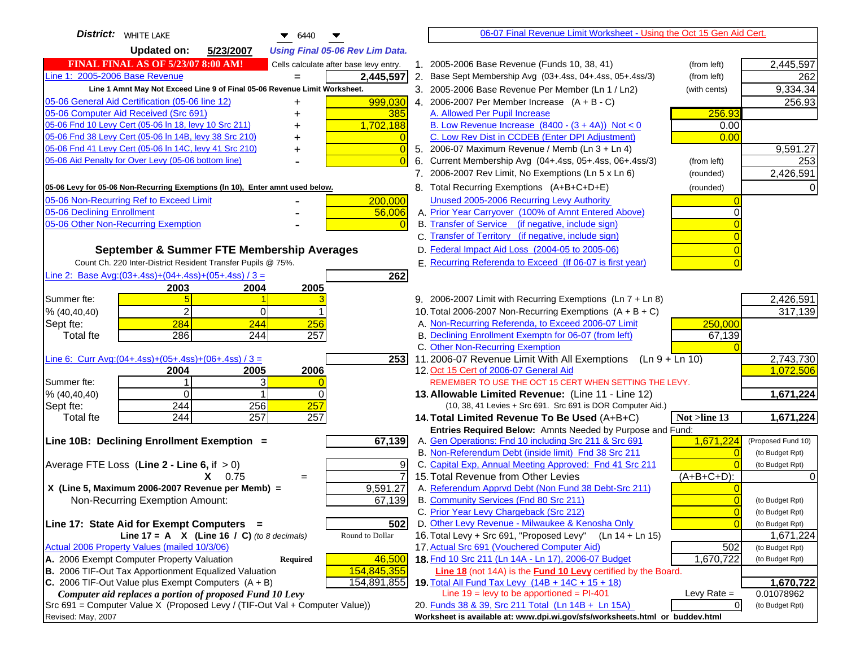| <b>District:</b> WHITE LAKE<br>$\bullet$ 6440                                                                                           | 06-07 Final Revenue Limit Worksheet - Using the Oct 15 Gen Aid Cert.                                                                        |                               |
|-----------------------------------------------------------------------------------------------------------------------------------------|---------------------------------------------------------------------------------------------------------------------------------------------|-------------------------------|
| <b>Updated on:</b><br>5/23/2007<br><b>Using Final 05-06 Rev Lim Data.</b>                                                               |                                                                                                                                             |                               |
| <b>FINAL FINAL AS OF 5/23/07 8:00 AM!</b><br>Cells calculate after base levy entry.                                                     | 1. 2005-2006 Base Revenue (Funds 10, 38, 41)<br>(from left)                                                                                 | 2,445,597                     |
| Line 1: 2005-2006 Base Revenue<br>2,445,597                                                                                             | 2. Base Sept Membership Avg (03+.4ss, 04+.4ss, 05+.4ss/3)<br>(from left)                                                                    | 262                           |
| Line 1 Amnt May Not Exceed Line 9 of Final 05-06 Revenue Limit Worksheet.                                                               | 3. 2005-2006 Base Revenue Per Member (Ln 1 / Ln2)<br>(with cents)                                                                           | 9,334.34                      |
| 999,030<br>05-06 General Aid Certification (05-06 line 12)<br>+                                                                         | 4. 2006-2007 Per Member Increase $(A + B - C)$                                                                                              | 256.93                        |
| 05-06 Computer Aid Received (Src 691)<br>385<br>+                                                                                       | A. Allowed Per Pupil Increase<br>256.93                                                                                                     |                               |
| 05-06 Fnd 10 Levy Cert (05-06 ln 18, levy 10 Src 211)<br>1,702,188                                                                      | B. Low Revenue Increase $(8400 - (3 + 4A))$ Not < 0<br>0.00                                                                                 |                               |
| 05-06 Fnd 38 Levy Cert (05-06 In 14B, levy 38 Src 210)                                                                                  | C. Low Rev Dist in CCDEB (Enter DPI Adjustment)<br>0.00                                                                                     |                               |
| 05-06 Fnd 41 Levy Cert (05-06 In 14C, levy 41 Src 210)<br>+                                                                             | 5. 2006-07 Maximum Revenue / Memb (Ln 3 + Ln 4)                                                                                             | 9,591.27                      |
| 05-06 Aid Penalty for Over Levy (05-06 bottom line)                                                                                     | Current Membership Avg (04+.4ss, 05+.4ss, 06+.4ss/3)<br>6.<br>(from left)                                                                   | 253                           |
|                                                                                                                                         | 7. 2006-2007 Rev Limit, No Exemptions (Ln 5 x Ln 6)<br>(rounded)                                                                            | 2,426,591                     |
| 05-06 Levy for 05-06 Non-Recurring Exemptions (In 10), Enter amnt used below.                                                           | 8. Total Recurring Exemptions (A+B+C+D+E)<br>(rounded)                                                                                      |                               |
| 05-06 Non-Recurring Ref to Exceed Limit<br>200,000                                                                                      | Unused 2005-2006 Recurring Levy Authority                                                                                                   |                               |
| 05-06 Declining Enrollment<br>56,006                                                                                                    | A. Prior Year Carryover (100% of Amnt Entered Above)                                                                                        |                               |
| 05-06 Other Non-Recurring Exemption                                                                                                     | B. Transfer of Service (if negative, include sign)                                                                                          |                               |
|                                                                                                                                         | C. Transfer of Territory (if negative, include sign)                                                                                        |                               |
| September & Summer FTE Membership Averages                                                                                              | D. Federal Impact Aid Loss (2004-05 to 2005-06)                                                                                             |                               |
| Count Ch. 220 Inter-District Resident Transfer Pupils @ 75%.                                                                            | E. Recurring Referenda to Exceed (If 06-07 is first year)                                                                                   |                               |
| Line 2: Base Avg: $(03+.4ss)+(04+.4ss)+(05+.4ss)/3 =$<br>262                                                                            |                                                                                                                                             |                               |
| 2003<br>2004<br>2005                                                                                                                    |                                                                                                                                             |                               |
| Summer fte:                                                                                                                             | 9. 2006-2007 Limit with Recurring Exemptions (Ln 7 + Ln 8)                                                                                  | 2,426,591                     |
| $\overline{2}$<br>0<br>% (40, 40, 40)                                                                                                   | 10. Total 2006-2007 Non-Recurring Exemptions $(A + B + C)$                                                                                  | 317,139                       |
| 284<br>244<br>256<br>Sept fte:                                                                                                          | A. Non-Recurring Referenda, to Exceed 2006-07 Limit<br>250,000                                                                              |                               |
| 286<br>244<br>257<br><b>Total fte</b>                                                                                                   | B. Declining Enrollment Exemptn for 06-07 (from left)<br>67,139                                                                             |                               |
|                                                                                                                                         | C. Other Non-Recurring Exemption                                                                                                            |                               |
| Line 6: Curr Avg: $(04+.4ss)+(05+.4ss)+(06+.4ss)/3 =$<br>253 <sup>1</sup>                                                               | 11.2006-07 Revenue Limit With All Exemptions (Ln $9 + \overline{\text{Ln }10}$ )                                                            | 2,743,730                     |
| 2005<br>2006<br>2004                                                                                                                    | 12. Oct 15 Cert of 2006-07 General Aid                                                                                                      | 1,072,506                     |
| Summer fte:<br>3                                                                                                                        | REMEMBER TO USE THE OCT 15 CERT WHEN SETTING THE LEVY.                                                                                      |                               |
| $\Omega$<br>% (40, 40, 40)<br><sup>0</sup>                                                                                              | 13. Allowable Limited Revenue: (Line 11 - Line 12)                                                                                          | 1,671,224                     |
| 244<br>257<br>256<br>Sept fte:<br>244<br>257<br>257<br><b>Total fte</b>                                                                 | (10, 38, 41 Levies + Src 691. Src 691 is DOR Computer Aid.)                                                                                 | 1,671,224                     |
|                                                                                                                                         | 14. Total Limited Revenue To Be Used (A+B+C)<br>Not >line 13<br>Entries Required Below: Amnts Needed by Purpose and Fund:                   |                               |
| 67,139<br>Line 10B: Declining Enrollment Exemption =                                                                                    | 1,671,224<br>A. Gen Operations: Fnd 10 including Src 211 & Src 691                                                                          | (Proposed Fund 10)            |
|                                                                                                                                         | B. Non-Referendum Debt (inside limit) Fnd 38 Src 211<br>$\sqrt{ }$                                                                          | (to Budget Rpt)               |
| Average FTE Loss (Line $2 -$ Line 6, if $> 0$ )<br>9                                                                                    | C. Capital Exp, Annual Meeting Approved: Fnd 41 Src 211                                                                                     | (to Budget Rpt)               |
| $\overline{7}$<br>$X = 0.75$<br>$=$                                                                                                     | 15. Total Revenue from Other Levies<br>(A+B+C+D):                                                                                           |                               |
| X (Line 5, Maximum 2006-2007 Revenue per Memb) =<br>9,591.27                                                                            | A. Referendum Apprvd Debt (Non Fund 38 Debt-Src 211)                                                                                        |                               |
| Non-Recurring Exemption Amount:<br>67,139                                                                                               | B. Community Services (Fnd 80 Src 211)                                                                                                      | (to Budget Rpt)               |
|                                                                                                                                         | C. Prior Year Levy Chargeback (Src 212)<br>$\overline{0}$                                                                                   | (to Budget Rpt)               |
| 502<br>Line 17: State Aid for Exempt Computers =                                                                                        | D. Other Levy Revenue - Milwaukee & Kenosha Only                                                                                            | (to Budget Rpt)               |
| Line 17 = A $X$ (Line 16 / C) (to 8 decimals)<br>Round to Dollar                                                                        | 16. Total Levy + Src 691, "Proposed Levy"<br>(Ln 14 + Ln 15)                                                                                | 1,671,224                     |
| Actual 2006 Property Values (mailed 10/3/06)                                                                                            | 17. Actual Src 691 (Vouchered Computer Aid)<br>502                                                                                          | (to Budget Rpt)               |
| A. 2006 Exempt Computer Property Valuation<br>46,500<br>Required                                                                        | 18. Fnd 10 Src 211 (Ln 14A - Ln 17), 2006-07 Budget<br>1,670,722                                                                            | (to Budget Rpt)               |
| B. 2006 TIF-Out Tax Apportionment Equalized Valuation<br>154,845,355                                                                    | <b>Line 18</b> (not 14A) is the <b>Fund 10 Levy</b> certified by the Board.                                                                 |                               |
| C. 2006 TIF-Out Value plus Exempt Computers $(A + B)$<br>154,891,855                                                                    | 19. Total All Fund Tax Levy (14B + 14C + 15 + 18)                                                                                           | 1,670,722                     |
| Computer aid replaces a portion of proposed Fund 10 Levy<br>Src 691 = Computer Value X (Proposed Levy / (TIF-Out Val + Computer Value)) | Line $19 = \text{levy}$ to be apportioned = PI-401<br>Levy Rate $=$<br>$\overline{0}$<br>20. Funds 38 & 39, Src 211 Total (Ln 14B + Ln 15A) | 0.01078962<br>(to Budget Rpt) |
| Revised: May, 2007                                                                                                                      | Worksheet is available at: www.dpi.wi.gov/sfs/worksheets.html or buddev.html                                                                |                               |
|                                                                                                                                         |                                                                                                                                             |                               |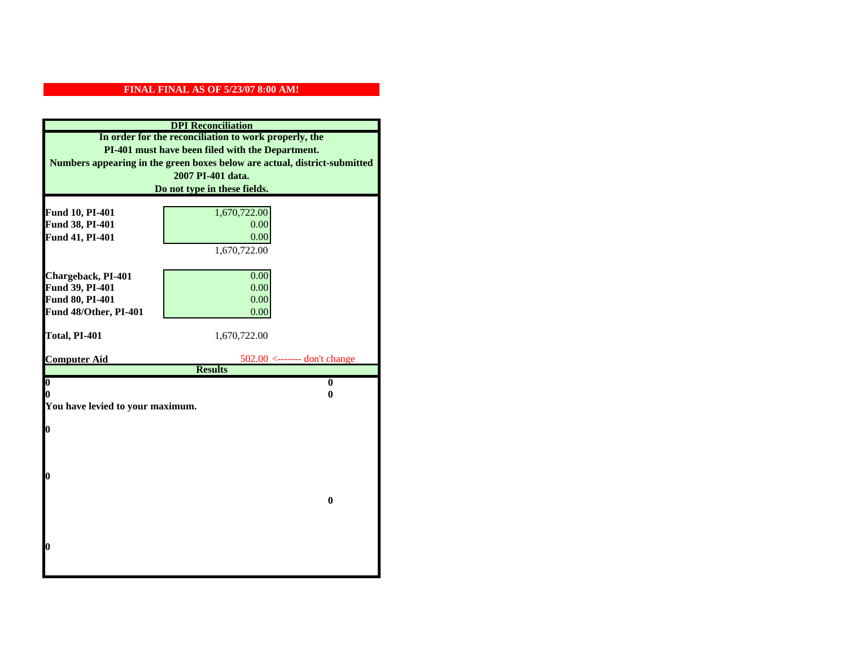| <b>DPI</b> Reconciliation                                                                                                                                                              |                                                  |  |  |                              |
|----------------------------------------------------------------------------------------------------------------------------------------------------------------------------------------|--------------------------------------------------|--|--|------------------------------|
| In order for the reconciliation to work properly, the<br>PI-401 must have been filed with the Department.<br>Numbers appearing in the green boxes below are actual, district-submitted |                                                  |  |  |                              |
|                                                                                                                                                                                        |                                                  |  |  | 2007 PI-401 data.            |
|                                                                                                                                                                                        |                                                  |  |  | Do not type in these fields. |
|                                                                                                                                                                                        |                                                  |  |  |                              |
| Fund 10, PI-401<br>Fund 38, PI-401                                                                                                                                                     | 1,670,722.00<br>0.00                             |  |  |                              |
| Fund 41, PI-401                                                                                                                                                                        | 0.00                                             |  |  |                              |
|                                                                                                                                                                                        | 1,670,722.00                                     |  |  |                              |
|                                                                                                                                                                                        |                                                  |  |  |                              |
| Chargeback, PI-401                                                                                                                                                                     | 0.00                                             |  |  |                              |
| Fund 39, PI-401                                                                                                                                                                        | 0.00                                             |  |  |                              |
| Fund 80, PI-401                                                                                                                                                                        | 0.00                                             |  |  |                              |
| Fund 48/Other, PI-401                                                                                                                                                                  | 0.00                                             |  |  |                              |
|                                                                                                                                                                                        |                                                  |  |  |                              |
| Total, PI-401                                                                                                                                                                          | 1,670,722.00                                     |  |  |                              |
|                                                                                                                                                                                        |                                                  |  |  |                              |
| <b>Computer Aid</b>                                                                                                                                                                    | $502.00$ <------- don't change<br><b>Results</b> |  |  |                              |
| $\overline{\mathbf{0}}$                                                                                                                                                                | $\bf{0}$                                         |  |  |                              |
| 0                                                                                                                                                                                      | 0                                                |  |  |                              |
| You have levied to your maximum.                                                                                                                                                       |                                                  |  |  |                              |
|                                                                                                                                                                                        |                                                  |  |  |                              |
| $\bf{0}$                                                                                                                                                                               |                                                  |  |  |                              |
|                                                                                                                                                                                        |                                                  |  |  |                              |
|                                                                                                                                                                                        |                                                  |  |  |                              |
|                                                                                                                                                                                        |                                                  |  |  |                              |
| l0                                                                                                                                                                                     |                                                  |  |  |                              |
|                                                                                                                                                                                        | $\bf{0}$                                         |  |  |                              |
|                                                                                                                                                                                        |                                                  |  |  |                              |
|                                                                                                                                                                                        |                                                  |  |  |                              |
|                                                                                                                                                                                        |                                                  |  |  |                              |
| $\boldsymbol{0}$                                                                                                                                                                       |                                                  |  |  |                              |
|                                                                                                                                                                                        |                                                  |  |  |                              |
|                                                                                                                                                                                        |                                                  |  |  |                              |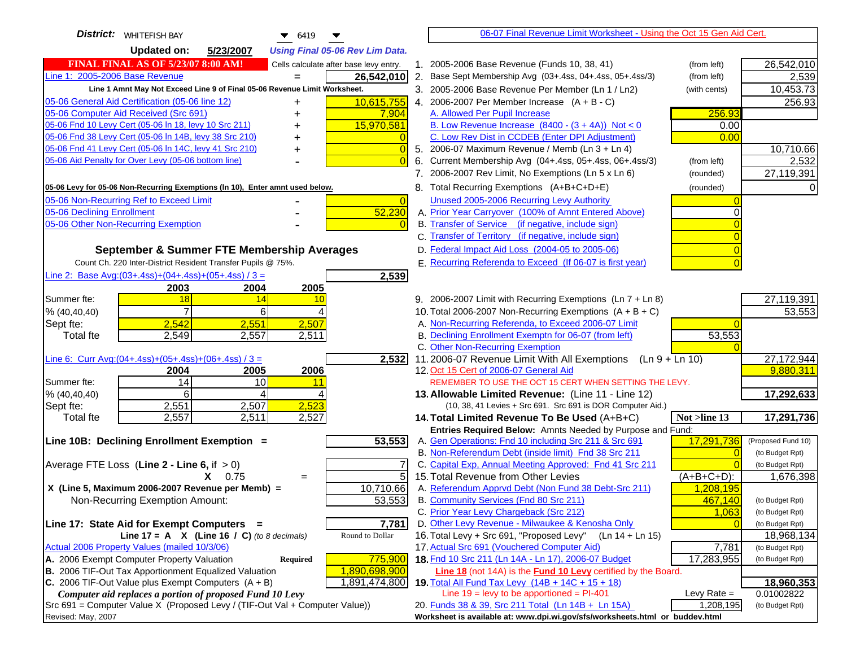| <b>District:</b>   WHITEFISH BAY<br>6419                                                | 06-07 Final Revenue Limit Worksheet - Using the Oct 15 Gen Aid Cert.                                |                    |
|-----------------------------------------------------------------------------------------|-----------------------------------------------------------------------------------------------------|--------------------|
| <b>Updated on:</b><br>5/23/2007<br><b>Using Final 05-06 Rev Lim Data.</b>               |                                                                                                     |                    |
| <b>FINAL FINAL AS OF 5/23/07 8:00 AM!</b><br>Cells calculate after base levy entry.     | 2005-2006 Base Revenue (Funds 10, 38, 41)<br>(from left)<br>$1_{\cdot}$                             | 26,542,010         |
| Line 1: 2005-2006 Base Revenue<br>26,542,010<br>$=$                                     | 2. Base Sept Membership Avg (03+.4ss, 04+.4ss, 05+.4ss/3)<br>(from left)                            | 2,539              |
| Line 1 Amnt May Not Exceed Line 9 of Final 05-06 Revenue Limit Worksheet.               | 3. 2005-2006 Base Revenue Per Member (Ln 1 / Ln2)<br>(with cents)                                   | 10,453.73          |
| 10,615,755<br>05-06 General Aid Certification (05-06 line 12)                           | 4. 2006-2007 Per Member Increase $(A + B - C)$                                                      | 256.93             |
| 05-06 Computer Aid Received (Src 691)<br>7,904                                          | A. Allowed Per Pupil Increase<br>256.93                                                             |                    |
| 05-06 Fnd 10 Levy Cert (05-06 ln 18, levy 10 Src 211)<br>15,970,581                     | B. Low Revenue Increase $(8400 - (3 + 4A))$ Not < 0<br>0.00                                         |                    |
| 05-06 Fnd 38 Levy Cert (05-06 In 14B, levy 38 Src 210)                                  | C. Low Rev Dist in CCDEB (Enter DPI Adjustment)<br>0.00                                             |                    |
| 05-06 Fnd 41 Levy Cert (05-06 In 14C, levy 41 Src 210)<br>$\overline{0}$<br>+           | 5. 2006-07 Maximum Revenue / Memb (Ln 3 + Ln 4)                                                     | 10,710.66          |
| 05-06 Aid Penalty for Over Levy (05-06 bottom line)                                     | Current Membership Avg (04+.4ss, 05+.4ss, 06+.4ss/3)<br>6.<br>(from left)                           | 2,532              |
|                                                                                         | 7. 2006-2007 Rev Limit, No Exemptions (Ln 5 x Ln 6)<br>(rounded)                                    | 27,119,391         |
| 05-06 Levy for 05-06 Non-Recurring Exemptions (In 10), Enter amnt used below.           | 8. Total Recurring Exemptions (A+B+C+D+E)<br>(rounded)                                              |                    |
| 05-06 Non-Recurring Ref to Exceed Limit<br>$\overline{0}$                               | Unused 2005-2006 Recurring Levy Authority                                                           |                    |
| 52,230<br>05-06 Declining Enrollment                                                    | A. Prior Year Carryover (100% of Amnt Entered Above)                                                |                    |
| 05-06 Other Non-Recurring Exemption                                                     | B. Transfer of Service (if negative, include sign)                                                  |                    |
|                                                                                         | C. Transfer of Territory (if negative, include sign)                                                |                    |
| September & Summer FTE Membership Averages                                              | D. Federal Impact Aid Loss (2004-05 to 2005-06)                                                     |                    |
| Count Ch. 220 Inter-District Resident Transfer Pupils @ 75%.                            | E. Recurring Referenda to Exceed (If 06-07 is first year)                                           |                    |
| Line 2: Base Avg: $(03+.4ss)+(04+.4ss)+(05+.4ss)/3 =$<br>2,539                          |                                                                                                     |                    |
| 2003<br>2004<br>2005                                                                    |                                                                                                     |                    |
| 18<br>Summer fte:<br>14<br>10                                                           | 9. 2006-2007 Limit with Recurring Exemptions (Ln 7 + Ln 8)                                          | 27,119,391         |
| $\overline{7}$<br>6<br>% (40, 40, 40)                                                   | 10. Total 2006-2007 Non-Recurring Exemptions $(A + B + C)$                                          | 53,553             |
| 2,542<br>2,551<br>2,507<br>Sept fte:                                                    | A. Non-Recurring Referenda, to Exceed 2006-07 Limit                                                 |                    |
| <b>Total fte</b><br>2,549<br>2,557<br>2,511                                             | B. Declining Enrollment Exemptn for 06-07 (from left)<br>53,553<br>C. Other Non-Recurring Exemption |                    |
| Line 6: Curr Avg: $(04+.4ss)+(05+.4ss)+(06+.4ss)/3 =$<br>2,532                          | 11.2006-07 Revenue Limit With All Exemptions $(Ln 9 + Ln 10)$                                       | 27, 172, 944       |
| 2006<br>2004<br>2005                                                                    | 12. Oct 15 Cert of 2006-07 General Aid                                                              | 9,880,311          |
| 14<br>10<br>Summer fte:<br>11                                                           | REMEMBER TO USE THE OCT 15 CERT WHEN SETTING THE LEVY.                                              |                    |
| % (40, 40, 40)<br>6<br>⊿                                                                | 13. Allowable Limited Revenue: (Line 11 - Line 12)                                                  | 17,292,633         |
| 2,551<br>2,507<br>2,523<br>Sept fte:                                                    | (10, 38, 41 Levies + Src 691. Src 691 is DOR Computer Aid.)                                         |                    |
| 2,557<br>2,511<br>2,527<br><b>Total fte</b>                                             | Not >line 13<br>14. Total Limited Revenue To Be Used (A+B+C)                                        | 17,291,736         |
|                                                                                         | Entries Required Below: Amnts Needed by Purpose and Fund:                                           |                    |
| 53,553<br>Line 10B: Declining Enrollment Exemption =                                    | A. Gen Operations: Fnd 10 including Src 211 & Src 691<br>17,291,736                                 | (Proposed Fund 10) |
|                                                                                         | B. Non-Referendum Debt (inside limit) Fnd 38 Src 211<br>$\Omega$                                    | (to Budget Rpt)    |
| Average FTE Loss (Line $2 -$ Line 6, if $> 0$ )                                         | C. Capital Exp, Annual Meeting Approved: Fnd 41 Src 211<br>15. Total Revenue from Other Levies      | (to Budget Rpt)    |
| 5<br>$X = 0.75$<br>$=$<br>X (Line 5, Maximum 2006-2007 Revenue per Memb) =<br>10,710.66 | $(A+B+C+D)$ :<br>A. Referendum Apprvd Debt (Non Fund 38 Debt-Src 211)                               | 1,676,398          |
| 53,553<br>Non-Recurring Exemption Amount:                                               | 1,208,195<br>B. Community Services (Fnd 80 Src 211)<br>467,140                                      | (to Budget Rpt)    |
|                                                                                         | C. Prior Year Levy Chargeback (Src 212)<br>1,063                                                    | (to Budget Rpt)    |
| 7,781<br>Line 17: State Aid for Exempt Computers =                                      | D. Other Levy Revenue - Milwaukee & Kenosha Only                                                    | (to Budget Rpt)    |
| Round to Dollar<br>Line 17 = A $X$ (Line 16 / C) (to 8 decimals)                        | 16. Total Levy + Src 691, "Proposed Levy"<br>(Ln 14 + Ln 15)                                        | 18,968,134         |
| Actual 2006 Property Values (mailed 10/3/06)                                            | 17. Actual Src 691 (Vouchered Computer Aid)<br>7,781                                                | (to Budget Rpt)    |
| A. 2006 Exempt Computer Property Valuation<br>775,900<br>Required                       | 18. Fnd 10 Src 211 (Ln 14A - Ln 17), 2006-07 Budget<br>17,283,955                                   | (to Budget Rpt)    |
| B. 2006 TIF-Out Tax Apportionment Equalized Valuation<br>1,890,698,900                  | <b>Line 18</b> (not 14A) is the <b>Fund 10 Levy</b> certified by the Board.                         |                    |
| C. 2006 TIF-Out Value plus Exempt Computers $(A + B)$<br>1,891,474,800                  | 19. Total All Fund Tax Levy $(14B + 14C + 15 + 18)$                                                 | 18,960,353         |
| Computer aid replaces a portion of proposed Fund 10 Levy                                | Line $19 = \text{levy}$ to be apportioned = PI-401<br>Levy Rate $=$                                 | 0.01002822         |
| Src 691 = Computer Value X (Proposed Levy / (TIF-Out Val + Computer Value))             | 20. Funds 38 & 39, Src 211 Total (Ln 14B + Ln 15A)<br>1,208,195                                     | (to Budget Rpt)    |
| Revised: May, 2007                                                                      | Worksheet is available at: www.dpi.wi.gov/sfs/worksheets.html or buddev.html                        |                    |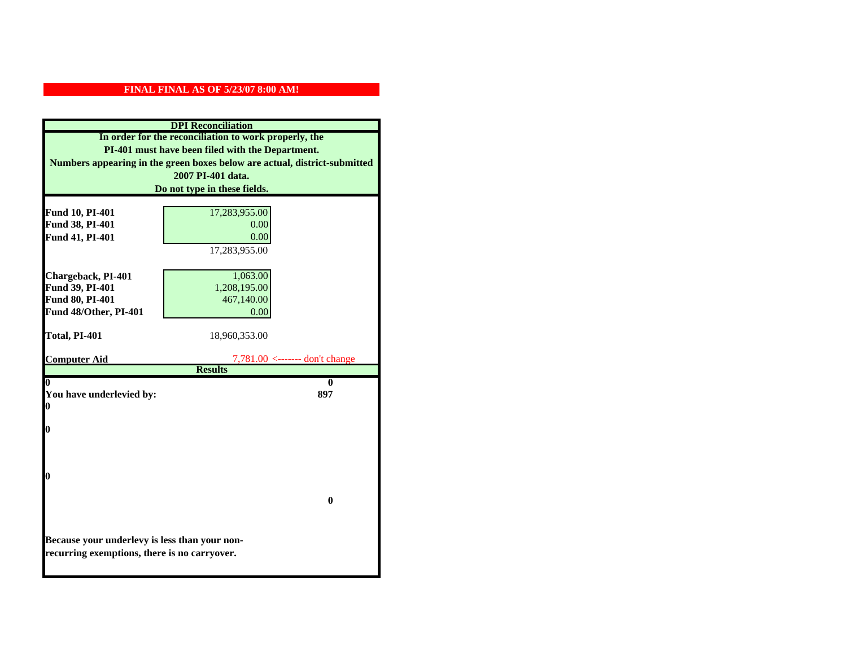| <b>DPI</b> Reconciliation                                                                     |                                                                           |  |
|-----------------------------------------------------------------------------------------------|---------------------------------------------------------------------------|--|
|                                                                                               | In order for the reconciliation to work properly, the                     |  |
| PI-401 must have been filed with the Department.                                              |                                                                           |  |
|                                                                                               | Numbers appearing in the green boxes below are actual, district-submitted |  |
|                                                                                               | 2007 PI-401 data.                                                         |  |
|                                                                                               | Do not type in these fields.                                              |  |
|                                                                                               |                                                                           |  |
| Fund 10, PI-401                                                                               | 17,283,955.00<br>0.00                                                     |  |
| Fund 38, PI-401<br>Fund 41, PI-401                                                            | 0.00                                                                      |  |
|                                                                                               |                                                                           |  |
|                                                                                               | 17,283,955.00                                                             |  |
| Chargeback, PI-401                                                                            | 1,063.00                                                                  |  |
| Fund 39, PI-401                                                                               | 1,208,195.00                                                              |  |
| Fund 80, PI-401                                                                               | 467,140.00                                                                |  |
| Fund 48/Other, PI-401                                                                         | 0.00                                                                      |  |
|                                                                                               |                                                                           |  |
| Total, PI-401                                                                                 | 18,960,353.00                                                             |  |
|                                                                                               |                                                                           |  |
| <b>Computer Aid</b>                                                                           | $7,781.00$ <------- don't change<br><b>Results</b>                        |  |
| 0                                                                                             | 0                                                                         |  |
| You have underlevied by:                                                                      | 897                                                                       |  |
| 0                                                                                             |                                                                           |  |
|                                                                                               |                                                                           |  |
| 0                                                                                             |                                                                           |  |
|                                                                                               |                                                                           |  |
|                                                                                               |                                                                           |  |
|                                                                                               |                                                                           |  |
| 0                                                                                             |                                                                           |  |
|                                                                                               |                                                                           |  |
|                                                                                               | $\bf{0}$                                                                  |  |
|                                                                                               |                                                                           |  |
|                                                                                               |                                                                           |  |
| Because your underlevy is less than your non-<br>recurring exemptions, there is no carryover. |                                                                           |  |
|                                                                                               |                                                                           |  |
|                                                                                               |                                                                           |  |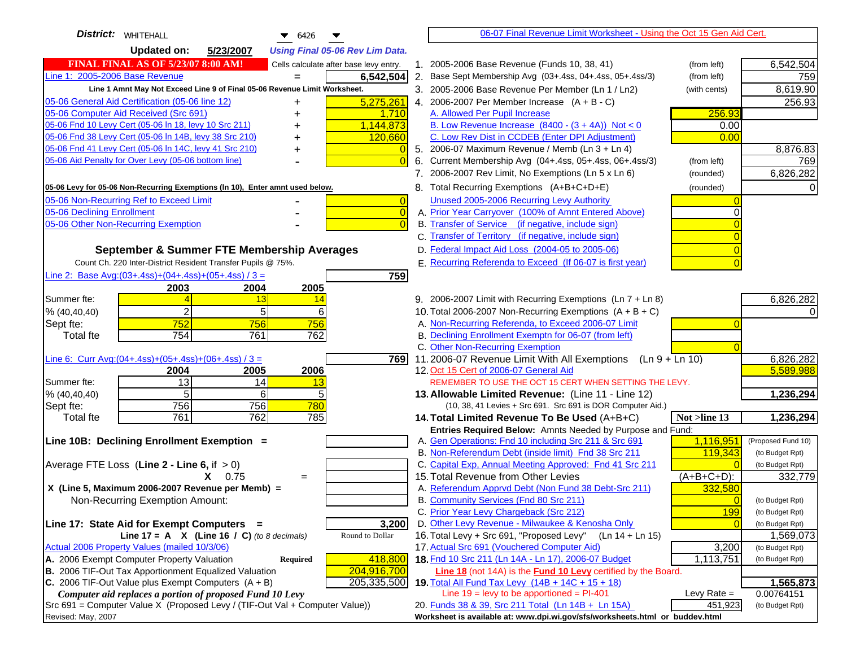| District:   WHITEHALL<br>$\bullet$ 6426                                               | 06-07 Final Revenue Limit Worksheet - Using the Oct 15 Gen Aid Cert.                                      |                                    |
|---------------------------------------------------------------------------------------|-----------------------------------------------------------------------------------------------------------|------------------------------------|
| <b>Updated on:</b><br>5/23/2007<br><b>Using Final 05-06 Rev Lim Data.</b>             |                                                                                                           |                                    |
| <b>FINAL FINAL AS OF 5/23/07 8:00 AM!</b><br>Cells calculate after base levy entry.   | 1. 2005-2006 Base Revenue (Funds 10, 38, 41)<br>(from left)                                               | 6,542,504                          |
| Line 1: 2005-2006 Base Revenue<br>6,542,504                                           | 2. Base Sept Membership Avg (03+.4ss, 04+.4ss, 05+.4ss/3)<br>(from left)                                  | 759                                |
| Line 1 Amnt May Not Exceed Line 9 of Final 05-06 Revenue Limit Worksheet.             | 3. 2005-2006 Base Revenue Per Member (Ln 1 / Ln2)<br>(with cents)                                         | 8,619.90                           |
| 05-06 General Aid Certification (05-06 line 12)<br>5,275,261<br>+                     | 4. 2006-2007 Per Member Increase $(A + B - C)$                                                            | 256.93                             |
| 05-06 Computer Aid Received (Src 691)<br>1,710                                        | 256.93<br>A. Allowed Per Pupil Increase                                                                   |                                    |
| 05-06 Fnd 10 Levy Cert (05-06 In 18, levy 10 Src 211)<br>1,144,873                    | B. Low Revenue Increase $(8400 - (3 + 4A))$ Not < 0<br>0.00                                               |                                    |
| 05-06 Fnd 38 Levy Cert (05-06 In 14B, levy 38 Src 210)<br>120,660<br>+                | C. Low Rev Dist in CCDEB (Enter DPI Adjustment)<br>0.00                                                   |                                    |
| 05-06 Fnd 41 Levy Cert (05-06 In 14C, levy 41 Src 210)<br>+                           | 5. 2006-07 Maximum Revenue / Memb (Ln 3 + Ln 4)                                                           | 8,876.83                           |
| 05-06 Aid Penalty for Over Levy (05-06 bottom line)                                   | 6. Current Membership Avg (04+.4ss, 05+.4ss, 06+.4ss/3)<br>(from left)                                    | 769                                |
|                                                                                       | 7. 2006-2007 Rev Limit, No Exemptions (Ln 5 x Ln 6)<br>(rounded)                                          | 6,826,282                          |
| 05-06 Levy for 05-06 Non-Recurring Exemptions (In 10), Enter amnt used below.         | 8. Total Recurring Exemptions (A+B+C+D+E)<br>(rounded)                                                    |                                    |
| 05-06 Non-Recurring Ref to Exceed Limit<br>$\overline{0}$                             | Unused 2005-2006 Recurring Levy Authority                                                                 |                                    |
| 05-06 Declining Enrollment<br>$\overline{0}$                                          | A. Prior Year Carryover (100% of Amnt Entered Above)                                                      |                                    |
| 05-06 Other Non-Recurring Exemption                                                   | B. Transfer of Service (if negative, include sign)                                                        |                                    |
|                                                                                       | C. Transfer of Territory (if negative, include sign)                                                      |                                    |
| September & Summer FTE Membership Averages                                            | D. Federal Impact Aid Loss (2004-05 to 2005-06)                                                           |                                    |
| Count Ch. 220 Inter-District Resident Transfer Pupils @ 75%.                          | E. Recurring Referenda to Exceed (If 06-07 is first year)                                                 |                                    |
| Line 2: Base Avg: $(03+.4ss)+(04+.4ss)+(05+.4ss)/3 =$<br>759                          |                                                                                                           |                                    |
| 2004<br>2005<br>2003                                                                  |                                                                                                           |                                    |
| Summer fte:<br>13<br>-14                                                              | 9. 2006-2007 Limit with Recurring Exemptions (Ln 7 + Ln 8)                                                | 6,826,282                          |
| $\overline{2}$<br>5<br>% (40, 40, 40)<br>6                                            | 10. Total 2006-2007 Non-Recurring Exemptions $(A + B + C)$                                                |                                    |
| 752<br>756<br>756<br>Sept fte:                                                        | A. Non-Recurring Referenda, to Exceed 2006-07 Limit                                                       |                                    |
| 754<br>761<br>762<br><b>Total fte</b>                                                 | B. Declining Enrollment Exemptn for 06-07 (from left)                                                     |                                    |
|                                                                                       | C. Other Non-Recurring Exemption                                                                          |                                    |
| Line 6: Curr Avg: $(04+.4ss)+(05+.4ss)+(06+.4ss)/3 =$<br>7691<br>2004<br>2005<br>2006 | 11.2006-07 Revenue Limit With All Exemptions (Ln 9 + Ln 10)<br>12. Oct 15 Cert of 2006-07 General Aid     | 6,826,282<br>5,589,988             |
| 13<br>Summer fte:<br>14<br>13                                                         | REMEMBER TO USE THE OCT 15 CERT WHEN SETTING THE LEVY.                                                    |                                    |
| 5<br>6<br>5<br>% (40, 40, 40)                                                         | 13. Allowable Limited Revenue: (Line 11 - Line 12)                                                        | 1,236,294                          |
| 756<br>756<br>780<br>Sept fte:                                                        | (10, 38, 41 Levies + Src 691. Src 691 is DOR Computer Aid.)                                               |                                    |
| 761<br>762<br>785<br><b>Total fte</b>                                                 | 14. Total Limited Revenue To Be Used (A+B+C)<br>Not >line 13                                              | 1,236,294                          |
|                                                                                       | Entries Required Below: Amnts Needed by Purpose and Fund:                                                 |                                    |
| Line 10B: Declining Enrollment Exemption =                                            | A. Gen Operations: Fnd 10 including Src 211 & Src 691<br>1,116,951                                        | (Proposed Fund 10)                 |
|                                                                                       | B. Non-Referendum Debt (inside limit) Fnd 38 Src 211<br>119,343                                           | (to Budget Rpt)                    |
| Average FTE Loss (Line $2 -$ Line 6, if $> 0$ )                                       | C. Capital Exp, Annual Meeting Approved: Fnd 41 Src 211                                                   | (to Budget Rpt)                    |
| $X = 0.75$<br>$=$                                                                     | 15. Total Revenue from Other Levies<br>$(A+B+C+D)$ :                                                      | 332,779                            |
| X (Line 5, Maximum 2006-2007 Revenue per Memb) =                                      | A. Referendum Apprvd Debt (Non Fund 38 Debt-Src 211)<br>332,580                                           |                                    |
| Non-Recurring Exemption Amount:                                                       | B. Community Services (Fnd 80 Src 211)                                                                    | (to Budget Rpt)                    |
| 3,200<br>Line 17: State Aid for Exempt Computers =                                    | C. Prior Year Levy Chargeback (Src 212)<br><b>199</b><br>D. Other Levy Revenue - Milwaukee & Kenosha Only | (to Budget Rpt)<br>(to Budget Rpt) |
| Line 17 = A $X$ (Line 16 / C) (to 8 decimals)<br>Round to Dollar                      | 16. Total Levy + Src 691, "Proposed Levy"<br>$(Ln 14 + Ln 15)$                                            | 1,569,073                          |
| Actual 2006 Property Values (mailed 10/3/06)                                          | 17. Actual Src 691 (Vouchered Computer Aid)<br>3,200                                                      | (to Budget Rpt)                    |
| A. 2006 Exempt Computer Property Valuation<br>Required<br>418,800                     | 18. Fnd 10 Src 211 (Ln 14A - Ln 17), 2006-07 Budget<br>1,113,751                                          | (to Budget Rpt)                    |
| B. 2006 TIF-Out Tax Apportionment Equalized Valuation<br>204,916,700                  | <b>Line 18</b> (not 14A) is the <b>Fund 10 Levy</b> certified by the Board.                               |                                    |
| C. 2006 TIF-Out Value plus Exempt Computers $(A + B)$<br>205,335,500                  | 19. Total All Fund Tax Levy (14B + 14C + 15 + 18)                                                         | 1,565,873                          |
| Computer aid replaces a portion of proposed Fund 10 Levy                              | Line $19 = \text{levy}$ to be apportioned = PI-401<br>Levy Rate $=$                                       | 0.00764151                         |
| Src 691 = Computer Value X (Proposed Levy / (TIF-Out Val + Computer Value))           | 20. Funds 38 & 39, Src 211 Total (Ln 14B + Ln 15A)<br>451,923                                             | (to Budget Rpt)                    |
| Revised: May, 2007                                                                    | Worksheet is available at: www.dpi.wi.gov/sfs/worksheets.html or buddev.html                              |                                    |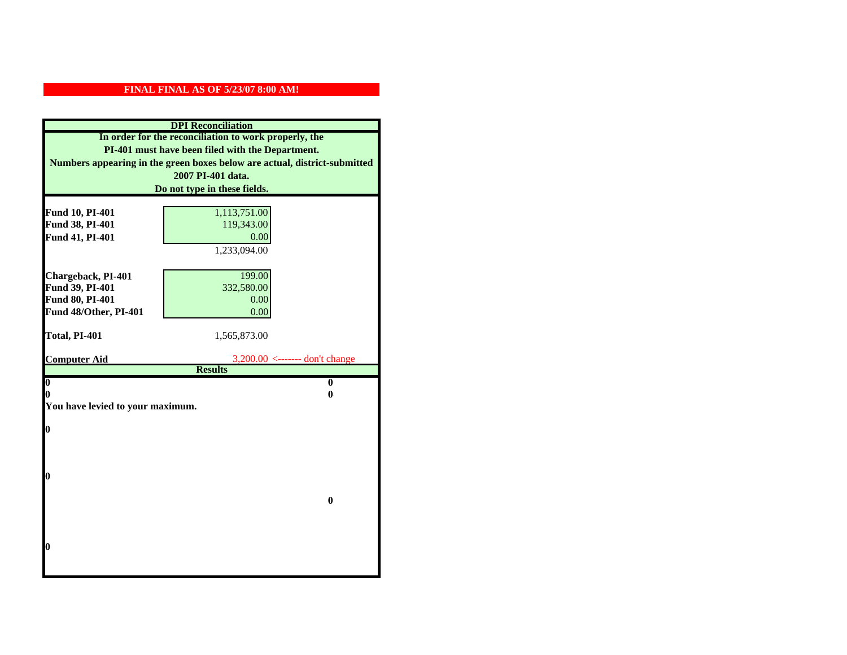| <b>DPI</b> Reconciliation                             |                                                                           |  |  |
|-------------------------------------------------------|---------------------------------------------------------------------------|--|--|
| In order for the reconciliation to work properly, the |                                                                           |  |  |
| PI-401 must have been filed with the Department.      |                                                                           |  |  |
|                                                       | Numbers appearing in the green boxes below are actual, district-submitted |  |  |
|                                                       | 2007 PI-401 data.                                                         |  |  |
|                                                       | Do not type in these fields.                                              |  |  |
|                                                       |                                                                           |  |  |
| Fund 10, PI-401                                       | 1,113,751.00                                                              |  |  |
| Fund 38, PI-401                                       | 119,343.00                                                                |  |  |
| Fund 41, PI-401                                       | 0.00                                                                      |  |  |
|                                                       | 1,233,094.00                                                              |  |  |
|                                                       | 199.00                                                                    |  |  |
| Chargeback, PI-401<br>Fund 39, PI-401                 | 332,580.00                                                                |  |  |
| <b>Fund 80, PI-401</b>                                | 0.00                                                                      |  |  |
| Fund 48/Other, PI-401                                 | 0.00                                                                      |  |  |
|                                                       |                                                                           |  |  |
| Total, PI-401                                         | 1,565,873.00                                                              |  |  |
|                                                       |                                                                           |  |  |
| <b>Computer Aid</b>                                   | $3,200.00 \le$ ------- don't change                                       |  |  |
|                                                       | <b>Results</b>                                                            |  |  |
| $\boldsymbol{0}$<br>0                                 | $\bf{0}$<br>0                                                             |  |  |
| You have levied to your maximum.                      |                                                                           |  |  |
|                                                       |                                                                           |  |  |
| $\bf{0}$                                              |                                                                           |  |  |
|                                                       |                                                                           |  |  |
|                                                       |                                                                           |  |  |
|                                                       |                                                                           |  |  |
| 0                                                     |                                                                           |  |  |
|                                                       |                                                                           |  |  |
| $\bf{0}$                                              |                                                                           |  |  |
|                                                       |                                                                           |  |  |
|                                                       |                                                                           |  |  |
| 0                                                     |                                                                           |  |  |
|                                                       |                                                                           |  |  |
|                                                       |                                                                           |  |  |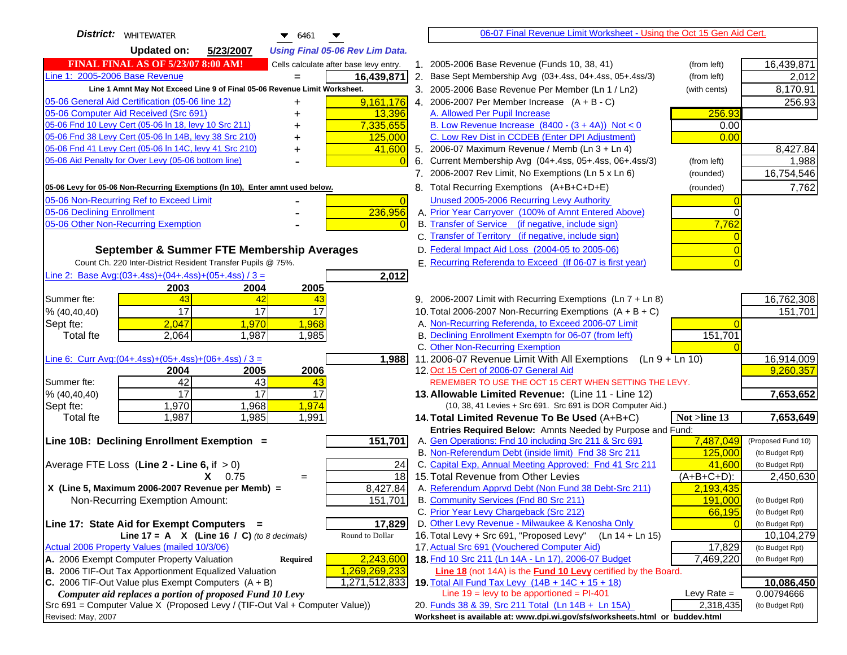| <b>District: WHITEWATER</b><br><b>Updated on:</b><br>5/23/2007<br><b>Using Final 05-06 Rev Lim Data.</b><br><b>FINAL FINAL AS OF 5/23/07 8:00 AM!</b><br>1. 2005-2006 Base Revenue (Funds 10, 38, 41)<br>Cells calculate after base levy entry.<br>(from left)<br>Line 1: 2005-2006 Base Revenue<br>16,439,871<br>2. Base Sept Membership Avg (03+.4ss, 04+.4ss, 05+.4ss/3)<br>(from left)<br>$=$ | 16,439,871<br>2,012           |
|---------------------------------------------------------------------------------------------------------------------------------------------------------------------------------------------------------------------------------------------------------------------------------------------------------------------------------------------------------------------------------------------------|-------------------------------|
|                                                                                                                                                                                                                                                                                                                                                                                                   |                               |
|                                                                                                                                                                                                                                                                                                                                                                                                   |                               |
|                                                                                                                                                                                                                                                                                                                                                                                                   |                               |
| Line 1 Amnt May Not Exceed Line 9 of Final 05-06 Revenue Limit Worksheet.<br>3. 2005-2006 Base Revenue Per Member (Ln 1 / Ln2)<br>(with cents)                                                                                                                                                                                                                                                    | 8,170.91                      |
| 05-06 General Aid Certification (05-06 line 12)<br>9,161,176<br>4. 2006-2007 Per Member Increase $(A + B - C)$                                                                                                                                                                                                                                                                                    | 256.93                        |
| 05-06 Computer Aid Received (Src 691)<br>A. Allowed Per Pupil Increase<br>256.93<br>13,396                                                                                                                                                                                                                                                                                                        |                               |
| 05-06 Fnd 10 Levy Cert (05-06 ln 18, levy 10 Src 211)<br>7,335,655<br>B. Low Revenue Increase $(8400 - (3 + 4A))$ Not < 0                                                                                                                                                                                                                                                                         | 0.00                          |
| 05-06 Fnd 38 Levy Cert (05-06 In 14B, levy 38 Src 210)<br>C. Low Rev Dist in CCDEB (Enter DPI Adjustment)<br>125,000<br>0.00                                                                                                                                                                                                                                                                      |                               |
| 05-06 Fnd 41 Levy Cert (05-06 In 14C, levy 41 Src 210)<br>5. 2006-07 Maximum Revenue / Memb (Ln 3 + Ln 4)<br>41,600<br>+                                                                                                                                                                                                                                                                          | 8,427.84                      |
| 05-06 Aid Penalty for Over Levy (05-06 bottom line)<br>6. Current Membership Avg (04+.4ss, 05+.4ss, 06+.4ss/3)<br>(from left)                                                                                                                                                                                                                                                                     | 1,988                         |
| 7. 2006-2007 Rev Limit, No Exemptions (Ln 5 x Ln 6)<br>(rounded)                                                                                                                                                                                                                                                                                                                                  | 16,754,546                    |
| 8. Total Recurring Exemptions (A+B+C+D+E)<br>05-06 Levy for 05-06 Non-Recurring Exemptions (In 10), Enter amnt used below.<br>(rounded)                                                                                                                                                                                                                                                           | 7,762                         |
| 05-06 Non-Recurring Ref to Exceed Limit<br>Unused 2005-2006 Recurring Levy Authority<br>$\overline{0}$                                                                                                                                                                                                                                                                                            |                               |
| 236,956<br>05-06 Declining Enrollment<br>A. Prior Year Carryover (100% of Amnt Entered Above)                                                                                                                                                                                                                                                                                                     | 0                             |
| 05-06 Other Non-Recurring Exemption<br>B. Transfer of Service (if negative, include sign)<br>7,762                                                                                                                                                                                                                                                                                                |                               |
| C. Transfer of Territory (if negative, include sign)                                                                                                                                                                                                                                                                                                                                              |                               |
| D. Federal Impact Aid Loss (2004-05 to 2005-06)<br>September & Summer FTE Membership Averages                                                                                                                                                                                                                                                                                                     |                               |
| E. Recurring Referenda to Exceed (If 06-07 is first year)<br>Count Ch. 220 Inter-District Resident Transfer Pupils @ 75%.                                                                                                                                                                                                                                                                         |                               |
| Line 2: Base Avg: $(03+.4ss)+(04+.4ss)+(05+.4ss)/3 =$<br>2,012                                                                                                                                                                                                                                                                                                                                    |                               |
| 2003<br>2004<br>2005                                                                                                                                                                                                                                                                                                                                                                              |                               |
| 43<br>9. 2006-2007 Limit with Recurring Exemptions (Ln 7 + Ln 8)<br>Summer fte:<br>42<br>43                                                                                                                                                                                                                                                                                                       | 16,762,308                    |
| 17<br>17<br>17<br>10. Total 2006-2007 Non-Recurring Exemptions $(A + B + C)$<br>% (40, 40, 40)                                                                                                                                                                                                                                                                                                    | 151,701                       |
| 2,047<br>1,968<br>A. Non-Recurring Referenda, to Exceed 2006-07 Limit<br>1,970<br>Sept fte:                                                                                                                                                                                                                                                                                                       |                               |
| B. Declining Enrollment Exemptn for 06-07 (from left)<br>151,701<br>2,064<br>1,987<br>1,985<br><b>Total fte</b>                                                                                                                                                                                                                                                                                   |                               |
| C. Other Non-Recurring Exemption                                                                                                                                                                                                                                                                                                                                                                  |                               |
| Line 6: Curr Avg: $(04+.4ss)+(05+.4ss)+(06+.4ss)/3 =$<br>11.2006-07 Revenue Limit With All Exemptions<br>$(Ln 9 + Ln 10)$<br>1,988<br>2006<br>12. Oct 15 Cert of 2006-07 General Aid<br>2004<br>2005                                                                                                                                                                                              | 16,914,009<br>9,260,357       |
| 42<br>43<br>Summer fte:<br>43<br>REMEMBER TO USE THE OCT 15 CERT WHEN SETTING THE LEVY.                                                                                                                                                                                                                                                                                                           |                               |
| $\overline{17}$<br>17<br>17<br>% (40, 40, 40)<br>13. Allowable Limited Revenue: (Line 11 - Line 12)                                                                                                                                                                                                                                                                                               | 7,653,652                     |
| 1,970<br>1,968<br>1,974<br>Sept fte:<br>(10, 38, 41 Levies + Src 691. Src 691 is DOR Computer Aid.)                                                                                                                                                                                                                                                                                               |                               |
| 1,987<br>1,985<br>1,991<br>Not >line 13<br><b>Total fte</b><br>14. Total Limited Revenue To Be Used (A+B+C)                                                                                                                                                                                                                                                                                       | 7,653,649                     |
| Entries Required Below: Amnts Needed by Purpose and Fund:                                                                                                                                                                                                                                                                                                                                         |                               |
| 151,701<br>A. Gen Operations: Fnd 10 including Src 211 & Src 691<br>7,487,049<br>Line 10B: Declining Enrollment Exemption =                                                                                                                                                                                                                                                                       | (Proposed Fund 10)            |
| B. Non-Referendum Debt (inside limit) Fnd 38 Src 211<br>125,000                                                                                                                                                                                                                                                                                                                                   | (to Budget Rpt)               |
| C. Capital Exp, Annual Meeting Approved: Fnd 41 Src 211<br>Average FTE Loss (Line $2 -$ Line 6, if $> 0$ )<br>24<br>41,600                                                                                                                                                                                                                                                                        | (to Budget Rpt)               |
| 18<br>15. Total Revenue from Other Levies<br>$(A+B+C+D)$ :<br>$X = 0.75$<br>$=$                                                                                                                                                                                                                                                                                                                   | 2,450,630                     |
| A. Referendum Apprvd Debt (Non Fund 38 Debt-Src 211)<br>X (Line 5, Maximum 2006-2007 Revenue per Memb) =<br>8,427.84<br>2,193,435                                                                                                                                                                                                                                                                 |                               |
| 151,701<br>B. Community Services (Fnd 80 Src 211)<br>191,000<br>Non-Recurring Exemption Amount:                                                                                                                                                                                                                                                                                                   | (to Budget Rpt)               |
| C. Prior Year Levy Chargeback (Src 212)<br>66,195                                                                                                                                                                                                                                                                                                                                                 | (to Budget Rpt)               |
| D. Other Levy Revenue - Milwaukee & Kenosha Only<br>17,829<br>Line 17: State Aid for Exempt Computers =<br>16. Total Levy + Src 691, "Proposed Levy"                                                                                                                                                                                                                                              | (to Budget Rpt)               |
| Line 17 = A $X$ (Line 16 / C) (to 8 decimals)<br>Round to Dollar<br>(Ln 14 + Ln 15)<br>17. Actual Src 691 (Vouchered Computer Aid)<br>Actual 2006 Property Values (mailed 10/3/06)<br>17,829                                                                                                                                                                                                      | 10,104,279<br>(to Budget Rpt) |
| A. 2006 Exempt Computer Property Valuation<br>2,243,600<br>18. Fnd 10 Src 211 (Ln 14A - Ln 17), 2006-07 Budget<br>7,469,220<br>Required                                                                                                                                                                                                                                                           | (to Budget Rpt)               |
| B. 2006 TIF-Out Tax Apportionment Equalized Valuation<br>Line 18 (not 14A) is the Fund 10 Levy certified by the Board.<br>1,269,269,233                                                                                                                                                                                                                                                           |                               |
| C. 2006 TIF-Out Value plus Exempt Computers $(A + B)$<br>1,271,512,833<br>19. Total All Fund Tax Levy $(14B + 14C + 15 + 18)$                                                                                                                                                                                                                                                                     | 10,086,450                    |
| Line $19$ = levy to be apportioned = PI-401<br>Computer aid replaces a portion of proposed Fund 10 Levy<br>Levy Rate $=$                                                                                                                                                                                                                                                                          | 0.00794666                    |
| Src 691 = Computer Value X (Proposed Levy / (TIF-Out Val + Computer Value))<br>2,318,435<br>20. Funds 38 & 39, Src 211 Total (Ln 14B + Ln 15A)                                                                                                                                                                                                                                                    | (to Budget Rpt)               |
| Worksheet is available at: www.dpi.wi.gov/sfs/worksheets.html or buddev.html<br>Revised: May, 2007                                                                                                                                                                                                                                                                                                |                               |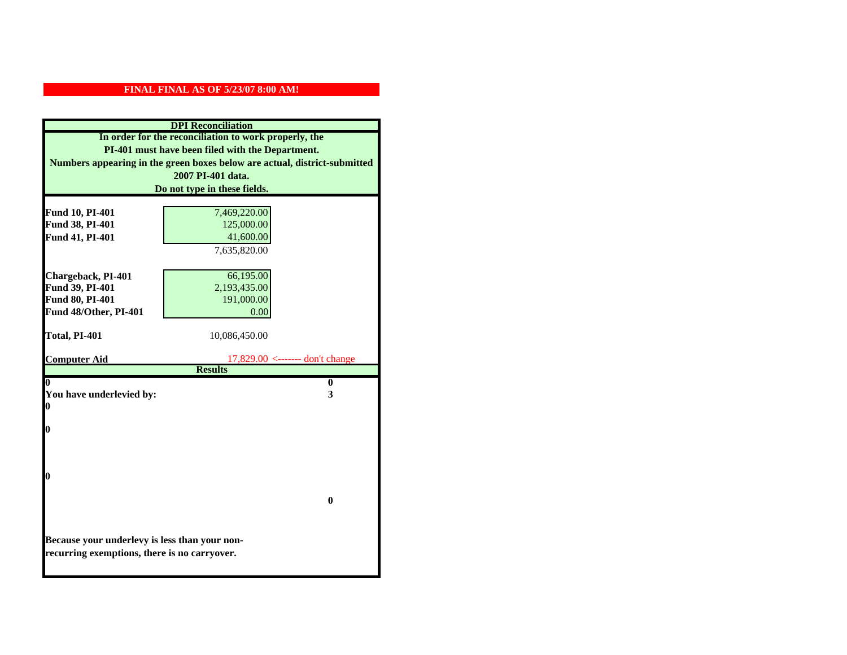| <b>DPI</b> Reconciliation                                                     |                                                                           |  |  |
|-------------------------------------------------------------------------------|---------------------------------------------------------------------------|--|--|
| In order for the reconciliation to work properly, the                         |                                                                           |  |  |
| PI-401 must have been filed with the Department.                              |                                                                           |  |  |
|                                                                               | Numbers appearing in the green boxes below are actual, district-submitted |  |  |
|                                                                               | 2007 PI-401 data.                                                         |  |  |
|                                                                               | Do not type in these fields.                                              |  |  |
|                                                                               |                                                                           |  |  |
| Fund 10, PI-401<br>Fund 38, PI-401                                            | 7,469,220.00<br>125,000.00                                                |  |  |
| Fund 41, PI-401                                                               | 41,600.00                                                                 |  |  |
|                                                                               | 7,635,820.00                                                              |  |  |
|                                                                               |                                                                           |  |  |
| Chargeback, PI-401                                                            | 66,195.00                                                                 |  |  |
| Fund 39, PI-401                                                               | 2,193,435.00                                                              |  |  |
| <b>Fund 80, PI-401</b>                                                        | 191,000.00                                                                |  |  |
| Fund 48/Other, PI-401                                                         | 0.00                                                                      |  |  |
|                                                                               |                                                                           |  |  |
| Total, PI-401                                                                 | 10,086,450.00                                                             |  |  |
|                                                                               |                                                                           |  |  |
| <b>Computer Aid</b><br>$17,829.00 \le$ ------- don't change<br><b>Results</b> |                                                                           |  |  |
| $\overline{\mathbf{0}}$                                                       | $\bf{0}$                                                                  |  |  |
| You have underlevied by:                                                      | 3                                                                         |  |  |
| $\bf{0}$                                                                      |                                                                           |  |  |
|                                                                               |                                                                           |  |  |
| $\bf{0}$                                                                      |                                                                           |  |  |
|                                                                               |                                                                           |  |  |
|                                                                               |                                                                           |  |  |
| $\bf{0}$                                                                      |                                                                           |  |  |
|                                                                               |                                                                           |  |  |
|                                                                               | 0                                                                         |  |  |
|                                                                               |                                                                           |  |  |
|                                                                               |                                                                           |  |  |
| Because your underlevy is less than your non-                                 |                                                                           |  |  |
|                                                                               |                                                                           |  |  |
| recurring exemptions, there is no carryover.                                  |                                                                           |  |  |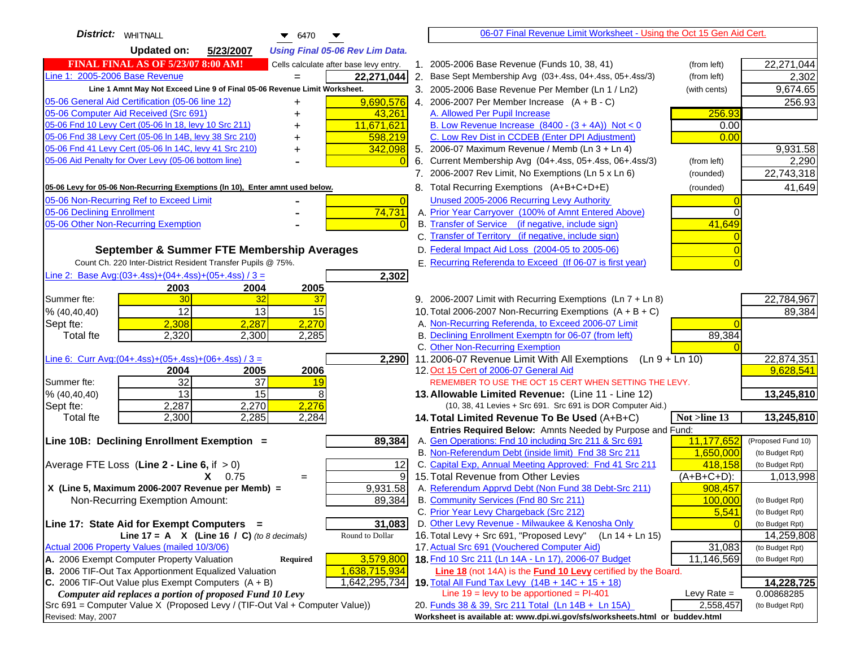| District:   WHITNALL<br>$\bullet$ 6470                                                                                       |                      | 06-07 Final Revenue Limit Worksheet - Using the Oct 15 Gen Aid Cert.                                               |               |                    |
|------------------------------------------------------------------------------------------------------------------------------|----------------------|--------------------------------------------------------------------------------------------------------------------|---------------|--------------------|
| <b>Updated on:</b><br>5/23/2007<br><b>Using Final 05-06 Rev Lim Data.</b>                                                    |                      |                                                                                                                    |               |                    |
| FINAL FINAL AS OF 5/23/07 8:00 AM!<br>Cells calculate after base levy entry.                                                 |                      | 1. 2005-2006 Base Revenue (Funds 10, 38, 41)                                                                       | (from left)   | 22,271,044         |
| Line 1: 2005-2006 Base Revenue<br>22,271,044                                                                                 |                      | 2. Base Sept Membership Avg (03+.4ss, 04+.4ss, 05+.4ss/3)                                                          | (from left)   | 2,302              |
| Line 1 Amnt May Not Exceed Line 9 of Final 05-06 Revenue Limit Worksheet.                                                    |                      | 3. 2005-2006 Base Revenue Per Member (Ln 1 / Ln2)                                                                  | (with cents)  | 9,674.65           |
| 9,690,576<br>05-06 General Aid Certification (05-06 line 12)                                                                 |                      | 4. 2006-2007 Per Member Increase $(A + B - C)$                                                                     |               | 256.93             |
| 05-06 Computer Aid Received (Src 691)<br>43,261                                                                              |                      | A. Allowed Per Pupil Increase                                                                                      | 256.93        |                    |
| 05-06 Fnd 10 Levy Cert (05-06 ln 18, levy 10 Src 211)<br>11,671,621                                                          |                      | B. Low Revenue Increase $(8400 - (3 + 4A))$ Not < 0                                                                | 0.00          |                    |
| 05-06 Fnd 38 Levy Cert (05-06 In 14B, levy 38 Src 210)<br>598,219                                                            |                      | C. Low Rev Dist in CCDEB (Enter DPI Adjustment)                                                                    | 0.00          |                    |
| 05-06 Fnd 41 Levy Cert (05-06 In 14C, levy 41 Src 210)<br>342,098                                                            |                      | 5. 2006-07 Maximum Revenue / Memb (Ln 3 + Ln 4)                                                                    |               | 9,931.58           |
| 05-06 Aid Penalty for Over Levy (05-06 bottom line)                                                                          | 6.<br>$\overline{0}$ | Current Membership Avg (04+.4ss, 05+.4ss, 06+.4ss/3)                                                               | (from left)   | 2,290              |
|                                                                                                                              |                      | 7. 2006-2007 Rev Limit, No Exemptions (Ln 5 x Ln 6)                                                                | (rounded)     | 22,743,318         |
| 05-06 Levy for 05-06 Non-Recurring Exemptions (In 10), Enter amnt used below.                                                |                      | 8. Total Recurring Exemptions (A+B+C+D+E)                                                                          | (rounded)     | 41,649             |
| 05-06 Non-Recurring Ref to Exceed Limit                                                                                      | $\overline{0}$       | Unused 2005-2006 Recurring Levy Authority                                                                          |               |                    |
| 74,731<br>05-06 Declining Enrollment                                                                                         |                      | A. Prior Year Carryover (100% of Amnt Entered Above)                                                               | 0             |                    |
| 05-06 Other Non-Recurring Exemption                                                                                          |                      | B. Transfer of Service (if negative, include sign)                                                                 | 41,649        |                    |
|                                                                                                                              |                      | C. Transfer of Territory (if negative, include sign)                                                               |               |                    |
| September & Summer FTE Membership Averages                                                                                   |                      | D. Federal Impact Aid Loss (2004-05 to 2005-06)                                                                    |               |                    |
| Count Ch. 220 Inter-District Resident Transfer Pupils @ 75%.                                                                 |                      | E. Recurring Referenda to Exceed (If 06-07 is first year)                                                          |               |                    |
| Line 2: Base Avg:(03+.4ss)+(04+.4ss)+(05+.4ss) / 3 =<br>2,302                                                                |                      |                                                                                                                    |               |                    |
| 2003<br>2004<br>2005                                                                                                         |                      |                                                                                                                    |               |                    |
| 30<br>32<br>Summer fte:<br>37                                                                                                |                      | 9. 2006-2007 Limit with Recurring Exemptions (Ln 7 + Ln 8)                                                         |               | 22,784,967         |
| 12<br>13<br>15<br>% (40, 40, 40)                                                                                             |                      | 10. Total 2006-2007 Non-Recurring Exemptions $(A + B + C)$                                                         |               | 89,384             |
| 2,270<br>2,308<br>2,287<br>Sept fte:                                                                                         |                      | A. Non-Recurring Referenda, to Exceed 2006-07 Limit                                                                |               |                    |
| <b>Total fte</b><br>2,320<br>2,300<br>2,285                                                                                  |                      | B. Declining Enrollment Exemptn for 06-07 (from left)                                                              | 89,384        |                    |
|                                                                                                                              |                      | C. Other Non-Recurring Exemption                                                                                   |               |                    |
| Line 6: Curr Avg: $(04+.4ss)+(05+.4ss)+(06+.4ss)/3 =$<br>2,290                                                               |                      | 11.2006-07 Revenue Limit With All Exemptions<br>$(Ln 9 + Ln 10)$                                                   |               | 22,874,351         |
| 2006<br>2005<br>2004<br>32<br>37<br>Summer fte:                                                                              |                      | 12. Oct 15 Cert of 2006-07 General Aid<br>REMEMBER TO USE THE OCT 15 CERT WHEN SETTING THE LEVY.                   |               | 9,628,541          |
| 19<br>13<br>15<br>8<br>% (40, 40, 40)                                                                                        |                      | 13. Allowable Limited Revenue: (Line 11 - Line 12)                                                                 |               | 13,245,810         |
| 2,287<br>2,270<br>2,276<br>Sept fte:                                                                                         |                      | (10, 38, 41 Levies + Src 691. Src 691 is DOR Computer Aid.)                                                        |               |                    |
| 2,300<br>2,285<br>2,284<br><b>Total fte</b>                                                                                  |                      | 14. Total Limited Revenue To Be Used (A+B+C)                                                                       | Not >line 13  | 13,245,810         |
|                                                                                                                              |                      | Entries Required Below: Amnts Needed by Purpose and Fund:                                                          |               |                    |
| 89,384<br>Line 10B: Declining Enrollment Exemption =                                                                         |                      | A. Gen Operations: Fnd 10 including Src 211 & Src 691                                                              | 11,177,652    | (Proposed Fund 10) |
|                                                                                                                              |                      | B. Non-Referendum Debt (inside limit) Fnd 38 Src 211                                                               | 1,650,000     | (to Budget Rpt)    |
| Average FTE Loss (Line $2 -$ Line 6, if $> 0$ )                                                                              | 12                   | C. Capital Exp, Annual Meeting Approved: Fnd 41 Src 211                                                            | 418.158       | (to Budget Rpt)    |
| $X = 0.75$<br>$=$                                                                                                            | 9                    | 15. Total Revenue from Other Levies                                                                                | $(A+B+C+D)$ : | 1,013,998          |
| X (Line 5, Maximum 2006-2007 Revenue per Memb) =<br>9,931.58                                                                 |                      | A. Referendum Apprvd Debt (Non Fund 38 Debt-Src 211)                                                               | 908,457       |                    |
| 89,384<br>Non-Recurring Exemption Amount:                                                                                    |                      | B. Community Services (Fnd 80 Src 211)                                                                             | 100.000       | (to Budget Rpt)    |
|                                                                                                                              |                      | C. Prior Year Levy Chargeback (Src 212)                                                                            | 5,541         | (to Budget Rpt)    |
| 31,083<br>Line 17: State Aid for Exempt Computers =                                                                          |                      | D. Other Levy Revenue - Milwaukee & Kenosha Only                                                                   |               | (to Budget Rpt)    |
| Line 17 = A $X$ (Line 16 / C) (to 8 decimals)<br>Round to Dollar                                                             |                      | 16. Total Levy + Src 691, "Proposed Levy"<br>(Ln 14 + Ln 15)                                                       |               | 14,259,808         |
| Actual 2006 Property Values (mailed 10/3/06)                                                                                 |                      | 17. Actual Src 691 (Vouchered Computer Aid)                                                                        | 31,083        | (to Budget Rpt)    |
| 3,579,800<br>A. 2006 Exempt Computer Property Valuation<br>Required<br>B. 2006 TIF-Out Tax Apportionment Equalized Valuation |                      | 18. Fnd 10 Src 211 (Ln 14A - Ln 17), 2006-07 Budget                                                                | 11,146,569    | (to Budget Rpt)    |
| 1,638,715,934<br>C. 2006 TIF-Out Value plus Exempt Computers $(A + B)$<br>1,642,295,734                                      |                      | Line 18 (not 14A) is the Fund 10 Levy certified by the Board.<br>19. Total All Fund Tax Levy (14B + 14C + 15 + 18) |               | 14,228,725         |
| Computer aid replaces a portion of proposed Fund 10 Levy                                                                     |                      | Line $19$ = levy to be apportioned = PI-401                                                                        | Levy Rate $=$ | 0.00868285         |
| Src 691 = Computer Value X (Proposed Levy / (TIF-Out Val + Computer Value))                                                  |                      | 20. Funds 38 & 39, Src 211 Total (Ln 14B + Ln 15A)                                                                 | 2,558,457     | (to Budget Rpt)    |
| Revised: May, 2007                                                                                                           |                      | Worksheet is available at: www.dpi.wi.gov/sfs/worksheets.html or buddev.html                                       |               |                    |
|                                                                                                                              |                      |                                                                                                                    |               |                    |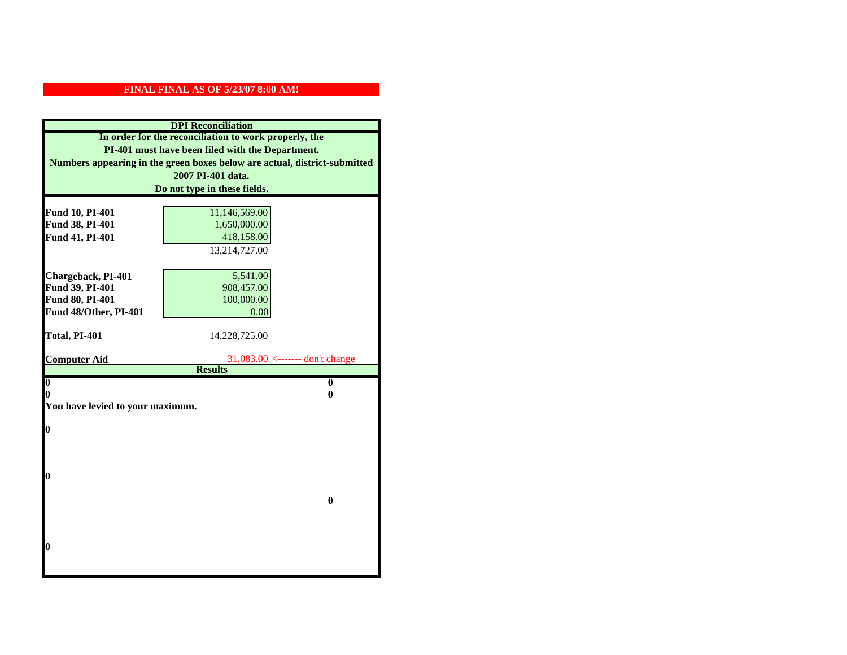| <b>DPI</b> Reconciliation                             |                                                                           |  |  |
|-------------------------------------------------------|---------------------------------------------------------------------------|--|--|
| In order for the reconciliation to work properly, the |                                                                           |  |  |
| PI-401 must have been filed with the Department.      |                                                                           |  |  |
|                                                       | Numbers appearing in the green boxes below are actual, district-submitted |  |  |
|                                                       | 2007 PI-401 data.                                                         |  |  |
|                                                       | Do not type in these fields.                                              |  |  |
|                                                       |                                                                           |  |  |
| Fund 10, PI-401                                       | 11,146,569.00                                                             |  |  |
| Fund 38, PI-401                                       | 1,650,000.00                                                              |  |  |
| Fund 41, PI-401                                       | 418,158.00                                                                |  |  |
|                                                       | 13,214,727.00                                                             |  |  |
|                                                       |                                                                           |  |  |
| Chargeback, PI-401                                    | 5,541.00                                                                  |  |  |
| Fund 39, PI-401                                       | 908,457.00                                                                |  |  |
| Fund 80, PI-401                                       | 100,000.00                                                                |  |  |
| Fund 48/Other, PI-401                                 | 0.00                                                                      |  |  |
|                                                       |                                                                           |  |  |
| Total, PI-401                                         | 14,228,725.00                                                             |  |  |
| <b>Computer Aid</b>                                   | $31,083.00$ <------- don't change                                         |  |  |
|                                                       | <b>Results</b>                                                            |  |  |
| $\overline{\mathbf{0}}$                               | $\bf{0}$                                                                  |  |  |
| 0                                                     | 0                                                                         |  |  |
| You have levied to your maximum.                      |                                                                           |  |  |
|                                                       |                                                                           |  |  |
| $\bf{0}$                                              |                                                                           |  |  |
|                                                       |                                                                           |  |  |
|                                                       |                                                                           |  |  |
| l0                                                    |                                                                           |  |  |
|                                                       |                                                                           |  |  |
|                                                       | $\bf{0}$                                                                  |  |  |
|                                                       |                                                                           |  |  |
|                                                       |                                                                           |  |  |
|                                                       |                                                                           |  |  |
| l0                                                    |                                                                           |  |  |
|                                                       |                                                                           |  |  |
|                                                       |                                                                           |  |  |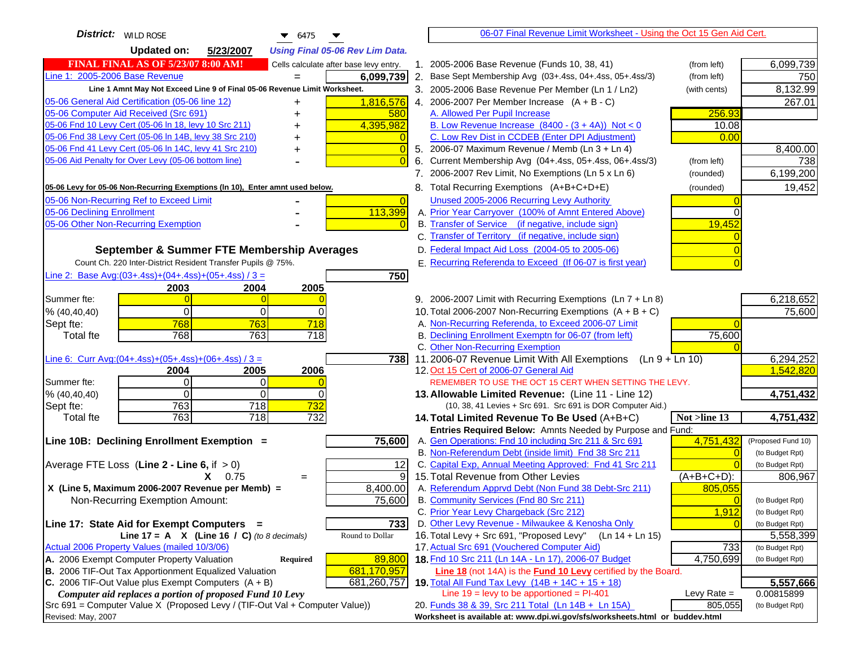| <b>Updated on:</b><br>5/23/2007<br><b>Using Final 05-06 Rev Lim Data.</b><br><b>FINAL FINAL AS OF 5/23/07 8:00 AM!</b><br>1. 2005-2006 Base Revenue (Funds 10, 38, 41)<br>6,099,739<br>Cells calculate after base levy entry.<br>(from left)<br>Line 1: 2005-2006 Base Revenue<br>6,099,739<br>2. Base Sept Membership Avg (03+.4ss, 04+.4ss, 05+.4ss/3)<br>750<br>(from left)<br>$=$<br>8,132.99<br>Line 1 Amnt May Not Exceed Line 9 of Final 05-06 Revenue Limit Worksheet.<br>3. 2005-2006 Base Revenue Per Member (Ln 1 / Ln2)<br>(with cents)<br>05-06 General Aid Certification (05-06 line 12)<br>1,816,576<br>4. 2006-2007 Per Member Increase $(A + B - C)$<br>267.01<br>+<br>05-06 Computer Aid Received (Src 691)<br>A. Allowed Per Pupil Increase<br>256.93<br>580<br>05-06 Fnd 10 Levy Cert (05-06 In 18, levy 10 Src 211)<br>B. Low Revenue Increase $(8400 - (3 + 4A))$ Not < 0<br>4,395,982<br>10.08<br>05-06 Fnd 38 Levy Cert (05-06 In 14B, levy 38 Src 210)<br>C. Low Rev Dist in CCDEB (Enter DPI Adjustment)<br>0.00<br>05-06 Fnd 41 Levy Cert (05-06 In 14C, levy 41 Src 210)<br>5. 2006-07 Maximum Revenue / Memb (Ln 3 + Ln 4)<br>8,400.00<br>0<br>+<br>05-06 Aid Penalty for Over Levy (05-06 bottom line)<br>6. Current Membership Avg (04+.4ss, 05+.4ss, 06+.4ss/3)<br>738<br>(from left)<br>6,199,200<br>7. 2006-2007 Rev Limit, No Exemptions (Ln 5 x Ln 6)<br>(rounded)<br>19,452<br>8. Total Recurring Exemptions (A+B+C+D+E)<br>05-06 Levy for 05-06 Non-Recurring Exemptions (In 10), Enter amnt used below.<br>(rounded)<br>05-06 Non-Recurring Ref to Exceed Limit<br>Unused 2005-2006 Recurring Levy Authority<br>$\overline{0}$<br>113,399<br>A. Prior Year Carryover (100% of Amnt Entered Above)<br>B. Transfer of Service (if negative, include sign)<br>19,452<br>C. Transfer of Territory (if negative, include sign)<br>D. Federal Impact Aid Loss (2004-05 to 2005-06)<br>September & Summer FTE Membership Averages<br>E. Recurring Referenda to Exceed (If 06-07 is first year)<br>Count Ch. 220 Inter-District Resident Transfer Pupils @ 75%.<br>Line 2: Base Avg: $(03+.4ss)+(04+.4ss)+(05+.4ss)/3 =$<br>750<br>2003<br>2004<br>2005<br>9. 2006-2007 Limit with Recurring Exemptions (Ln 7 + Ln 8)<br>6,218,652<br>$\Omega$<br>10. Total 2006-2007 Non-Recurring Exemptions $(A + B + C)$<br>75,600<br>0<br>0<br>768<br>718<br>A. Non-Recurring Referenda, to Exceed 2006-07 Limit<br>763<br>Sept fte:<br>768<br>718<br>B. Declining Enrollment Exemptn for 06-07 (from left)<br>75,600<br><b>Total fte</b><br>763<br>C. Other Non-Recurring Exemption<br>Line 6: Curr Avg: $(04+.4ss)+(05+.4ss)+(06+.4ss)/3 =$<br>11.2006-07 Revenue Limit With All Exemptions (Ln 9 + Ln 10)<br>6,294,252<br>738I<br>1,542,820<br>2006<br>12. Oct 15 Cert of 2006-07 General Aid<br>2004<br>2005<br>Summer fte:<br>$\Omega$<br>0<br>REMEMBER TO USE THE OCT 15 CERT WHEN SETTING THE LEVY.<br>% (40, 40, 40)<br>$\Omega$<br>$\Omega$<br>4,751,432<br>0<br>13. Allowable Limited Revenue: (Line 11 - Line 12)<br>763<br>718<br>732<br>Sept fte:<br>(10, 38, 41 Levies + Src 691. Src 691 is DOR Computer Aid.)<br>763<br>732<br>4,751,432<br>$\overline{718}$<br><b>Total fte</b><br>14. Total Limited Revenue To Be Used (A+B+C)<br>Not >line 13<br>Entries Required Below: Amnts Needed by Purpose and Fund:<br>75,600<br>A. Gen Operations: Fnd 10 including Src 211 & Src 691<br>4,751,432<br>Line 10B: Declining Enrollment Exemption =<br>(Proposed Fund 10)<br>B. Non-Referendum Debt (inside limit) Fnd 38 Src 211<br>(to Budget Rpt)<br>C. Capital Exp, Annual Meeting Approved: Fnd 41 Src 211<br>12<br>(to Budget Rpt)<br>9<br>15. Total Revenue from Other Levies<br>$X = 0.75$<br>(A+B+C+D):<br>806,967<br>$=$<br>X (Line 5, Maximum 2006-2007 Revenue per Memb) =<br>8,400.00<br>A. Referendum Apprvd Debt (Non Fund 38 Debt-Src 211)<br>805,055<br>75,600<br>B. Community Services (Fnd 80 Src 211)<br>Non-Recurring Exemption Amount:<br>(to Budget Rpt)<br>C. Prior Year Levy Chargeback (Src 212)<br>1,912<br>(to Budget Rpt)<br>D. Other Levy Revenue - Milwaukee & Kenosha Only<br>733<br>Line 17: State Aid for Exempt Computers =<br>(to Budget Rpt)<br>16. Total Levy + Src 691, "Proposed Levy"<br>Round to Dollar<br>(Ln 14 + Ln 15)<br>Line 17 = A $X$ (Line 16 / C) (to 8 decimals)<br>5,558,399<br>17. Actual Src 691 (Vouchered Computer Aid)<br>Actual 2006 Property Values (mailed 10/3/06)<br>733<br>(to Budget Rpt)<br>A. 2006 Exempt Computer Property Valuation<br>89,800<br>18. Fnd 10 Src 211 (Ln 14A - Ln 17), 2006-07 Budget<br>4,750,699<br>Required<br>(to Budget Rpt)<br>B. 2006 TIF-Out Tax Apportionment Equalized Valuation<br>681,170,957<br><b>Line 18</b> (not 14A) is the <b>Fund 10 Levy</b> certified by the Board.<br>C. 2006 TIF-Out Value plus Exempt Computers $(A + B)$<br>681,260,757<br>5,557,666<br>19. Total All Fund Tax Levy $(14B + 14C + 15 + 18)$ | <b>District:</b> WILD ROSE<br>$\bullet$ 6475             | 06-07 Final Revenue Limit Worksheet - Using the Oct 15 Gen Aid Cert. |            |
|-------------------------------------------------------------------------------------------------------------------------------------------------------------------------------------------------------------------------------------------------------------------------------------------------------------------------------------------------------------------------------------------------------------------------------------------------------------------------------------------------------------------------------------------------------------------------------------------------------------------------------------------------------------------------------------------------------------------------------------------------------------------------------------------------------------------------------------------------------------------------------------------------------------------------------------------------------------------------------------------------------------------------------------------------------------------------------------------------------------------------------------------------------------------------------------------------------------------------------------------------------------------------------------------------------------------------------------------------------------------------------------------------------------------------------------------------------------------------------------------------------------------------------------------------------------------------------------------------------------------------------------------------------------------------------------------------------------------------------------------------------------------------------------------------------------------------------------------------------------------------------------------------------------------------------------------------------------------------------------------------------------------------------------------------------------------------------------------------------------------------------------------------------------------------------------------------------------------------------------------------------------------------------------------------------------------------------------------------------------------------------------------------------------------------------------------------------------------------------------------------------------------------------------------------------------------------------------------------------------------------------------------------------------------------------------------------------------------------------------------------------------------------------------------------------------------------------------------------------------------------------------------------------------------------------------------------------------------------------------------------------------------------------------------------------------------------------------------------------------------------------------------------------------------------------------------------------------------------------------------------------------------------------------------------------------------------------------------------------------------------------------------------------------------------------------------------------------------------------------------------------------------------------------------------------------------------------------------------------------------------------------------------------------------------------------------------------------------------------------------------------------------------------------------------------------------------------------------------------------------------------------------------------------------------------------------------------------------------------------------------------------------------------------------------------------------------------------------------------------------------------------------------------------------------------------------------------------------------------------------------------------------------------------------------------------------------------------------------------------------------------------------------------------------------------------------------------------------------------------------------------------------------------------------------------------------------------------------------------------------------------------------------------------------------------------------------------------------------------------------------------------------------------------------------------------------------------------------------------------------------------------------------------------------------------------------------------|----------------------------------------------------------|----------------------------------------------------------------------|------------|
|                                                                                                                                                                                                                                                                                                                                                                                                                                                                                                                                                                                                                                                                                                                                                                                                                                                                                                                                                                                                                                                                                                                                                                                                                                                                                                                                                                                                                                                                                                                                                                                                                                                                                                                                                                                                                                                                                                                                                                                                                                                                                                                                                                                                                                                                                                                                                                                                                                                                                                                                                                                                                                                                                                                                                                                                                                                                                                                                                                                                                                                                                                                                                                                                                                                                                                                                                                                                                                                                                                                                                                                                                                                                                                                                                                                                                                                                                                                                                                                                                                                                                                                                                                                                                                                                                                                                                                                                                                                                                                                                                                                                                                                                                                                                                                                                                                                                                                                                                       |                                                          |                                                                      |            |
|                                                                                                                                                                                                                                                                                                                                                                                                                                                                                                                                                                                                                                                                                                                                                                                                                                                                                                                                                                                                                                                                                                                                                                                                                                                                                                                                                                                                                                                                                                                                                                                                                                                                                                                                                                                                                                                                                                                                                                                                                                                                                                                                                                                                                                                                                                                                                                                                                                                                                                                                                                                                                                                                                                                                                                                                                                                                                                                                                                                                                                                                                                                                                                                                                                                                                                                                                                                                                                                                                                                                                                                                                                                                                                                                                                                                                                                                                                                                                                                                                                                                                                                                                                                                                                                                                                                                                                                                                                                                                                                                                                                                                                                                                                                                                                                                                                                                                                                                                       |                                                          |                                                                      |            |
|                                                                                                                                                                                                                                                                                                                                                                                                                                                                                                                                                                                                                                                                                                                                                                                                                                                                                                                                                                                                                                                                                                                                                                                                                                                                                                                                                                                                                                                                                                                                                                                                                                                                                                                                                                                                                                                                                                                                                                                                                                                                                                                                                                                                                                                                                                                                                                                                                                                                                                                                                                                                                                                                                                                                                                                                                                                                                                                                                                                                                                                                                                                                                                                                                                                                                                                                                                                                                                                                                                                                                                                                                                                                                                                                                                                                                                                                                                                                                                                                                                                                                                                                                                                                                                                                                                                                                                                                                                                                                                                                                                                                                                                                                                                                                                                                                                                                                                                                                       |                                                          |                                                                      |            |
|                                                                                                                                                                                                                                                                                                                                                                                                                                                                                                                                                                                                                                                                                                                                                                                                                                                                                                                                                                                                                                                                                                                                                                                                                                                                                                                                                                                                                                                                                                                                                                                                                                                                                                                                                                                                                                                                                                                                                                                                                                                                                                                                                                                                                                                                                                                                                                                                                                                                                                                                                                                                                                                                                                                                                                                                                                                                                                                                                                                                                                                                                                                                                                                                                                                                                                                                                                                                                                                                                                                                                                                                                                                                                                                                                                                                                                                                                                                                                                                                                                                                                                                                                                                                                                                                                                                                                                                                                                                                                                                                                                                                                                                                                                                                                                                                                                                                                                                                                       |                                                          |                                                                      |            |
|                                                                                                                                                                                                                                                                                                                                                                                                                                                                                                                                                                                                                                                                                                                                                                                                                                                                                                                                                                                                                                                                                                                                                                                                                                                                                                                                                                                                                                                                                                                                                                                                                                                                                                                                                                                                                                                                                                                                                                                                                                                                                                                                                                                                                                                                                                                                                                                                                                                                                                                                                                                                                                                                                                                                                                                                                                                                                                                                                                                                                                                                                                                                                                                                                                                                                                                                                                                                                                                                                                                                                                                                                                                                                                                                                                                                                                                                                                                                                                                                                                                                                                                                                                                                                                                                                                                                                                                                                                                                                                                                                                                                                                                                                                                                                                                                                                                                                                                                                       |                                                          |                                                                      |            |
|                                                                                                                                                                                                                                                                                                                                                                                                                                                                                                                                                                                                                                                                                                                                                                                                                                                                                                                                                                                                                                                                                                                                                                                                                                                                                                                                                                                                                                                                                                                                                                                                                                                                                                                                                                                                                                                                                                                                                                                                                                                                                                                                                                                                                                                                                                                                                                                                                                                                                                                                                                                                                                                                                                                                                                                                                                                                                                                                                                                                                                                                                                                                                                                                                                                                                                                                                                                                                                                                                                                                                                                                                                                                                                                                                                                                                                                                                                                                                                                                                                                                                                                                                                                                                                                                                                                                                                                                                                                                                                                                                                                                                                                                                                                                                                                                                                                                                                                                                       |                                                          |                                                                      |            |
|                                                                                                                                                                                                                                                                                                                                                                                                                                                                                                                                                                                                                                                                                                                                                                                                                                                                                                                                                                                                                                                                                                                                                                                                                                                                                                                                                                                                                                                                                                                                                                                                                                                                                                                                                                                                                                                                                                                                                                                                                                                                                                                                                                                                                                                                                                                                                                                                                                                                                                                                                                                                                                                                                                                                                                                                                                                                                                                                                                                                                                                                                                                                                                                                                                                                                                                                                                                                                                                                                                                                                                                                                                                                                                                                                                                                                                                                                                                                                                                                                                                                                                                                                                                                                                                                                                                                                                                                                                                                                                                                                                                                                                                                                                                                                                                                                                                                                                                                                       |                                                          |                                                                      |            |
|                                                                                                                                                                                                                                                                                                                                                                                                                                                                                                                                                                                                                                                                                                                                                                                                                                                                                                                                                                                                                                                                                                                                                                                                                                                                                                                                                                                                                                                                                                                                                                                                                                                                                                                                                                                                                                                                                                                                                                                                                                                                                                                                                                                                                                                                                                                                                                                                                                                                                                                                                                                                                                                                                                                                                                                                                                                                                                                                                                                                                                                                                                                                                                                                                                                                                                                                                                                                                                                                                                                                                                                                                                                                                                                                                                                                                                                                                                                                                                                                                                                                                                                                                                                                                                                                                                                                                                                                                                                                                                                                                                                                                                                                                                                                                                                                                                                                                                                                                       |                                                          |                                                                      |            |
|                                                                                                                                                                                                                                                                                                                                                                                                                                                                                                                                                                                                                                                                                                                                                                                                                                                                                                                                                                                                                                                                                                                                                                                                                                                                                                                                                                                                                                                                                                                                                                                                                                                                                                                                                                                                                                                                                                                                                                                                                                                                                                                                                                                                                                                                                                                                                                                                                                                                                                                                                                                                                                                                                                                                                                                                                                                                                                                                                                                                                                                                                                                                                                                                                                                                                                                                                                                                                                                                                                                                                                                                                                                                                                                                                                                                                                                                                                                                                                                                                                                                                                                                                                                                                                                                                                                                                                                                                                                                                                                                                                                                                                                                                                                                                                                                                                                                                                                                                       |                                                          |                                                                      |            |
|                                                                                                                                                                                                                                                                                                                                                                                                                                                                                                                                                                                                                                                                                                                                                                                                                                                                                                                                                                                                                                                                                                                                                                                                                                                                                                                                                                                                                                                                                                                                                                                                                                                                                                                                                                                                                                                                                                                                                                                                                                                                                                                                                                                                                                                                                                                                                                                                                                                                                                                                                                                                                                                                                                                                                                                                                                                                                                                                                                                                                                                                                                                                                                                                                                                                                                                                                                                                                                                                                                                                                                                                                                                                                                                                                                                                                                                                                                                                                                                                                                                                                                                                                                                                                                                                                                                                                                                                                                                                                                                                                                                                                                                                                                                                                                                                                                                                                                                                                       |                                                          |                                                                      |            |
|                                                                                                                                                                                                                                                                                                                                                                                                                                                                                                                                                                                                                                                                                                                                                                                                                                                                                                                                                                                                                                                                                                                                                                                                                                                                                                                                                                                                                                                                                                                                                                                                                                                                                                                                                                                                                                                                                                                                                                                                                                                                                                                                                                                                                                                                                                                                                                                                                                                                                                                                                                                                                                                                                                                                                                                                                                                                                                                                                                                                                                                                                                                                                                                                                                                                                                                                                                                                                                                                                                                                                                                                                                                                                                                                                                                                                                                                                                                                                                                                                                                                                                                                                                                                                                                                                                                                                                                                                                                                                                                                                                                                                                                                                                                                                                                                                                                                                                                                                       |                                                          |                                                                      |            |
|                                                                                                                                                                                                                                                                                                                                                                                                                                                                                                                                                                                                                                                                                                                                                                                                                                                                                                                                                                                                                                                                                                                                                                                                                                                                                                                                                                                                                                                                                                                                                                                                                                                                                                                                                                                                                                                                                                                                                                                                                                                                                                                                                                                                                                                                                                                                                                                                                                                                                                                                                                                                                                                                                                                                                                                                                                                                                                                                                                                                                                                                                                                                                                                                                                                                                                                                                                                                                                                                                                                                                                                                                                                                                                                                                                                                                                                                                                                                                                                                                                                                                                                                                                                                                                                                                                                                                                                                                                                                                                                                                                                                                                                                                                                                                                                                                                                                                                                                                       |                                                          |                                                                      |            |
|                                                                                                                                                                                                                                                                                                                                                                                                                                                                                                                                                                                                                                                                                                                                                                                                                                                                                                                                                                                                                                                                                                                                                                                                                                                                                                                                                                                                                                                                                                                                                                                                                                                                                                                                                                                                                                                                                                                                                                                                                                                                                                                                                                                                                                                                                                                                                                                                                                                                                                                                                                                                                                                                                                                                                                                                                                                                                                                                                                                                                                                                                                                                                                                                                                                                                                                                                                                                                                                                                                                                                                                                                                                                                                                                                                                                                                                                                                                                                                                                                                                                                                                                                                                                                                                                                                                                                                                                                                                                                                                                                                                                                                                                                                                                                                                                                                                                                                                                                       |                                                          |                                                                      |            |
|                                                                                                                                                                                                                                                                                                                                                                                                                                                                                                                                                                                                                                                                                                                                                                                                                                                                                                                                                                                                                                                                                                                                                                                                                                                                                                                                                                                                                                                                                                                                                                                                                                                                                                                                                                                                                                                                                                                                                                                                                                                                                                                                                                                                                                                                                                                                                                                                                                                                                                                                                                                                                                                                                                                                                                                                                                                                                                                                                                                                                                                                                                                                                                                                                                                                                                                                                                                                                                                                                                                                                                                                                                                                                                                                                                                                                                                                                                                                                                                                                                                                                                                                                                                                                                                                                                                                                                                                                                                                                                                                                                                                                                                                                                                                                                                                                                                                                                                                                       | 05-06 Declining Enrollment                               |                                                                      |            |
|                                                                                                                                                                                                                                                                                                                                                                                                                                                                                                                                                                                                                                                                                                                                                                                                                                                                                                                                                                                                                                                                                                                                                                                                                                                                                                                                                                                                                                                                                                                                                                                                                                                                                                                                                                                                                                                                                                                                                                                                                                                                                                                                                                                                                                                                                                                                                                                                                                                                                                                                                                                                                                                                                                                                                                                                                                                                                                                                                                                                                                                                                                                                                                                                                                                                                                                                                                                                                                                                                                                                                                                                                                                                                                                                                                                                                                                                                                                                                                                                                                                                                                                                                                                                                                                                                                                                                                                                                                                                                                                                                                                                                                                                                                                                                                                                                                                                                                                                                       | 05-06 Other Non-Recurring Exemption                      |                                                                      |            |
|                                                                                                                                                                                                                                                                                                                                                                                                                                                                                                                                                                                                                                                                                                                                                                                                                                                                                                                                                                                                                                                                                                                                                                                                                                                                                                                                                                                                                                                                                                                                                                                                                                                                                                                                                                                                                                                                                                                                                                                                                                                                                                                                                                                                                                                                                                                                                                                                                                                                                                                                                                                                                                                                                                                                                                                                                                                                                                                                                                                                                                                                                                                                                                                                                                                                                                                                                                                                                                                                                                                                                                                                                                                                                                                                                                                                                                                                                                                                                                                                                                                                                                                                                                                                                                                                                                                                                                                                                                                                                                                                                                                                                                                                                                                                                                                                                                                                                                                                                       |                                                          |                                                                      |            |
|                                                                                                                                                                                                                                                                                                                                                                                                                                                                                                                                                                                                                                                                                                                                                                                                                                                                                                                                                                                                                                                                                                                                                                                                                                                                                                                                                                                                                                                                                                                                                                                                                                                                                                                                                                                                                                                                                                                                                                                                                                                                                                                                                                                                                                                                                                                                                                                                                                                                                                                                                                                                                                                                                                                                                                                                                                                                                                                                                                                                                                                                                                                                                                                                                                                                                                                                                                                                                                                                                                                                                                                                                                                                                                                                                                                                                                                                                                                                                                                                                                                                                                                                                                                                                                                                                                                                                                                                                                                                                                                                                                                                                                                                                                                                                                                                                                                                                                                                                       |                                                          |                                                                      |            |
|                                                                                                                                                                                                                                                                                                                                                                                                                                                                                                                                                                                                                                                                                                                                                                                                                                                                                                                                                                                                                                                                                                                                                                                                                                                                                                                                                                                                                                                                                                                                                                                                                                                                                                                                                                                                                                                                                                                                                                                                                                                                                                                                                                                                                                                                                                                                                                                                                                                                                                                                                                                                                                                                                                                                                                                                                                                                                                                                                                                                                                                                                                                                                                                                                                                                                                                                                                                                                                                                                                                                                                                                                                                                                                                                                                                                                                                                                                                                                                                                                                                                                                                                                                                                                                                                                                                                                                                                                                                                                                                                                                                                                                                                                                                                                                                                                                                                                                                                                       |                                                          |                                                                      |            |
|                                                                                                                                                                                                                                                                                                                                                                                                                                                                                                                                                                                                                                                                                                                                                                                                                                                                                                                                                                                                                                                                                                                                                                                                                                                                                                                                                                                                                                                                                                                                                                                                                                                                                                                                                                                                                                                                                                                                                                                                                                                                                                                                                                                                                                                                                                                                                                                                                                                                                                                                                                                                                                                                                                                                                                                                                                                                                                                                                                                                                                                                                                                                                                                                                                                                                                                                                                                                                                                                                                                                                                                                                                                                                                                                                                                                                                                                                                                                                                                                                                                                                                                                                                                                                                                                                                                                                                                                                                                                                                                                                                                                                                                                                                                                                                                                                                                                                                                                                       |                                                          |                                                                      |            |
|                                                                                                                                                                                                                                                                                                                                                                                                                                                                                                                                                                                                                                                                                                                                                                                                                                                                                                                                                                                                                                                                                                                                                                                                                                                                                                                                                                                                                                                                                                                                                                                                                                                                                                                                                                                                                                                                                                                                                                                                                                                                                                                                                                                                                                                                                                                                                                                                                                                                                                                                                                                                                                                                                                                                                                                                                                                                                                                                                                                                                                                                                                                                                                                                                                                                                                                                                                                                                                                                                                                                                                                                                                                                                                                                                                                                                                                                                                                                                                                                                                                                                                                                                                                                                                                                                                                                                                                                                                                                                                                                                                                                                                                                                                                                                                                                                                                                                                                                                       |                                                          |                                                                      |            |
|                                                                                                                                                                                                                                                                                                                                                                                                                                                                                                                                                                                                                                                                                                                                                                                                                                                                                                                                                                                                                                                                                                                                                                                                                                                                                                                                                                                                                                                                                                                                                                                                                                                                                                                                                                                                                                                                                                                                                                                                                                                                                                                                                                                                                                                                                                                                                                                                                                                                                                                                                                                                                                                                                                                                                                                                                                                                                                                                                                                                                                                                                                                                                                                                                                                                                                                                                                                                                                                                                                                                                                                                                                                                                                                                                                                                                                                                                                                                                                                                                                                                                                                                                                                                                                                                                                                                                                                                                                                                                                                                                                                                                                                                                                                                                                                                                                                                                                                                                       | Summer fte:                                              |                                                                      |            |
|                                                                                                                                                                                                                                                                                                                                                                                                                                                                                                                                                                                                                                                                                                                                                                                                                                                                                                                                                                                                                                                                                                                                                                                                                                                                                                                                                                                                                                                                                                                                                                                                                                                                                                                                                                                                                                                                                                                                                                                                                                                                                                                                                                                                                                                                                                                                                                                                                                                                                                                                                                                                                                                                                                                                                                                                                                                                                                                                                                                                                                                                                                                                                                                                                                                                                                                                                                                                                                                                                                                                                                                                                                                                                                                                                                                                                                                                                                                                                                                                                                                                                                                                                                                                                                                                                                                                                                                                                                                                                                                                                                                                                                                                                                                                                                                                                                                                                                                                                       | % (40, 40, 40)                                           |                                                                      |            |
|                                                                                                                                                                                                                                                                                                                                                                                                                                                                                                                                                                                                                                                                                                                                                                                                                                                                                                                                                                                                                                                                                                                                                                                                                                                                                                                                                                                                                                                                                                                                                                                                                                                                                                                                                                                                                                                                                                                                                                                                                                                                                                                                                                                                                                                                                                                                                                                                                                                                                                                                                                                                                                                                                                                                                                                                                                                                                                                                                                                                                                                                                                                                                                                                                                                                                                                                                                                                                                                                                                                                                                                                                                                                                                                                                                                                                                                                                                                                                                                                                                                                                                                                                                                                                                                                                                                                                                                                                                                                                                                                                                                                                                                                                                                                                                                                                                                                                                                                                       |                                                          |                                                                      |            |
|                                                                                                                                                                                                                                                                                                                                                                                                                                                                                                                                                                                                                                                                                                                                                                                                                                                                                                                                                                                                                                                                                                                                                                                                                                                                                                                                                                                                                                                                                                                                                                                                                                                                                                                                                                                                                                                                                                                                                                                                                                                                                                                                                                                                                                                                                                                                                                                                                                                                                                                                                                                                                                                                                                                                                                                                                                                                                                                                                                                                                                                                                                                                                                                                                                                                                                                                                                                                                                                                                                                                                                                                                                                                                                                                                                                                                                                                                                                                                                                                                                                                                                                                                                                                                                                                                                                                                                                                                                                                                                                                                                                                                                                                                                                                                                                                                                                                                                                                                       |                                                          |                                                                      |            |
|                                                                                                                                                                                                                                                                                                                                                                                                                                                                                                                                                                                                                                                                                                                                                                                                                                                                                                                                                                                                                                                                                                                                                                                                                                                                                                                                                                                                                                                                                                                                                                                                                                                                                                                                                                                                                                                                                                                                                                                                                                                                                                                                                                                                                                                                                                                                                                                                                                                                                                                                                                                                                                                                                                                                                                                                                                                                                                                                                                                                                                                                                                                                                                                                                                                                                                                                                                                                                                                                                                                                                                                                                                                                                                                                                                                                                                                                                                                                                                                                                                                                                                                                                                                                                                                                                                                                                                                                                                                                                                                                                                                                                                                                                                                                                                                                                                                                                                                                                       |                                                          |                                                                      |            |
|                                                                                                                                                                                                                                                                                                                                                                                                                                                                                                                                                                                                                                                                                                                                                                                                                                                                                                                                                                                                                                                                                                                                                                                                                                                                                                                                                                                                                                                                                                                                                                                                                                                                                                                                                                                                                                                                                                                                                                                                                                                                                                                                                                                                                                                                                                                                                                                                                                                                                                                                                                                                                                                                                                                                                                                                                                                                                                                                                                                                                                                                                                                                                                                                                                                                                                                                                                                                                                                                                                                                                                                                                                                                                                                                                                                                                                                                                                                                                                                                                                                                                                                                                                                                                                                                                                                                                                                                                                                                                                                                                                                                                                                                                                                                                                                                                                                                                                                                                       |                                                          |                                                                      |            |
|                                                                                                                                                                                                                                                                                                                                                                                                                                                                                                                                                                                                                                                                                                                                                                                                                                                                                                                                                                                                                                                                                                                                                                                                                                                                                                                                                                                                                                                                                                                                                                                                                                                                                                                                                                                                                                                                                                                                                                                                                                                                                                                                                                                                                                                                                                                                                                                                                                                                                                                                                                                                                                                                                                                                                                                                                                                                                                                                                                                                                                                                                                                                                                                                                                                                                                                                                                                                                                                                                                                                                                                                                                                                                                                                                                                                                                                                                                                                                                                                                                                                                                                                                                                                                                                                                                                                                                                                                                                                                                                                                                                                                                                                                                                                                                                                                                                                                                                                                       |                                                          |                                                                      |            |
|                                                                                                                                                                                                                                                                                                                                                                                                                                                                                                                                                                                                                                                                                                                                                                                                                                                                                                                                                                                                                                                                                                                                                                                                                                                                                                                                                                                                                                                                                                                                                                                                                                                                                                                                                                                                                                                                                                                                                                                                                                                                                                                                                                                                                                                                                                                                                                                                                                                                                                                                                                                                                                                                                                                                                                                                                                                                                                                                                                                                                                                                                                                                                                                                                                                                                                                                                                                                                                                                                                                                                                                                                                                                                                                                                                                                                                                                                                                                                                                                                                                                                                                                                                                                                                                                                                                                                                                                                                                                                                                                                                                                                                                                                                                                                                                                                                                                                                                                                       |                                                          |                                                                      |            |
|                                                                                                                                                                                                                                                                                                                                                                                                                                                                                                                                                                                                                                                                                                                                                                                                                                                                                                                                                                                                                                                                                                                                                                                                                                                                                                                                                                                                                                                                                                                                                                                                                                                                                                                                                                                                                                                                                                                                                                                                                                                                                                                                                                                                                                                                                                                                                                                                                                                                                                                                                                                                                                                                                                                                                                                                                                                                                                                                                                                                                                                                                                                                                                                                                                                                                                                                                                                                                                                                                                                                                                                                                                                                                                                                                                                                                                                                                                                                                                                                                                                                                                                                                                                                                                                                                                                                                                                                                                                                                                                                                                                                                                                                                                                                                                                                                                                                                                                                                       |                                                          |                                                                      |            |
|                                                                                                                                                                                                                                                                                                                                                                                                                                                                                                                                                                                                                                                                                                                                                                                                                                                                                                                                                                                                                                                                                                                                                                                                                                                                                                                                                                                                                                                                                                                                                                                                                                                                                                                                                                                                                                                                                                                                                                                                                                                                                                                                                                                                                                                                                                                                                                                                                                                                                                                                                                                                                                                                                                                                                                                                                                                                                                                                                                                                                                                                                                                                                                                                                                                                                                                                                                                                                                                                                                                                                                                                                                                                                                                                                                                                                                                                                                                                                                                                                                                                                                                                                                                                                                                                                                                                                                                                                                                                                                                                                                                                                                                                                                                                                                                                                                                                                                                                                       |                                                          |                                                                      |            |
|                                                                                                                                                                                                                                                                                                                                                                                                                                                                                                                                                                                                                                                                                                                                                                                                                                                                                                                                                                                                                                                                                                                                                                                                                                                                                                                                                                                                                                                                                                                                                                                                                                                                                                                                                                                                                                                                                                                                                                                                                                                                                                                                                                                                                                                                                                                                                                                                                                                                                                                                                                                                                                                                                                                                                                                                                                                                                                                                                                                                                                                                                                                                                                                                                                                                                                                                                                                                                                                                                                                                                                                                                                                                                                                                                                                                                                                                                                                                                                                                                                                                                                                                                                                                                                                                                                                                                                                                                                                                                                                                                                                                                                                                                                                                                                                                                                                                                                                                                       |                                                          |                                                                      |            |
|                                                                                                                                                                                                                                                                                                                                                                                                                                                                                                                                                                                                                                                                                                                                                                                                                                                                                                                                                                                                                                                                                                                                                                                                                                                                                                                                                                                                                                                                                                                                                                                                                                                                                                                                                                                                                                                                                                                                                                                                                                                                                                                                                                                                                                                                                                                                                                                                                                                                                                                                                                                                                                                                                                                                                                                                                                                                                                                                                                                                                                                                                                                                                                                                                                                                                                                                                                                                                                                                                                                                                                                                                                                                                                                                                                                                                                                                                                                                                                                                                                                                                                                                                                                                                                                                                                                                                                                                                                                                                                                                                                                                                                                                                                                                                                                                                                                                                                                                                       |                                                          |                                                                      |            |
|                                                                                                                                                                                                                                                                                                                                                                                                                                                                                                                                                                                                                                                                                                                                                                                                                                                                                                                                                                                                                                                                                                                                                                                                                                                                                                                                                                                                                                                                                                                                                                                                                                                                                                                                                                                                                                                                                                                                                                                                                                                                                                                                                                                                                                                                                                                                                                                                                                                                                                                                                                                                                                                                                                                                                                                                                                                                                                                                                                                                                                                                                                                                                                                                                                                                                                                                                                                                                                                                                                                                                                                                                                                                                                                                                                                                                                                                                                                                                                                                                                                                                                                                                                                                                                                                                                                                                                                                                                                                                                                                                                                                                                                                                                                                                                                                                                                                                                                                                       |                                                          |                                                                      |            |
|                                                                                                                                                                                                                                                                                                                                                                                                                                                                                                                                                                                                                                                                                                                                                                                                                                                                                                                                                                                                                                                                                                                                                                                                                                                                                                                                                                                                                                                                                                                                                                                                                                                                                                                                                                                                                                                                                                                                                                                                                                                                                                                                                                                                                                                                                                                                                                                                                                                                                                                                                                                                                                                                                                                                                                                                                                                                                                                                                                                                                                                                                                                                                                                                                                                                                                                                                                                                                                                                                                                                                                                                                                                                                                                                                                                                                                                                                                                                                                                                                                                                                                                                                                                                                                                                                                                                                                                                                                                                                                                                                                                                                                                                                                                                                                                                                                                                                                                                                       | Average FTE Loss (Line $2 -$ Line 6, if $> 0$ )          |                                                                      |            |
|                                                                                                                                                                                                                                                                                                                                                                                                                                                                                                                                                                                                                                                                                                                                                                                                                                                                                                                                                                                                                                                                                                                                                                                                                                                                                                                                                                                                                                                                                                                                                                                                                                                                                                                                                                                                                                                                                                                                                                                                                                                                                                                                                                                                                                                                                                                                                                                                                                                                                                                                                                                                                                                                                                                                                                                                                                                                                                                                                                                                                                                                                                                                                                                                                                                                                                                                                                                                                                                                                                                                                                                                                                                                                                                                                                                                                                                                                                                                                                                                                                                                                                                                                                                                                                                                                                                                                                                                                                                                                                                                                                                                                                                                                                                                                                                                                                                                                                                                                       |                                                          |                                                                      |            |
|                                                                                                                                                                                                                                                                                                                                                                                                                                                                                                                                                                                                                                                                                                                                                                                                                                                                                                                                                                                                                                                                                                                                                                                                                                                                                                                                                                                                                                                                                                                                                                                                                                                                                                                                                                                                                                                                                                                                                                                                                                                                                                                                                                                                                                                                                                                                                                                                                                                                                                                                                                                                                                                                                                                                                                                                                                                                                                                                                                                                                                                                                                                                                                                                                                                                                                                                                                                                                                                                                                                                                                                                                                                                                                                                                                                                                                                                                                                                                                                                                                                                                                                                                                                                                                                                                                                                                                                                                                                                                                                                                                                                                                                                                                                                                                                                                                                                                                                                                       |                                                          |                                                                      |            |
|                                                                                                                                                                                                                                                                                                                                                                                                                                                                                                                                                                                                                                                                                                                                                                                                                                                                                                                                                                                                                                                                                                                                                                                                                                                                                                                                                                                                                                                                                                                                                                                                                                                                                                                                                                                                                                                                                                                                                                                                                                                                                                                                                                                                                                                                                                                                                                                                                                                                                                                                                                                                                                                                                                                                                                                                                                                                                                                                                                                                                                                                                                                                                                                                                                                                                                                                                                                                                                                                                                                                                                                                                                                                                                                                                                                                                                                                                                                                                                                                                                                                                                                                                                                                                                                                                                                                                                                                                                                                                                                                                                                                                                                                                                                                                                                                                                                                                                                                                       |                                                          |                                                                      |            |
|                                                                                                                                                                                                                                                                                                                                                                                                                                                                                                                                                                                                                                                                                                                                                                                                                                                                                                                                                                                                                                                                                                                                                                                                                                                                                                                                                                                                                                                                                                                                                                                                                                                                                                                                                                                                                                                                                                                                                                                                                                                                                                                                                                                                                                                                                                                                                                                                                                                                                                                                                                                                                                                                                                                                                                                                                                                                                                                                                                                                                                                                                                                                                                                                                                                                                                                                                                                                                                                                                                                                                                                                                                                                                                                                                                                                                                                                                                                                                                                                                                                                                                                                                                                                                                                                                                                                                                                                                                                                                                                                                                                                                                                                                                                                                                                                                                                                                                                                                       |                                                          |                                                                      |            |
|                                                                                                                                                                                                                                                                                                                                                                                                                                                                                                                                                                                                                                                                                                                                                                                                                                                                                                                                                                                                                                                                                                                                                                                                                                                                                                                                                                                                                                                                                                                                                                                                                                                                                                                                                                                                                                                                                                                                                                                                                                                                                                                                                                                                                                                                                                                                                                                                                                                                                                                                                                                                                                                                                                                                                                                                                                                                                                                                                                                                                                                                                                                                                                                                                                                                                                                                                                                                                                                                                                                                                                                                                                                                                                                                                                                                                                                                                                                                                                                                                                                                                                                                                                                                                                                                                                                                                                                                                                                                                                                                                                                                                                                                                                                                                                                                                                                                                                                                                       |                                                          |                                                                      |            |
|                                                                                                                                                                                                                                                                                                                                                                                                                                                                                                                                                                                                                                                                                                                                                                                                                                                                                                                                                                                                                                                                                                                                                                                                                                                                                                                                                                                                                                                                                                                                                                                                                                                                                                                                                                                                                                                                                                                                                                                                                                                                                                                                                                                                                                                                                                                                                                                                                                                                                                                                                                                                                                                                                                                                                                                                                                                                                                                                                                                                                                                                                                                                                                                                                                                                                                                                                                                                                                                                                                                                                                                                                                                                                                                                                                                                                                                                                                                                                                                                                                                                                                                                                                                                                                                                                                                                                                                                                                                                                                                                                                                                                                                                                                                                                                                                                                                                                                                                                       |                                                          |                                                                      |            |
|                                                                                                                                                                                                                                                                                                                                                                                                                                                                                                                                                                                                                                                                                                                                                                                                                                                                                                                                                                                                                                                                                                                                                                                                                                                                                                                                                                                                                                                                                                                                                                                                                                                                                                                                                                                                                                                                                                                                                                                                                                                                                                                                                                                                                                                                                                                                                                                                                                                                                                                                                                                                                                                                                                                                                                                                                                                                                                                                                                                                                                                                                                                                                                                                                                                                                                                                                                                                                                                                                                                                                                                                                                                                                                                                                                                                                                                                                                                                                                                                                                                                                                                                                                                                                                                                                                                                                                                                                                                                                                                                                                                                                                                                                                                                                                                                                                                                                                                                                       |                                                          |                                                                      |            |
|                                                                                                                                                                                                                                                                                                                                                                                                                                                                                                                                                                                                                                                                                                                                                                                                                                                                                                                                                                                                                                                                                                                                                                                                                                                                                                                                                                                                                                                                                                                                                                                                                                                                                                                                                                                                                                                                                                                                                                                                                                                                                                                                                                                                                                                                                                                                                                                                                                                                                                                                                                                                                                                                                                                                                                                                                                                                                                                                                                                                                                                                                                                                                                                                                                                                                                                                                                                                                                                                                                                                                                                                                                                                                                                                                                                                                                                                                                                                                                                                                                                                                                                                                                                                                                                                                                                                                                                                                                                                                                                                                                                                                                                                                                                                                                                                                                                                                                                                                       |                                                          |                                                                      |            |
|                                                                                                                                                                                                                                                                                                                                                                                                                                                                                                                                                                                                                                                                                                                                                                                                                                                                                                                                                                                                                                                                                                                                                                                                                                                                                                                                                                                                                                                                                                                                                                                                                                                                                                                                                                                                                                                                                                                                                                                                                                                                                                                                                                                                                                                                                                                                                                                                                                                                                                                                                                                                                                                                                                                                                                                                                                                                                                                                                                                                                                                                                                                                                                                                                                                                                                                                                                                                                                                                                                                                                                                                                                                                                                                                                                                                                                                                                                                                                                                                                                                                                                                                                                                                                                                                                                                                                                                                                                                                                                                                                                                                                                                                                                                                                                                                                                                                                                                                                       |                                                          |                                                                      |            |
|                                                                                                                                                                                                                                                                                                                                                                                                                                                                                                                                                                                                                                                                                                                                                                                                                                                                                                                                                                                                                                                                                                                                                                                                                                                                                                                                                                                                                                                                                                                                                                                                                                                                                                                                                                                                                                                                                                                                                                                                                                                                                                                                                                                                                                                                                                                                                                                                                                                                                                                                                                                                                                                                                                                                                                                                                                                                                                                                                                                                                                                                                                                                                                                                                                                                                                                                                                                                                                                                                                                                                                                                                                                                                                                                                                                                                                                                                                                                                                                                                                                                                                                                                                                                                                                                                                                                                                                                                                                                                                                                                                                                                                                                                                                                                                                                                                                                                                                                                       | Computer aid replaces a portion of proposed Fund 10 Levy | Line $19 = \text{levy}$ to be apportioned = PI-401<br>Levy Rate $=$  | 0.00815899 |
| Src 691 = Computer Value X (Proposed Levy / (TIF-Out Val + Computer Value))<br>20. Funds 38 & 39, Src 211 Total (Ln 14B + Ln 15A)<br>805,055<br>(to Budget Rpt)                                                                                                                                                                                                                                                                                                                                                                                                                                                                                                                                                                                                                                                                                                                                                                                                                                                                                                                                                                                                                                                                                                                                                                                                                                                                                                                                                                                                                                                                                                                                                                                                                                                                                                                                                                                                                                                                                                                                                                                                                                                                                                                                                                                                                                                                                                                                                                                                                                                                                                                                                                                                                                                                                                                                                                                                                                                                                                                                                                                                                                                                                                                                                                                                                                                                                                                                                                                                                                                                                                                                                                                                                                                                                                                                                                                                                                                                                                                                                                                                                                                                                                                                                                                                                                                                                                                                                                                                                                                                                                                                                                                                                                                                                                                                                                                       |                                                          |                                                                      |            |
| Worksheet is available at: www.dpi.wi.gov/sfs/worksheets.html or buddev.html                                                                                                                                                                                                                                                                                                                                                                                                                                                                                                                                                                                                                                                                                                                                                                                                                                                                                                                                                                                                                                                                                                                                                                                                                                                                                                                                                                                                                                                                                                                                                                                                                                                                                                                                                                                                                                                                                                                                                                                                                                                                                                                                                                                                                                                                                                                                                                                                                                                                                                                                                                                                                                                                                                                                                                                                                                                                                                                                                                                                                                                                                                                                                                                                                                                                                                                                                                                                                                                                                                                                                                                                                                                                                                                                                                                                                                                                                                                                                                                                                                                                                                                                                                                                                                                                                                                                                                                                                                                                                                                                                                                                                                                                                                                                                                                                                                                                          | Revised: May, 2007                                       |                                                                      |            |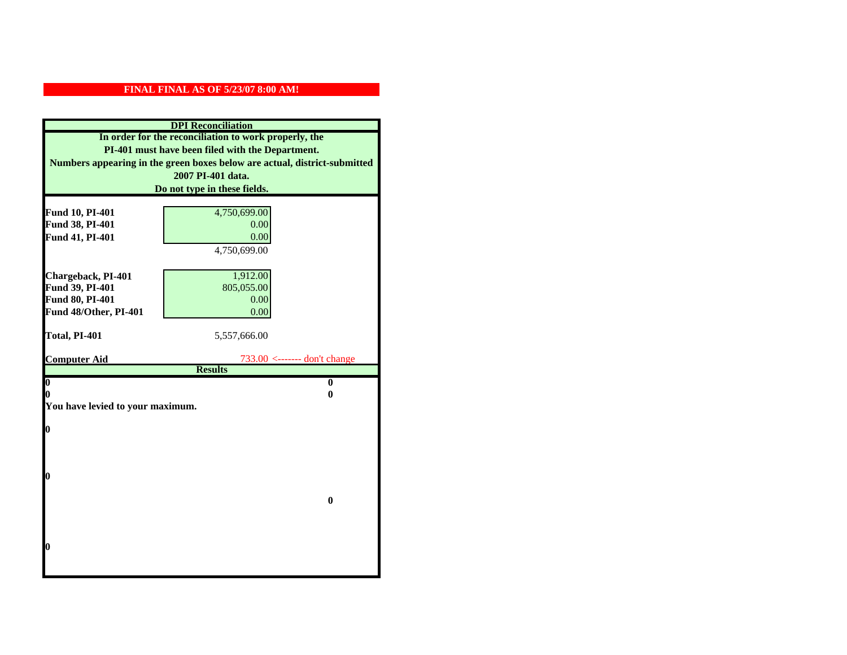| <b>DPI</b> Reconciliation                             |                                                                           |  |  |
|-------------------------------------------------------|---------------------------------------------------------------------------|--|--|
| In order for the reconciliation to work properly, the |                                                                           |  |  |
| PI-401 must have been filed with the Department.      |                                                                           |  |  |
|                                                       | Numbers appearing in the green boxes below are actual, district-submitted |  |  |
|                                                       | 2007 PI-401 data.                                                         |  |  |
|                                                       | Do not type in these fields.                                              |  |  |
|                                                       |                                                                           |  |  |
| Fund 10, PI-401                                       | 4,750,699.00                                                              |  |  |
| Fund 38, PI-401                                       | 0.00                                                                      |  |  |
| Fund 41, PI-401                                       | 0.00                                                                      |  |  |
|                                                       | 4,750,699.00                                                              |  |  |
|                                                       |                                                                           |  |  |
| Chargeback, PI-401                                    | 1,912.00                                                                  |  |  |
| Fund 39, PI-401                                       | 805,055.00                                                                |  |  |
| Fund 80, PI-401                                       | 0.00                                                                      |  |  |
| Fund 48/Other, PI-401                                 | 0.00                                                                      |  |  |
| Total, PI-401                                         | 5,557,666.00                                                              |  |  |
|                                                       |                                                                           |  |  |
| <b>Computer Aid</b>                                   | $733.00$ <------- don't change                                            |  |  |
|                                                       | <b>Results</b>                                                            |  |  |
| $\boldsymbol{0}$                                      | $\mathbf{0}$                                                              |  |  |
| 0<br>You have levied to your maximum.                 | 0                                                                         |  |  |
|                                                       |                                                                           |  |  |
| $\bf{0}$                                              |                                                                           |  |  |
|                                                       |                                                                           |  |  |
|                                                       |                                                                           |  |  |
|                                                       |                                                                           |  |  |
| 0                                                     |                                                                           |  |  |
|                                                       |                                                                           |  |  |
|                                                       | $\bf{0}$                                                                  |  |  |
|                                                       |                                                                           |  |  |
|                                                       |                                                                           |  |  |
| 0                                                     |                                                                           |  |  |
|                                                       |                                                                           |  |  |
|                                                       |                                                                           |  |  |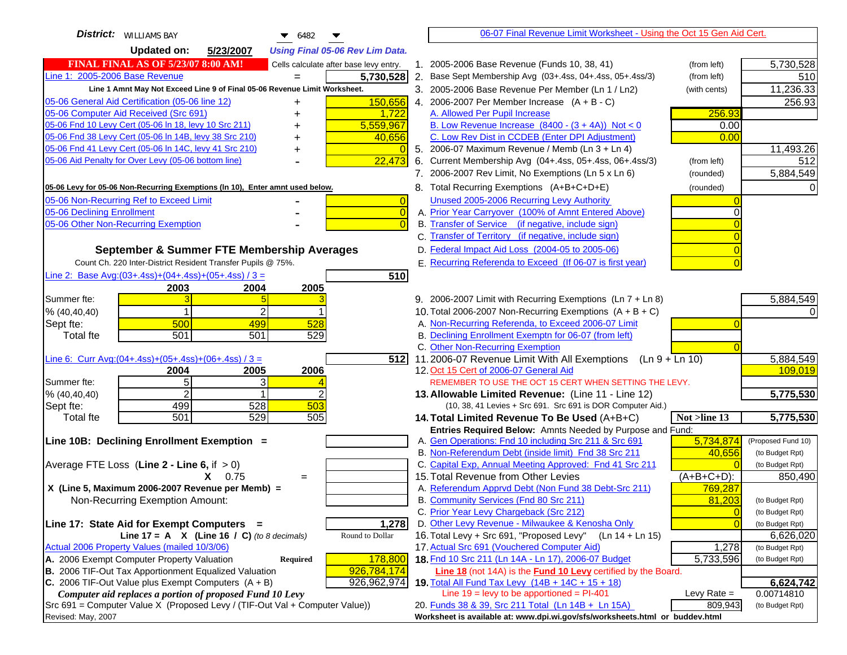| <b>District:</b> WILLIAMS BAY<br>$\bullet$ 6482                                     | 06-07 Final Revenue Limit Worksheet - Using the Oct 15 Gen Aid Cert.                                                 |                    |
|-------------------------------------------------------------------------------------|----------------------------------------------------------------------------------------------------------------------|--------------------|
| <b>Updated on:</b><br>5/23/2007<br><b>Using Final 05-06 Rev Lim Data.</b>           |                                                                                                                      |                    |
| <b>FINAL FINAL AS OF 5/23/07 8:00 AM!</b><br>Cells calculate after base levy entry. | 1. 2005-2006 Base Revenue (Funds 10, 38, 41)<br>(from left)                                                          | 5,730,528          |
| Line 1: 2005-2006 Base Revenue<br>5,730,528                                         | 2. Base Sept Membership Avg (03+.4ss, 04+.4ss, 05+.4ss/3)<br>(from left)                                             | 510                |
| Line 1 Amnt May Not Exceed Line 9 of Final 05-06 Revenue Limit Worksheet.           | 3. 2005-2006 Base Revenue Per Member (Ln 1 / Ln2)<br>(with cents)                                                    | 11,236.33          |
| 150,656<br>05-06 General Aid Certification (05-06 line 12)<br>+                     | 4. 2006-2007 Per Member Increase $(A + B - C)$                                                                       | 256.93             |
| 05-06 Computer Aid Received (Src 691)<br>1,722                                      | 256.93<br>A. Allowed Per Pupil Increase                                                                              |                    |
| 05-06 Fnd 10 Levy Cert (05-06 In 18, levy 10 Src 211)<br>5,559,967                  | B. Low Revenue Increase $(8400 - (3 + 4A))$ Not < 0<br>0.00                                                          |                    |
| 05-06 Fnd 38 Levy Cert (05-06 In 14B, levy 38 Src 210)<br>40,656                    | C. Low Rev Dist in CCDEB (Enter DPI Adjustment)<br>0.00                                                              |                    |
| 05-06 Fnd 41 Levy Cert (05-06 In 14C, levy 41 Src 210)<br>+                         | 5. 2006-07 Maximum Revenue / Memb (Ln 3 + Ln 4)                                                                      | 11,493.26          |
| 05-06 Aid Penalty for Over Levy (05-06 bottom line)<br>22,473                       | 6. Current Membership Avg (04+.4ss, 05+.4ss, 06+.4ss/3)<br>(from left)                                               | 512                |
|                                                                                     | 7. 2006-2007 Rev Limit, No Exemptions (Ln 5 x Ln 6)<br>(rounded)                                                     | 5,884,549          |
| 05-06 Levy for 05-06 Non-Recurring Exemptions (In 10), Enter amnt used below.       | 8. Total Recurring Exemptions (A+B+C+D+E)<br>(rounded)                                                               |                    |
| 05-06 Non-Recurring Ref to Exceed Limit<br>$\overline{0}$                           | Unused 2005-2006 Recurring Levy Authority                                                                            |                    |
| 05-06 Declining Enrollment<br>$\overline{0}$                                        | A. Prior Year Carryover (100% of Amnt Entered Above)                                                                 |                    |
| 05-06 Other Non-Recurring Exemption                                                 | B. Transfer of Service (if negative, include sign)                                                                   |                    |
|                                                                                     | C. Transfer of Territory (if negative, include sign)                                                                 |                    |
| September & Summer FTE Membership Averages                                          | D. Federal Impact Aid Loss (2004-05 to 2005-06)                                                                      |                    |
| Count Ch. 220 Inter-District Resident Transfer Pupils @ 75%.                        | E. Recurring Referenda to Exceed (If 06-07 is first year)                                                            |                    |
| Line 2: Base Avg: $(03+.4ss)+(04+.4ss)+(05+.4ss)/3 =$<br>510                        |                                                                                                                      |                    |
| 2004<br>2005<br>2003                                                                |                                                                                                                      |                    |
| Summer fte:                                                                         | 9. 2006-2007 Limit with Recurring Exemptions (Ln 7 + Ln 8)                                                           | 5,884,549          |
| % (40, 40, 40)                                                                      | 10. Total 2006-2007 Non-Recurring Exemptions $(A + B + C)$                                                           |                    |
| 500<br>499<br>528<br>Sept fte:                                                      | A. Non-Recurring Referenda, to Exceed 2006-07 Limit                                                                  |                    |
| 501<br>529<br>501<br><b>Total fte</b>                                               | B. Declining Enrollment Exemptn for 06-07 (from left)<br>C. Other Non-Recurring Exemption                            |                    |
| Line 6: Curr Avg: $(04+.4ss)+(05+.4ss)+(06+.4ss)/3 =$<br>512                        | 11.2006-07 Revenue Limit With All Exemptions (Ln 9 + Ln 10)                                                          | 5,884,549          |
| 2004<br>2005<br>2006                                                                | 12. Oct 15 Cert of 2006-07 General Aid                                                                               | 109,019            |
| 5 <sub>l</sub><br>3<br>Summer fte:                                                  | REMEMBER TO USE THE OCT 15 CERT WHEN SETTING THE LEVY.                                                               |                    |
| $\overline{2}$<br>% (40, 40, 40)                                                    | 13. Allowable Limited Revenue: (Line 11 - Line 12)                                                                   | 5,775,530          |
| 499<br>528<br>503<br>Sept fte:                                                      | (10, 38, 41 Levies + Src 691. Src 691 is DOR Computer Aid.)                                                          |                    |
| 501<br>529<br>505<br><b>Total fte</b>                                               | 14. Total Limited Revenue To Be Used (A+B+C)<br>Not >line 13                                                         | 5,775,530          |
|                                                                                     | Entries Required Below: Amnts Needed by Purpose and Fund:                                                            |                    |
| Line 10B: Declining Enrollment Exemption =                                          | A. Gen Operations: Fnd 10 including Src 211 & Src 691<br>5,734,874                                                   | (Proposed Fund 10) |
|                                                                                     | B. Non-Referendum Debt (inside limit) Fnd 38 Src 211<br>40,656                                                       | (to Budget Rpt)    |
| Average FTE Loss (Line $2 -$ Line 6, if $> 0$ )                                     | C. Capital Exp, Annual Meeting Approved: Fnd 41 Src 211                                                              | (to Budget Rpt)    |
| $X = 0.75$<br>$=$<br>X (Line 5, Maximum 2006-2007 Revenue per Memb) =               | 15. Total Revenue from Other Levies<br>(A+B+C+D):<br>A. Referendum Apprvd Debt (Non Fund 38 Debt-Src 211)<br>769,287 | 850,490            |
| Non-Recurring Exemption Amount:                                                     | B. Community Services (Fnd 80 Src 211)<br>81,203                                                                     | (to Budget Rpt)    |
|                                                                                     | C. Prior Year Levy Chargeback (Src 212)<br>$\overline{0}$                                                            | (to Budget Rpt)    |
| Line 17: State Aid for Exempt Computers =<br>1,278                                  | D. Other Levy Revenue - Milwaukee & Kenosha Only<br>$\sqrt{ }$                                                       | (to Budget Rpt)    |
| Line 17 = A $X$ (Line 16 / C) (to 8 decimals)<br>Round to Dollar                    | 16. Total Levy + Src 691, "Proposed Levy"<br>$(Ln 14 + Ln 15)$                                                       | 6,626,020          |
| Actual 2006 Property Values (mailed 10/3/06)                                        | 17. Actual Src 691 (Vouchered Computer Aid)<br>1,278                                                                 | (to Budget Rpt)    |
| A. 2006 Exempt Computer Property Valuation<br>Required<br>178,800                   | 18. Fnd 10 Src 211 (Ln 14A - Ln 17), 2006-07 Budget<br>5,733,596                                                     | (to Budget Rpt)    |
| B. 2006 TIF-Out Tax Apportionment Equalized Valuation<br>926,784,174                | Line 18 (not 14A) is the Fund 10 Levy certified by the Board.                                                        |                    |
| C. 2006 TIF-Out Value plus Exempt Computers $(A + B)$<br>926,962,974                | 19. Total All Fund Tax Levy (14B + 14C + 15 + 18)                                                                    | 6,624,742          |
| Computer aid replaces a portion of proposed Fund 10 Levy                            | Line $19 = \text{levy}$ to be apportioned = PI-401<br>Levy Rate $=$                                                  | 0.00714810         |
| Src 691 = Computer Value X (Proposed Levy / (TIF-Out Val + Computer Value))         | 20. Funds 38 & 39, Src 211 Total (Ln 14B + Ln 15A)<br>809,943                                                        | (to Budget Rpt)    |
| Revised: May, 2007                                                                  | Worksheet is available at: www.dpi.wi.gov/sfs/worksheets.html or buddev.html                                         |                    |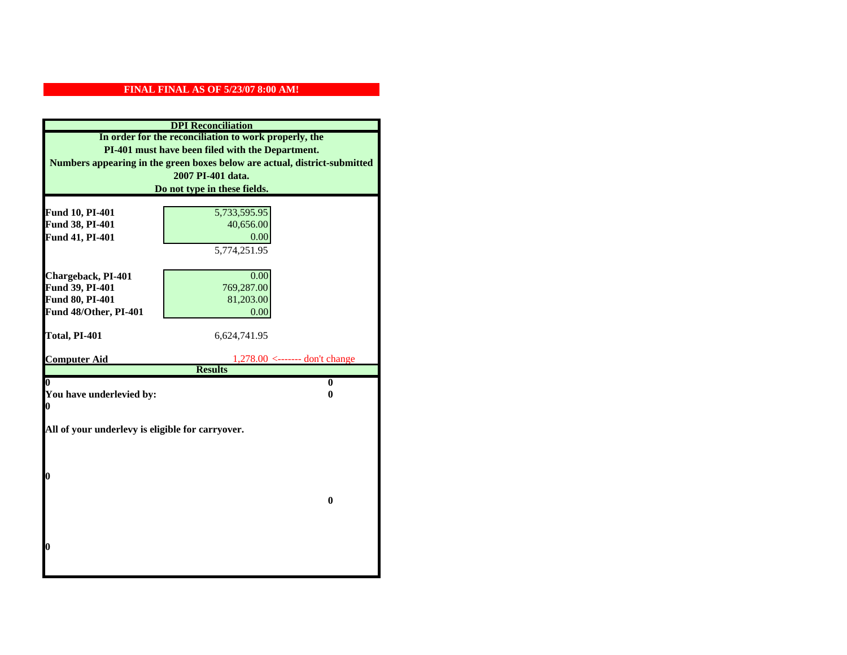| <b>DPI</b> Reconciliation                             |                                                                           |  |  |
|-------------------------------------------------------|---------------------------------------------------------------------------|--|--|
| In order for the reconciliation to work properly, the |                                                                           |  |  |
| PI-401 must have been filed with the Department.      |                                                                           |  |  |
|                                                       | Numbers appearing in the green boxes below are actual, district-submitted |  |  |
|                                                       | 2007 PI-401 data.                                                         |  |  |
|                                                       | Do not type in these fields.                                              |  |  |
|                                                       |                                                                           |  |  |
| Fund 10, PI-401                                       | 5,733,595.95                                                              |  |  |
| Fund 38, PI-401                                       | 40,656.00                                                                 |  |  |
| Fund 41, PI-401                                       | 0.00                                                                      |  |  |
|                                                       | 5,774,251.95                                                              |  |  |
|                                                       |                                                                           |  |  |
| Chargeback, PI-401                                    | 0.00                                                                      |  |  |
| Fund 39, PI-401                                       | 769,287.00                                                                |  |  |
| Fund 80, PI-401                                       | 81,203.00                                                                 |  |  |
| Fund 48/Other, PI-401                                 | 0.00                                                                      |  |  |
| Total, PI-401                                         | 6,624,741.95                                                              |  |  |
|                                                       |                                                                           |  |  |
| <b>Computer Aid</b>                                   |                                                                           |  |  |
|                                                       | <b>Results</b>                                                            |  |  |
| 0                                                     | $\bf{0}$                                                                  |  |  |
| You have underlevied by:<br>0                         |                                                                           |  |  |
| 0                                                     |                                                                           |  |  |
| All of your underlevy is eligible for carryover.      |                                                                           |  |  |
|                                                       |                                                                           |  |  |
|                                                       |                                                                           |  |  |
|                                                       |                                                                           |  |  |
| 0                                                     |                                                                           |  |  |
|                                                       |                                                                           |  |  |
|                                                       | $\bf{0}$                                                                  |  |  |
|                                                       |                                                                           |  |  |
|                                                       |                                                                           |  |  |
|                                                       |                                                                           |  |  |
| 0                                                     |                                                                           |  |  |
|                                                       |                                                                           |  |  |
|                                                       |                                                                           |  |  |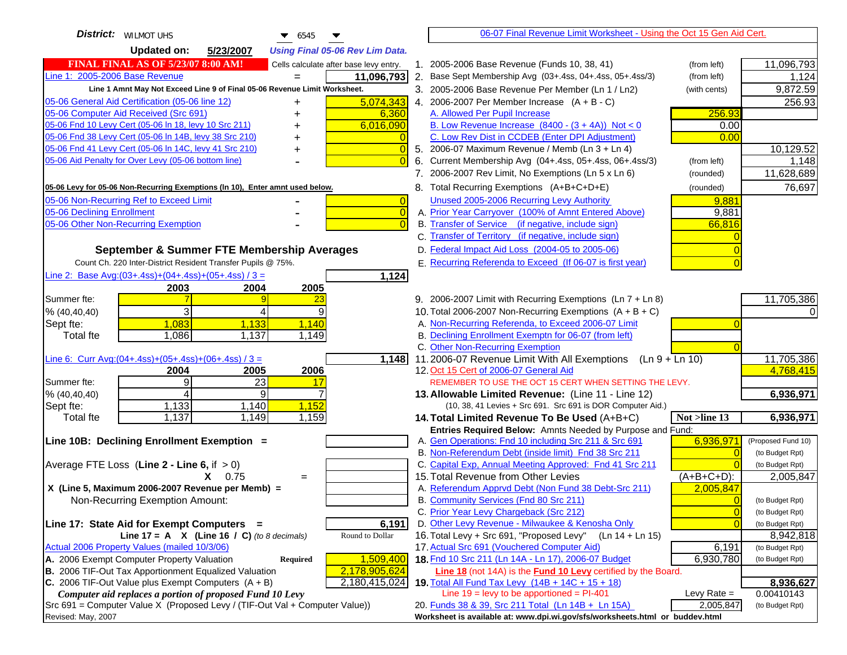| <b>District:</b> WILMOT UHS<br>$\bullet$ 6545                                                                                           |                                                                                                             | 06-07 Final Revenue Limit Worksheet - Using the Oct 15 Gen Aid Cert.         |                         |
|-----------------------------------------------------------------------------------------------------------------------------------------|-------------------------------------------------------------------------------------------------------------|------------------------------------------------------------------------------|-------------------------|
| <b>Updated on:</b><br>5/23/2007<br><b>Using Final 05-06 Rev Lim Data.</b>                                                               |                                                                                                             |                                                                              |                         |
| <b>FINAL FINAL AS OF 5/23/07 8:00 AM!</b><br>Cells calculate after base levy entry.                                                     | 1. 2005-2006 Base Revenue (Funds 10, 38, 41)                                                                | (from left)                                                                  | 11,096,793              |
| Line 1: 2005-2006 Base Revenue<br>11,096,793                                                                                            | 2. Base Sept Membership Avg (03+.4ss, 04+.4ss, 05+.4ss/3)                                                   | (from left)                                                                  | 1,124                   |
| Line 1 Amnt May Not Exceed Line 9 of Final 05-06 Revenue Limit Worksheet.                                                               | 3. 2005-2006 Base Revenue Per Member (Ln 1 / Ln2)                                                           | (with cents)                                                                 | 9,872.59                |
| 5,074,343<br>05-06 General Aid Certification (05-06 line 12)<br>+                                                                       | 4. 2006-2007 Per Member Increase $(A + B - C)$                                                              |                                                                              | 256.93                  |
| 05-06 Computer Aid Received (Src 691)<br>6,360                                                                                          | A. Allowed Per Pupil Increase                                                                               | 256.93                                                                       |                         |
| 05-06 Fnd 10 Levy Cert (05-06 In 18, levy 10 Src 211)<br>6,016,090                                                                      | B. Low Revenue Increase $(8400 - (3 + 4A))$ Not < 0                                                         | 0.00                                                                         |                         |
| 05-06 Fnd 38 Levy Cert (05-06 In 14B, levy 38 Src 210)                                                                                  | C. Low Rev Dist in CCDEB (Enter DPI Adjustment)                                                             | 0.00                                                                         |                         |
| 05-06 Fnd 41 Levy Cert (05-06 In 14C, levy 41 Src 210)<br>$\overline{0}$<br>+                                                           | 5. 2006-07 Maximum Revenue / Memb (Ln 3 + Ln 4)                                                             |                                                                              | 10,129.52               |
| 05-06 Aid Penalty for Over Levy (05-06 bottom line)<br>$\Omega$                                                                         | Current Membership Avg (04+.4ss, 05+.4ss, 06+.4ss/3)                                                        | (from left)                                                                  | 1,148                   |
|                                                                                                                                         | 7. 2006-2007 Rev Limit, No Exemptions (Ln 5 x Ln 6)                                                         | (rounded)                                                                    | 11,628,689              |
| 05-06 Levy for 05-06 Non-Recurring Exemptions (In 10), Enter amnt used below.                                                           | 8. Total Recurring Exemptions (A+B+C+D+E)                                                                   | (rounded)                                                                    | 76,697                  |
| 05-06 Non-Recurring Ref to Exceed Limit<br>$\overline{0}$                                                                               | Unused 2005-2006 Recurring Levy Authority                                                                   | 9,881                                                                        |                         |
| 05-06 Declining Enrollment<br>$\overline{0}$                                                                                            | A. Prior Year Carryover (100% of Amnt Entered Above)                                                        | 9,881                                                                        |                         |
| 05-06 Other Non-Recurring Exemption<br>$\Omega$                                                                                         | B. Transfer of Service (if negative, include sign)                                                          | 66.816                                                                       |                         |
|                                                                                                                                         | C. Transfer of Territory (if negative, include sign)                                                        |                                                                              |                         |
| September & Summer FTE Membership Averages                                                                                              | D. Federal Impact Aid Loss (2004-05 to 2005-06)                                                             |                                                                              |                         |
| Count Ch. 220 Inter-District Resident Transfer Pupils @ 75%.                                                                            | E. Recurring Referenda to Exceed (If 06-07 is first year)                                                   |                                                                              |                         |
| Line 2: Base Avg: (03+.4ss) + (04+.4ss) + (05+.4ss) / 3 =<br>1,124                                                                      |                                                                                                             |                                                                              |                         |
| 2003<br>2004<br>2005                                                                                                                    |                                                                                                             |                                                                              |                         |
| Summer fte:<br><u>23</u>                                                                                                                | 9. 2006-2007 Limit with Recurring Exemptions (Ln 7 + Ln 8)                                                  |                                                                              | 11,705,386              |
| 3<br>9<br>4<br>% (40, 40, 40)                                                                                                           | 10. Total 2006-2007 Non-Recurring Exemptions $(A + B + C)$                                                  |                                                                              |                         |
| 1,083<br>1,133<br>1,140<br>Sept fte:                                                                                                    | A. Non-Recurring Referenda, to Exceed 2006-07 Limit                                                         |                                                                              |                         |
| Total fte<br>1,086<br>1,137<br>1,149                                                                                                    | B. Declining Enrollment Exemptn for 06-07 (from left)                                                       |                                                                              |                         |
|                                                                                                                                         | C. Other Non-Recurring Exemption                                                                            |                                                                              |                         |
| Line 6: Curr Avg: $(04+.4ss)+(05+.4ss)+(06+.4ss)/3 =$<br>1,148                                                                          | 11.2006-07 Revenue Limit With All Exemptions (Ln $9 + \overline{\text{Ln }10}$ )                            |                                                                              | 11,705,386              |
| 2006<br>2004<br>2005                                                                                                                    | 12. Oct 15 Cert of 2006-07 General Aid                                                                      |                                                                              | 4,768,415               |
| 9<br>23<br>Summer fte:<br>17<br>4                                                                                                       | REMEMBER TO USE THE OCT 15 CERT WHEN SETTING THE LEVY.                                                      |                                                                              |                         |
| 9<br>% (40, 40, 40)<br>1,133<br>1,140<br>1,152                                                                                          | 13. Allowable Limited Revenue: (Line 11 - Line 12)                                                          |                                                                              | 6,936,971               |
| Sept fte:<br>1,137<br>1,149<br>1,159<br><b>Total fte</b>                                                                                | (10, 38, 41 Levies + Src 691. Src 691 is DOR Computer Aid.)<br>14. Total Limited Revenue To Be Used (A+B+C) | Not >line 13                                                                 | 6,936,971               |
|                                                                                                                                         | Entries Required Below: Amnts Needed by Purpose and Fund:                                                   |                                                                              |                         |
| Line 10B: Declining Enrollment Exemption =                                                                                              | A. Gen Operations: Fnd 10 including Src 211 & Src 691                                                       | 6,936,971                                                                    | (Proposed Fund 10)      |
|                                                                                                                                         | B. Non-Referendum Debt (inside limit) Fnd 38 Src 211                                                        | $\Omega$                                                                     | (to Budget Rpt)         |
| Average FTE Loss (Line $2 -$ Line 6, if $> 0$ )                                                                                         | C. Capital Exp, Annual Meeting Approved: Fnd 41 Src 211                                                     |                                                                              | (to Budget Rpt)         |
| $X = 0.75$<br>$=$                                                                                                                       | 15. Total Revenue from Other Levies                                                                         | $(A+B+C+D)$ :                                                                | 2,005,847               |
| X (Line 5, Maximum 2006-2007 Revenue per Memb) =                                                                                        | A. Referendum Apprvd Debt (Non Fund 38 Debt-Src 211)                                                        | 2,005,847                                                                    |                         |
| Non-Recurring Exemption Amount:                                                                                                         | B. Community Services (Fnd 80 Src 211)                                                                      |                                                                              | (to Budget Rpt)         |
|                                                                                                                                         | C. Prior Year Levy Chargeback (Src 212)                                                                     | $\overline{0}$                                                               | (to Budget Rpt)         |
| 6,191<br>Line 17: State Aid for Exempt Computers =                                                                                      | D. Other Levy Revenue - Milwaukee & Kenosha Only                                                            |                                                                              | (to Budget Rpt)         |
| Line 17 = A $X$ (Line 16 / C) (to 8 decimals)<br>Round to Dollar                                                                        | 16. Total Levy + Src 691, "Proposed Levy"                                                                   | (Ln 14 + Ln 15)                                                              | 8,942,818               |
| Actual 2006 Property Values (mailed 10/3/06)                                                                                            | 17. Actual Src 691 (Vouchered Computer Aid)                                                                 | 6,191                                                                        | (to Budget Rpt)         |
| A. 2006 Exempt Computer Property Valuation<br>1,509,400<br><b>Required</b>                                                              | 18. Fnd 10 Src 211 (Ln 14A - Ln 17), 2006-07 Budget                                                         | 6,930,780                                                                    | (to Budget Rpt)         |
| B. 2006 TIF-Out Tax Apportionment Equalized Valuation<br>2,178,905,624                                                                  | Line 18 (not 14A) is the Fund 10 Levy certified by the Board.                                               |                                                                              |                         |
| C. 2006 TIF-Out Value plus Exempt Computers $(A + B)$<br>2,180,415,024                                                                  | 19. Total All Fund Tax Levy (14B + 14C + 15 + 18)<br>Line $19 = \text{levy}$ to be apportioned = PI-401     |                                                                              | 8,936,627<br>0.00410143 |
| Computer aid replaces a portion of proposed Fund 10 Levy<br>Src 691 = Computer Value X (Proposed Levy / (TIF-Out Val + Computer Value)) | 20. Funds 38 & 39, Src 211 Total (Ln 14B + Ln 15A)                                                          | Levy Rate $=$<br>2,005,847                                                   | (to Budget Rpt)         |
| Revised: May, 2007                                                                                                                      |                                                                                                             | Worksheet is available at: www.dpi.wi.gov/sfs/worksheets.html or buddev.html |                         |
|                                                                                                                                         |                                                                                                             |                                                                              |                         |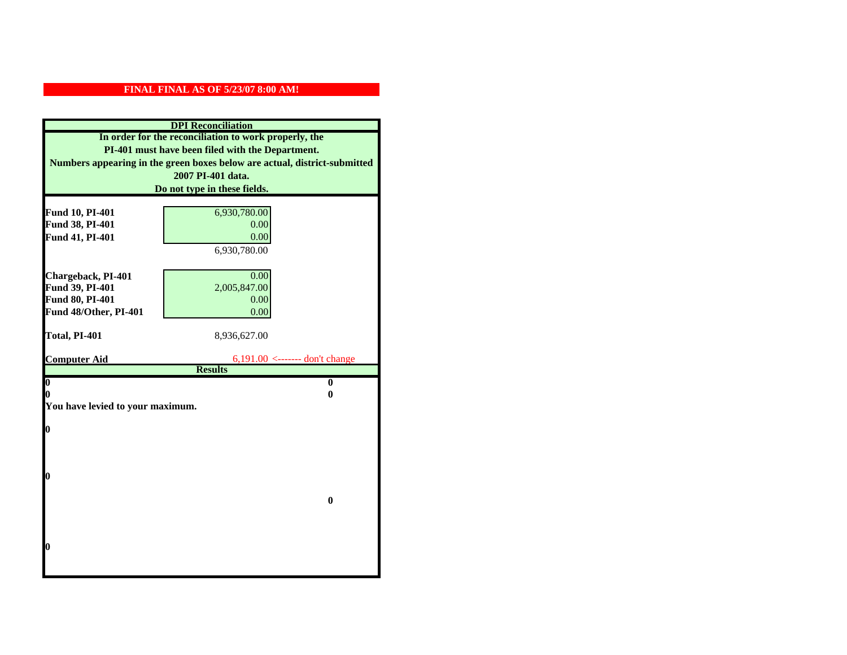| <b>DPI</b> Reconciliation                             |                                                                           |
|-------------------------------------------------------|---------------------------------------------------------------------------|
| In order for the reconciliation to work properly, the |                                                                           |
| PI-401 must have been filed with the Department.      |                                                                           |
|                                                       | Numbers appearing in the green boxes below are actual, district-submitted |
|                                                       | 2007 PI-401 data.                                                         |
|                                                       | Do not type in these fields.                                              |
| Fund 10, PI-401                                       | 6,930,780.00                                                              |
| Fund 38, PI-401                                       | 0.00                                                                      |
| Fund 41, PI-401                                       | 0.00                                                                      |
|                                                       | 6,930,780.00                                                              |
|                                                       |                                                                           |
| Chargeback, PI-401                                    | 0.00                                                                      |
| Fund 39, PI-401                                       | 2,005,847.00                                                              |
| Fund 80, PI-401                                       | 0.00                                                                      |
| Fund 48/Other, PI-401                                 | 0.00                                                                      |
|                                                       |                                                                           |
| Total, PI-401                                         | 8,936,627.00                                                              |
| <b>Computer Aid</b>                                   | $6,191.00$ <------- don't change                                          |
|                                                       | <b>Results</b>                                                            |
| $\boldsymbol{0}$                                      | $\mathbf{0}$                                                              |
| 0                                                     | 0                                                                         |
| You have levied to your maximum.                      |                                                                           |
| $\bf{0}$                                              |                                                                           |
|                                                       |                                                                           |
|                                                       |                                                                           |
|                                                       |                                                                           |
| 0                                                     |                                                                           |
|                                                       |                                                                           |
|                                                       | $\bf{0}$                                                                  |
|                                                       |                                                                           |
|                                                       |                                                                           |
| 0                                                     |                                                                           |
|                                                       |                                                                           |
|                                                       |                                                                           |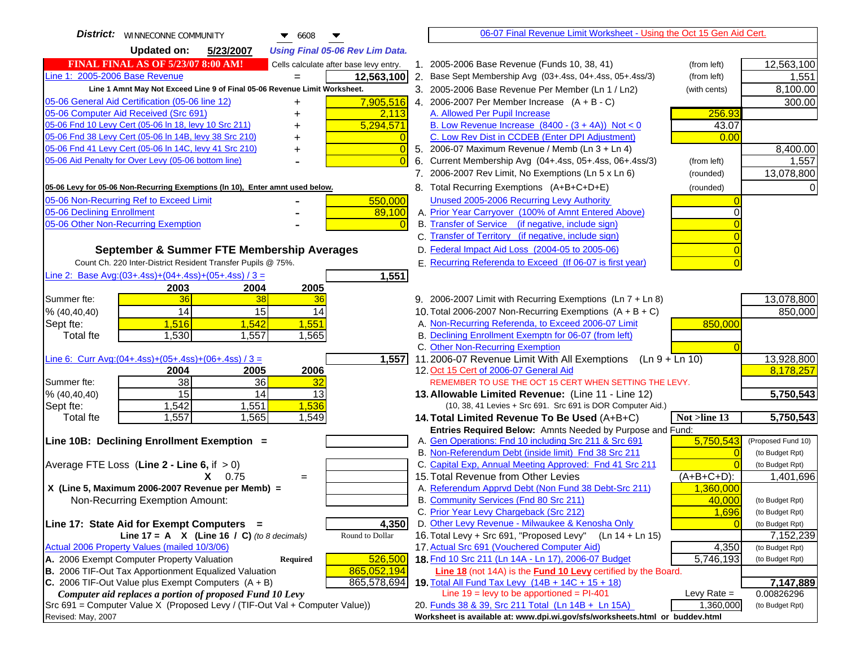| <b>District:</b>   WINNECONNE COMMUNITY<br>$\blacktriangledown$ 6608                | 06-07 Final Revenue Limit Worksheet - Using the Oct 15 Gen Aid Cert.                                                       |                                    |
|-------------------------------------------------------------------------------------|----------------------------------------------------------------------------------------------------------------------------|------------------------------------|
| <b>Updated on:</b><br>5/23/2007<br><b>Using Final 05-06 Rev Lim Data.</b>           |                                                                                                                            |                                    |
| <b>FINAL FINAL AS OF 5/23/07 8:00 AM!</b><br>Cells calculate after base levy entry. | 1. 2005-2006 Base Revenue (Funds 10, 38, 41)<br>(from left)                                                                | 12,563,100                         |
| Line 1: 2005-2006 Base Revenue<br>12,563,100                                        | 2. Base Sept Membership Avg (03+.4ss, 04+.4ss, 05+.4ss/3)<br>(from left)                                                   | 1,551                              |
| Line 1 Amnt May Not Exceed Line 9 of Final 05-06 Revenue Limit Worksheet.           | 3. 2005-2006 Base Revenue Per Member (Ln 1 / Ln2)<br>(with cents)                                                          | 8,100.00                           |
| 7,905,516<br>05-06 General Aid Certification (05-06 line 12)<br>+                   | 4. 2006-2007 Per Member Increase $(A + B - C)$                                                                             | 300.00                             |
| 05-06 Computer Aid Received (Src 691)<br>2,113<br>+                                 | A. Allowed Per Pupil Increase<br>256.93                                                                                    |                                    |
| 05-06 Fnd 10 Levy Cert (05-06 In 18, levy 10 Src 211)<br>5,294,571                  | B. Low Revenue Increase $(8400 - (3 + 4A))$ Not < 0<br>43.07                                                               |                                    |
| 05-06 Fnd 38 Levy Cert (05-06 In 14B, levy 38 Src 210)                              | C. Low Rev Dist in CCDEB (Enter DPI Adjustment)<br>0.00                                                                    |                                    |
| 05-06 Fnd 41 Levy Cert (05-06 In 14C, levy 41 Src 210)<br>┿                         | 5. 2006-07 Maximum Revenue / Memb (Ln 3 + Ln 4)                                                                            | 8,400.00                           |
| 05-06 Aid Penalty for Over Levy (05-06 bottom line)                                 | 6. Current Membership Avg (04+.4ss, 05+.4ss, 06+.4ss/3)<br>(from left)                                                     | 1,557                              |
|                                                                                     | 7. 2006-2007 Rev Limit, No Exemptions (Ln 5 x Ln 6)<br>(rounded)                                                           | 13,078,800                         |
| 05-06 Levy for 05-06 Non-Recurring Exemptions (In 10), Enter amnt used below.       | 8. Total Recurring Exemptions (A+B+C+D+E)<br>(rounded)                                                                     |                                    |
| 05-06 Non-Recurring Ref to Exceed Limit<br>550,000                                  | Unused 2005-2006 Recurring Levy Authority                                                                                  |                                    |
| 05-06 Declining Enrollment<br>89,100                                                | A. Prior Year Carryover (100% of Amnt Entered Above)<br>0                                                                  |                                    |
| 05-06 Other Non-Recurring Exemption                                                 | B. Transfer of Service (if negative, include sign)                                                                         |                                    |
|                                                                                     | C. Transfer of Territory (if negative, include sign)                                                                       |                                    |
| September & Summer FTE Membership Averages                                          | D. Federal Impact Aid Loss (2004-05 to 2005-06)                                                                            |                                    |
| Count Ch. 220 Inter-District Resident Transfer Pupils @ 75%.                        | E. Recurring Referenda to Exceed (If 06-07 is first year)                                                                  |                                    |
| Line 2: Base Avg:(03+.4ss)+(04+.4ss)+(05+.4ss) / 3 =<br>1,551                       |                                                                                                                            |                                    |
| 2003<br>2004<br>2005                                                                |                                                                                                                            |                                    |
| 36<br>38<br>Summer fte:<br>36                                                       | 9. 2006-2007 Limit with Recurring Exemptions (Ln 7 + Ln 8)                                                                 | 13,078,800                         |
| 14<br>15<br>14<br>% (40, 40, 40)                                                    | 10. Total 2006-2007 Non-Recurring Exemptions $(A + B + C)$                                                                 | 850,000                            |
| 1,551<br>1,516<br>1,542<br>Sept fte:                                                | A. Non-Recurring Referenda, to Exceed 2006-07 Limit<br>850,000                                                             |                                    |
| 1,557<br>1,565<br><b>Total fte</b><br>1,530                                         | B. Declining Enrollment Exemptn for 06-07 (from left)                                                                      |                                    |
| 1,557                                                                               | C. Other Non-Recurring Exemption                                                                                           | 13,928,800                         |
| Line 6: Curr Avg: $(04+.4ss)+(05+.4ss)+(06+.4ss)/3 =$<br>2006<br>2004<br>2005       | 11.2006-07 Revenue Limit With All Exemptions (Ln $9 + \overline{\text{Ln }10}$ )<br>12. Oct 15 Cert of 2006-07 General Aid | 8,178,257                          |
| 38<br>36<br>Summer fte:<br><u>32</u>                                                | REMEMBER TO USE THE OCT 15 CERT WHEN SETTING THE LEVY.                                                                     |                                    |
| 15<br>$\overline{13}$<br>14<br>% (40, 40, 40)                                       | 13. Allowable Limited Revenue: (Line 11 - Line 12)                                                                         | 5,750,543                          |
| 1,551<br>1,536<br>1,542<br>Sept fte:                                                | (10, 38, 41 Levies + Src 691. Src 691 is DOR Computer Aid.)                                                                |                                    |
| 1,557<br>1,565<br>1,549<br><b>Total fte</b>                                         | 14. Total Limited Revenue To Be Used (A+B+C)<br>Not >line 13                                                               | 5,750,543                          |
|                                                                                     | Entries Required Below: Amnts Needed by Purpose and Fund:                                                                  |                                    |
| Line 10B: Declining Enrollment Exemption =                                          | 5,750,543<br>A. Gen Operations: Fnd 10 including Src 211 & Src 691                                                         | (Proposed Fund 10)                 |
|                                                                                     | B. Non-Referendum Debt (inside limit) Fnd 38 Src 211<br>$\Omega$                                                           | (to Budget Rpt)                    |
| Average FTE Loss (Line $2 -$ Line 6, if $> 0$ )                                     | C. Capital Exp, Annual Meeting Approved: Fnd 41 Src 211                                                                    | (to Budget Rpt)                    |
| $X = 0.75$<br>$=$                                                                   | 15. Total Revenue from Other Levies<br>$(A+B+C+D)$ :                                                                       | 1,401,696                          |
| X (Line 5, Maximum 2006-2007 Revenue per Memb) =                                    | A. Referendum Apprvd Debt (Non Fund 38 Debt-Src 211)<br>1,360,000                                                          |                                    |
| Non-Recurring Exemption Amount:                                                     | B. Community Services (Fnd 80 Src 211)<br>40,000                                                                           | (to Budget Rpt)                    |
| 4,350<br>Line 17: State Aid for Exempt Computers =                                  | C. Prior Year Levy Chargeback (Src 212)<br>1,696<br>D. Other Levy Revenue - Milwaukee & Kenosha Only                       | (to Budget Rpt)<br>(to Budget Rpt) |
| Line 17 = A $X$ (Line 16 / C) (to 8 decimals)<br>Round to Dollar                    | 16. Total Levy + Src 691, "Proposed Levy"<br>(Ln 14 + Ln 15)                                                               | 7,152,239                          |
| Actual 2006 Property Values (mailed 10/3/06)                                        | 17. Actual Src 691 (Vouchered Computer Aid)<br>4,350                                                                       | (to Budget Rpt)                    |
| A. 2006 Exempt Computer Property Valuation<br>526,500<br>Required                   | 18. Fnd 10 Src 211 (Ln 14A - Ln 17), 2006-07 Budget<br>5,746,193                                                           | (to Budget Rpt)                    |
| B. 2006 TIF-Out Tax Apportionment Equalized Valuation<br>865,052,194                | <b>Line 18</b> (not 14A) is the <b>Fund 10 Levy</b> certified by the Board.                                                |                                    |
| C. 2006 TIF-Out Value plus Exempt Computers $(A + B)$<br>865,578,694                | 19. Total All Fund Tax Levy (14B + 14C + 15 + 18)                                                                          | 7,147,889                          |
| Computer aid replaces a portion of proposed Fund 10 Levy                            | Line $19 = \text{levy}$ to be apportioned = PI-401<br>Levy Rate $=$                                                        | 0.00826296                         |
| Src 691 = Computer Value X (Proposed Levy / (TIF-Out Val + Computer Value))         | 1,360,000<br>20. Funds 38 & 39, Src 211 Total (Ln 14B + Ln 15A)                                                            | (to Budget Rpt)                    |
| Revised: May, 2007                                                                  | Worksheet is available at: www.dpi.wi.gov/sfs/worksheets.html or buddev.html                                               |                                    |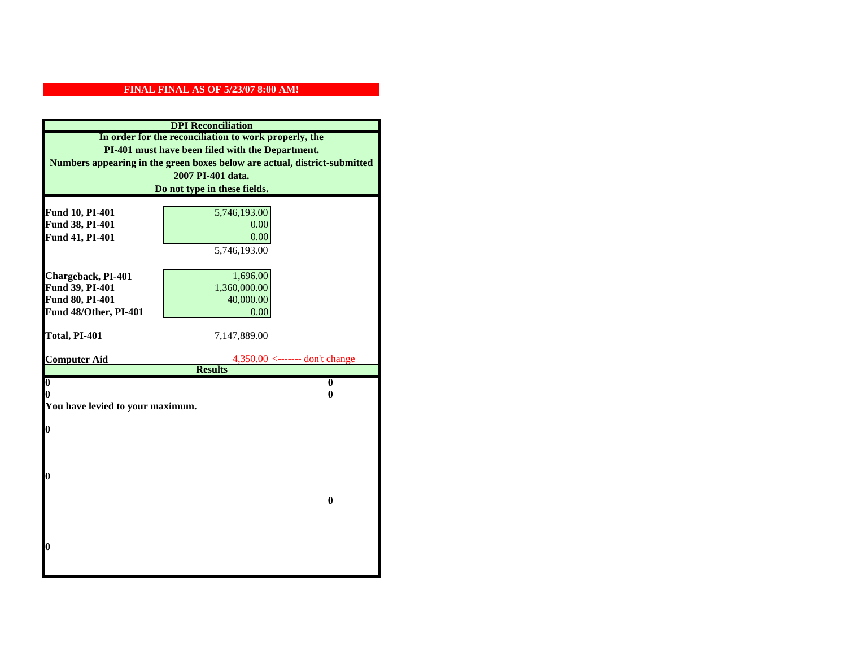| <b>DPI</b> Reconciliation                             |                                                                                   |  |  |
|-------------------------------------------------------|-----------------------------------------------------------------------------------|--|--|
| In order for the reconciliation to work properly, the |                                                                                   |  |  |
| PI-401 must have been filed with the Department.      |                                                                                   |  |  |
|                                                       | Numbers appearing in the green boxes below are actual, district-submitted         |  |  |
|                                                       | 2007 PI-401 data.                                                                 |  |  |
|                                                       | Do not type in these fields.                                                      |  |  |
|                                                       |                                                                                   |  |  |
| Fund 10, PI-401                                       | 5,746,193.00                                                                      |  |  |
| Fund 38, PI-401                                       | 0.00<br>0.00                                                                      |  |  |
| Fund 41, PI-401                                       |                                                                                   |  |  |
|                                                       | 5,746,193.00                                                                      |  |  |
| Chargeback, PI-401                                    | 1,696.00                                                                          |  |  |
| Fund 39, PI-401                                       | 1,360,000.00                                                                      |  |  |
| <b>Fund 80, PI-401</b>                                | 40,000.00                                                                         |  |  |
| Fund 48/Other, PI-401                                 | 0.00                                                                              |  |  |
|                                                       |                                                                                   |  |  |
| Total, PI-401                                         | 7,147,889.00                                                                      |  |  |
|                                                       |                                                                                   |  |  |
| <b>Computer Aid</b>                                   | $4,350.00 \leftarrow \leftarrow \leftarrow \text{don't change}$<br><b>Results</b> |  |  |
| $\overline{\mathbf{0}}$                               | $\bf{0}$                                                                          |  |  |
| 0                                                     | 0                                                                                 |  |  |
| You have levied to your maximum.                      |                                                                                   |  |  |
|                                                       |                                                                                   |  |  |
| 0                                                     |                                                                                   |  |  |
|                                                       |                                                                                   |  |  |
|                                                       |                                                                                   |  |  |
| 0                                                     |                                                                                   |  |  |
|                                                       |                                                                                   |  |  |
|                                                       | $\bf{0}$                                                                          |  |  |
|                                                       |                                                                                   |  |  |
|                                                       |                                                                                   |  |  |
|                                                       |                                                                                   |  |  |
| 0                                                     |                                                                                   |  |  |
|                                                       |                                                                                   |  |  |
|                                                       |                                                                                   |  |  |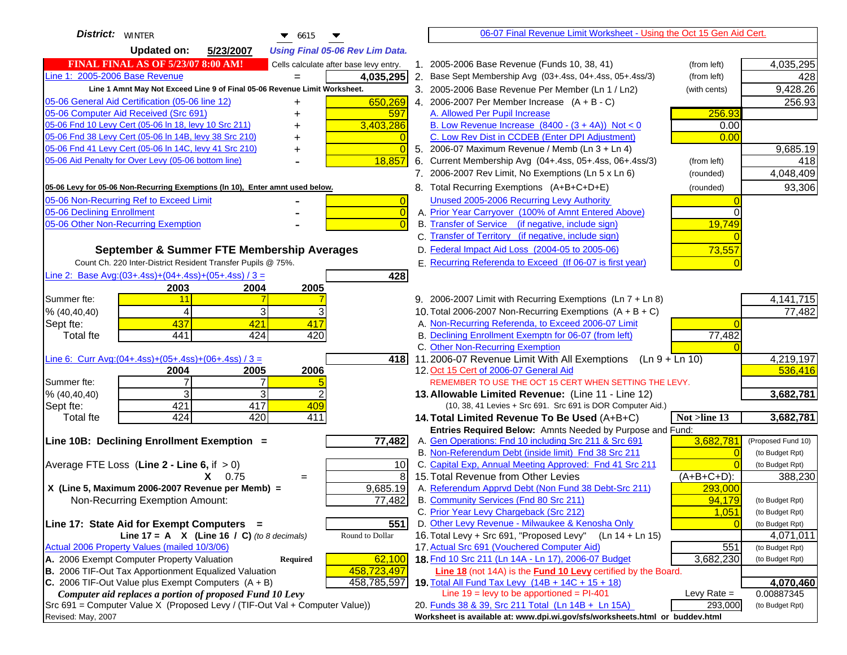| <b>District:</b> WINTER<br>$\bullet$ 6615                                                     |                | 06-07 Final Revenue Limit Worksheet - Using the Oct 15 Gen Aid Cert.                                                       |               |                              |
|-----------------------------------------------------------------------------------------------|----------------|----------------------------------------------------------------------------------------------------------------------------|---------------|------------------------------|
| <b>Updated on:</b><br>5/23/2007<br><b>Using Final 05-06 Rev Lim Data.</b>                     |                |                                                                                                                            |               |                              |
| <b>FINAL FINAL AS OF 5/23/07 8:00 AM!</b><br>Cells calculate after base levy entry.           |                | 1. 2005-2006 Base Revenue (Funds 10, 38, 41)                                                                               | (from left)   | 4,035,295                    |
| Line 1: 2005-2006 Base Revenue<br>4,035,295<br>$=$                                            |                | 2. Base Sept Membership Avg (03+.4ss, 04+.4ss, 05+.4ss/3)                                                                  | (from left)   | 428                          |
| Line 1 Amnt May Not Exceed Line 9 of Final 05-06 Revenue Limit Worksheet.                     |                | 3. 2005-2006 Base Revenue Per Member (Ln 1 / Ln2)                                                                          | (with cents)  | 9,428.26                     |
| 650,269<br>05-06 General Aid Certification (05-06 line 12)                                    |                | 4. 2006-2007 Per Member Increase $(A + B - C)$                                                                             |               | 256.93                       |
| 05-06 Computer Aid Received (Src 691)<br>597                                                  |                | A. Allowed Per Pupil Increase                                                                                              | 256.93        |                              |
| 05-06 Fnd 10 Levy Cert (05-06 ln 18, levy 10 Src 211)<br>3,403,286                            |                | B. Low Revenue Increase $(8400 - (3 + 4A))$ Not < 0                                                                        | 0.00          |                              |
| 05-06 Fnd 38 Levy Cert (05-06 In 14B, levy 38 Src 210)                                        |                | C. Low Rev Dist in CCDEB (Enter DPI Adjustment)                                                                            | 0.00          |                              |
| 05-06 Fnd 41 Levy Cert (05-06 In 14C, levy 41 Src 210)<br>+                                   | $\Omega$       | 5. 2006-07 Maximum Revenue / Memb (Ln 3 + Ln 4)                                                                            |               | 9,685.19                     |
| 05-06 Aid Penalty for Over Levy (05-06 bottom line)<br>18,857                                 |                | 6. Current Membership Avg (04+.4ss, 05+.4ss, 06+.4ss/3)                                                                    | (from left)   | 418                          |
|                                                                                               |                | 7. 2006-2007 Rev Limit, No Exemptions (Ln 5 x Ln 6)                                                                        | (rounded)     | 4,048,409                    |
| 05-06 Levy for 05-06 Non-Recurring Exemptions (In 10), Enter amnt used below.                 |                | 8. Total Recurring Exemptions (A+B+C+D+E)                                                                                  | (rounded)     | 93,306                       |
| 05-06 Non-Recurring Ref to Exceed Limit                                                       | $\overline{0}$ | Unused 2005-2006 Recurring Levy Authority                                                                                  |               |                              |
| 05-06 Declining Enrollment                                                                    | $\overline{0}$ | A. Prior Year Carryover (100% of Amnt Entered Above)                                                                       | $\Omega$      |                              |
| 05-06 Other Non-Recurring Exemption                                                           |                | B. Transfer of Service (if negative, include sign)                                                                         | 19,749        |                              |
|                                                                                               |                | C. Transfer of Territory (if negative, include sign)                                                                       |               |                              |
| September & Summer FTE Membership Averages                                                    |                | D. Federal Impact Aid Loss (2004-05 to 2005-06)                                                                            | 73,557        |                              |
| Count Ch. 220 Inter-District Resident Transfer Pupils @ 75%.                                  |                | E. Recurring Referenda to Exceed (If 06-07 is first year)                                                                  |               |                              |
| Line 2: Base Avg: $(03+.4ss)+(04+.4ss)+(05+.4ss)/3 =$<br>428                                  |                |                                                                                                                            |               |                              |
| 2003<br>2004<br>2005                                                                          |                |                                                                                                                            |               |                              |
| Summer fte:<br>11                                                                             |                | 9. 2006-2007 Limit with Recurring Exemptions (Ln 7 + Ln 8)                                                                 |               | 4, 141, 715                  |
| 3<br>3<br>4<br>% (40, 40, 40)                                                                 |                | 10. Total 2006-2007 Non-Recurring Exemptions $(A + B + C)$                                                                 |               | 77,482                       |
| 437<br>421<br>417<br>Sept fte:                                                                |                | A. Non-Recurring Referenda, to Exceed 2006-07 Limit                                                                        |               |                              |
| 441<br>424<br>420<br><b>Total fte</b>                                                         |                | B. Declining Enrollment Exemptn for 06-07 (from left)                                                                      | 77,482        |                              |
|                                                                                               |                | C. Other Non-Recurring Exemption                                                                                           |               |                              |
| Line 6: Curr Avg: $(04+.4ss)+(05+.4ss)+(06+.4ss)/3 =$<br>418I<br>2006<br>2004<br>2005         |                | 11.2006-07 Revenue Limit With All Exemptions (Ln $9 + \overline{\text{Ln }10}$ )<br>12. Oct 15 Cert of 2006-07 General Aid |               | 4,219,197<br>536,416         |
| 7<br>Summer fte:                                                                              |                | REMEMBER TO USE THE OCT 15 CERT WHEN SETTING THE LEVY.                                                                     |               |                              |
| 3<br>3<br>% (40, 40, 40)                                                                      |                | 13. Allowable Limited Revenue: (Line 11 - Line 12)                                                                         |               | 3,682,781                    |
| 421<br>417<br>409<br>Sept fte:                                                                |                | (10, 38, 41 Levies + Src 691. Src 691 is DOR Computer Aid.)                                                                |               |                              |
| 424<br>420<br>411<br><b>Total fte</b>                                                         |                | 14. Total Limited Revenue To Be Used (A+B+C)                                                                               | Not >line 13  | 3,682,781                    |
|                                                                                               |                | Entries Required Below: Amnts Needed by Purpose and Fund:                                                                  |               |                              |
| 77,482<br>Line 10B: Declining Enrollment Exemption =                                          |                | A. Gen Operations: Fnd 10 including Src 211 & Src 691                                                                      | 3,682,781     | (Proposed Fund 10)           |
|                                                                                               |                | B. Non-Referendum Debt (inside limit) Fnd 38 Src 211                                                                       | $\Omega$      | (to Budget Rpt)              |
| Average FTE Loss (Line $2 -$ Line 6, if $> 0$ )<br>10                                         |                | C. Capital Exp, Annual Meeting Approved: Fnd 41 Src 211                                                                    |               | (to Budget Rpt)              |
| $X = 0.75$<br>$=$                                                                             | 8              | 15. Total Revenue from Other Levies                                                                                        | $(A+B+C+D)$ : | 388,230                      |
| X (Line 5, Maximum 2006-2007 Revenue per Memb) =<br>9,685.19                                  |                | A. Referendum Apprvd Debt (Non Fund 38 Debt-Src 211)                                                                       | 293,000       |                              |
| 77,482<br>Non-Recurring Exemption Amount:                                                     |                | B. Community Services (Fnd 80 Src 211)                                                                                     | 94,179        | (to Budget Rpt)              |
|                                                                                               |                | C. Prior Year Levy Chargeback (Src 212)                                                                                    | 1,051         | (to Budget Rpt)              |
| 551<br>Line 17: State Aid for Exempt Computers =<br>Round to Dollar                           |                | D. Other Levy Revenue - Milwaukee & Kenosha Only<br>16. Total Levy + Src 691, "Proposed Levy"<br>(Ln 14 + Ln 15)           |               | (to Budget Rpt)              |
| Line 17 = A $X$ (Line 16 / C) (to 8 decimals)<br>Actual 2006 Property Values (mailed 10/3/06) |                | 17. Actual Src 691 (Vouchered Computer Aid)                                                                                | 551           | 4,071,011<br>(to Budget Rpt) |
| A. 2006 Exempt Computer Property Valuation<br>62,100<br>Required                              |                | 18. Fnd 10 Src 211 (Ln 14A - Ln 17), 2006-07 Budget                                                                        | 3,682,230     | (to Budget Rpt)              |
| B. 2006 TIF-Out Tax Apportionment Equalized Valuation<br>458,723,497                          |                | <b>Line 18</b> (not 14A) is the <b>Fund 10 Levy</b> certified by the Board.                                                |               |                              |
| C. 2006 TIF-Out Value plus Exempt Computers $(A + B)$<br>458,785,597                          |                | 19. Total All Fund Tax Levy $(14B + 14C + 15 + 18)$                                                                        |               | 4,070,460                    |
| Computer aid replaces a portion of proposed Fund 10 Levy                                      |                | Line $19 = \text{levy}$ to be apportioned = PI-401                                                                         | Levy Rate $=$ | 0.00887345                   |
| Src 691 = Computer Value X (Proposed Levy / (TIF-Out Val + Computer Value))                   |                | 20. Funds 38 & 39, Src 211 Total (Ln 14B + Ln 15A)                                                                         | 293,000       | (to Budget Rpt)              |
| Revised: May, 2007                                                                            |                | Worksheet is available at: www.dpi.wi.gov/sfs/worksheets.html or buddev.html                                               |               |                              |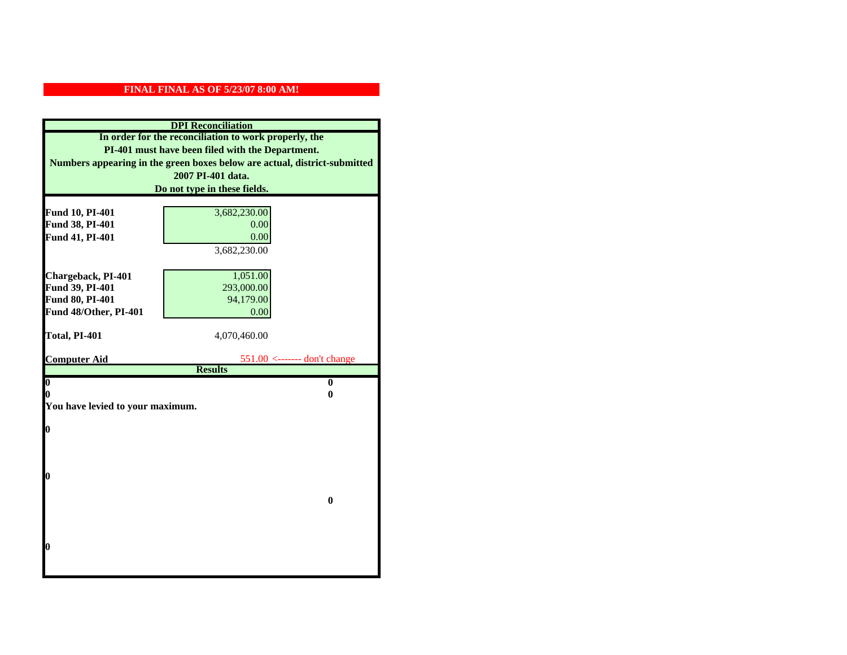| <b>DPI</b> Reconciliation                             |                                                                           |  |  |
|-------------------------------------------------------|---------------------------------------------------------------------------|--|--|
| In order for the reconciliation to work properly, the |                                                                           |  |  |
| PI-401 must have been filed with the Department.      |                                                                           |  |  |
|                                                       | Numbers appearing in the green boxes below are actual, district-submitted |  |  |
|                                                       | 2007 PI-401 data.                                                         |  |  |
|                                                       | Do not type in these fields.                                              |  |  |
|                                                       |                                                                           |  |  |
| Fund 10, PI-401                                       | 3,682,230.00                                                              |  |  |
| Fund 38, PI-401                                       | 0.00<br>0.00                                                              |  |  |
| Fund 41, PI-401                                       | 3,682,230.00                                                              |  |  |
|                                                       |                                                                           |  |  |
| Chargeback, PI-401                                    | 1,051.00                                                                  |  |  |
| Fund 39, PI-401                                       | 293,000.00                                                                |  |  |
| Fund 80, PI-401                                       | 94,179.00                                                                 |  |  |
| Fund 48/Other, PI-401                                 | 0.00                                                                      |  |  |
|                                                       |                                                                           |  |  |
| Total, PI-401                                         | 4,070,460.00                                                              |  |  |
|                                                       |                                                                           |  |  |
| <b>Computer Aid</b>                                   | $551.00$ <------- don't change<br><b>Results</b>                          |  |  |
| $\boldsymbol{0}$                                      | $\bf{0}$                                                                  |  |  |
| 0                                                     | 0                                                                         |  |  |
| You have levied to your maximum.                      |                                                                           |  |  |
|                                                       |                                                                           |  |  |
| $\bf{0}$                                              |                                                                           |  |  |
|                                                       |                                                                           |  |  |
|                                                       |                                                                           |  |  |
| 0                                                     |                                                                           |  |  |
|                                                       |                                                                           |  |  |
|                                                       | $\bf{0}$                                                                  |  |  |
|                                                       |                                                                           |  |  |
|                                                       |                                                                           |  |  |
|                                                       |                                                                           |  |  |
| 0                                                     |                                                                           |  |  |
|                                                       |                                                                           |  |  |
|                                                       |                                                                           |  |  |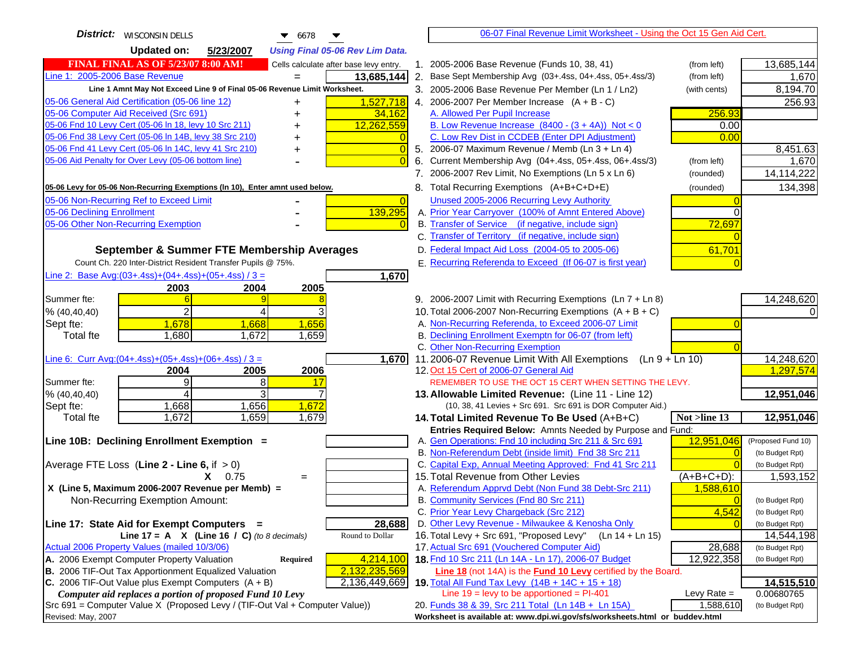| <b>District:</b>   WISCONSIN DELLS<br>6678                                          | 06-07 Final Revenue Limit Worksheet - Using the Oct 15 Gen Aid Cert.                                                             |                             |
|-------------------------------------------------------------------------------------|----------------------------------------------------------------------------------------------------------------------------------|-----------------------------|
| <b>Updated on:</b><br>5/23/2007<br><b>Using Final 05-06 Rev Lim Data.</b>           |                                                                                                                                  |                             |
| <b>FINAL FINAL AS OF 5/23/07 8:00 AM!</b><br>Cells calculate after base levy entry. | 1. 2005-2006 Base Revenue (Funds 10, 38, 41)<br>(from left)                                                                      | 13,685,144                  |
| Line 1: 2005-2006 Base Revenue<br>13,685,144                                        | 2. Base Sept Membership Avg (03+.4ss, 04+.4ss, 05+.4ss/3)<br>(from left)                                                         | 1,670                       |
| Line 1 Amnt May Not Exceed Line 9 of Final 05-06 Revenue Limit Worksheet.           | 3. 2005-2006 Base Revenue Per Member (Ln 1 / Ln2)<br>(with cents)                                                                | 8,194.70                    |
| 1,527,718<br>05-06 General Aid Certification (05-06 line 12)                        | 4. 2006-2007 Per Member Increase $(A + B - C)$                                                                                   | 256.93                      |
| +<br>05-06 Computer Aid Received (Src 691)<br>34,162                                | A. Allowed Per Pupil Increase<br>256.93                                                                                          |                             |
| 05-06 Fnd 10 Levy Cert (05-06 In 18, levy 10 Src 211)<br>12,262,559                 | B. Low Revenue Increase $(8400 - (3 + 4A))$ Not < 0<br>0.00                                                                      |                             |
| 05-06 Fnd 38 Levy Cert (05-06 In 14B, levy 38 Src 210)                              | C. Low Rev Dist in CCDEB (Enter DPI Adjustment)<br>0.00                                                                          |                             |
| 05-06 Fnd 41 Levy Cert (05-06 In 14C, levy 41 Src 210)<br>$\overline{0}$<br>+       | 5. 2006-07 Maximum Revenue / Memb (Ln 3 + Ln 4)                                                                                  | 8,451.63                    |
| 05-06 Aid Penalty for Over Levy (05-06 bottom line)                                 | Current Membership Avg (04+.4ss, 05+.4ss, 06+.4ss/3)<br>6.<br>(from left)                                                        | 1,670                       |
|                                                                                     | 7. 2006-2007 Rev Limit, No Exemptions (Ln 5 x Ln 6)<br>(rounded)                                                                 | 14,114,222                  |
| 05-06 Levy for 05-06 Non-Recurring Exemptions (In 10), Enter amnt used below.       | 8. Total Recurring Exemptions (A+B+C+D+E)<br>(rounded)                                                                           | 134,398                     |
| 05-06 Non-Recurring Ref to Exceed Limit<br>$\overline{0}$                           | Unused 2005-2006 Recurring Levy Authority                                                                                        |                             |
| 05-06 Declining Enrollment<br>139,295                                               | A. Prior Year Carryover (100% of Amnt Entered Above)                                                                             | $\Omega$                    |
| 05-06 Other Non-Recurring Exemption                                                 | B. Transfer of Service (if negative, include sign)<br>72,697                                                                     |                             |
|                                                                                     | C. Transfer of Territory (if negative, include sign)                                                                             |                             |
| September & Summer FTE Membership Averages                                          | D. Federal Impact Aid Loss (2004-05 to 2005-06)<br>61,701                                                                        |                             |
| Count Ch. 220 Inter-District Resident Transfer Pupils @ 75%.                        | E. Recurring Referenda to Exceed (If 06-07 is first year)                                                                        |                             |
| Line 2: Base Avg: (03+.4ss) + (04+.4ss) + (05+.4ss) / 3 =<br>1,670                  |                                                                                                                                  |                             |
| 2003<br>2004<br>2005                                                                |                                                                                                                                  |                             |
| Summer fte:                                                                         | 9. 2006-2007 Limit with Recurring Exemptions (Ln 7 + Ln 8)                                                                       | 14,248,620                  |
| 2<br>4<br>% (40, 40, 40)                                                            | 10. Total 2006-2007 Non-Recurring Exemptions $(A + B + C)$                                                                       |                             |
| 1,678<br>1,668<br>1,656<br>Sept fte:                                                | A. Non-Recurring Referenda, to Exceed 2006-07 Limit                                                                              |                             |
| 1,672<br>Total fte<br>1,680<br>1,659                                                | B. Declining Enrollment Exemptn for 06-07 (from left)                                                                            |                             |
|                                                                                     | C. Other Non-Recurring Exemption                                                                                                 |                             |
| Line 6: Curr Avg: $(04+.4ss)+(05+.4ss)+(06+.4ss)/3 =$<br>1,670                      | 11.2006-07 Revenue Limit With All Exemptions (Ln $9 + \overline{\text{Ln }10}$ )                                                 | 14,248,620                  |
| 2005<br>2006<br>2004                                                                | 12. Oct 15 Cert of 2006-07 General Aid                                                                                           | 1,297,574                   |
| 9<br>Summer fte:<br>8<br>17                                                         | REMEMBER TO USE THE OCT 15 CERT WHEN SETTING THE LEVY.                                                                           |                             |
| 3<br>% (40, 40, 40)<br>4                                                            | 13. Allowable Limited Revenue: (Line 11 - Line 12)                                                                               | 12,951,046                  |
| 1,656<br>1,668<br>1,672<br>Sept fte:                                                | (10, 38, 41 Levies + Src 691. Src 691 is DOR Computer Aid.)                                                                      |                             |
| 1,672<br>1,659<br>1,679<br><b>Total fte</b>                                         | 14. Total Limited Revenue To Be Used (A+B+C)<br>Not >line 13                                                                     | 12,951,046                  |
| Line 10B: Declining Enrollment Exemption =                                          | Entries Required Below: Amnts Needed by Purpose and Fund:<br>12,951,046<br>A. Gen Operations: Fnd 10 including Src 211 & Src 691 | (Proposed Fund 10)          |
|                                                                                     | B. Non-Referendum Debt (inside limit) Fnd 38 Src 211                                                                             | (to Budget Rpt)<br>$\Omega$ |
| Average FTE Loss (Line $2 -$ Line 6, if $> 0$ )                                     | C. Capital Exp, Annual Meeting Approved: Fnd 41 Src 211                                                                          | (to Budget Rpt)             |
| $X = 0.75$<br>$=$                                                                   | 15. Total Revenue from Other Levies<br>$(A+B+C+D)$ :                                                                             | 1,593,152                   |
| X (Line 5, Maximum 2006-2007 Revenue per Memb) =                                    | A. Referendum Apprvd Debt (Non Fund 38 Debt-Src 211)<br>1,588,610                                                                |                             |
| Non-Recurring Exemption Amount:                                                     | B. Community Services (Fnd 80 Src 211)                                                                                           | (to Budget Rpt)             |
|                                                                                     | C. Prior Year Levy Chargeback (Src 212)<br>4,542                                                                                 | (to Budget Rpt)             |
| Line 17: State Aid for Exempt Computers =<br>28,688                                 | D. Other Levy Revenue - Milwaukee & Kenosha Only                                                                                 | (to Budget Rpt)             |
| Line 17 = A $X$ (Line 16 / C) (to 8 decimals)<br>Round to Dollar                    | 16. Total Levy + Src 691, "Proposed Levy"<br>(Ln 14 + Ln 15)                                                                     | 14,544,198                  |
| Actual 2006 Property Values (mailed 10/3/06)                                        | 17. Actual Src 691 (Vouchered Computer Aid)<br>28,688                                                                            | (to Budget Rpt)             |
| A. 2006 Exempt Computer Property Valuation<br>4,214,100<br><b>Required</b>          | 18. Fnd 10 Src 211 (Ln 14A - Ln 17), 2006-07 Budget<br>12,922,358                                                                | (to Budget Rpt)             |
| B. 2006 TIF-Out Tax Apportionment Equalized Valuation<br>2,132,235,569              | <b>Line 18</b> (not 14A) is the <b>Fund 10 Levy</b> certified by the Board.                                                      |                             |
| C. 2006 TIF-Out Value plus Exempt Computers $(A + B)$<br>2,136,449,669              | 19. Total All Fund Tax Levy (14B + 14C + 15 + 18)                                                                                | 14,515,510                  |
| Computer aid replaces a portion of proposed Fund 10 Levy                            | Line $19$ = levy to be apportioned = PI-401<br>Levy Rate $=$                                                                     | 0.00680765                  |
| Src 691 = Computer Value X (Proposed Levy / (TIF-Out Val + Computer Value))         | 1,588,610<br>20. Funds 38 & 39, Src 211 Total (Ln 14B + Ln 15A)                                                                  | (to Budget Rpt)             |
| Revised: May, 2007                                                                  | Worksheet is available at: www.dpi.wi.gov/sfs/worksheets.html or buddev.html                                                     |                             |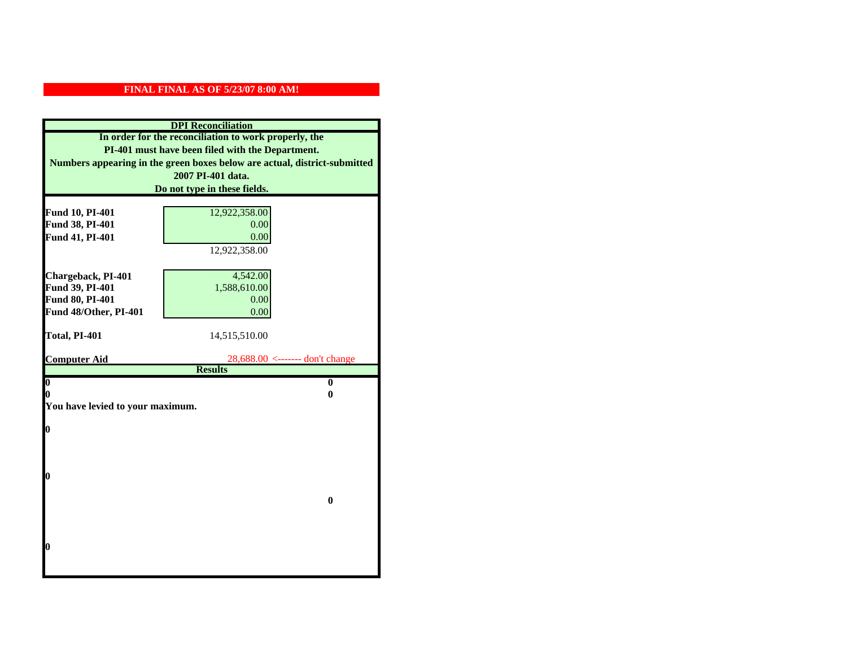| <b>DPI</b> Reconciliation                             |                                                                           |  |  |
|-------------------------------------------------------|---------------------------------------------------------------------------|--|--|
| In order for the reconciliation to work properly, the |                                                                           |  |  |
|                                                       | PI-401 must have been filed with the Department.                          |  |  |
|                                                       | Numbers appearing in the green boxes below are actual, district-submitted |  |  |
|                                                       | 2007 PI-401 data.                                                         |  |  |
|                                                       | Do not type in these fields.                                              |  |  |
|                                                       |                                                                           |  |  |
| Fund 10, PI-401<br>Fund 38, PI-401                    | 12,922,358.00<br>0.00                                                     |  |  |
| Fund 41, PI-401                                       | 0.00                                                                      |  |  |
|                                                       | 12,922,358.00                                                             |  |  |
|                                                       |                                                                           |  |  |
| Chargeback, PI-401                                    | 4,542.00                                                                  |  |  |
| Fund 39, PI-401                                       | 1,588,610.00                                                              |  |  |
| Fund 80, PI-401                                       | 0.00                                                                      |  |  |
| Fund 48/Other, PI-401                                 | 0.00                                                                      |  |  |
|                                                       |                                                                           |  |  |
| Total, PI-401                                         | 14,515,510.00                                                             |  |  |
|                                                       |                                                                           |  |  |
| <b>Computer Aid</b>                                   | $28,688.00 \le$ ------- don't change                                      |  |  |
|                                                       | <b>Results</b><br>$\mathbf{0}$                                            |  |  |
| $\boldsymbol{0}$<br>0                                 | 0                                                                         |  |  |
| You have levied to your maximum.                      |                                                                           |  |  |
|                                                       |                                                                           |  |  |
| $\bf{0}$                                              |                                                                           |  |  |
|                                                       |                                                                           |  |  |
|                                                       |                                                                           |  |  |
|                                                       |                                                                           |  |  |
| 0                                                     |                                                                           |  |  |
|                                                       |                                                                           |  |  |
|                                                       | $\bf{0}$                                                                  |  |  |
|                                                       |                                                                           |  |  |
|                                                       |                                                                           |  |  |
| 0                                                     |                                                                           |  |  |
|                                                       |                                                                           |  |  |
|                                                       |                                                                           |  |  |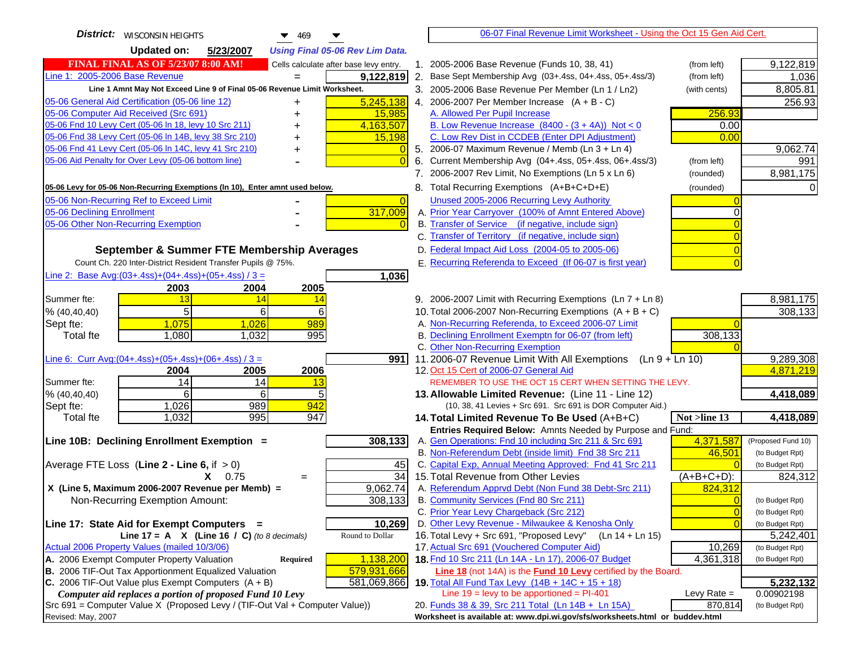| <b>District:</b>   WISCONSIN HEIGHTS<br>469                                                   | 06-07 Final Revenue Limit Worksheet - Using the Oct 15 Gen Aid Cert.                                         |                        |
|-----------------------------------------------------------------------------------------------|--------------------------------------------------------------------------------------------------------------|------------------------|
| <b>Updated on:</b><br>5/23/2007<br><b>Using Final 05-06 Rev Lim Data.</b>                     |                                                                                                              |                        |
| <b>FINAL FINAL AS OF 5/23/07 8:00 AM!</b><br>Cells calculate after base levy entry.           | 1. 2005-2006 Base Revenue (Funds 10, 38, 41)<br>(from left)                                                  | 9,122,819              |
| Line 1: 2005-2006 Base Revenue<br>9,122,819<br>$=$                                            | 2. Base Sept Membership Avg (03+.4ss, 04+.4ss, 05+.4ss/3)<br>(from left)                                     | 1,036                  |
| Line 1 Amnt May Not Exceed Line 9 of Final 05-06 Revenue Limit Worksheet.                     | 3. 2005-2006 Base Revenue Per Member (Ln 1 / Ln2)<br>(with cents)                                            | 8,805.81               |
| 5,245,138<br>05-06 General Aid Certification (05-06 line 12)<br>+                             | 4. 2006-2007 Per Member Increase $(A + B - C)$                                                               | 256.93                 |
| 05-06 Computer Aid Received (Src 691)<br>15,985                                               | A. Allowed Per Pupil Increase<br>256.93                                                                      |                        |
| 05-06 Fnd 10 Levy Cert (05-06 ln 18, levy 10 Src 211)<br>4,163,507                            | B. Low Revenue Increase $(8400 - (3 + 4A))$ Not < 0<br>0.00                                                  |                        |
| 05-06 Fnd 38 Levy Cert (05-06 In 14B, levy 38 Src 210)<br>15,198                              | C. Low Rev Dist in CCDEB (Enter DPI Adjustment)<br>0.00                                                      |                        |
| 05-06 Fnd 41 Levy Cert (05-06 In 14C, levy 41 Src 210)<br>+                                   | 5. 2006-07 Maximum Revenue / Memb (Ln 3 + Ln 4)                                                              | 9,062.74               |
| 05-06 Aid Penalty for Over Levy (05-06 bottom line)                                           | 6. Current Membership Avg (04+.4ss, 05+.4ss, 06+.4ss/3)<br>(from left)                                       | 991                    |
|                                                                                               | 7. 2006-2007 Rev Limit, No Exemptions (Ln 5 x Ln 6)<br>(rounded)                                             | 8,981,175              |
| 05-06 Levy for 05-06 Non-Recurring Exemptions (In 10), Enter amnt used below.                 | 8. Total Recurring Exemptions (A+B+C+D+E)<br>(rounded)                                                       |                        |
| 05-06 Non-Recurring Ref to Exceed Limit<br>$\overline{0}$                                     | Unused 2005-2006 Recurring Levy Authority                                                                    |                        |
| 317,009<br>05-06 Declining Enrollment                                                         | A. Prior Year Carryover (100% of Amnt Entered Above)                                                         |                        |
| 05-06 Other Non-Recurring Exemption                                                           | B. Transfer of Service (if negative, include sign)                                                           |                        |
|                                                                                               | C. Transfer of Territory (if negative, include sign)                                                         |                        |
| September & Summer FTE Membership Averages                                                    | D. Federal Impact Aid Loss (2004-05 to 2005-06)                                                              |                        |
| Count Ch. 220 Inter-District Resident Transfer Pupils @ 75%.                                  | E. Recurring Referenda to Exceed (If 06-07 is first year)                                                    |                        |
| Line 2: Base Avg: $(03+.4ss)+(04+.4ss)+(05+.4ss)/3 =$<br>1,036                                |                                                                                                              |                        |
| 2003<br>2004<br>2005                                                                          |                                                                                                              |                        |
| Summer fte:<br>13<br>14<br>14                                                                 | 9. 2006-2007 Limit with Recurring Exemptions (Ln 7 + Ln 8)                                                   | 8,981,175              |
| 5<br>6<br>6<br>% (40, 40, 40)                                                                 | 10. Total 2006-2007 Non-Recurring Exemptions $(A + B + C)$                                                   | 308,133                |
| 1,075<br>1,026<br>989<br>Sept fte:                                                            | A. Non-Recurring Referenda, to Exceed 2006-07 Limit                                                          |                        |
| <b>Total fte</b><br>1,080<br>995<br>1,032                                                     | B. Declining Enrollment Exemptn for 06-07 (from left)<br>308,133                                             |                        |
|                                                                                               | C. Other Non-Recurring Exemption                                                                             |                        |
| Line 6: Curr Avg: $(04+.4ss)+(05+.4ss)+(06+.4ss)/3=$<br>991                                   | 11.2006-07 Revenue Limit With All Exemptions (Ln 9 + Ln 10)                                                  | 9,289,308<br>4,871,219 |
| 2006<br>2004<br>2005<br>14<br>Summer fte:<br>14<br>13                                         | 12. Oct 15 Cert of 2006-07 General Aid<br>REMEMBER TO USE THE OCT 15 CERT WHEN SETTING THE LEVY.             |                        |
| 6<br>% (40, 40, 40)<br>6                                                                      | 13. Allowable Limited Revenue: (Line 11 - Line 12)                                                           | 4,418,089              |
| 989<br>942<br>1,026<br>Sept fte:                                                              | (10, 38, 41 Levies + Src 691. Src 691 is DOR Computer Aid.)                                                  |                        |
| 1,032<br>995<br>947<br><b>Total fte</b>                                                       | 14. Total Limited Revenue To Be Used (A+B+C)<br>Not >line 13                                                 | 4,418,089              |
|                                                                                               | Entries Required Below: Amnts Needed by Purpose and Fund:                                                    |                        |
| 308,133<br>Line 10B: Declining Enrollment Exemption =                                         | 4,371,587<br>A. Gen Operations: Fnd 10 including Src 211 & Src 691                                           | (Proposed Fund 10)     |
|                                                                                               | B. Non-Referendum Debt (inside limit) Fnd 38 Src 211<br>46,501                                               | (to Budget Rpt)        |
| Average FTE Loss (Line $2 -$ Line 6, if $> 0$ )<br>45                                         | C. Capital Exp, Annual Meeting Approved: Fnd 41 Src 211                                                      | (to Budget Rpt)        |
| 34<br>$X = 0.75$<br>$=$                                                                       | 15. Total Revenue from Other Levies<br>(A+B+C+D):                                                            | 824,312                |
| X (Line 5, Maximum 2006-2007 Revenue per Memb) =<br>9,062.74                                  | A. Referendum Apprvd Debt (Non Fund 38 Debt-Src 211)<br>824,312                                              |                        |
| 308,133<br>Non-Recurring Exemption Amount:                                                    | B. Community Services (Fnd 80 Src 211)                                                                       | (to Budget Rpt)        |
|                                                                                               | C. Prior Year Levy Chargeback (Src 212)<br>$\overline{0}$                                                    | (to Budget Rpt)        |
| 10,269<br>Line 17: State Aid for Exempt Computers =                                           | D. Other Levy Revenue - Milwaukee & Kenosha Only                                                             | (to Budget Rpt)        |
| Round to Dollar<br>Line 17 = A $X$ (Line 16 / C) (to 8 decimals)                              | 16. Total Levy + Src 691, "Proposed Levy"<br>$(Ln 14 + Ln 15)$                                               | 5,242,401              |
| Actual 2006 Property Values (mailed 10/3/06)<br>A. 2006 Exempt Computer Property Valuation    | 17. Actual Src 691 (Vouchered Computer Aid)<br>10,269<br>18. Fnd 10 Src 211 (Ln 14A - Ln 17), 2006-07 Budget | (to Budget Rpt)        |
| 1,138,200<br>Required<br>B. 2006 TIF-Out Tax Apportionment Equalized Valuation<br>579,931,666 | 4,361,318<br><b>Line 18</b> (not 14A) is the <b>Fund 10 Levy</b> certified by the Board.                     | (to Budget Rpt)        |
| C. 2006 TIF-Out Value plus Exempt Computers $(A + B)$<br>581,069,866                          | 19. Total All Fund Tax Levy $(14B + 14C + 15 + 18)$                                                          | 5,232,132              |
| Computer aid replaces a portion of proposed Fund 10 Levy                                      | Line $19 = \text{levy}$ to be apportioned = PI-401<br>Levy Rate $=$                                          | 0.00902198             |
| Src 691 = Computer Value X (Proposed Levy / (TIF-Out Val + Computer Value))                   | 20. Funds 38 & 39, Src 211 Total (Ln 14B + Ln 15A)<br>870,814                                                | (to Budget Rpt)        |
| Revised: May, 2007                                                                            | Worksheet is available at: www.dpi.wi.gov/sfs/worksheets.html or buddev.html                                 |                        |
|                                                                                               |                                                                                                              |                        |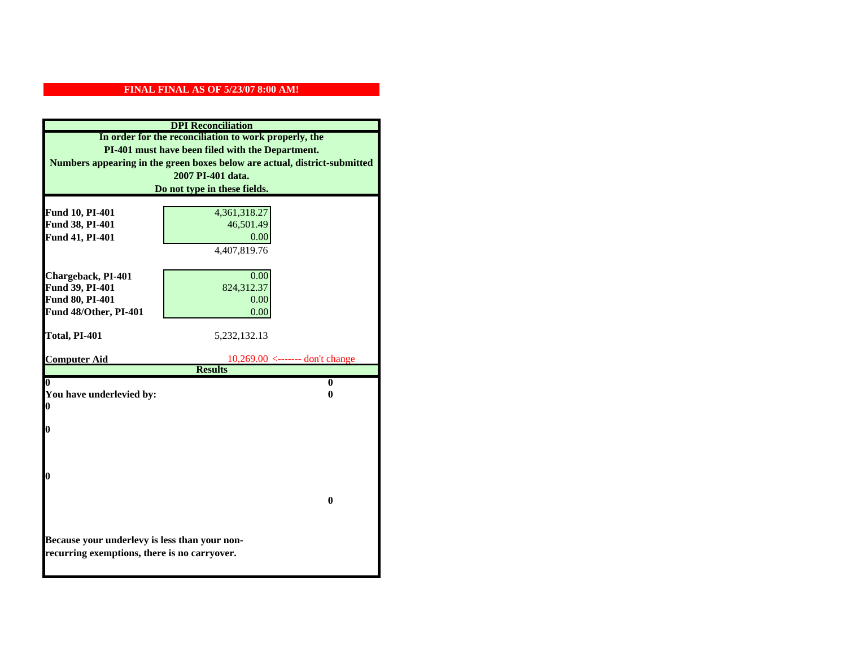|                                                                           | <b>DPI</b> Reconciliation            |
|---------------------------------------------------------------------------|--------------------------------------|
| In order for the reconciliation to work properly, the                     |                                      |
| PI-401 must have been filed with the Department.                          |                                      |
| Numbers appearing in the green boxes below are actual, district-submitted |                                      |
|                                                                           | 2007 PI-401 data.                    |
|                                                                           | Do not type in these fields.         |
|                                                                           |                                      |
| Fund 10, PI-401                                                           | 4,361,318.27                         |
| Fund 38, PI-401                                                           | 46,501.49                            |
| Fund 41, PI-401                                                           | 0.00                                 |
|                                                                           | 4,407,819.76                         |
|                                                                           |                                      |
| Chargeback, PI-401                                                        | 0.00                                 |
| Fund 39, PI-401                                                           | 824,312.37                           |
| Fund 80, PI-401                                                           | 0.00                                 |
| Fund 48/Other, PI-401                                                     | 0.00                                 |
| Total, PI-401                                                             | 5, 232, 132. 13                      |
|                                                                           |                                      |
| <b>Computer Aid</b>                                                       | $10,269.00 \le$ ------- don't change |
|                                                                           | <b>Results</b>                       |
| 0                                                                         | $\bf{0}$                             |
| You have underlevied by:                                                  | 0                                    |
| 0                                                                         |                                      |
| 0                                                                         |                                      |
|                                                                           |                                      |
|                                                                           |                                      |
|                                                                           |                                      |
| 0                                                                         |                                      |
|                                                                           |                                      |
|                                                                           | 0                                    |
|                                                                           |                                      |
|                                                                           |                                      |
| Because your underlevy is less than your non-                             |                                      |
| recurring exemptions, there is no carryover.                              |                                      |
|                                                                           |                                      |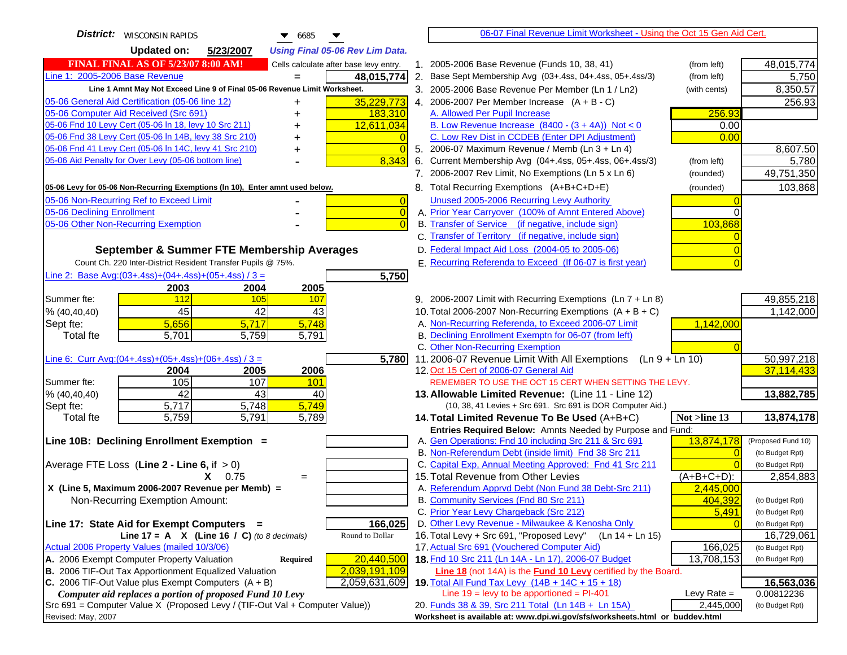| <b>District:</b>   WISCONSIN RAPIDS<br>$\bullet$ 6685                                                                                   | 06-07 Final Revenue Limit Worksheet - Using the Oct 15 Gen Aid Cert.                                                               |                               |
|-----------------------------------------------------------------------------------------------------------------------------------------|------------------------------------------------------------------------------------------------------------------------------------|-------------------------------|
| <b>Updated on:</b><br>5/23/2007<br><b>Using Final 05-06 Rev Lim Data.</b>                                                               |                                                                                                                                    |                               |
| <b>FINAL FINAL AS OF 5/23/07 8:00 AM!</b><br>Cells calculate after base levy entry.                                                     | 1. 2005-2006 Base Revenue (Funds 10, 38, 41)<br>(from left)                                                                        | 48,015,774                    |
| Line 1: 2005-2006 Base Revenue<br>48,015,774                                                                                            | 2. Base Sept Membership Avg (03+.4ss, 04+.4ss, 05+.4ss/3)<br>(from left)                                                           | 5,750                         |
| Line 1 Amnt May Not Exceed Line 9 of Final 05-06 Revenue Limit Worksheet.                                                               | 3. 2005-2006 Base Revenue Per Member (Ln 1 / Ln2)<br>(with cents)                                                                  | 8,350.57                      |
| 35,229,773<br>05-06 General Aid Certification (05-06 line 12)                                                                           | 4. 2006-2007 Per Member Increase $(A + B - C)$                                                                                     | 256.93                        |
| +<br>05-06 Computer Aid Received (Src 691)<br>183,310                                                                                   | A. Allowed Per Pupil Increase<br>256.93                                                                                            |                               |
| 05-06 Fnd 10 Levy Cert (05-06 ln 18, levy 10 Src 211)<br>12,611,034                                                                     | B. Low Revenue Increase $(8400 - (3 + 4A))$ Not < 0<br>0.00                                                                        |                               |
| 05-06 Fnd 38 Levy Cert (05-06 In 14B, levy 38 Src 210)                                                                                  | C. Low Rev Dist in CCDEB (Enter DPI Adjustment)<br>0.00                                                                            |                               |
| 05-06 Fnd 41 Levy Cert (05-06 In 14C, levy 41 Src 210)<br>$\overline{0}$                                                                | 5. 2006-07 Maximum Revenue / Memb (Ln 3 + Ln 4)                                                                                    | 8,607.50                      |
| 05-06 Aid Penalty for Over Levy (05-06 bottom line)<br>8,343                                                                            | 6. Current Membership Avg (04+.4ss, 05+.4ss, 06+.4ss/3)<br>(from left)                                                             | 5,780                         |
|                                                                                                                                         | 7. 2006-2007 Rev Limit, No Exemptions (Ln 5 x Ln 6)<br>(rounded)                                                                   | 49,751,350                    |
| 05-06 Levy for 05-06 Non-Recurring Exemptions (In 10), Enter amnt used below.                                                           | 8. Total Recurring Exemptions (A+B+C+D+E)<br>(rounded)                                                                             | 103,868                       |
| 05-06 Non-Recurring Ref to Exceed Limit                                                                                                 | Unused 2005-2006 Recurring Levy Authority<br>$\overline{0}$                                                                        |                               |
| 05-06 Declining Enrollment                                                                                                              | $\overline{0}$<br>A. Prior Year Carryover (100% of Amnt Entered Above)                                                             |                               |
| 05-06 Other Non-Recurring Exemption<br>$\Omega$                                                                                         | B. Transfer of Service (if negative, include sign)<br>103,868                                                                      |                               |
|                                                                                                                                         | C. Transfer of Territory (if negative, include sign)                                                                               |                               |
| September & Summer FTE Membership Averages                                                                                              | D. Federal Impact Aid Loss (2004-05 to 2005-06)                                                                                    |                               |
| Count Ch. 220 Inter-District Resident Transfer Pupils @ 75%.                                                                            | E. Recurring Referenda to Exceed (If 06-07 is first year)                                                                          |                               |
| Line 2: Base Avg: $(03+.4ss)+(04+.4ss)+(05+.4ss)/3 =$<br>5,750                                                                          |                                                                                                                                    |                               |
| 2003<br>2004<br>2005                                                                                                                    |                                                                                                                                    |                               |
| 112<br>Summer fte:<br>105<br>107                                                                                                        | 9. 2006-2007 Limit with Recurring Exemptions (Ln 7 + Ln 8)                                                                         | 49,855,218                    |
| 45<br>42<br>43<br>% (40, 40, 40)                                                                                                        | 10. Total 2006-2007 Non-Recurring Exemptions $(A + B + C)$                                                                         | 1,142,000                     |
| 5,748<br>5,656<br>Sept fte:<br>5,717                                                                                                    | A. Non-Recurring Referenda, to Exceed 2006-07 Limit<br>1,142,000                                                                   |                               |
| 5,759<br>5,791<br><b>Total fte</b><br>5,701                                                                                             | B. Declining Enrollment Exemptn for 06-07 (from left)                                                                              |                               |
|                                                                                                                                         | C. Other Non-Recurring Exemption                                                                                                   |                               |
| 5,780<br>Line 6: Curr Avg: $(04+.4ss)+(05+.4ss)+(06+.4ss)/3=$                                                                           | 11.2006-07 Revenue Limit With All Exemptions (Ln $9 + \overline{\text{Ln }10}$ )                                                   | 50,997,218                    |
| 2004<br>2005<br>2006                                                                                                                    | 12. Oct 15 Cert of 2006-07 General Aid                                                                                             | 37,114,433                    |
| 105<br>107<br>Summer fte:<br>101                                                                                                        | REMEMBER TO USE THE OCT 15 CERT WHEN SETTING THE LEVY.                                                                             |                               |
| 42<br>43<br>40<br>% (40, 40, 40)                                                                                                        | 13. Allowable Limited Revenue: (Line 11 - Line 12)                                                                                 | 13,882,785                    |
| 5,717<br>5,748<br>5,749<br>Sept fte:<br>5,759<br>$\overline{5,791}$<br>5,789<br><b>Total fte</b>                                        | (10, 38, 41 Levies + Src 691. Src 691 is DOR Computer Aid.)<br>14. Total Limited Revenue To Be Used (A+B+C)<br>Not >line 13        | 13,874,178                    |
|                                                                                                                                         | Entries Required Below: Amnts Needed by Purpose and Fund:                                                                          |                               |
| Line 10B: Declining Enrollment Exemption =                                                                                              | A. Gen Operations: Fnd 10 including Src 211 & Src 691<br>13,874,178                                                                | (Proposed Fund 10)            |
|                                                                                                                                         | B. Non-Referendum Debt (inside limit) Fnd 38 Src 211<br>$\Omega$                                                                   | (to Budget Rpt)               |
| Average FTE Loss (Line $2 -$ Line 6, if $> 0$ )                                                                                         | C. Capital Exp, Annual Meeting Approved: Fnd 41 Src 211                                                                            | (to Budget Rpt)               |
| $X = 0.75$<br>$=$                                                                                                                       | 15. Total Revenue from Other Levies<br>$(A+B+C+D)$ :                                                                               | 2,854,883                     |
| X (Line 5, Maximum 2006-2007 Revenue per Memb) =                                                                                        | A. Referendum Apprvd Debt (Non Fund 38 Debt-Src 211)<br>2,445,000                                                                  |                               |
| Non-Recurring Exemption Amount:                                                                                                         | B. Community Services (Fnd 80 Src 211)<br>404,392                                                                                  | (to Budget Rpt)               |
|                                                                                                                                         | C. Prior Year Levy Chargeback (Src 212)<br>5,491                                                                                   | (to Budget Rpt)               |
| Line 17: State Aid for Exempt Computers =<br>166,025                                                                                    | D. Other Levy Revenue - Milwaukee & Kenosha Only                                                                                   | (to Budget Rpt)               |
| Line 17 = A $X$ (Line 16 / C) (to 8 decimals)<br>Round to Dollar                                                                        | 16. Total Levy + Src 691, "Proposed Levy"<br>$(Ln 14 + Ln 15)$                                                                     | 16,729,061                    |
| Actual 2006 Property Values (mailed 10/3/06)                                                                                            | 17. Actual Src 691 (Vouchered Computer Aid)<br>166,025                                                                             | (to Budget Rpt)               |
| A. 2006 Exempt Computer Property Valuation<br>20,440,500<br>Required                                                                    | 18. Fnd 10 Src 211 (Ln 14A - Ln 17), 2006-07 Budget<br>13,708,153                                                                  | (to Budget Rpt)               |
| B. 2006 TIF-Out Tax Apportionment Equalized Valuation<br>2,039,191,109                                                                  | <b>Line 18</b> (not 14A) is the <b>Fund 10 Levy</b> certified by the Board.                                                        |                               |
| C. 2006 TIF-Out Value plus Exempt Computers $(A + B)$<br>2,059,631,609                                                                  | 19. Total All Fund Tax Levy (14B + 14C + 15 + 18)                                                                                  | 16,563,036                    |
| Computer aid replaces a portion of proposed Fund 10 Levy<br>Src 691 = Computer Value X (Proposed Levy / (TIF-Out Val + Computer Value)) | Line $19$ = levy to be apportioned = PI-401<br>Levy Rate $=$<br>2,445,000                                                          | 0.00812236<br>(to Budget Rpt) |
| Revised: May, 2007                                                                                                                      | 20. Funds 38 & 39, Src 211 Total (Ln 14B + Ln 15A)<br>Worksheet is available at: www.dpi.wi.gov/sfs/worksheets.html or buddev.html |                               |
|                                                                                                                                         |                                                                                                                                    |                               |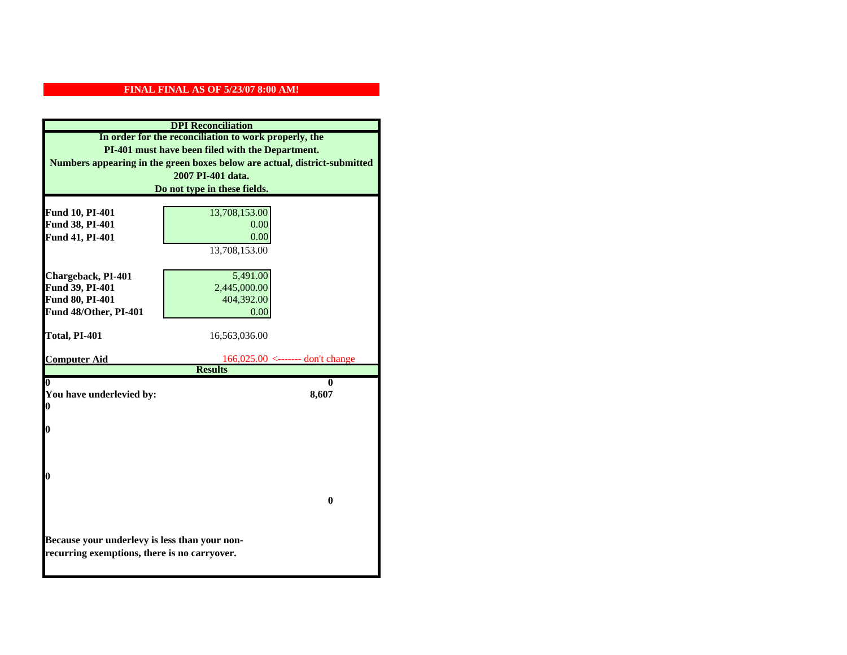| <b>DPI</b> Reconciliation                        |                                                                           |
|--------------------------------------------------|---------------------------------------------------------------------------|
|                                                  | In order for the reconciliation to work properly, the                     |
| PI-401 must have been filed with the Department. |                                                                           |
|                                                  | Numbers appearing in the green boxes below are actual, district-submitted |
|                                                  | 2007 PI-401 data.                                                         |
|                                                  | Do not type in these fields.                                              |
|                                                  |                                                                           |
| Fund 10, PI-401                                  | 13,708,153.00                                                             |
| Fund 38, PI-401                                  | 0.00                                                                      |
| Fund 41, PI-401                                  | 0.00                                                                      |
|                                                  | 13,708,153.00                                                             |
|                                                  |                                                                           |
| Chargeback, PI-401<br>Fund 39, PI-401            | 5,491.00<br>2,445,000.00                                                  |
| Fund 80, PI-401                                  | 404,392.00                                                                |
| Fund 48/Other, PI-401                            | 0.00                                                                      |
|                                                  |                                                                           |
| Total, PI-401                                    | 16,563,036.00                                                             |
|                                                  |                                                                           |
| <b>Computer Aid</b>                              | $166,025.00 \le$ ------- don't change                                     |
|                                                  | <b>Results</b>                                                            |
| 0<br>You have underlevied by:                    | 0<br>8,607                                                                |
| 0                                                |                                                                           |
|                                                  |                                                                           |
| 0                                                |                                                                           |
|                                                  |                                                                           |
|                                                  |                                                                           |
|                                                  |                                                                           |
| 0                                                |                                                                           |
|                                                  |                                                                           |
|                                                  | $\mathbf{0}$                                                              |
|                                                  |                                                                           |
|                                                  |                                                                           |
| Because your underlevy is less than your non-    |                                                                           |
| recurring exemptions, there is no carryover.     |                                                                           |
|                                                  |                                                                           |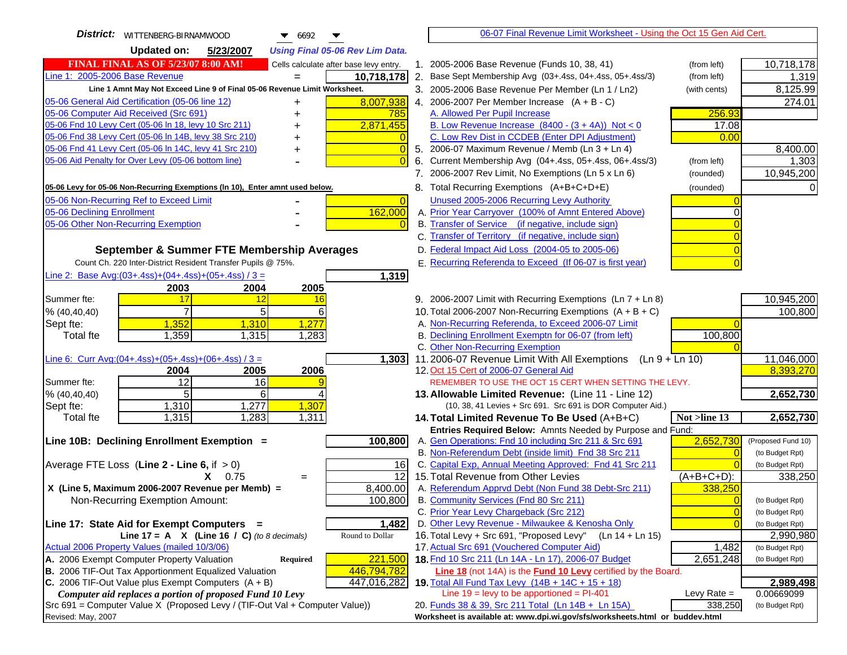| District:   WITTENBERG-BIRNAMWOOD<br>$\bullet$ 6692<br>▼                                                         | 06-07 Final Revenue Limit Worksheet - Using the Oct 15 Gen Aid Cert.                                                       |                         |
|------------------------------------------------------------------------------------------------------------------|----------------------------------------------------------------------------------------------------------------------------|-------------------------|
| <b>Updated on:</b><br>5/23/2007<br><b>Using Final 05-06 Rev Lim Data.</b>                                        |                                                                                                                            |                         |
| <b>FINAL FINAL AS OF 5/23/07 8:00 AM!</b><br>Cells calculate after base levy entry.                              | 1. 2005-2006 Base Revenue (Funds 10, 38, 41)<br>(from left)                                                                | 10,718,178              |
| Line 1: 2005-2006 Base Revenue<br>10,718,178                                                                     | 2. Base Sept Membership Avg (03+.4ss, 04+.4ss, 05+.4ss/3)<br>(from left)                                                   | 1,319                   |
| Line 1 Amnt May Not Exceed Line 9 of Final 05-06 Revenue Limit Worksheet.                                        | 3. 2005-2006 Base Revenue Per Member (Ln 1 / Ln2)<br>(with cents)                                                          | 8,125.99                |
| 8,007,938<br>05-06 General Aid Certification (05-06 line 12)                                                     | 4. 2006-2007 Per Member Increase $(A + B - C)$                                                                             | 274.01                  |
| 05-06 Computer Aid Received (Src 691)<br>785                                                                     | A. Allowed Per Pupil Increase<br>256.93                                                                                    |                         |
| 05-06 Fnd 10 Levy Cert (05-06 In 18, levy 10 Src 211)<br>2,871,455                                               | B. Low Revenue Increase $(8400 - (3 + 4A))$ Not < 0<br>17.08                                                               |                         |
| 05-06 Fnd 38 Levy Cert (05-06 In 14B, levy 38 Src 210)                                                           | C. Low Rev Dist in CCDEB (Enter DPI Adjustment)<br>0.00                                                                    |                         |
| 05-06 Fnd 41 Levy Cert (05-06 In 14C, levy 41 Src 210)<br>$\Omega$<br>┿                                          | 5. 2006-07 Maximum Revenue / Memb (Ln 3 + Ln 4)                                                                            | 8,400.00                |
| 05-06 Aid Penalty for Over Levy (05-06 bottom line)                                                              | 6. Current Membership Avg (04+.4ss, 05+.4ss, 06+.4ss/3)<br>(from left)                                                     | 1,303                   |
|                                                                                                                  | 7. 2006-2007 Rev Limit, No Exemptions (Ln 5 x Ln 6)<br>(rounded)                                                           | 10,945,200              |
| 05-06 Levy for 05-06 Non-Recurring Exemptions (In 10), Enter amnt used below.                                    | 8. Total Recurring Exemptions (A+B+C+D+E)<br>(rounded)                                                                     |                         |
| 05-06 Non-Recurring Ref to Exceed Limit<br>$\overline{0}$                                                        | Unused 2005-2006 Recurring Levy Authority                                                                                  |                         |
| 162,000<br>05-06 Declining Enrollment                                                                            | A. Prior Year Carryover (100% of Amnt Entered Above)                                                                       |                         |
| 05-06 Other Non-Recurring Exemption                                                                              | B. Transfer of Service (if negative, include sign)                                                                         |                         |
|                                                                                                                  | C. Transfer of Territory (if negative, include sign)                                                                       |                         |
| September & Summer FTE Membership Averages                                                                       | D. Federal Impact Aid Loss (2004-05 to 2005-06)                                                                            |                         |
| Count Ch. 220 Inter-District Resident Transfer Pupils @ 75%.                                                     | E. Recurring Referenda to Exceed (If 06-07 is first year)                                                                  |                         |
| Line 2: Base Avg: (03+.4ss) + (04+.4ss) + (05+.4ss) / 3 =<br>1,319                                               |                                                                                                                            |                         |
| 2003<br>2004<br>2005                                                                                             |                                                                                                                            |                         |
| 17<br>Summer fte:<br>12<br>16                                                                                    | 9. 2006-2007 Limit with Recurring Exemptions (Ln 7 + Ln 8)                                                                 | 10,945,200              |
| $\overline{7}$<br>5<br>% (40, 40, 40)<br>6                                                                       | 10. Total 2006-2007 Non-Recurring Exemptions $(A + B + C)$                                                                 | 100,800                 |
| 1,352<br>1,277<br>Sept fte:<br>1,310                                                                             | A. Non-Recurring Referenda, to Exceed 2006-07 Limit                                                                        |                         |
| 1,283<br>1,359<br><b>Total fte</b><br>1,315                                                                      | B. Declining Enrollment Exemptn for 06-07 (from left)<br>100,800                                                           |                         |
|                                                                                                                  | C. Other Non-Recurring Exemption                                                                                           |                         |
| Line 6: Curr Avg: $(04+.4ss)+(05+.4ss)+(06+.4ss)/3 =$<br>1,303<br>2006                                           | 11.2006-07 Revenue Limit With All Exemptions (Ln $9 + \overline{\text{Ln }10}$ )<br>12. Oct 15 Cert of 2006-07 General Aid | 11,046,000<br>8,393,270 |
| 2004<br>2005<br>12<br>Summer fte:<br>16                                                                          | REMEMBER TO USE THE OCT 15 CERT WHEN SETTING THE LEVY.                                                                     |                         |
| 5 <sub>l</sub><br>% (40, 40, 40)<br>6                                                                            | 13. Allowable Limited Revenue: (Line 11 - Line 12)                                                                         | 2,652,730               |
| 1,310<br>1,277<br>1,307<br>Sept fte:                                                                             | (10, 38, 41 Levies + Src 691. Src 691 is DOR Computer Aid.)                                                                |                         |
| 1,315<br>1,311<br>1,283<br><b>Total fte</b>                                                                      | Not >line 13<br>14. Total Limited Revenue To Be Used (A+B+C)                                                               | 2,652,730               |
|                                                                                                                  | Entries Required Below: Amnts Needed by Purpose and Fund:                                                                  |                         |
| 100,800<br>Line 10B: Declining Enrollment Exemption =                                                            | 2,652,730<br>A. Gen Operations: Fnd 10 including Src 211 & Src 691                                                         | (Proposed Fund 10)      |
|                                                                                                                  | B. Non-Referendum Debt (inside limit) Fnd 38 Src 211<br>C                                                                  | (to Budget Rpt)         |
| Average FTE Loss (Line $2 -$ Line 6, if $> 0$ )<br>16                                                            | C. Capital Exp, Annual Meeting Approved: Fnd 41 Src 211                                                                    | (to Budget Rpt)         |
| $\overline{12}$<br>$X = 0.75$<br>$=$                                                                             | 15. Total Revenue from Other Levies<br>$(A+B+C+D)$ :                                                                       | 338,250                 |
| X (Line 5, Maximum 2006-2007 Revenue per Memb) =<br>8,400.00                                                     | A. Referendum Apprvd Debt (Non Fund 38 Debt-Src 211)<br>338,250                                                            |                         |
| 100,800<br>Non-Recurring Exemption Amount:                                                                       | B. Community Services (Fnd 80 Src 211)<br>$\Omega$                                                                         | (to Budget Rpt)         |
|                                                                                                                  | C. Prior Year Levy Chargeback (Src 212)<br>$\overline{0}$                                                                  | (to Budget Rpt)         |
| Line 17: State Aid for Exempt Computers =<br>1,482                                                               | D. Other Levy Revenue - Milwaukee & Kenosha Only<br>C                                                                      | (to Budget Rpt)         |
| Round to Dollar<br>Line 17 = A $X$ (Line 16 / C) (to 8 decimals)<br>Actual 2006 Property Values (mailed 10/3/06) | 16. Total Levy + Src 691, "Proposed Levy"<br>(Ln 14 + Ln 15)<br>17. Actual Src 691 (Vouchered Computer Aid)                | 2,990,980               |
| A. 2006 Exempt Computer Property Valuation<br>221,500                                                            | 1,482<br>18. Fnd 10 Src 211 (Ln 14A - Ln 17), 2006-07 Budget                                                               | (to Budget Rpt)         |
| Required<br>B. 2006 TIF-Out Tax Apportionment Equalized Valuation<br>446,794,782                                 | 2,651,248<br><b>Line 18</b> (not 14A) is the <b>Fund 10 Levy</b> certified by the Board.                                   | (to Budget Rpt)         |
| C. 2006 TIF-Out Value plus Exempt Computers $(A + B)$<br>447,016,282                                             | 19. Total All Fund Tax Levy $(14B + 14C + 15 + 18)$                                                                        | 2,989,498               |
| Computer aid replaces a portion of proposed Fund 10 Levy                                                         | Line $19 = \text{levy}$ to be apportioned = PI-401<br>Levy Rate $=$                                                        | 0.00669099              |
| Src 691 = Computer Value X (Proposed Levy / (TIF-Out Val + Computer Value))                                      | 20. Funds 38 & 39, Src 211 Total (Ln 14B + Ln 15A)<br>338,250                                                              | (to Budget Rpt)         |
| Revised: May, 2007                                                                                               | Worksheet is available at: www.dpi.wi.gov/sfs/worksheets.html or buddev.html                                               |                         |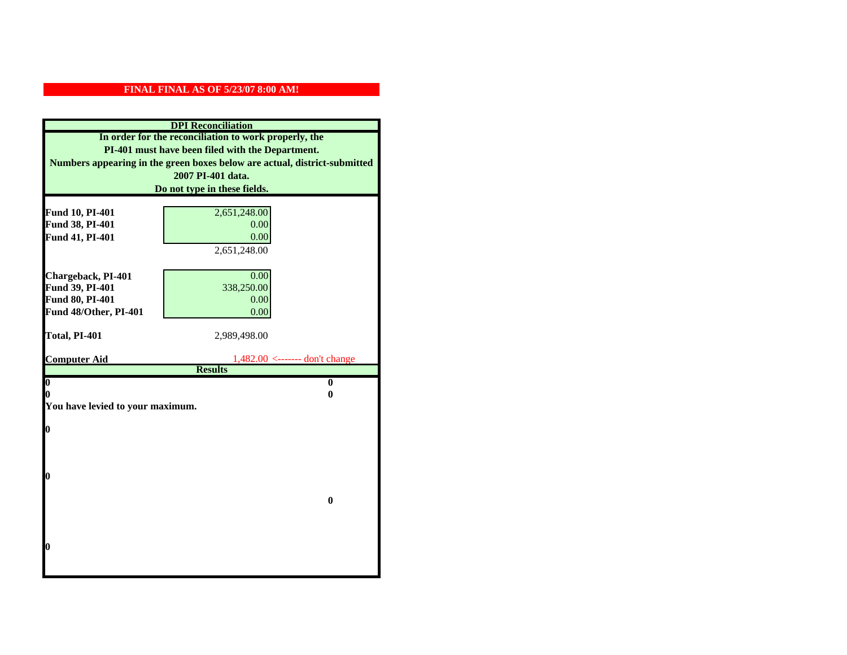| <b>DPI</b> Reconciliation                                                                                 |                                                       |  |
|-----------------------------------------------------------------------------------------------------------|-------------------------------------------------------|--|
| In order for the reconciliation to work properly, the<br>PI-401 must have been filed with the Department. |                                                       |  |
|                                                                                                           |                                                       |  |
|                                                                                                           | 2007 PI-401 data.                                     |  |
|                                                                                                           | Do not type in these fields.                          |  |
|                                                                                                           |                                                       |  |
| Fund 10, PI-401                                                                                           | 2,651,248.00                                          |  |
| Fund 38, PI-401                                                                                           | 0.00                                                  |  |
| Fund 41, PI-401                                                                                           | 0.00                                                  |  |
|                                                                                                           | 2,651,248.00                                          |  |
|                                                                                                           | 0.00                                                  |  |
| Chargeback, PI-401<br>Fund 39, PI-401                                                                     | 338,250.00                                            |  |
| Fund 80, PI-401                                                                                           | 0.00                                                  |  |
| Fund 48/Other, PI-401                                                                                     | 0.00                                                  |  |
|                                                                                                           |                                                       |  |
| Total, PI-401                                                                                             | 2,989,498.00                                          |  |
|                                                                                                           |                                                       |  |
| <b>Computer Aid</b>                                                                                       | $1,482.00 \le$ ------- don't change<br><b>Results</b> |  |
| $\boldsymbol{0}$                                                                                          | $\mathbf{0}$                                          |  |
| 0                                                                                                         | 0                                                     |  |
| You have levied to your maximum.                                                                          |                                                       |  |
|                                                                                                           |                                                       |  |
| $\bf{0}$                                                                                                  |                                                       |  |
|                                                                                                           |                                                       |  |
|                                                                                                           |                                                       |  |
| 0                                                                                                         |                                                       |  |
|                                                                                                           |                                                       |  |
|                                                                                                           | $\bf{0}$                                              |  |
|                                                                                                           |                                                       |  |
|                                                                                                           |                                                       |  |
|                                                                                                           |                                                       |  |
| 0                                                                                                         |                                                       |  |
|                                                                                                           |                                                       |  |
|                                                                                                           |                                                       |  |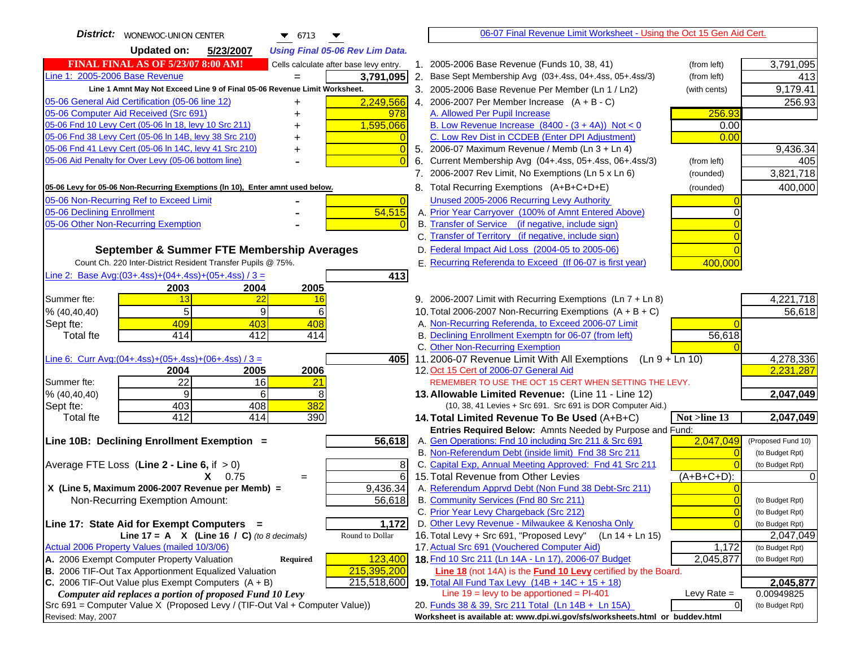| District:<br>WONEWOC-UNION CENTER<br>$\bullet$ 6713                                               | 06-07 Final Revenue Limit Worksheet - Using the Oct 15 Gen Aid Cert.                                                               |                    |
|---------------------------------------------------------------------------------------------------|------------------------------------------------------------------------------------------------------------------------------------|--------------------|
| <b>Updated on:</b><br>5/23/2007<br><b>Using Final 05-06 Rev Lim Data.</b>                         |                                                                                                                                    |                    |
| <b>FINAL FINAL AS OF 5/23/07 8:00 AM!</b><br>Cells calculate after base levy entry.               | 1. 2005-2006 Base Revenue (Funds 10, 38, 41)<br>(from left)                                                                        | 3,791,095          |
| Line 1: 2005-2006 Base Revenue<br>3,791,095                                                       | 2. Base Sept Membership Avg (03+.4ss, 04+.4ss, 05+.4ss/3)<br>(from left)                                                           | 413                |
| Line 1 Amnt May Not Exceed Line 9 of Final 05-06 Revenue Limit Worksheet.                         | 3. 2005-2006 Base Revenue Per Member (Ln 1 / Ln2)<br>(with cents)                                                                  | 9,179.41           |
| 2,249,566<br>05-06 General Aid Certification (05-06 line 12)<br>+                                 | 4. 2006-2007 Per Member Increase $(A + B - C)$                                                                                     | 256.93             |
| 05-06 Computer Aid Received (Src 691)<br>978                                                      | 256.93<br>A. Allowed Per Pupil Increase                                                                                            |                    |
| 05-06 Fnd 10 Levy Cert (05-06 In 18, levy 10 Src 211)<br>1,595,066                                | B. Low Revenue Increase $(8400 - (3 + 4A))$ Not < 0<br>0.00                                                                        |                    |
| 05-06 Fnd 38 Levy Cert (05-06 In 14B, levy 38 Src 210)<br>$\overline{0}$                          | C. Low Rev Dist in CCDEB (Enter DPI Adjustment)<br>0.00                                                                            |                    |
| 05-06 Fnd 41 Levy Cert (05-06 In 14C, levy 41 Src 210)<br>$\overline{0}$<br>+                     | 5. 2006-07 Maximum Revenue / Memb (Ln 3 + Ln 4)                                                                                    | 9,436.34           |
| 05-06 Aid Penalty for Over Levy (05-06 bottom line)<br>$\Omega$                                   | 6. Current Membership Avg (04+.4ss, 05+.4ss, 06+.4ss/3)<br>(from left)                                                             | 405                |
|                                                                                                   | 7. 2006-2007 Rev Limit, No Exemptions (Ln 5 x Ln 6)<br>(rounded)                                                                   | 3,821,718          |
| 05-06 Levy for 05-06 Non-Recurring Exemptions (In 10), Enter amnt used below.                     | 8. Total Recurring Exemptions (A+B+C+D+E)<br>(rounded)                                                                             | 400,000            |
| 05-06 Non-Recurring Ref to Exceed Limit<br>$\overline{0}$                                         | Unused 2005-2006 Recurring Levy Authority                                                                                          |                    |
| 05-06 Declining Enrollment<br>54,515                                                              | A. Prior Year Carryover (100% of Amnt Entered Above)                                                                               |                    |
| 05-06 Other Non-Recurring Exemption                                                               | B. Transfer of Service (if negative, include sign)                                                                                 |                    |
|                                                                                                   | C. Transfer of Territory (if negative, include sign)                                                                               |                    |
| September & Summer FTE Membership Averages                                                        | D. Federal Impact Aid Loss (2004-05 to 2005-06)                                                                                    |                    |
| Count Ch. 220 Inter-District Resident Transfer Pupils @ 75%.                                      | E. Recurring Referenda to Exceed (If 06-07 is first year)<br>400,000                                                               |                    |
| Line 2: Base Avg: (03+.4ss) + (04+.4ss) + (05+.4ss) / 3 =<br>413                                  |                                                                                                                                    |                    |
| 2003<br>2004<br>2005                                                                              |                                                                                                                                    |                    |
| Summer fte:<br>13<br><u> 22</u><br>16                                                             | 9. 2006-2007 Limit with Recurring Exemptions (Ln 7 + Ln 8)                                                                         | 4,221,718          |
| 9<br>5<br>6<br>% (40, 40, 40)                                                                     | 10. Total 2006-2007 Non-Recurring Exemptions $(A + B + C)$                                                                         | 56,618             |
| Sept fte:<br>409<br>403<br>408                                                                    | A. Non-Recurring Referenda, to Exceed 2006-07 Limit                                                                                |                    |
| 414<br>412<br>414<br><b>Total fte</b>                                                             | B. Declining Enrollment Exemptn for 06-07 (from left)<br>56,618                                                                    |                    |
|                                                                                                   | C. Other Non-Recurring Exemption                                                                                                   |                    |
| Line 6: Curr Avg: $(04+.4ss)+(05+.4ss)+(06+.4ss)/3 =$<br>4051                                     | 11.2006-07 Revenue Limit With All Exemptions (Ln $9 + \overline{\text{Ln }10}$ )                                                   | 4,278,336          |
| 2004<br>2005<br>2006                                                                              | 12. Oct 15 Cert of 2006-07 General Aid                                                                                             | 2,231,287          |
| 22<br>16<br>Summer fte:<br>21                                                                     | REMEMBER TO USE THE OCT 15 CERT WHEN SETTING THE LEVY.                                                                             |                    |
| 6<br>9<br>% (40, 40, 40)<br>8<br>408                                                              | 13. Allowable Limited Revenue: (Line 11 - Line 12)                                                                                 | 2,047,049          |
| 403<br>382<br>Sept fte:<br>390<br>412<br>414<br>Total fte                                         | (10, 38, 41 Levies + Src 691. Src 691 is DOR Computer Aid.)<br>14. Total Limited Revenue To Be Used (A+B+C)<br>Not >line 13        | 2,047,049          |
|                                                                                                   | Entries Required Below: Amnts Needed by Purpose and Fund:                                                                          |                    |
| 56,618<br>Line 10B: Declining Enrollment Exemption =                                              | A. Gen Operations: Fnd 10 including Src 211 & Src 691<br>2,047,049                                                                 | (Proposed Fund 10) |
|                                                                                                   | B. Non-Referendum Debt (inside limit) Fnd 38 Src 211<br>$\Omega$                                                                   | (to Budget Rpt)    |
| Average FTE Loss (Line $2 -$ Line 6, if $> 0$ )<br>8                                              | C. Capital Exp, Annual Meeting Approved: Fnd 41 Src 211                                                                            | (to Budget Rpt)    |
| 6<br>0.75<br>x.<br>$=$                                                                            | 15. Total Revenue from Other Levies<br>(A+B+C+D):                                                                                  |                    |
| X (Line 5, Maximum 2006-2007 Revenue per Memb) =<br>9,436.34                                      | A. Referendum Apprvd Debt (Non Fund 38 Debt-Src 211)                                                                               |                    |
| Non-Recurring Exemption Amount:<br>56,618                                                         | B. Community Services (Fnd 80 Src 211)<br>$\overline{0}$                                                                           | (to Budget Rpt)    |
|                                                                                                   | C. Prior Year Levy Chargeback (Src 212)<br>$\overline{0}$                                                                          | (to Budget Rpt)    |
| 1,172<br>Line 17: State Aid for Exempt Computers =                                                | D. Other Levy Revenue - Milwaukee & Kenosha Only<br>$\overline{0}$                                                                 | (to Budget Rpt)    |
| Line 17 = A $X$ (Line 16 / C) (to 8 decimals)<br>Round to Dollar                                  | 16. Total Levy + Src 691, "Proposed Levy"<br>(Ln 14 + Ln 15)                                                                       | 2.047.049          |
| Actual 2006 Property Values (mailed 10/3/06)                                                      | 17. Actual Src 691 (Vouchered Computer Aid)<br>1,172                                                                               | (to Budget Rpt)    |
| A. 2006 Exempt Computer Property Valuation<br>123,400<br>Required                                 | 18. Fnd 10 Src 211 (Ln 14A - Ln 17), 2006-07 Budget<br>2,045,877                                                                   | (to Budget Rpt)    |
| B. 2006 TIF-Out Tax Apportionment Equalized Valuation<br>215,395,200                              | <b>Line 18</b> (not 14A) is the <b>Fund 10 Levy</b> certified by the Board.                                                        |                    |
| C. 2006 TIF-Out Value plus Exempt Computers $(A + B)$<br>215,518,600                              | 19. Total All Fund Tax Levy (14B + 14C + 15 + 18)                                                                                  | 2,045,877          |
| Computer aid replaces a portion of proposed Fund 10 Levy                                          | Line $19 = \text{levy}$ to be apportioned = PI-401<br>Levy Rate $=$<br>$\mathbf 0$                                                 | 0.00949825         |
| Src 691 = Computer Value X (Proposed Levy / (TIF-Out Val + Computer Value))<br>Revised: May, 2007 | 20. Funds 38 & 39, Src 211 Total (Ln 14B + Ln 15A)<br>Worksheet is available at: www.dpi.wi.gov/sfs/worksheets.html or buddev.html | (to Budget Rpt)    |
|                                                                                                   |                                                                                                                                    |                    |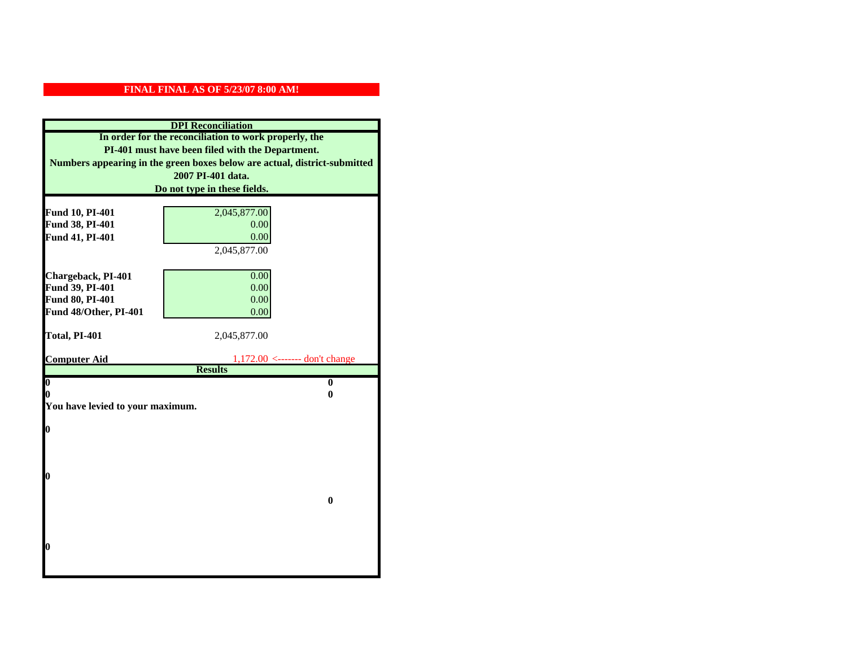| <b>DPI</b> Reconciliation                                                                                                                                                              |                                  |  |                              |
|----------------------------------------------------------------------------------------------------------------------------------------------------------------------------------------|----------------------------------|--|------------------------------|
| In order for the reconciliation to work properly, the<br>PI-401 must have been filed with the Department.<br>Numbers appearing in the green boxes below are actual, district-submitted |                                  |  |                              |
|                                                                                                                                                                                        |                                  |  | 2007 PI-401 data.            |
|                                                                                                                                                                                        |                                  |  | Do not type in these fields. |
|                                                                                                                                                                                        |                                  |  |                              |
| Fund 10, PI-401<br>Fund 38, PI-401                                                                                                                                                     | 2,045,877.00<br>0.00             |  |                              |
| Fund 41, PI-401                                                                                                                                                                        | 0.00                             |  |                              |
|                                                                                                                                                                                        | 2,045,877.00                     |  |                              |
|                                                                                                                                                                                        |                                  |  |                              |
| Chargeback, PI-401                                                                                                                                                                     | 0.00                             |  |                              |
| Fund 39, PI-401                                                                                                                                                                        | 0.00                             |  |                              |
| Fund 80, PI-401                                                                                                                                                                        | 0.00                             |  |                              |
| Fund 48/Other, PI-401                                                                                                                                                                  | 0.00                             |  |                              |
|                                                                                                                                                                                        |                                  |  |                              |
| Total, PI-401                                                                                                                                                                          | 2,045,877.00                     |  |                              |
| <b>Computer Aid</b>                                                                                                                                                                    | $1,172.00$ <------- don't change |  |                              |
|                                                                                                                                                                                        | <b>Results</b>                   |  |                              |
| $\overline{\mathbf{0}}$                                                                                                                                                                | $\bf{0}$                         |  |                              |
| 0                                                                                                                                                                                      | 0                                |  |                              |
| You have levied to your maximum.                                                                                                                                                       |                                  |  |                              |
|                                                                                                                                                                                        |                                  |  |                              |
| $\bf{0}$                                                                                                                                                                               |                                  |  |                              |
|                                                                                                                                                                                        |                                  |  |                              |
|                                                                                                                                                                                        |                                  |  |                              |
|                                                                                                                                                                                        |                                  |  |                              |
| l0                                                                                                                                                                                     |                                  |  |                              |
|                                                                                                                                                                                        |                                  |  |                              |
|                                                                                                                                                                                        | $\mathbf{0}$                     |  |                              |
|                                                                                                                                                                                        |                                  |  |                              |
|                                                                                                                                                                                        |                                  |  |                              |
|                                                                                                                                                                                        |                                  |  |                              |
| $\boldsymbol{0}$                                                                                                                                                                       |                                  |  |                              |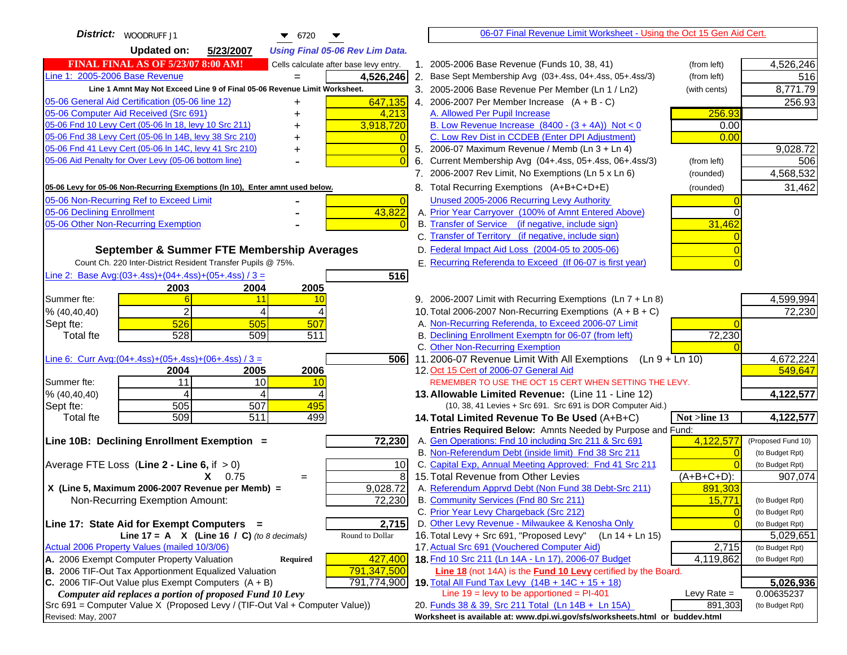| District:   WOODRUFF J1<br>$\bullet$ 6720                                           |                | 06-07 Final Revenue Limit Worksheet - Using the Oct 15 Gen Aid Cert.                                              |                |                    |
|-------------------------------------------------------------------------------------|----------------|-------------------------------------------------------------------------------------------------------------------|----------------|--------------------|
| <b>Updated on:</b><br>5/23/2007<br><b>Using Final 05-06 Rev Lim Data.</b>           |                |                                                                                                                   |                |                    |
| <b>FINAL FINAL AS OF 5/23/07 8:00 AM!</b><br>Cells calculate after base levy entry. |                | 1. 2005-2006 Base Revenue (Funds 10, 38, 41)                                                                      | (from left)    | 4,526,246          |
| Line 1: 2005-2006 Base Revenue<br>4,526,246                                         |                | 2. Base Sept Membership Avg (03+.4ss, 04+.4ss, 05+.4ss/3)                                                         | (from left)    | 516                |
| Line 1 Amnt May Not Exceed Line 9 of Final 05-06 Revenue Limit Worksheet.           |                | 3. 2005-2006 Base Revenue Per Member (Ln 1 / Ln2)                                                                 | (with cents)   | 8,771.79           |
| 05-06 General Aid Certification (05-06 line 12)<br>647,135                          |                | 4. 2006-2007 Per Member Increase $(A + B - C)$                                                                    |                | 256.93             |
| 05-06 Computer Aid Received (Src 691)<br>4,213                                      |                | A. Allowed Per Pupil Increase                                                                                     | 256.93         |                    |
| 05-06 Fnd 10 Levy Cert (05-06 In 18, levy 10 Src 211)<br>3,918,720                  |                | B. Low Revenue Increase $(8400 - (3 + 4A))$ Not < 0                                                               | 0.00           |                    |
| 05-06 Fnd 38 Levy Cert (05-06 In 14B, levy 38 Src 210)                              |                | C. Low Rev Dist in CCDEB (Enter DPI Adjustment)                                                                   | 0.00           |                    |
| 05-06 Fnd 41 Levy Cert (05-06 In 14C, levy 41 Src 210)<br>+                         | $\Omega$       | 5. 2006-07 Maximum Revenue / Memb (Ln 3 + Ln 4)                                                                   |                | 9,028.72           |
| 05-06 Aid Penalty for Over Levy (05-06 bottom line)                                 |                | 6. Current Membership Avg (04+.4ss, 05+.4ss, 06+.4ss/3)                                                           | (from left)    | 506                |
|                                                                                     |                | 7. 2006-2007 Rev Limit, No Exemptions (Ln 5 x Ln 6)                                                               | (rounded)      | 4,568,532          |
| 05-06 Levy for 05-06 Non-Recurring Exemptions (In 10), Enter amnt used below.       |                | 8. Total Recurring Exemptions (A+B+C+D+E)                                                                         | (rounded)      | 31,462             |
| 05-06 Non-Recurring Ref to Exceed Limit                                             | $\overline{0}$ | Unused 2005-2006 Recurring Levy Authority                                                                         |                |                    |
| 43,822<br>05-06 Declining Enrollment                                                |                | A. Prior Year Carryover (100% of Amnt Entered Above)                                                              |                |                    |
| 05-06 Other Non-Recurring Exemption                                                 |                | B. Transfer of Service (if negative, include sign)                                                                | 31,462         |                    |
|                                                                                     |                | C. Transfer of Territory (if negative, include sign)                                                              |                |                    |
| September & Summer FTE Membership Averages                                          |                | D. Federal Impact Aid Loss (2004-05 to 2005-06)                                                                   |                |                    |
| Count Ch. 220 Inter-District Resident Transfer Pupils @ 75%.                        |                | E. Recurring Referenda to Exceed (If 06-07 is first year)                                                         |                |                    |
| Line 2: Base Avg: (03+.4ss) + (04+.4ss) + (05+.4ss) / 3 =<br>516                    |                |                                                                                                                   |                |                    |
| 2003<br>2004<br>2005                                                                |                |                                                                                                                   |                |                    |
| Summer fte:<br>11<br>10                                                             |                | 9. 2006-2007 Limit with Recurring Exemptions (Ln 7 + Ln 8)                                                        |                | 4,599,994          |
| 2<br>% (40, 40, 40)<br>4                                                            |                | 10. Total 2006-2007 Non-Recurring Exemptions $(A + B + C)$                                                        |                | 72,230             |
| 526<br>505<br>507<br>Sept fte:                                                      |                | A. Non-Recurring Referenda, to Exceed 2006-07 Limit                                                               |                |                    |
| 528<br>509<br>511<br><b>Total fte</b>                                               |                | B. Declining Enrollment Exemptn for 06-07 (from left)                                                             | 72,230         |                    |
|                                                                                     |                | C. Other Non-Recurring Exemption                                                                                  |                |                    |
| Line 6: Curr Avg: $(04+.4ss)+(05+.4ss)+(06+.4ss)/3 =$<br>5061                       |                | 11.2006-07 Revenue Limit With All Exemptions (Ln $9 + \overline{\text{Ln }10}$ )                                  |                | 4,672,224          |
| 2006<br>2004<br>2005                                                                |                | 12. Oct 15 Cert of 2006-07 General Aid                                                                            |                | 549,647            |
| 11<br>10<br>Summer fte:<br>10                                                       |                | REMEMBER TO USE THE OCT 15 CERT WHEN SETTING THE LEVY.                                                            |                |                    |
| % (40, 40, 40)<br>4<br>4<br>505<br>507<br>495                                       |                | 13. Allowable Limited Revenue: (Line 11 - Line 12)<br>(10, 38, 41 Levies + Src 691. Src 691 is DOR Computer Aid.) |                | 4,122,577          |
| Sept fte:<br>509<br>$\overline{511}$<br>499<br><b>Total fte</b>                     |                | 14. Total Limited Revenue To Be Used (A+B+C)                                                                      | Not >line 13   | 4,122,577          |
|                                                                                     |                | Entries Required Below: Amnts Needed by Purpose and Fund:                                                         |                |                    |
| 72,230<br>Line 10B: Declining Enrollment Exemption =                                |                | A. Gen Operations: Fnd 10 including Src 211 & Src 691                                                             | 4,122,577      | (Proposed Fund 10) |
|                                                                                     |                | B. Non-Referendum Debt (inside limit) Fnd 38 Src 211                                                              | $\sqrt{ }$     | (to Budget Rpt)    |
| Average FTE Loss (Line $2 -$ Line 6, if $> 0$ )<br>10                               |                | C. Capital Exp, Annual Meeting Approved: Fnd 41 Src 211                                                           |                | (to Budget Rpt)    |
| $X = 0.75$<br>$=$                                                                   | 8              | 15. Total Revenue from Other Levies                                                                               | (A+B+C+D):     | 907,074            |
| X (Line 5, Maximum 2006-2007 Revenue per Memb) =<br>9,028.72                        |                | A. Referendum Apprvd Debt (Non Fund 38 Debt-Src 211)                                                              | 891,303        |                    |
| 72,230<br>Non-Recurring Exemption Amount:                                           |                | B. Community Services (Fnd 80 Src 211)                                                                            | 15,771         | (to Budget Rpt)    |
|                                                                                     |                | C. Prior Year Levy Chargeback (Src 212)                                                                           | $\overline{0}$ | (to Budget Rpt)    |
| 2,715<br>Line 17: State Aid for Exempt Computers =                                  |                | D. Other Levy Revenue - Milwaukee & Kenosha Only                                                                  | $\overline{0}$ | (to Budget Rpt)    |
| Round to Dollar<br>Line 17 = A $X$ (Line 16 / C) (to 8 decimals)                    |                | 16. Total Levy + Src 691, "Proposed Levy"<br>(Ln 14 + Ln 15)                                                      |                | 5,029,651          |
| Actual 2006 Property Values (mailed 10/3/06)                                        |                | 17. Actual Src 691 (Vouchered Computer Aid)                                                                       | 2,715          | (to Budget Rpt)    |
| A. 2006 Exempt Computer Property Valuation<br>427,400<br>Required                   |                | 18. Fnd 10 Src 211 (Ln 14A - Ln 17), 2006-07 Budget                                                               | 4,119,862      | (to Budget Rpt)    |
| B. 2006 TIF-Out Tax Apportionment Equalized Valuation<br>791,347,500                |                | Line 18 (not 14A) is the <b>Fund 10 Levy</b> certified by the Board.                                              |                |                    |
| C. 2006 TIF-Out Value plus Exempt Computers $(A + B)$<br>791,774,900                |                | 19. Total All Fund Tax Levy (14B + 14C + 15 + 18)                                                                 |                | 5,026,936          |
| Computer aid replaces a portion of proposed Fund 10 Levy                            |                | Line $19 = \text{levy}$ to be apportioned = PI-401                                                                | Levy Rate $=$  | 0.00635237         |
| $Src691$ = Computer Value X (Proposed Levy / (TIF-Out Val + Computer Value))        |                | 20. Funds 38 & 39, Src 211 Total (Ln 14B + Ln 15A)                                                                | 891,303        | (to Budget Rpt)    |
| Revised: May, 2007                                                                  |                | Worksheet is available at: www.dpi.wi.gov/sfs/worksheets.html or buddev.html                                      |                |                    |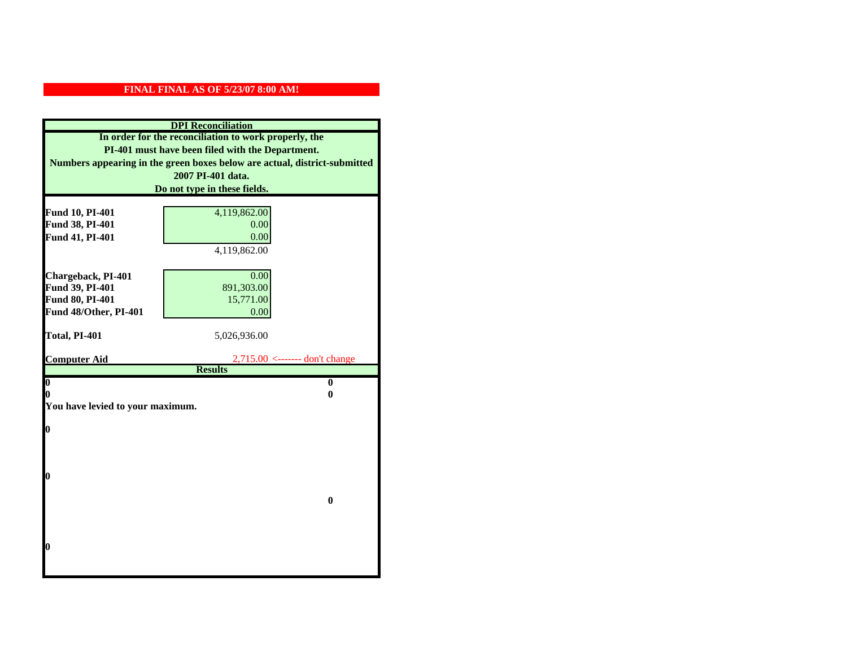| <b>DPI</b> Reconciliation<br>In order for the reconciliation to work properly, the<br>PI-401 must have been filed with the Department.<br>Numbers appearing in the green boxes below are actual, district-submitted |                                               |  |                              |
|---------------------------------------------------------------------------------------------------------------------------------------------------------------------------------------------------------------------|-----------------------------------------------|--|------------------------------|
|                                                                                                                                                                                                                     |                                               |  | 2007 PI-401 data.            |
|                                                                                                                                                                                                                     |                                               |  | Do not type in these fields. |
|                                                                                                                                                                                                                     |                                               |  |                              |
| Fund 10, PI-401<br>Fund 38, PI-401                                                                                                                                                                                  | 4,119,862.00                                  |  |                              |
| Fund 41, PI-401                                                                                                                                                                                                     | 0.00<br>0.00                                  |  |                              |
|                                                                                                                                                                                                                     | 4,119,862.00                                  |  |                              |
|                                                                                                                                                                                                                     |                                               |  |                              |
| Chargeback, PI-401                                                                                                                                                                                                  | 0.00                                          |  |                              |
| Fund 39, PI-401                                                                                                                                                                                                     | 891,303.00                                    |  |                              |
| Fund 80, PI-401                                                                                                                                                                                                     | 15,771.00                                     |  |                              |
| Fund 48/Other, PI-401                                                                                                                                                                                               | 0.00                                          |  |                              |
|                                                                                                                                                                                                                     |                                               |  |                              |
| Total, PI-401                                                                                                                                                                                                       | 5,026,936.00                                  |  |                              |
|                                                                                                                                                                                                                     |                                               |  |                              |
| <b>Computer Aid</b>                                                                                                                                                                                                 | $2,715.00 \leftarrow \text{---}$ don't change |  |                              |
| $\boldsymbol{0}$                                                                                                                                                                                                    | <b>Results</b><br>$\bf{0}$                    |  |                              |
| 0                                                                                                                                                                                                                   | 0                                             |  |                              |
| You have levied to your maximum.                                                                                                                                                                                    |                                               |  |                              |
|                                                                                                                                                                                                                     |                                               |  |                              |
| 0                                                                                                                                                                                                                   |                                               |  |                              |
|                                                                                                                                                                                                                     |                                               |  |                              |
|                                                                                                                                                                                                                     |                                               |  |                              |
|                                                                                                                                                                                                                     |                                               |  |                              |
| 0                                                                                                                                                                                                                   |                                               |  |                              |
|                                                                                                                                                                                                                     |                                               |  |                              |
|                                                                                                                                                                                                                     | $\bf{0}$                                      |  |                              |
|                                                                                                                                                                                                                     |                                               |  |                              |
|                                                                                                                                                                                                                     |                                               |  |                              |
| 0                                                                                                                                                                                                                   |                                               |  |                              |
|                                                                                                                                                                                                                     |                                               |  |                              |
|                                                                                                                                                                                                                     |                                               |  |                              |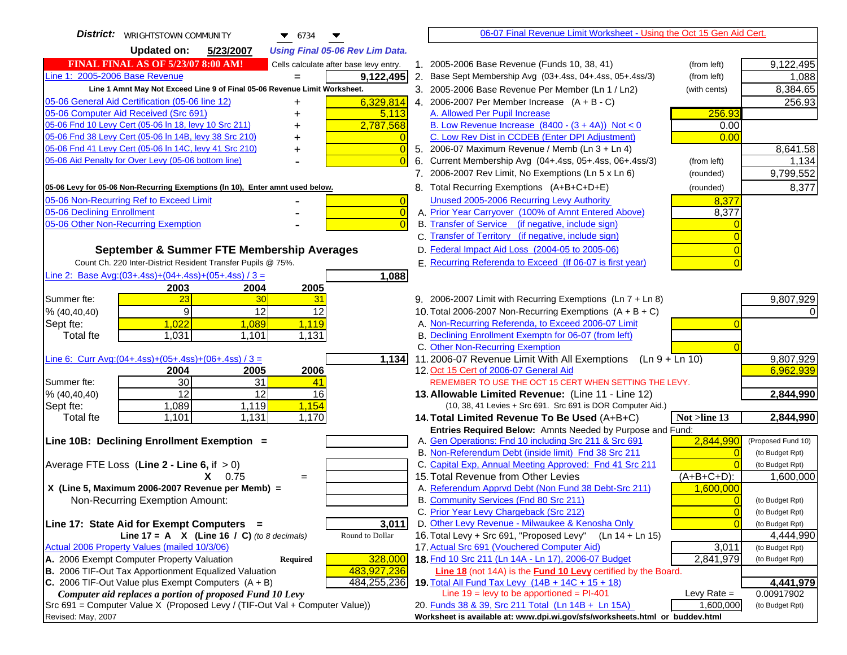| <b>District:</b>   WRIGHTSTOWN COMMUNITY<br>$\bullet$ 6734                                        | 06-07 Final Revenue Limit Worksheet - Using the Oct 15 Gen Aid Cert.                                                                   |                                       |
|---------------------------------------------------------------------------------------------------|----------------------------------------------------------------------------------------------------------------------------------------|---------------------------------------|
| <b>Updated on:</b><br>5/23/2007<br><b>Using Final 05-06 Rev Lim Data.</b>                         |                                                                                                                                        |                                       |
| <b>FINAL FINAL AS OF 5/23/07 8:00 AM!</b><br>Cells calculate after base levy entry.               | 1. 2005-2006 Base Revenue (Funds 10, 38, 41)<br>(from left)                                                                            | 9,122,495                             |
| Line 1: 2005-2006 Base Revenue<br>9,122,495                                                       | 2. Base Sept Membership Avg (03+.4ss, 04+.4ss, 05+.4ss/3)<br>(from left)                                                               | 1,088                                 |
| Line 1 Amnt May Not Exceed Line 9 of Final 05-06 Revenue Limit Worksheet.                         | 3. 2005-2006 Base Revenue Per Member (Ln 1 / Ln2)<br>(with cents)                                                                      | 8,384.65                              |
| 6,329,814<br>05-06 General Aid Certification (05-06 line 12)                                      | 4. 2006-2007 Per Member Increase $(A + B - C)$                                                                                         | 256.93                                |
| 05-06 Computer Aid Received (Src 691)<br>5,113                                                    | 256.93<br>A. Allowed Per Pupil Increase                                                                                                |                                       |
| 05-06 Fnd 10 Levy Cert (05-06 In 18, levy 10 Src 211)<br>2,787,568                                | B. Low Revenue Increase $(8400 - (3 + 4A))$ Not < 0<br>0.00                                                                            |                                       |
| 05-06 Fnd 38 Levy Cert (05-06 In 14B, levy 38 Src 210)                                            | C. Low Rev Dist in CCDEB (Enter DPI Adjustment)<br>0.00                                                                                |                                       |
| 05-06 Fnd 41 Levy Cert (05-06 In 14C, levy 41 Src 210)<br>+                                       | 5. 2006-07 Maximum Revenue / Memb (Ln 3 + Ln 4)                                                                                        | 8,641.58                              |
| 05-06 Aid Penalty for Over Levy (05-06 bottom line)                                               | 6. Current Membership Avg (04+.4ss, 05+.4ss, 06+.4ss/3)<br>(from left)                                                                 | 1,134                                 |
|                                                                                                   | 7. 2006-2007 Rev Limit, No Exemptions (Ln 5 x Ln 6)<br>(rounded)                                                                       | 9,799,552                             |
| 05-06 Levy for 05-06 Non-Recurring Exemptions (In 10), Enter amnt used below.                     | 8. Total Recurring Exemptions (A+B+C+D+E)<br>(rounded)                                                                                 | 8,377                                 |
| 05-06 Non-Recurring Ref to Exceed Limit<br>$\overline{0}$                                         | Unused 2005-2006 Recurring Levy Authority<br>8,377                                                                                     |                                       |
| 05-06 Declining Enrollment<br>$\overline{0}$                                                      | A. Prior Year Carryover (100% of Amnt Entered Above)<br>8,377                                                                          |                                       |
| 05-06 Other Non-Recurring Exemption<br>$\sqrt{ }$                                                 | B. Transfer of Service (if negative, include sign)                                                                                     |                                       |
|                                                                                                   | C. Transfer of Territory (if negative, include sign)                                                                                   |                                       |
| September & Summer FTE Membership Averages                                                        | D. Federal Impact Aid Loss (2004-05 to 2005-06)                                                                                        |                                       |
| Count Ch. 220 Inter-District Resident Transfer Pupils @ 75%.                                      | E. Recurring Referenda to Exceed (If 06-07 is first year)                                                                              |                                       |
| Line 2: Base Avg:(03+.4ss)+(04+.4ss)+(05+.4ss) / 3 =<br>1,088                                     |                                                                                                                                        |                                       |
| 2003<br>2004<br>2005                                                                              |                                                                                                                                        |                                       |
| 23<br>30<br>31<br>Summer fte:<br>$\overline{9}$<br>12<br>12                                       | 9. 2006-2007 Limit with Recurring Exemptions (Ln 7 + Ln 8)<br>10. Total 2006-2007 Non-Recurring Exemptions $(A + B + C)$               | 9,807,929                             |
| % (40, 40, 40)<br>1,022<br>1,119                                                                  | A. Non-Recurring Referenda, to Exceed 2006-07 Limit                                                                                    |                                       |
| Sept fte:<br>1,089<br>1,031<br>1,101<br>1,131<br><b>Total fte</b>                                 | B. Declining Enrollment Exemptn for 06-07 (from left)                                                                                  |                                       |
|                                                                                                   | C. Other Non-Recurring Exemption                                                                                                       |                                       |
| Line 6: Curr Avg: $(04+.4ss)+(05+.4ss)+(06+.4ss)/3 =$<br>1,134                                    | 11.2006-07 Revenue Limit With All Exemptions (Ln $9 + \overline{\text{Ln }10}$ )                                                       | 9,807,929                             |
| 2004<br>2005<br>2006                                                                              | 12. Oct 15 Cert of 2006-07 General Aid                                                                                                 | 6,962,939                             |
| 30<br>31<br>Summer fte:<br>41                                                                     | REMEMBER TO USE THE OCT 15 CERT WHEN SETTING THE LEVY.                                                                                 |                                       |
| $\overline{12}$<br>$\overline{12}$<br>% (40, 40, 40)<br>16                                        | 13. Allowable Limited Revenue: (Line 11 - Line 12)                                                                                     | 2,844,990                             |
| 1,154<br>Sept fte:<br>1,089<br>1,119                                                              | (10, 38, 41 Levies + Src 691. Src 691 is DOR Computer Aid.)                                                                            |                                       |
| <b>Total fte</b><br>1,101<br>1,131<br>1,170                                                       | Not >line 13<br>14. Total Limited Revenue To Be Used (A+B+C)                                                                           | 2,844,990                             |
|                                                                                                   | Entries Required Below: Amnts Needed by Purpose and Fund:                                                                              |                                       |
| Line 10B: Declining Enrollment Exemption =                                                        | A. Gen Operations: Fnd 10 including Src 211 & Src 691<br>2,844,990<br>B. Non-Referendum Debt (inside limit) Fnd 38 Src 211<br>$\Omega$ | (Proposed Fund 10)<br>(to Budget Rpt) |
| Average FTE Loss (Line $2 -$ Line 6, if $> 0$ )                                                   | C. Capital Exp, Annual Meeting Approved: Fnd 41 Src 211                                                                                | (to Budget Rpt)                       |
| $X = 0.75$<br>$=$                                                                                 | 15. Total Revenue from Other Levies<br>$(A+B+C+D)$ :                                                                                   | 1,600,000                             |
| X (Line 5, Maximum 2006-2007 Revenue per Memb) =                                                  | A. Referendum Apprvd Debt (Non Fund 38 Debt-Src 211)<br>1,600,000                                                                      |                                       |
| Non-Recurring Exemption Amount:                                                                   | B. Community Services (Fnd 80 Src 211)                                                                                                 | (to Budget Rpt)                       |
|                                                                                                   | C. Prior Year Levy Chargeback (Src 212)<br>$\overline{0}$                                                                              | (to Budget Rpt)                       |
| 3,011<br>Line 17: State Aid for Exempt Computers =                                                | D. Other Levy Revenue - Milwaukee & Kenosha Only<br>$\Omega$                                                                           | (to Budget Rpt)                       |
| Line 17 = A $X$ (Line 16 / C) (to 8 decimals)<br>Round to Dollar                                  | 16. Total Levy + Src 691, "Proposed Levy"<br>$(Ln 14 + Ln 15)$                                                                         | 4,444,990                             |
| Actual 2006 Property Values (mailed 10/3/06)                                                      | 17. Actual Src 691 (Vouchered Computer Aid)<br>3,011                                                                                   | (to Budget Rpt)                       |
| A. 2006 Exempt Computer Property Valuation<br>Required<br>328,000                                 | 18. Fnd 10 Src 211 (Ln 14A - Ln 17), 2006-07 Budget<br>2,841,979                                                                       | (to Budget Rpt)                       |
| B. 2006 TIF-Out Tax Apportionment Equalized Valuation<br>483,927,236                              | <b>Line 18</b> (not 14A) is the <b>Fund 10 Levy</b> certified by the Board.                                                            |                                       |
| C. 2006 TIF-Out Value plus Exempt Computers $(A + B)$<br>484,255,236                              | 19. Total All Fund Tax Levy (14B + 14C + 15 + 18)                                                                                      | 4,441,979                             |
| Computer aid replaces a portion of proposed Fund 10 Levy                                          | Line $19 = \text{levy}$ to be apportioned = PI-401<br>Levy Rate $=$<br>20. Funds 38 & 39, Src 211 Total (Ln 14B + Ln 15A)<br>1,600,000 | 0.00917902                            |
| Src 691 = Computer Value X (Proposed Levy / (TIF-Out Val + Computer Value))<br>Revised: May, 2007 | Worksheet is available at: www.dpi.wi.gov/sfs/worksheets.html or buddev.html                                                           | (to Budget Rpt)                       |
|                                                                                                   |                                                                                                                                        |                                       |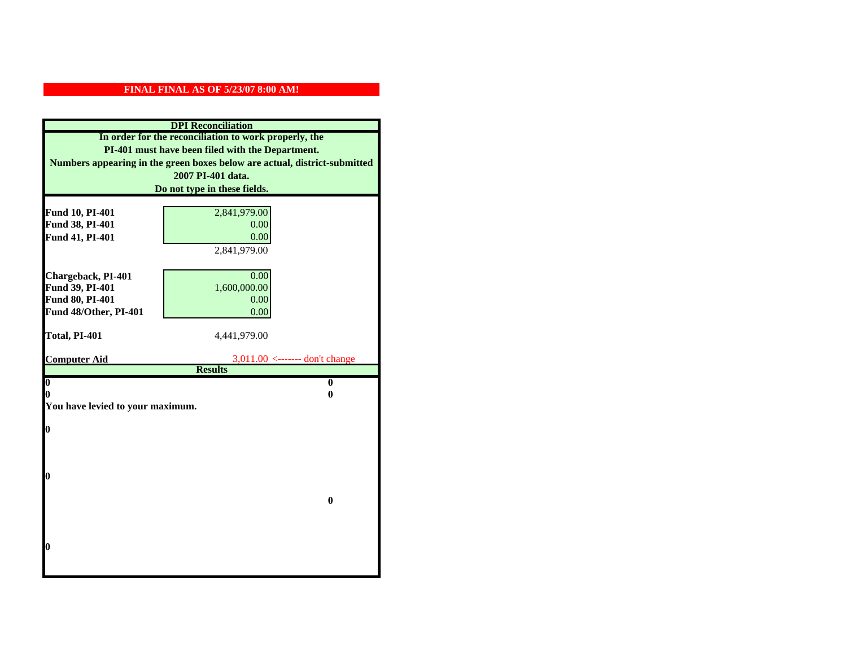| <b>DPI</b> Reconciliation                                                                                                                                                              |                                  |  |                              |
|----------------------------------------------------------------------------------------------------------------------------------------------------------------------------------------|----------------------------------|--|------------------------------|
| In order for the reconciliation to work properly, the<br>PI-401 must have been filed with the Department.<br>Numbers appearing in the green boxes below are actual, district-submitted |                                  |  |                              |
|                                                                                                                                                                                        |                                  |  | 2007 PI-401 data.            |
|                                                                                                                                                                                        |                                  |  | Do not type in these fields. |
|                                                                                                                                                                                        |                                  |  |                              |
| Fund 10, PI-401                                                                                                                                                                        | 2,841,979.00                     |  |                              |
| Fund 38, PI-401                                                                                                                                                                        | 0.00                             |  |                              |
| Fund 41, PI-401                                                                                                                                                                        | 0.00                             |  |                              |
|                                                                                                                                                                                        | 2,841,979.00                     |  |                              |
|                                                                                                                                                                                        |                                  |  |                              |
| Chargeback, PI-401                                                                                                                                                                     | 0.00                             |  |                              |
| Fund 39, PI-401<br>Fund 80, PI-401                                                                                                                                                     | 1,600,000.00<br>0.00             |  |                              |
| Fund 48/Other, PI-401                                                                                                                                                                  | 0.00                             |  |                              |
|                                                                                                                                                                                        |                                  |  |                              |
| Total, PI-401                                                                                                                                                                          | 4,441,979.00                     |  |                              |
|                                                                                                                                                                                        |                                  |  |                              |
| <b>Computer Aid</b>                                                                                                                                                                    | $3,011.00$ <------- don't change |  |                              |
|                                                                                                                                                                                        | <b>Results</b>                   |  |                              |
| $\overline{\mathbf{0}}$                                                                                                                                                                | $\mathbf{0}$                     |  |                              |
| 0<br>0<br>You have levied to your maximum.                                                                                                                                             |                                  |  |                              |
|                                                                                                                                                                                        |                                  |  |                              |
| $\bf{0}$                                                                                                                                                                               |                                  |  |                              |
|                                                                                                                                                                                        |                                  |  |                              |
|                                                                                                                                                                                        |                                  |  |                              |
|                                                                                                                                                                                        |                                  |  |                              |
| l0                                                                                                                                                                                     |                                  |  |                              |
|                                                                                                                                                                                        |                                  |  |                              |
|                                                                                                                                                                                        | $\bf{0}$                         |  |                              |
|                                                                                                                                                                                        |                                  |  |                              |
|                                                                                                                                                                                        |                                  |  |                              |
| l0                                                                                                                                                                                     |                                  |  |                              |
|                                                                                                                                                                                        |                                  |  |                              |
|                                                                                                                                                                                        |                                  |  |                              |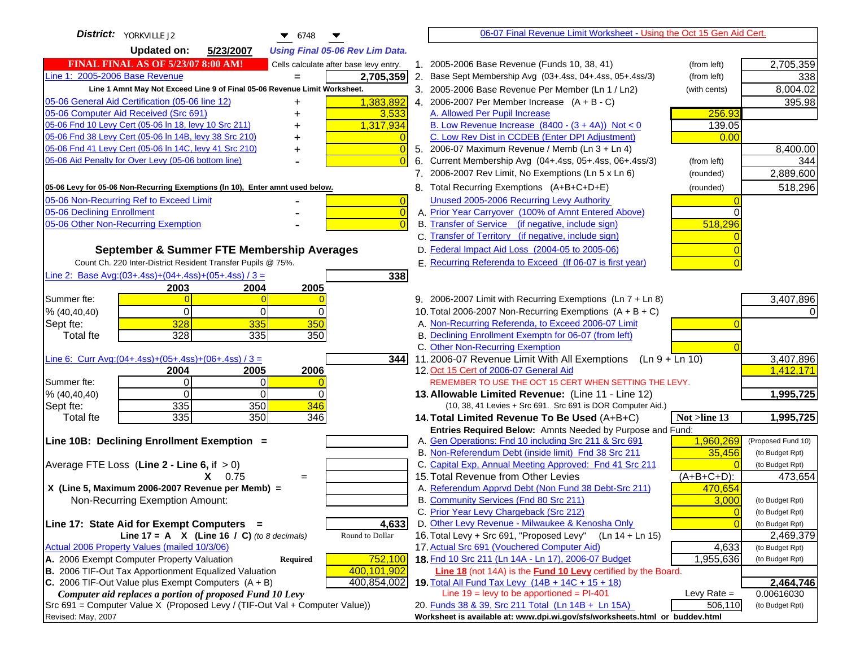| District: YORKVILLE J2<br>$\bullet$ 6748                                                                                                     | 06-07 Final Revenue Limit Worksheet - Using the Oct 15 Gen Aid Cert.                                                             |                    |
|----------------------------------------------------------------------------------------------------------------------------------------------|----------------------------------------------------------------------------------------------------------------------------------|--------------------|
| <b>Updated on:</b><br>5/23/2007<br><b>Using Final 05-06 Rev Lim Data.</b>                                                                    |                                                                                                                                  |                    |
| <b>FINAL FINAL AS OF 5/23/07 8:00 AM!</b><br>Cells calculate after base levy entry.                                                          | 1. 2005-2006 Base Revenue (Funds 10, 38, 41)<br>(from left)                                                                      | 2,705,359          |
| Line 1: 2005-2006 Base Revenue<br>2,705,359                                                                                                  | 2. Base Sept Membership Avg (03+.4ss, 04+.4ss, 05+.4ss/3)<br>(from left)                                                         | 338                |
| Line 1 Amnt May Not Exceed Line 9 of Final 05-06 Revenue Limit Worksheet.                                                                    | 3. 2005-2006 Base Revenue Per Member (Ln 1 / Ln2)<br>(with cents)                                                                | 8,004.02           |
| 1,383,892<br>05-06 General Aid Certification (05-06 line 12)<br>+                                                                            | 4. 2006-2007 Per Member Increase $(A + B - C)$                                                                                   | 395.98             |
| 05-06 Computer Aid Received (Src 691)<br>3,533                                                                                               | A. Allowed Per Pupil Increase<br>256.93                                                                                          |                    |
| 05-06 Fnd 10 Levy Cert (05-06 In 18, levy 10 Src 211)<br>1,317,934                                                                           | B. Low Revenue Increase $(8400 - (3 + 4A))$ Not < 0<br>139.05                                                                    |                    |
| 05-06 Fnd 38 Levy Cert (05-06 In 14B, levy 38 Src 210)                                                                                       | C. Low Rev Dist in CCDEB (Enter DPI Adjustment)<br>0.00                                                                          |                    |
| 05-06 Fnd 41 Levy Cert (05-06 In 14C, levy 41 Src 210)<br>+                                                                                  | 5. 2006-07 Maximum Revenue / Memb (Ln 3 + Ln 4)                                                                                  | 8,400.00           |
| 05-06 Aid Penalty for Over Levy (05-06 bottom line)                                                                                          | 6. Current Membership Avg (04+.4ss, 05+.4ss, 06+.4ss/3)<br>(from left)                                                           | 344                |
|                                                                                                                                              | 7. 2006-2007 Rev Limit, No Exemptions (Ln 5 x Ln 6)<br>(rounded)                                                                 | 2,889,600          |
| 05-06 Levy for 05-06 Non-Recurring Exemptions (In 10), Enter amnt used below.                                                                | 8. Total Recurring Exemptions (A+B+C+D+E)<br>(rounded)                                                                           | 518,296            |
| 05-06 Non-Recurring Ref to Exceed Limit<br>$\overline{0}$                                                                                    | Unused 2005-2006 Recurring Levy Authority                                                                                        |                    |
| 05-06 Declining Enrollment<br>$\overline{0}$                                                                                                 | A. Prior Year Carryover (100% of Amnt Entered Above)                                                                             |                    |
| 05-06 Other Non-Recurring Exemption                                                                                                          | B. Transfer of Service (if negative, include sign)<br>518,296                                                                    |                    |
|                                                                                                                                              | C. Transfer of Territory (if negative, include sign)                                                                             |                    |
| September & Summer FTE Membership Averages                                                                                                   | D. Federal Impact Aid Loss (2004-05 to 2005-06)                                                                                  |                    |
| Count Ch. 220 Inter-District Resident Transfer Pupils @ 75%.                                                                                 | E. Recurring Referenda to Exceed (If 06-07 is first year)                                                                        |                    |
| Line 2: Base Avg: (03+.4ss) + (04+.4ss) + (05+.4ss) / 3 =<br>338                                                                             |                                                                                                                                  |                    |
| 2003<br>2004<br>2005                                                                                                                         |                                                                                                                                  |                    |
| Summer fte:<br>$\Omega$                                                                                                                      | 9. 2006-2007 Limit with Recurring Exemptions (Ln 7 + Ln 8)                                                                       | 3,407,896          |
| $\Omega$<br>0<br>% (40, 40, 40)<br>$\Omega$                                                                                                  | 10. Total 2006-2007 Non-Recurring Exemptions $(A + B + C)$                                                                       |                    |
| 328<br>335<br>350<br>Sept fte:                                                                                                               | A. Non-Recurring Referenda, to Exceed 2006-07 Limit                                                                              |                    |
| 328<br>$\frac{1}{335}$<br>350<br><b>Total fte</b>                                                                                            | B. Declining Enrollment Exemptn for 06-07 (from left)                                                                            |                    |
|                                                                                                                                              | C. Other Non-Recurring Exemption                                                                                                 |                    |
| Line 6: Curr Avg: $(04+.4ss)+(05+.4ss)+(06+.4ss)$ / 3 =<br>344 I                                                                             | 11.2006-07 Revenue Limit With All Exemptions (Ln $9 + \overline{\text{Ln }10}$ )                                                 | 3,407,896          |
| 2006<br>2004<br>2005                                                                                                                         | 12. Oct 15 Cert of 2006-07 General Aid                                                                                           | 1,412,171          |
| Summer fte:<br>$\Omega$<br>0<br>$\Omega$<br>$\Omega$<br>% (40, 40, 40)<br>$\Omega$                                                           | REMEMBER TO USE THE OCT 15 CERT WHEN SETTING THE LEVY.<br>13. Allowable Limited Revenue: (Line 11 - Line 12)                     | 1,995,725          |
| 335<br>350<br>346<br>Sept fte:                                                                                                               | (10, 38, 41 Levies + Src 691. Src 691 is DOR Computer Aid.)                                                                      |                    |
| 335<br>350<br>346<br><b>Total fte</b>                                                                                                        | 14. Total Limited Revenue To Be Used (A+B+C)<br>Not >line 13                                                                     | 1,995,725          |
|                                                                                                                                              | Entries Required Below: Amnts Needed by Purpose and Fund:                                                                        |                    |
| Line 10B: Declining Enrollment Exemption =                                                                                                   | 1,960,269<br>A. Gen Operations: Fnd 10 including Src 211 & Src 691                                                               | (Proposed Fund 10) |
|                                                                                                                                              | B. Non-Referendum Debt (inside limit) Fnd 38 Src 211<br>35,456                                                                   | (to Budget Rpt)    |
| Average FTE Loss (Line $2 -$ Line 6, if $> 0$ )                                                                                              | C. Capital Exp, Annual Meeting Approved: Fnd 41 Src 211                                                                          | (to Budget Rpt)    |
| $X = 0.75$<br>$=$                                                                                                                            | 15. Total Revenue from Other Levies<br>(A+B+C+D):                                                                                | 473,654            |
| X (Line 5, Maximum 2006-2007 Revenue per Memb) =                                                                                             | A. Referendum Apprvd Debt (Non Fund 38 Debt-Src 211)<br>470,654                                                                  |                    |
| Non-Recurring Exemption Amount:                                                                                                              | B. Community Services (Fnd 80 Src 211)<br>3,000                                                                                  | (to Budget Rpt)    |
|                                                                                                                                              | C. Prior Year Levy Chargeback (Src 212)<br>$\overline{0}$                                                                        | (to Budget Rpt)    |
| 4,633<br>Line 17: State Aid for Exempt Computers =                                                                                           | D. Other Levy Revenue - Milwaukee & Kenosha Only<br>$\overline{0}$                                                               | (to Budget Rpt)    |
| Line 17 = A $X$ (Line 16 / C) (to 8 decimals)<br>Round to Dollar                                                                             | 16. Total Levy + Src 691, "Proposed Levy"<br>(Ln 14 + Ln 15)                                                                     | 2,469,379          |
| Actual 2006 Property Values (mailed 10/3/06)                                                                                                 | 17. Actual Src 691 (Vouchered Computer Aid)<br>4,633                                                                             | (to Budget Rpt)    |
| A. 2006 Exempt Computer Property Valuation<br>Required<br>752,100                                                                            | 18. Fnd 10 Src 211 (Ln 14A - Ln 17), 2006-07 Budget<br>1,955,636                                                                 | (to Budget Rpt)    |
| B. 2006 TIF-Out Tax Apportionment Equalized Valuation<br>400,101,902<br>C. 2006 TIF-Out Value plus Exempt Computers $(A + B)$<br>400,854,002 | <b>Line 18</b> (not 14A) is the <b>Fund 10 Levy</b> certified by the Board.<br>19. Total All Fund Tax Levy (14B + 14C + 15 + 18) | 2,464,746          |
| Computer aid replaces a portion of proposed Fund 10 Levy                                                                                     | Line $19 = \text{levy}$ to be apportioned = PI-401<br>Levy Rate $=$                                                              | 0.00616030         |
| Src 691 = Computer Value X (Proposed Levy / (TIF-Out Val + Computer Value))                                                                  | 20. Funds 38 & 39, Src 211 Total (Ln 14B + Ln 15A)<br>506,110                                                                    | (to Budget Rpt)    |
| Revised: May, 2007                                                                                                                           | Worksheet is available at: www.dpi.wi.gov/sfs/worksheets.html or buddev.html                                                     |                    |
|                                                                                                                                              |                                                                                                                                  |                    |